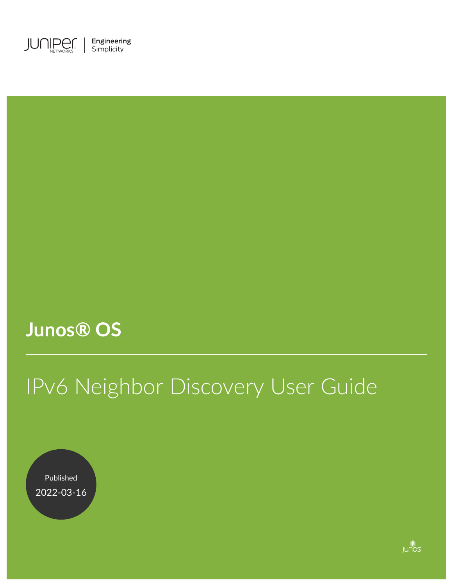

## **Junos® OS**

# IPv6 Neighbor Discovery User Guide

Published 2022-03-16

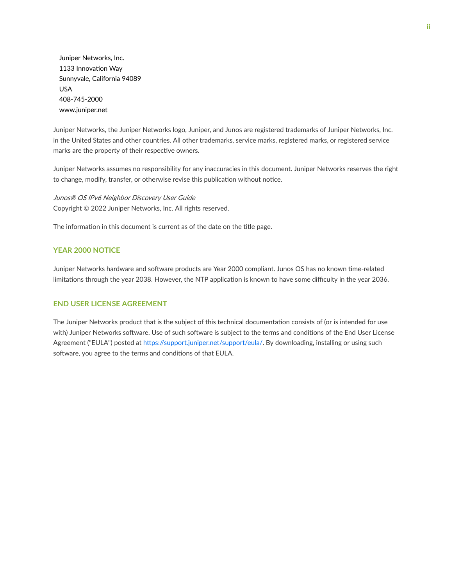Juniper Networks, Inc. 1133 Innovation Way Sunnyvale, California 94089 USA 408-745-2000 www.juniper.net

Juniper Networks, the Juniper Networks logo, Juniper, and Junos are registered trademarks of Juniper Networks, Inc. in the United States and other countries. All other trademarks, service marks, registered marks, or registered service marks are the property of their respective owners.

Juniper Networks assumes no responsibility for any inaccuracies in this document. Juniper Networks reserves the right to change, modify, transfer, or otherwise revise this publication without notice.

Junos® OS IPv6 Neighbor Discovery User Guide Copyright © 2022 Juniper Networks, Inc. All rights reserved.

The information in this document is current as of the date on the title page.

#### **YEAR 2000 NOTICE**

Juniper Networks hardware and software products are Year 2000 compliant. Junos OS has no known time-related limitations through the year 2038. However, the NTP application is known to have some difficulty in the year 2036.

#### **END USER LICENSE AGREEMENT**

The Juniper Networks product that is the subject of this technical documentation consists of (or is intended for use with) Juniper Networks software. Use of such software is subject to the terms and conditions of the End User License Agreement ("EULA") posted at https://support.juniper.net/support/eula/. By downloading, installing or using such software, you agree to the terms and conditions of that EULA.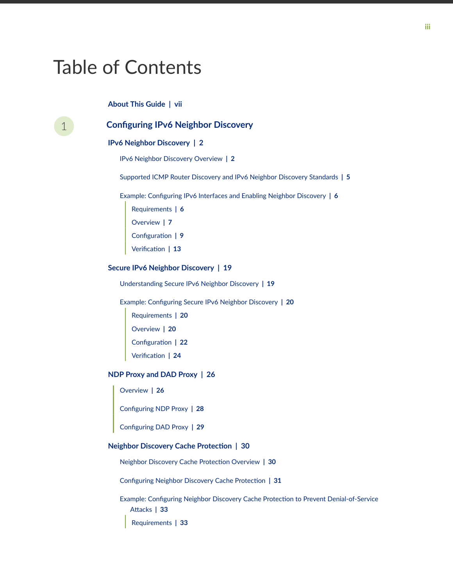## Table of Contents

**[About This Guide](#page-6-0) | [vii](#page-6-0)**



#### [1](#page-7-0) **Configuring IPv6 Neighbor Discovery**

#### **[IPv6 Neighbor Discovery](#page-8-0) | [2](#page-8-0)**

[IPv6 Neighbor Discovery Overview](#page-8-0) **| [2](#page-8-0)**

[Supported ICMP Router Discovery and IPv6 Neighbor Discovery Standards](#page-11-0) **| [5](#page-11-0)**

Example: Configuring IPv[6](#page-12-0) Interfaces and Enabling Neighbor Discovery | 6

- [Requirements](#page-12-0) **| [6](#page-12-0)**
- [Overview](#page-13-0) **| [7](#page-13-0)**
- **Configuration** | [9](#page-15-0)
- Verification | [13](#page-19-0)

#### **[Secure IPv6 Neighbor Discovery](#page-25-0) | [19](#page-25-0)**

[Understanding Secure IPv6 Neighbor Discovery](#page-25-0) **| [19](#page-25-0)**

Example: Configuring Secure IPv6 Neighbor Discovery | [20](#page-26-0)

- [Requirements](#page-26-0) **| [20](#page-26-0)** [Overview](#page-26-0) **| [20](#page-26-0)**
- Configuration | [22](#page-28-0)

 $Verification$  | [24](#page-30-0)

#### **[NDP Proxy and DAD Proxy](#page-32-0) | [26](#page-32-0)**

[Overview](#page-32-0) **| [26](#page-32-0)**

**Configuring NDP Proxy | [28](#page-34-0)** 

Configuring DAD Proxy | [29](#page-35-0)

#### **Neighbor Discovery Cache Protection | [30](#page-36-0)**

Neighbor Discovery Cache Protection Overview | [30](#page-36-0)

Configuring Neighbor Discovery Cache Protection | [31](#page-37-0)

Example: Configuring Neighbor Discovery Cache Protection to Prevent Denial-of-Service **Attacks | [33](#page-39-0)** [Requirements](#page-39-0) **| [33](#page-39-0)**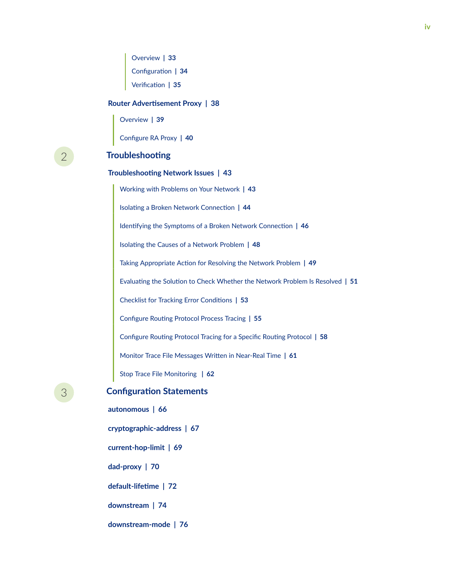[Overview](#page-39-0) **| [33](#page-39-0)** Configuration | [34](#page-40-0)  $Verification$  | **[35](#page-41-0)** 

#### **Router Advertisement Proxy | [38](#page-44-0)**

[Overview](#page-45-0) **| [39](#page-45-0)**

**Configure RA Proxy | [40](#page-46-0)** 

[2](#page-7-0) **Troubleshooting** 

#### **Troubleshooting Network Issues** | [43](#page-49-0)

[Working with Problems on Your Network](#page-49-0) **| [43](#page-49-0) Isolating a Broken Network Connection | [44](#page-50-0)** 1dentifying the Symptoms of a Broken Network Connection | [46](#page-52-0) Isolating the Causes of a Network Problem | [48](#page-54-0) Taking Appropriate Action for Resolving the Network Problem | [49](#page-55-0) Evaluating the Solution to Check Whether the Network Problem Is Resolved | [51](#page-57-0) **Checklist for Tracking Error Conditions | [53](#page-59-0) Configure Routing Protocol Process Tracing | [55](#page-61-0)** Configure Routing Protocol Tracing for a Specific Routing Protocol | [58](#page-64-0) Monitor Trace File Messages Written in Near-Real Time | [61](#page-67-0) [Stop Trace File Monitoring](#page-68-0) **| [62](#page-68-0)**

### **[3](#page-7-0) Configuration Statements**

**[autonomous](#page-72-0) | [66](#page-72-0) [cryptographic-address](#page-73-0) | [67](#page-73-0) [current-hop-limit](#page-75-0) | [69](#page-75-0) [dad-proxy](#page-76-0) | [70](#page-76-0)** *default-lifetime* | [72](#page-78-0) **[downstream](#page-80-0) | [74](#page-80-0) [downstream-mode](#page-82-0) | [76](#page-82-0)**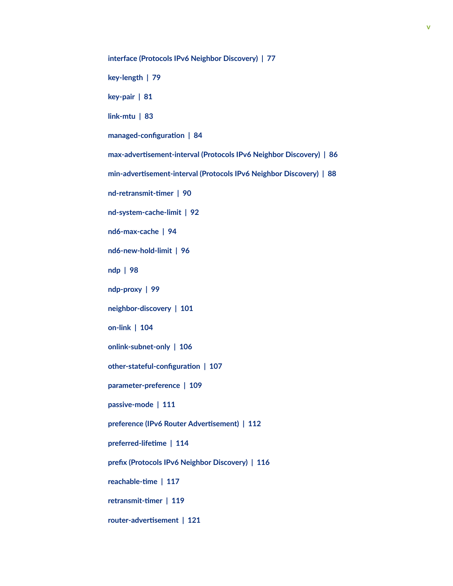**[interface \(Protocols IPv6 Neighbor Discovery\)](#page-83-0) | [77](#page-83-0)**

**[key-length](#page-85-0) | [79](#page-85-0)**

**[key-pair](#page-87-0) | [81](#page-87-0)**

**[link-mtu](#page-89-0) | [83](#page-89-0)**

 $managed-configuration$  | [84](#page-90-0)

**max-advertisement-interval (Protocols IPv6 Neighbor Discovery) | [86](#page-92-0)** 

**min-advertisement-interval (Protocols IPv6 Neighbor Discovery) | [88](#page-94-0)** 

**nd-retransmit-timer** | [90](#page-96-0)

**[nd-system-cache-limit](#page-98-0) | [92](#page-98-0)**

**[nd6-max-cache](#page-100-0) | [94](#page-100-0)**

**[nd6-new-hold-limit](#page-102-0) | [96](#page-102-0)**

**[ndp](#page-104-0) | [98](#page-104-0)**

**[ndp-proxy](#page-105-0) | [99](#page-105-0)**

**[neighbor-discovery](#page-107-0) | [101](#page-107-0)**

**[on-link](#page-110-0) | [104](#page-110-0)**

**[onlink-subnet-only](#page-112-0) | [106](#page-112-0)**

**other-stateful-configuration | [107](#page-113-0)** 

**[parameter-preference](#page-115-0) | [109](#page-115-0)**

**[passive-mode](#page-117-0) | [111](#page-117-0)**

**preference (IPv6 Router Advertisement)** | [112](#page-118-0)

**r**eferred-lifetime | [114](#page-120-0)

**prefix (Protocols IPv6 Neighbor Discovery) | [116](#page-122-0)** 

**reachable-time | [117](#page-123-0)** 

 $r$ etransmit-timer | [119](#page-125-0)

 $r$ outer-advertisement | [121](#page-127-0)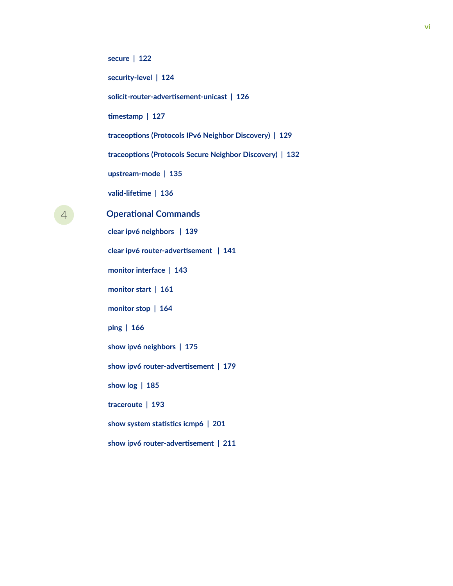**[secure](#page-128-0) | [122](#page-128-0)**

**[security-level](#page-130-0) | [124](#page-130-0)**

 $solicit-router-advertisement-unicast | 126$  $solicit-router-advertisement-unicast | 126$ 

**timestamp** | **[127](#page-133-0)** 

**[|r-c;orঞons \(Protocols IPv6 Neighbor Discovery\)](#page-135-0) | [129](#page-135-0)**

**[|r-c;orঞons \(Protocols Secure Neighbor Discovery\)](#page-138-0) | [132](#page-138-0)**

**[upstream-mode](#page-141-0) | [135](#page-141-0)**

*valid-lifetime* | **[136](#page-142-0)** 

[4](#page-7-0) *Operational Commands* **[clear ipv6 neighbors](#page-145-0) | [139](#page-145-0) clear ipv6 router-advertisement | [141](#page-147-0) [monitor interface](#page-149-0) | [143](#page-149-0) [monitor start](#page-167-0) | [161](#page-167-0) [monitor stop](#page-170-0) | [164](#page-170-0) [ping](#page-172-0) | [166](#page-172-0) [show ipv6 neighbors](#page-181-0) | [175](#page-181-0)** show ipv6 router-advertisement | [179](#page-185-0) **[show log](#page-191-0) | [185](#page-191-0) [traceroute](#page-199-0) | [193](#page-199-0) show system statistics icmp6** | [201](#page-207-0) show ipv6 router-advertisement | [211](#page-217-0)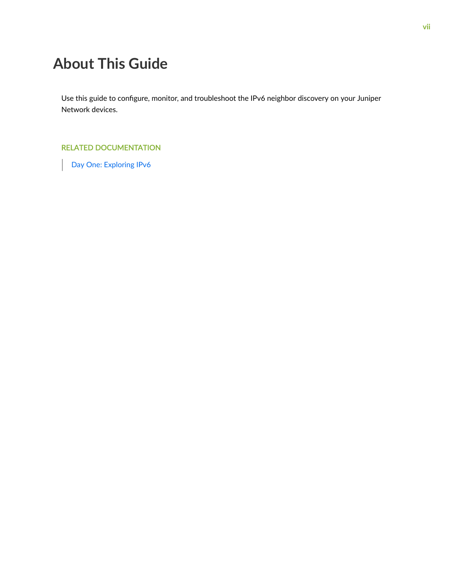## <span id="page-6-0"></span>**About This Guide**

Use this guide to configure, monitor, and troubleshoot the IPv6 neighbor discovery on your Juniper Network devices.

#### RELATED DOCUMENTATION

[Day One: Exploring IPv6](https://www.juniper.net/us/en/training/jnbooks/day-one/networking-technologies-series/exploring-ipv6/)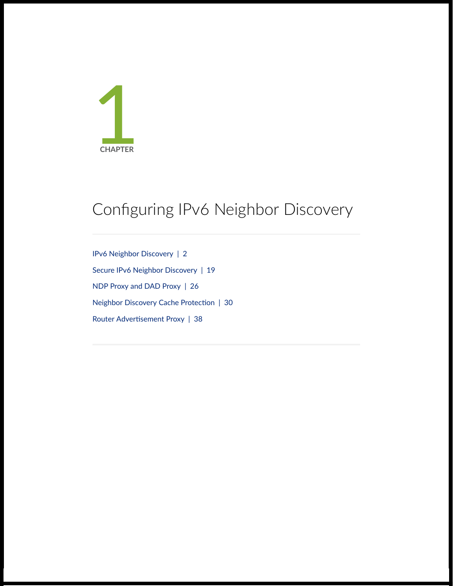<span id="page-7-0"></span>

## Configuring IPv6 Neighbor Discovery

[IPv6 Neighbor Discovery](#page-8-0) | [2](#page-8-0) [Secure IPv6 Neighbor Discovery](#page-25-0) | [19](#page-25-0) [NDP Proxy and DAD Proxy](#page-32-0) | [26](#page-32-0) Neighbor Discovery Cache Protection | [30](#page-36-0) Router Advertisement Proxy | [38](#page-44-0)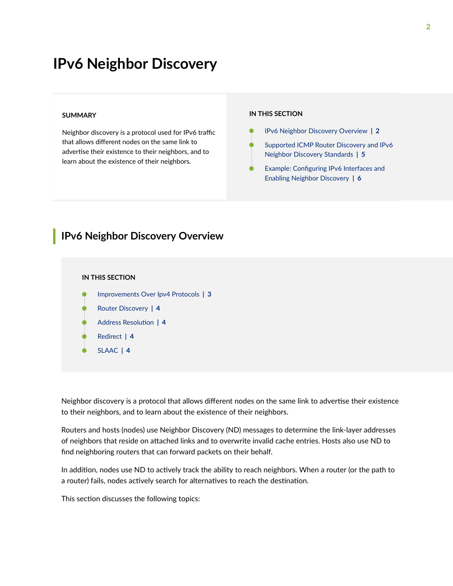## <span id="page-8-0"></span>**IPv6 Neighbor Discovery**

#### **SUMMARY**

Neighbor discovery is a protocol used for IPv6 traffic that allows different nodes on the same link to advertise their existence to their neighbors, and to learn about the existence of their neighbors.

#### **IN THIS SECTION**

- IPv6 Neighbor Discovery Overview **| 2**
- [Supported ICMP Router Discovery and IPv6](#page-11-0) [Neighbor Discovery Standards](#page-11-0) **| 5**
- Example: Configuring IPv6 Interfaces and [Enabling Neighbor Discovery](#page-12-0) **| 6**

### **IPv6 Neighbor Discovery Overview**

#### **IN THIS SECTION**

- [Improvements Over Ipv4 Protocols](#page-9-0) **| 3**
- [Router Discovery](#page-10-0) **| 4**
- **Address Resolution | 4**
- [Redirect](#page-10-0) **| 4**
- [SLAAC](#page-10-0) **| 4**

Neighbor discovery is a protocol that allows different nodes on the same link to advertise their existence to their neighbors, and to learn about the existence of their neighbors.

Routers and hosts (nodes) use Neighbor Discovery (ND) messages to determine the link-layer addresses of neighbors that reside on attached links and to overwrite invalid cache entries. Hosts also use ND to find neighboring routers that can forward packets on their behalf.

In addition, nodes use ND to actively track the ability to reach neighbors. When a router (or the path to a router) fails, nodes actively search for alternatives to reach the destination.

This section discusses the following topics: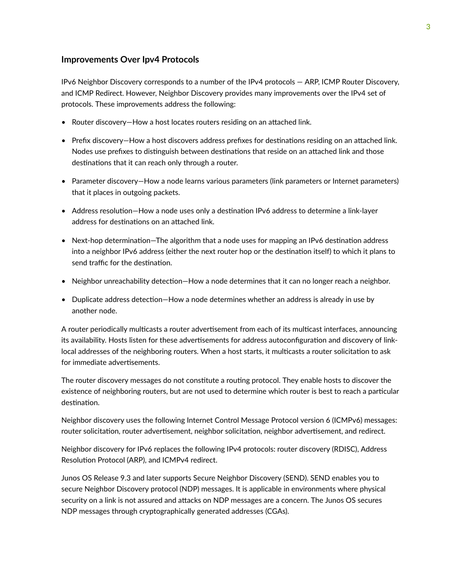#### <span id="page-9-0"></span>**Improvements Over Ipv4 Protocols**

IPv6 Neighbor Discovery corresponds to a number of the IPv4 protocols — ARP, ICMP Router Discovery, and ICMP Redirect. However, Neighbor Discovery provides many improvements over the IPv4 set of protocols. These improvements address the following:

- Router discovery—How a host locates routers residing on an attached link.
- Prefix discovery—How a host discovers address prefixes for destinations residing on an attached link. Nodes use prefixes to distinguish between destinations that reside on an attached link and those destinations that it can reach only through a router.
- Parameter discovery—How a node learns various parameters (link parameters or Internet parameters) that it places in outgoing packets.
- Address resolution-How a node uses only a destination IPv6 address to determine a link-layer address for destinations on an attached link.
- Next-hop determination-The algorithm that a node uses for mapping an IPv6 destination address into a neighbor IPv6 address (either the next router hop or the destination itself) to which it plans to send traffic for the destination.
- Neighbor unreachability detection–How a node determines that it can no longer reach a neighbor.
- Duplicate address detection—How a node determines whether an address is already in use by another node.

A router periodically multicasts a router advertisement from each of its multicast interfaces, announcing its availability. Hosts listen for these advertisements for address autoconfiguration and discovery of linklocal addresses of the neighboring routers. When a host starts, it multicasts a router solicitation to ask for immediate advertisements.

The router discovery messages do not constitute a routing protocol. They enable hosts to discover the existence of neighboring routers, but are not used to determine which router is best to reach a particular destination.

Neighbor discovery uses the following Internet Control Message Protocol version 6 (ICMPv6) messages: router solicitation, router advertisement, neighbor solicitation, neighbor advertisement, and redirect.

Neighbor discovery for IPv6 replaces the following IPv4 protocols: router discovery (RDISC), Address Resolution Protocol (ARP), and ICMPv4 redirect.

Junos OS Release 9.3 and later supports Secure Neighbor Discovery (SEND). SEND enables you to secure Neighbor Discovery protocol (NDP) messages. It is applicable in environments where physical security on a link is not assured and attacks on NDP messages are a concern. The Junos OS secures NDP messages through cryptographically generated addresses (CGAs).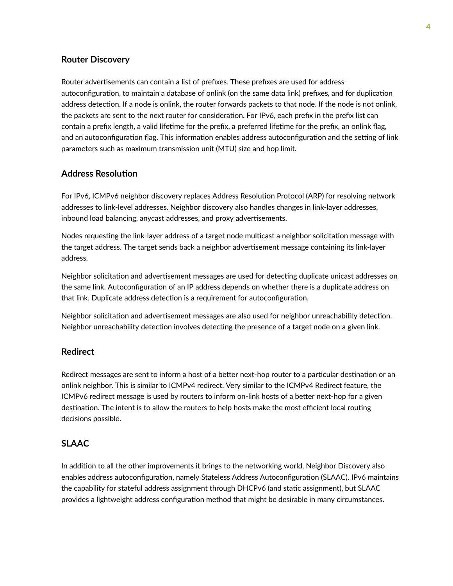#### <span id="page-10-0"></span>**Router Discovery**

Router advertisements can contain a list of prefixes. These prefixes are used for address autoconfiguration, to maintain a database of onlink (on the same data link) prefixes, and for duplication address detection. If a node is onlink, the router forwards packets to that node. If the node is not onlink, the packets are sent to the next router for consideration. For IPv6, each prefix in the prefix list can contain a prefix length, a valid lifetime for the prefix, a preferred lifetime for the prefix, an onlink flag, and an autoconfiguration flag. This information enables address autoconfiguration and the setting of link parameters such as maximum transmission unit (MTU) size and hop limit.

#### **Address Resolution**

For IPv6, ICMPv6 neighbor discovery replaces Address Resolution Protocol (ARP) for resolving network addresses to link-level addresses. Neighbor discovery also handles changes in link-layer addresses, inbound load balancing, anycast addresses, and proxy advertisements.

Nodes requesting the link-layer address of a target node multicast a neighbor solicitation message with the target address. The target sends back a neighbor advertisement message containing its link-layer address.

Neighbor solicitation and advertisement messages are used for detecting duplicate unicast addresses on the same link. Autoconfiguration of an IP address depends on whether there is a duplicate address on that link. Duplicate address detection is a requirement for autoconfiguration.

Neighbor solicitation and advertisement messages are also used for neighbor unreachability detection. Neighbor unreachability detection involves detecting the presence of a target node on a given link.

#### **Redirect**

Redirect messages are sent to inform a host of a better next-hop router to a particular destination or an onlink neighbor. This is similar to ICMPv4 redirect. Very similar to the ICMPv4 Redirect feature, the ICMPv6 redirect message is used by routers to inform on-link hosts of a better next-hop for a given destination. The intent is to allow the routers to help hosts make the most efficient local routing decisions possible.

#### **SLAAC**

In addition to all the other improvements it brings to the networking world, Neighbor Discovery also enables address autoconfiguration, namely Stateless Address Autoconfiguration (SLAAC). IPv6 maintains the capability for stateful address assignment through DHCPv6 (and static assignment), but SLAAC provides a lightweight address configuration method that might be desirable in many circumstances.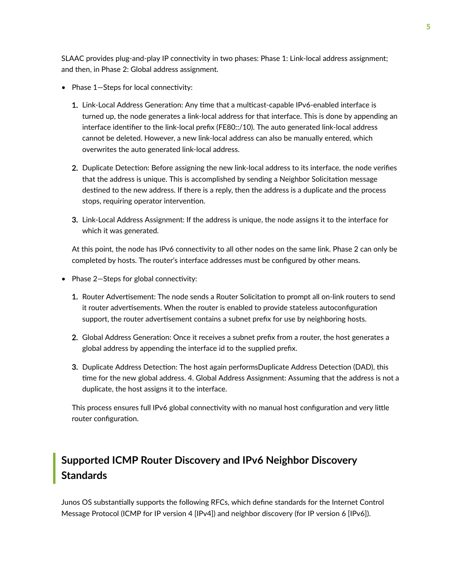<span id="page-11-0"></span>SLAAC provides plug-and-play IP connectivity in two phases: Phase 1: Link-local address assignment; and then, in Phase 2: Global address assignment.

- Phase  $1$ -Steps for local connectivity:
	- 1. Link-Local Address Generation: Any time that a multicast-capable IPv6-enabled interface is turned up, the node generates a link-local address for that interface. This is done by appending an interface identifier to the link-local prefix (FE80::/10). The auto generated link-local address cannot be deleted. However, a new link-local address can also be manually entered, which overwrites the auto generated link-local address.
	- 2. Duplicate Detection: Before assigning the new link-local address to its interface, the node verifies that the address is unique. This is accomplished by sending a Neighbor Solicitation message destined to the new address. If there is a reply, then the address is a duplicate and the process stops, requiring operator intervention.
	- 3. Link-Local Address Assignment: If the address is unique, the node assigns it to the interface for which it was generated.

At this point, the node has IPv6 connectivity to all other nodes on the same link. Phase 2 can only be completed by hosts. The router's interface addresses must be configured by other means.

- Phase  $2$ -Steps for global connectivity:
	- 1. Router Advertisement: The node sends a Router Solicitation to prompt all on-link routers to send it router advertisements. When the router is enabled to provide stateless autoconfiguration support, the router advertisement contains a subnet prefix for use by neighboring hosts.
	- 2. Global Address Generation: Once it receives a subnet prefix from a router, the host generates a global address by appending the interface id to the supplied prefix.
	- 3. Duplicate Address Detection: The host again performsDuplicate Address Detection (DAD), this time for the new global address. 4. Global Address Assignment: Assuming that the address is not a duplicate, the host assigns it to the interface.

This process ensures full IPv6 global connectivity with no manual host configuration and very little router configuration.

## **Supported ICMP Router Discovery and IPv6 Neighbor Discovery Standards**

Junos OS substantially supports the following RFCs, which define standards for the Internet Control Message Protocol (ICMP for IP version 4 [IPv4]) and neighbor discovery (for IP version 6 [IPv6]).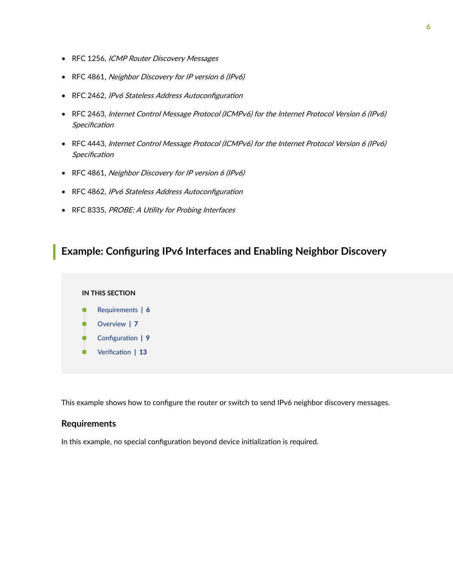- <span id="page-12-0"></span>• RFC 1256, ICMP Router Discovery Messages
- RFC 4861, Neighbor Discovery for IP version 6 (IPv6)
- RFC 2462, IPv6 Stateless Address Autoconfiguration
- RFC 2463, Internet Control Message Protocol (ICMPv6) for the Internet Protocol Version 6 (IPv6) Specification
- RFC 4443, Internet Control Message Protocol (ICMPv6) for the Internet Protocol Version 6 (IPv6) Specification
- RFC 4861, Neighbor Discovery for IP version 6 (IPv6)
- RFC 4862, IPv6 Stateless Address Autoconfiguration
- RFC 8335, PROBE: A Utility for Probing Interfaces

### **Example: Configuring IPv6 Interfaces and Enabling Neighbor Discovery**

#### **IN THIS SECTION**

- Requirements **| 6**
- [Overview](#page-13-0) **| 7**
- Configuration | 9
- Verification | 13

This example shows how to configure the router or switch to send IPv6 neighbor discovery messages.

#### **Requirements**

In this example, no special configuration beyond device initialization is required.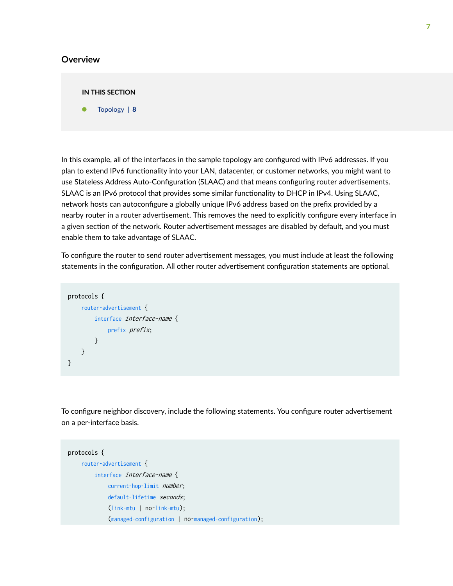#### <span id="page-13-0"></span>**Overview**

#### **IN THIS SECTION**

[Topology](#page-14-0) **| 8**

In this example, all of the interfaces in the sample topology are configured with IPv6 addresses. If you plan to extend IPv6 functionality into your LAN, datacenter, or customer networks, you might want to use Stateless Address Auto-Configuration (SLAAC) and that means configuring router advertisements. SLAAC is an IPv6 protocol that provides some similar functionality to DHCP in IPv4. Using SLAAC, network hosts can autoconfigure a globally unique IPv6 address based on the prefix provided by a nearby router in a router advertisement. This removes the need to explicitly configure every interface in a given section of the network. Router advertisement messages are disabled by default, and you must enable them to take advantage of SLAAC.

To configure the router to send router advertisement messages, you must include at least the following statements in the configuration. All other router advertisement configuration statements are optional.

```
protocols {
     router-advertisement {
          interface interface-name {
              prefix prefix;
         }
     }
}
```
To configure neighbor discovery, include the following statements. You configure router advertisement on a per-interface basis.

```
protocols {
     router-advertisement {
         interface interface-name {
              current-hop-limit number;
             default-lifetime seconds;
              (link-mtu | no-link-mtu);
              (managed-configuration | no-managed-configuration);
```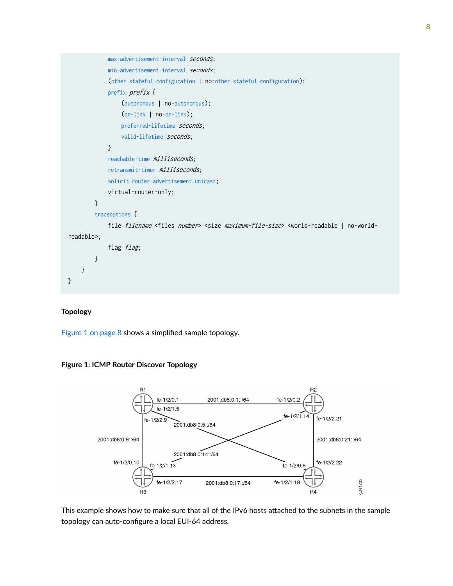<span id="page-14-0"></span>

#### **Topology**

Figure 1 on page 8 shows a simplified sample topology.





This example shows how to make sure that all of the IPv6 hosts attached to the subnets in the sample topology can auto-configure a local EUI-64 address.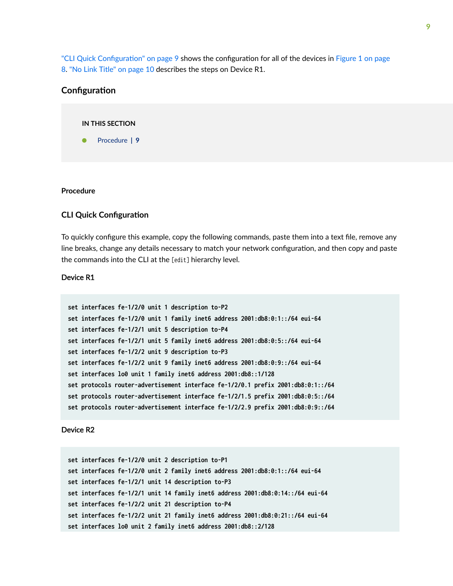<span id="page-15-0"></span>"CLI Quick Configuration" on page 9 shows the configuration for all of the devices in [Figure 1 on page](#page-14-0) [8.](#page-14-0) ["No Link Title" on page 10](#page-16-0) describes the steps on Device R1.

#### **Configuration**



#### **Procedure**

#### **CLI Quick Configuration**

To quickly configure this example, copy the following commands, paste them into a text file, remove any line breaks, change any details necessary to match your network configuration, and then copy and paste the commands into the CLI at the [edit] hierarchy level.

#### Device R1

```
set interfaces fe-1/2/0 unit 1 description to-P2
set interfaces fe-1/2/0 unit 1 family inet6 address 2001:db8:0:1::/64 eui-64
set interfaces fe-1/2/1 unit 5 description to-P4
set interfaces fe-1/2/1 unit 5 family inet6 address 2001:db8:0:5::/64 eui-64
set interfaces fe-1/2/2 unit 9 description to-P3
set interfaces fe-1/2/2 unit 9 family inet6 address 2001:db8:0:9::/64 eui-64
set interfaces lo0 unit 1 family inet6 address 2001:db8::1/128
set protocols router-advertisement interface fe-1/2/0.1 prefix 2001:db8:0:1::/64
set protocols router-advertisement interface fe-1/2/1.5 prefix 2001:db8:0:5::/64
set protocols router-advertisement interface fe-1/2/2.9 prefix 2001:db8:0:9::/64
```
#### Device R2

```
set interfaces fe-1/2/0 unit 2 description to-P1
set interfaces fe-1/2/0 unit 2 family inet6 address 2001:db8:0:1::/64 eui-64
set interfaces fe-1/2/1 unit 14 description to-P3
set interfaces fe-1/2/1 unit 14 family inet6 address 2001:db8:0:14::/64 eui-64
set interfaces fe-1/2/2 unit 21 description to-P4
set interfaces fe-1/2/2 unit 21 family inet6 address 2001:db8:0:21::/64 eui-64
set interfaces lo0 unit 2 family inet6 address 2001:db8::2/128
```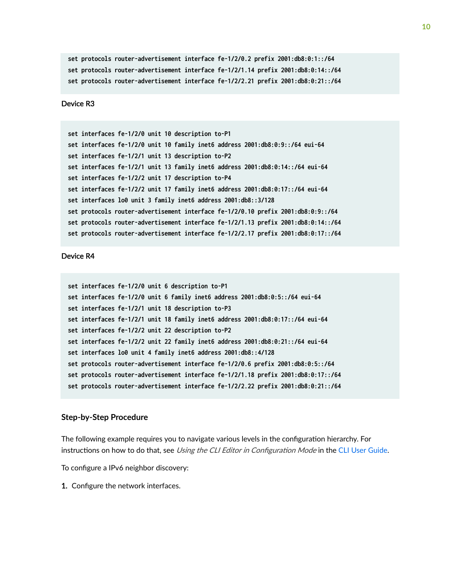```
set protocols router-advertisement interface fe-1/2/0.2 prefix 2001:db8:0:1::/64
set protocols router-advertisement interface fe-1/2/1.14 prefix 2001:db8:0:14::/64
set protocols router-advertisement interface fe-1/2/2.21 prefix 2001:db8:0:21::/64
```
#### Device R3

```
set interfaces fe-1/2/0 unit 10 description to-P1
set interfaces fe-1/2/0 unit 10 family inet6 address 2001:db8:0:9::/64 eui-64
set interfaces fe-1/2/1 unit 13 description to-P2
set interfaces fe-1/2/1 unit 13 family inet6 address 2001:db8:0:14::/64 eui-64
set interfaces fe-1/2/2 unit 17 description to-P4
set interfaces fe-1/2/2 unit 17 family inet6 address 2001:db8:0:17::/64 eui-64
set interfaces lo0 unit 3 family inet6 address 2001:db8::3/128
set protocols router-advertisement interface fe-1/2/0.10 prefix 2001:db8:0:9::/64
set protocols router-advertisement interface fe-1/2/1.13 prefix 2001:db8:0:14::/64
set protocols router-advertisement interface fe-1/2/2.17 prefix 2001:db8:0:17::/64
```
#### Device R4

```
set interfaces fe-1/2/0 unit 6 description to-P1
set interfaces fe-1/2/0 unit 6 family inet6 address 2001:db8:0:5::/64 eui-64
set interfaces fe-1/2/1 unit 18 description to-P3
set interfaces fe-1/2/1 unit 18 family inet6 address 2001:db8:0:17::/64 eui-64
set interfaces fe-1/2/2 unit 22 description to-P2
set interfaces fe-1/2/2 unit 22 family inet6 address 2001:db8:0:21::/64 eui-64
set interfaces lo0 unit 4 family inet6 address 2001:db8::4/128
set protocols router-advertisement interface fe-1/2/0.6 prefix 2001:db8:0:5::/64
set protocols router-advertisement interface fe-1/2/1.18 prefix 2001:db8:0:17::/64
set protocols router-advertisement interface fe-1/2/2.22 prefix 2001:db8:0:21::/64
```
#### **Step-by-Step Procedure**

The following example requires you to navigate various levels in the configuration hierarchy. For instructions on how to do that, see Using the CLI Editor in Configuration Mode in the [CLI User Guide.](https://www.juniper.net/documentation/en_US/junos/information-products/pathway-pages/junos-cli/junos-cli.html)

To configure a IPv6 neighbor discovery:

**1.** Configure the network interfaces.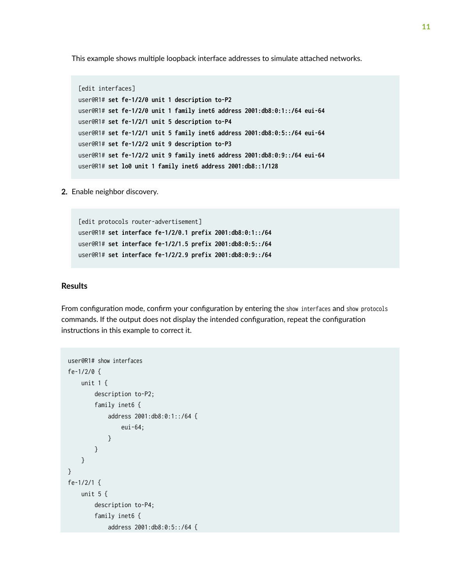This example shows multiple loopback interface addresses to simulate attached networks.

```
[edit interfaces]
user@R1# set fe-1/2/0 unit 1 description to-P2
user@R1# set fe-1/2/0 unit 1 family inet6 address 2001:db8:0:1::/64 eui-64
user@R1# set fe-1/2/1 unit 5 description to-P4
user@R1# set fe-1/2/1 unit 5 family inet6 address 2001:db8:0:5::/64 eui-64
user@R1# set fe-1/2/2 unit 9 description to-P3
user@R1# set fe-1/2/2 unit 9 family inet6 address 2001:db8:0:9::/64 eui-64
user@R1# set lo0 unit 1 family inet6 address 2001:db8::1/128
```
2. Enable neighbor discovery.

[edit protocols router-advertisement] user@R1# **set interface fe-1/2/0.1 prefix 2001:db8:0:1::/64** user@R1# **set interface fe-1/2/1.5 prefix 2001:db8:0:5::/64** user@R1# **set interface fe-1/2/2.9 prefix 2001:db8:0:9::/64**

#### **Results**

From configuration mode, confirm your configuration by entering the show interfaces and show protocols commands. If the output does not display the intended configuration, repeat the configuration instructions in this example to correct it.

```
user@R1# show interfaces
fe-1/2/0 {
    unit 1 {
         description to-P2;
        family inet6 {
             address 2001:db8:0:1::/64 {
                 eui-64;
 }
        }
    }
}
fe-1/2/1 {
    unit 5 {
         description to-P4;
         family inet6 {
             address 2001:db8:0:5::/64 {
```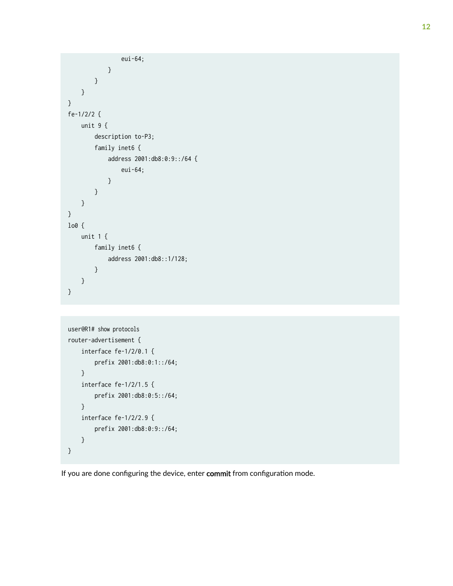```
 eui-64;
             }
         }
     }
}
fe-1/2/2 {
     unit 9 {
         description to-P3;
         family inet6 {
             address 2001:db8:0:9::/64 {
                 eui-64;
 }
         }
     }
}
lo0 {
     unit 1 {
         family inet6 {
             address 2001:db8::1/128;
         }
    }
}
```

```
user@R1# show protocols
router-advertisement {
     interface fe-1/2/0.1 {
         prefix 2001:db8:0:1::/64;
     }
     interface fe-1/2/1.5 {
         prefix 2001:db8:0:5::/64;
     }
     interface fe-1/2/2.9 {
         prefix 2001:db8:0:9::/64;
     }
}
```
If you are done configuring the device, enter commit from configuration mode.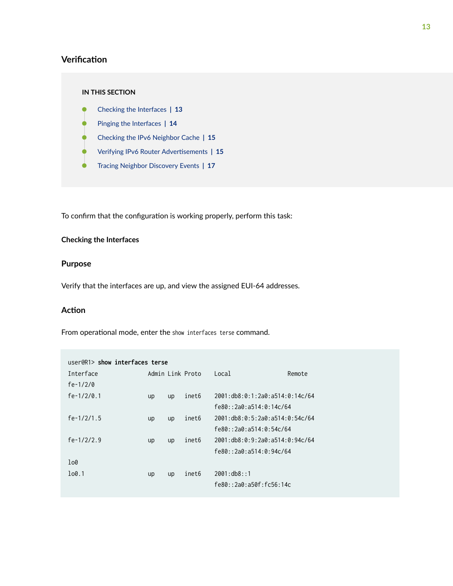#### <span id="page-19-0"></span>**Verification**

#### **IN THIS SECTION**

- Checking the Interfaces **| 13**
- [Pinging the Interfaces](#page-20-0) **| 14**
- [Checking the IPv6 Neighbor Cache](#page-21-0) **| 15**
- Verifying IPv6 Router Advertisements | 15
- [Tracing Neighbor Discovery Events](#page-23-0) **| 17**

To confirm that the configuration is working properly, perform this task:

#### **Checking the Interfaces**

#### **Purpose**

Verify that the interfaces are up, and view the assigned EUI-64 addresses.

#### Action

From operational mode, enter the show interfaces terse command.

| user@R1> show interfaces terse |    |    |                  |                         |                                     |
|--------------------------------|----|----|------------------|-------------------------|-------------------------------------|
| Interface                      |    |    | Admin Link Proto | Local                   | Remote                              |
| fe- $1/2/0$                    |    |    |                  |                         |                                     |
| $fe-1/2/0.1$                   | up | up | inet6            |                         | 2001: db8: 0:1: 2a0: a514: 0:14c/64 |
|                                |    |    |                  | fe80::2a0:a514:0:14c/64 |                                     |
| fe- $1/2/1.5$                  | up | up | inet6            |                         | 2001: db8: 0:5:2a0: a514: 0:54c/64  |
|                                |    |    |                  | fe80::2a0:a514:0:54c/64 |                                     |
| fe- $1/2/2.9$                  | up | up | inet6            |                         | 2001: db8: 0:9:2a0: a514:0:94c/64   |
|                                |    |    |                  | fe80::2a0:a514:0:94c/64 |                                     |
| 100                            |    |    |                  |                         |                                     |
| 100.1                          | up | up | inet6            | 2001: db8: : 1          |                                     |
|                                |    |    |                  | fe80::2a0:a50f:fc56:14c |                                     |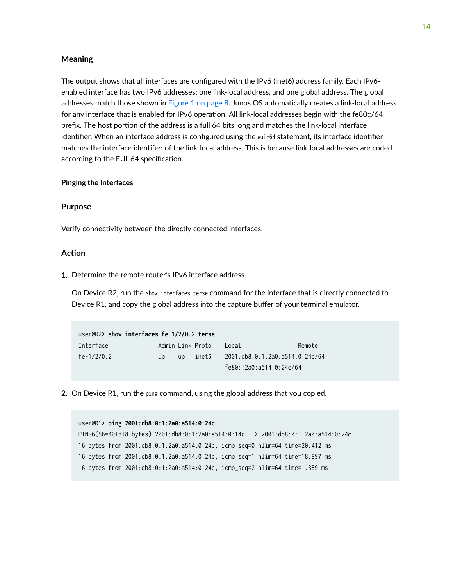#### <span id="page-20-0"></span>**Meaning**

The output shows that all interfaces are configured with the IPv6 (inet6) address family. Each IPv6enabled interface has two IPv6 addresses; one link-local address, and one global address. The global addresses match those shown in [Figure 1 on page 8](#page-14-0). Junos OS automatically creates a link-local address for any interface that is enabled for IPv6 operation. All link-local addresses begin with the fe80::/64 prefix. The host portion of the address is a full 64 bits long and matches the link-local interface identifier. When an interface address is configured using the eui-64 statement, its interface identifier matches the interface identifier of the link-local address. This is because link-local addresses are coded according to the EUI-64 specification.

#### **Pinging the Interfaces**

#### **Purpose**

Verify connectivity between the directly connected interfaces.

#### **Action**

1. Determine the remote router's IPv6 interface address.

On Device R2, run the show interfaces terse command for the interface that is directly connected to Device R1, and copy the global address into the capture buffer of your terminal emulator.

| user@R2> show interfaces fe-1/2/0.2 terse |    |           |                  |                                |        |  |  |
|-------------------------------------------|----|-----------|------------------|--------------------------------|--------|--|--|
| Interface                                 |    |           | Admin Link Proto | Local                          | Remote |  |  |
| fe-1/2/0.2                                | up | <b>UD</b> | inet6            | 2001:db8:0:1:2a0:a514:0:24c/64 |        |  |  |
|                                           |    |           |                  | fe80::2a0:a514:0:24c/64        |        |  |  |

2. On Device R1, run the ping command, using the global address that you copied.

|  |  | user@R1> ping 2001:db8:0:1:2a0:a514:0:24c |  |                                                                                    |  |
|--|--|-------------------------------------------|--|------------------------------------------------------------------------------------|--|
|  |  |                                           |  | PING6(56=40+8+8 bytes) 2001:db8:0:1:2a0:a514:0:14c --> 2001:db8:0:1:2a0:a514:0:24c |  |
|  |  |                                           |  | 16 bytes from 2001:db8:0:1:2a0:a514:0:24c, icmp_seq=0 hlim=64 time=20.412 ms       |  |
|  |  |                                           |  | 16 bytes from 2001:db8:0:1:2a0:a514:0:24c, icmp_seq=1 hlim=64 time=18.897 ms       |  |
|  |  |                                           |  | 16 bytes from 2001:db8:0:1:2a0:a514:0:24c, icmp_seq=2 hlim=64 time=1.389 ms        |  |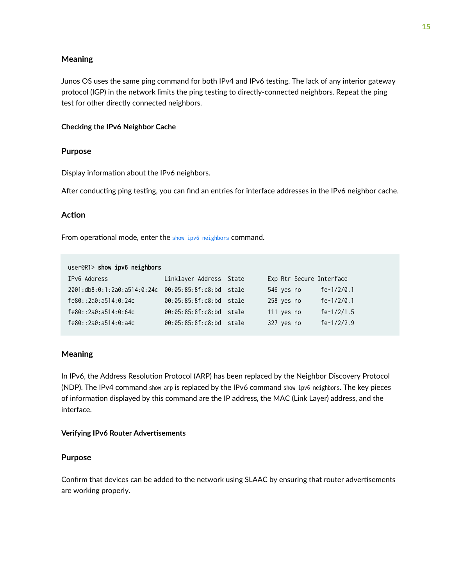#### <span id="page-21-0"></span>**Meaning**

Junos OS uses the same ping command for both IPv4 and IPv6 testing. The lack of any interior gateway protocol (IGP) in the network limits the ping testing to directly-connected neighbors. Repeat the ping test for other directly connected neighbors.

#### **Checking the IPv6 Neighbor Cache**

#### **Purpose**

Display information about the IPv6 neighbors.

After conducting ping testing, you can find an entries for interface addresses in the IPv6 neighbor cache.

#### **Action**

From operational mode, enter the [show ipv6 neighbors](#page-181-0) command.

| user@R1> show ipv6 neighbors                        |                         |                          |               |
|-----------------------------------------------------|-------------------------|--------------------------|---------------|
| IPv6 Address                                        | Linklayer Address State | Exp Rtr Secure Interface |               |
| 2001:db8:0:1:2a0:a514:0:24c 00:05:85:8f:c8:bd stale |                         | 546 yes no               | fe- $1/2/0.1$ |
| fe80::2a0:a514:0:24c                                | 00:05:85:8f:c8:bd stale | 258 yes no               | fe- $1/2/0.1$ |
| fe80::2a0:a514:0:64c                                | 00:05:85:8f:c8:bd stale | 111 yes no               | fe- $1/2/1.5$ |
| fe80::2a0:a514:0:a4c                                | 00:05:85:8f:c8:bd stale | 327 yes no               | $fe-1/2/2.9$  |

#### **Meaning**

In IPv6, the Address Resolution Protocol (ARP) has been replaced by the Neighbor Discovery Protocol (NDP). The IPv4 command show arp is replaced by the IPv6 command show ipv6 neighbors. The key pieces of information displayed by this command are the IP address, the MAC (Link Layer) address, and the interface.

#### **Verifying IPv6 Router Advertisements**

#### **Purpose**

Confirm that devices can be added to the network using SLAAC by ensuring that router advertisements are working properly.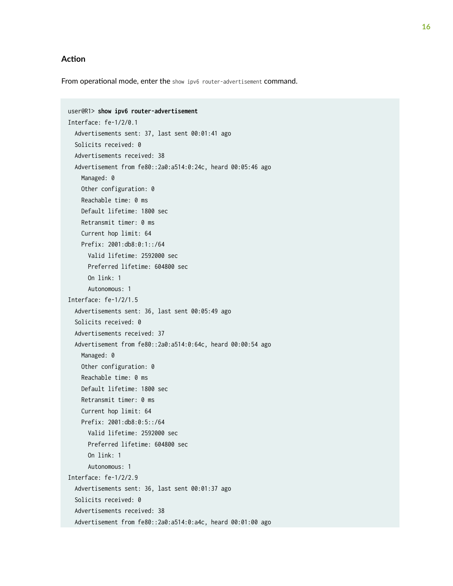#### **Action**

From operational mode, enter the show ipv6 router-advertisement command.

```
user@R1> show ipv6 router-advertisement
Interface: fe-1/2/0.1
   Advertisements sent: 37, last sent 00:01:41 ago
   Solicits received: 0
   Advertisements received: 38
   Advertisement from fe80::2a0:a514:0:24c, heard 00:05:46 ago
    Managed: 0
    Other configuration: 0
     Reachable time: 0 ms
     Default lifetime: 1800 sec
     Retransmit timer: 0 ms
     Current hop limit: 64
     Prefix: 2001:db8:0:1::/64
       Valid lifetime: 2592000 sec
       Preferred lifetime: 604800 sec
       On link: 1
       Autonomous: 1
Interface: fe-1/2/1.5
   Advertisements sent: 36, last sent 00:05:49 ago
   Solicits received: 0
   Advertisements received: 37
   Advertisement from fe80::2a0:a514:0:64c, heard 00:00:54 ago
    Managed: 0
     Other configuration: 0
     Reachable time: 0 ms
     Default lifetime: 1800 sec
     Retransmit timer: 0 ms
     Current hop limit: 64
     Prefix: 2001:db8:0:5::/64
       Valid lifetime: 2592000 sec
       Preferred lifetime: 604800 sec
       On link: 1
       Autonomous: 1
Interface: fe-1/2/2.9
   Advertisements sent: 36, last sent 00:01:37 ago
   Solicits received: 0
   Advertisements received: 38
   Advertisement from fe80::2a0:a514:0:a4c, heard 00:01:00 ago
```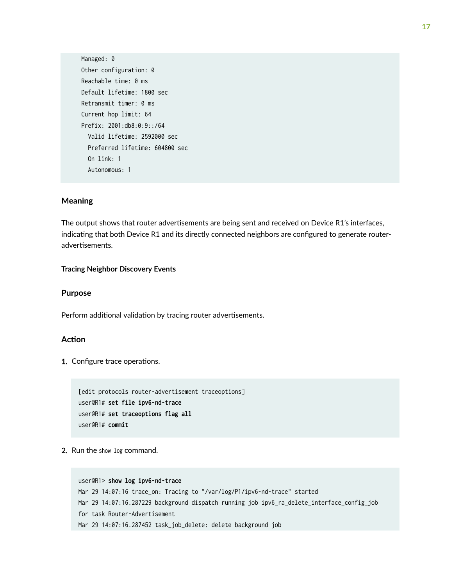<span id="page-23-0"></span>Managed: 0 Other configuration: 0 Reachable time: 0 ms Default lifetime: 1800 sec Retransmit timer: 0 ms Current hop limit: 64 Prefix: 2001:db8:0:9::/64 Valid lifetime: 2592000 sec Preferred lifetime: 604800 sec On link: 1 Autonomous: 1

#### **Meaning**

The output shows that router advertisements are being sent and received on Device R1's interfaces, indicating that both Device R1 and its directly connected neighbors are configured to generate routeradvertisements.

#### **Tracing Neighbor Discovery Events**

#### **Purpose**

Perform additional validation by tracing router advertisements.

#### **Action**

1. Configure trace operations.

```
[edit protocols router-advertisement traceoptions]
user@R1# set file ipv6-nd-trace
user@R1# set traceoptions flag all
user@R1# commit
```
2. Run the show log command.

```
user@R1> show log ipv6-nd-trace
Mar 29 14:07:16 trace_on: Tracing to "/var/log/P1/ipv6-nd-trace" started
Mar 29 14:07:16.287229 background dispatch running job ipv6_ra_delete_interface_config_job 
for task Router-Advertisement
Mar 29 14:07:16.287452 task_job_delete: delete background job
```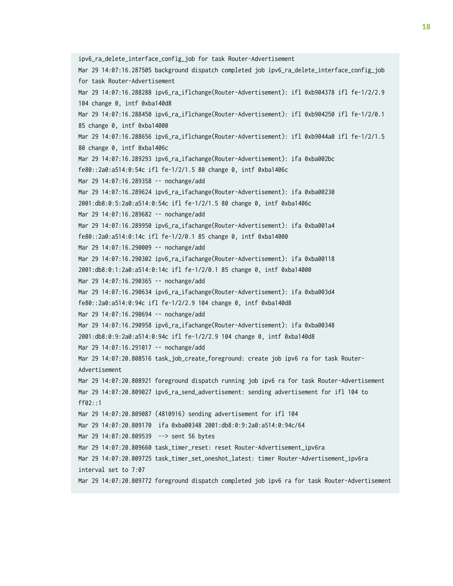ipv6\_ra\_delete\_interface\_config\_job for task Router-Advertisement Mar 29 14:07:16.287505 background dispatch completed job ipv6\_ra\_delete\_interface\_config\_job for task Router-Advertisement Mar 29 14:07:16.288288 ipv6\_ra\_iflchange(Router-Advertisement): ifl 0xb904378 ifl fe-1/2/2.9 104 change 0, intf 0xba140d8 Mar 29 14:07:16.288450 ipv6\_ra\_iflchange(Router-Advertisement): ifl 0xb904250 ifl fe-1/2/0.1 85 change 0, intf 0xba14000 Mar 29 14:07:16.288656 ipv6\_ra\_iflchange(Router-Advertisement): ifl 0xb9044a0 ifl fe-1/2/1.5 80 change 0, intf 0xba1406c Mar 29 14:07:16.289293 ipv6\_ra\_ifachange(Router-Advertisement): ifa 0xba002bc fe80::2a0:a514:0:54c ifl fe-1/2/1.5 80 change 0, intf 0xba1406c Mar 29 14:07:16.289358 -- nochange/add Mar 29 14:07:16.289624 ipv6\_ra\_ifachange(Router-Advertisement): ifa 0xba00230 2001:db8:0:5:2a0:a514:0:54c ifl fe-1/2/1.5 80 change 0, intf 0xba1406c Mar 29 14:07:16.289682 -- nochange/add Mar 29 14:07:16.289950 ipv6\_ra\_ifachange(Router-Advertisement): ifa 0xba001a4 fe80::2a0:a514:0:14c ifl fe-1/2/0.1 85 change 0, intf 0xba14000 Mar 29 14:07:16.290009 -- nochange/add Mar 29 14:07:16.290302 ipv6\_ra\_ifachange(Router-Advertisement): ifa 0xba00118 2001:db8:0:1:2a0:a514:0:14c ifl fe-1/2/0.1 85 change 0, intf 0xba14000 Mar 29 14:07:16.290365 -- nochange/add Mar 29 14:07:16.290634 ipv6\_ra\_ifachange(Router-Advertisement): ifa 0xba003d4 fe80::2a0:a514:0:94c ifl fe-1/2/2.9 104 change 0, intf 0xba140d8 Mar 29 14:07:16.290694 -- nochange/add Mar 29 14:07:16.290958 ipv6\_ra\_ifachange(Router-Advertisement): ifa 0xba00348 2001:db8:0:9:2a0:a514:0:94c ifl fe-1/2/2.9 104 change 0, intf 0xba140d8 Mar 29 14:07:16.291017 -- nochange/add Mar 29 14:07:20.808516 task\_job\_create\_foreground: create job ipv6 ra for task Router-Advertisement Mar 29 14:07:20.808921 foreground dispatch running job ipv6 ra for task Router-Advertisement Mar 29 14:07:20.809027 ipv6\_ra\_send\_advertisement: sending advertisement for ifl 104 to ff02::1 Mar 29 14:07:20.809087 (4810916) sending advertisement for ifl 104 Mar 29 14:07:20.809170 ifa 0xba00348 2001:db8:0:9:2a0:a514:0:94c/64 Mar 29 14:07:20.809539 --> sent 56 bytes Mar 29 14:07:20.809660 task\_timer\_reset: reset Router-Advertisement\_ipv6ra Mar 29 14:07:20.809725 task\_timer\_set\_oneshot\_latest: timer Router-Advertisement\_ipv6ra interval set to 7:07 Mar 29 14:07:20.809772 foreground dispatch completed job ipv6 ra for task Router-Advertisement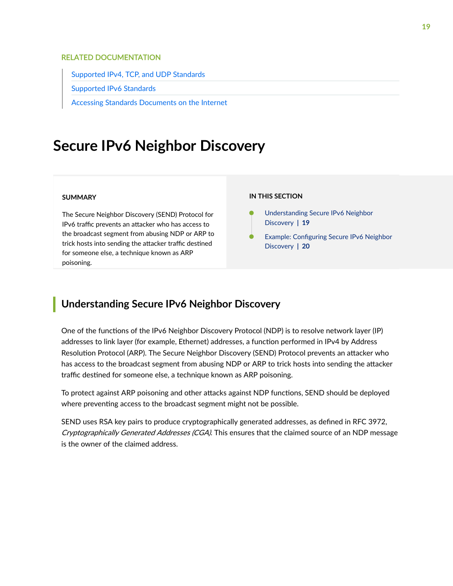#### <span id="page-25-0"></span>RELATED DOCUMENTATION

[Supported IPv4, TCP, and UDP Standards](https://www.juniper.net/documentation/en_US/junos/topics/reference/standards/ipv4-tcp-udp.html)

[Supported IPv6 Standards](https://www.juniper.net/documentation/en_US/junos/topics/reference/standards/ipv6.html)

[Accessing Standards Documents on the Internet](https://www.juniper.net/documentation/en_US/junos/topics/reference/general/standards-documents-accessing.html)

## **Secure IPv6 Neighbor Discovery**

#### **SUMMARY**

The Secure Neighbor Discovery (SEND) Protocol for IPv6 traffic prevents an attacker who has access to the broadcast segment from abusing NDP or ARP to trick hosts into sending the attacker traffic destined for someone else, a technique known as ARP poisoning.

#### **IN THIS SECTION**

- Understanding Secure IPv6 Neighbor Discovery **| 19**
- Example: Configuring Secure IPv6 Neighbor [Discovery](#page-26-0) **| 20**

### **Understanding Secure IPv6 Neighbor Discovery**

One of the functions of the IPv6 Neighbor Discovery Protocol (NDP) is to resolve network layer (IP) addresses to link layer (for example, Ethernet) addresses, a function performed in IPv4 by Address Resolution Protocol (ARP). The Secure Neighbor Discovery (SEND) Protocol prevents an attacker who has access to the broadcast segment from abusing NDP or ARP to trick hosts into sending the attacker traffic destined for someone else, a technique known as ARP poisoning.

To protect against ARP poisoning and other attacks against NDP functions, SEND should be deployed where preventing access to the broadcast segment might not be possible.

SEND uses RSA key pairs to produce cryptographically generated addresses, as defined in RFC 3972, Cryptographically Generated Addresses (CGA). This ensures that the claimed source of an NDP message is the owner of the claimed address.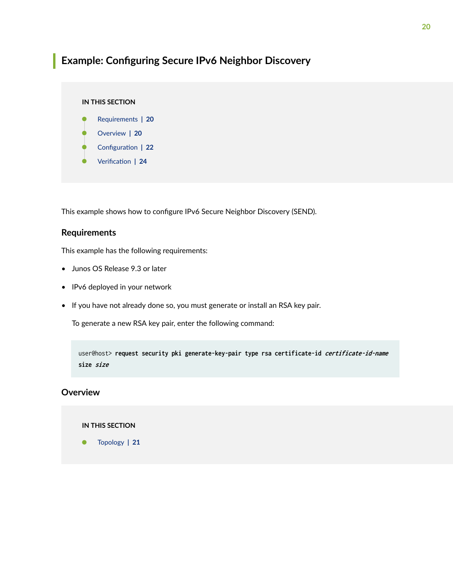## <span id="page-26-0"></span>**Example: Configuring Secure IPv6 Neighbor Discovery**

#### **IN THIS SECTION**

- Requirements **| 20**
- Overview **| 20**
- Configuration | 22
- Verification | 24

This example shows how to configure IPv6 Secure Neighbor Discovery (SEND).

#### **Requirements**

This example has the following requirements:

- Junos OS Release 9.3 or later
- IPv6 deployed in your network
- If you have not already done so, you must generate or install an RSA key pair.

To generate a new RSA key pair, enter the following command:

user@host> **request security pki generate-key-pair type rsa certificate-id certificate-id-name size size**

#### **Overview**

#### **IN THIS SECTION**

[Topology](#page-27-0) **| 21**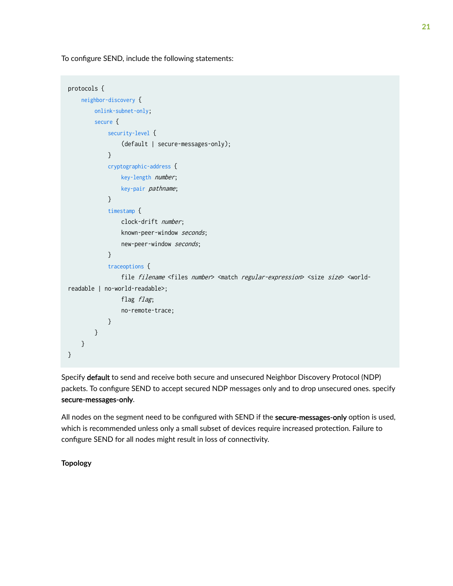<span id="page-27-0"></span>To configure SEND, include the following statements:

```
protocols {
    neighbor-discovery {
        onlink-subnet-only;
        secure {
             security-level {
                 (default | secure-messages-only);
 }
             cryptographic-address {
                 key-length number;
                 key-pair pathname;
 }
             timestamp {
                 clock-drift number;
                 known-peer-window seconds;
                 new-peer-window seconds;
 }
             traceoptions {
                file filename <files number> <match regular-expression> <size size> <world-
readable | no-world-readable>;
                flag flag;
                 no-remote-trace;
 }
        }
    }
}
```
Specify default to send and receive both secure and unsecured Neighbor Discovery Protocol (NDP) packets. To configure SEND to accept secured NDP messages only and to drop unsecured ones. specify secure-messages-only.

All nodes on the segment need to be configured with SEND if the secure-messages-only option is used, which is recommended unless only a small subset of devices require increased protection. Failure to configure SEND for all nodes might result in loss of connectivity.

#### **Topology**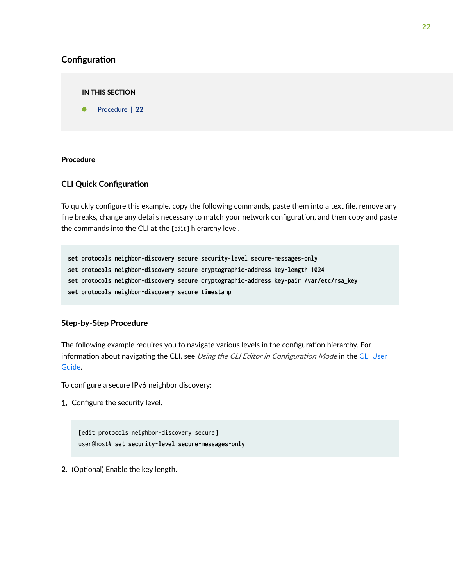#### <span id="page-28-0"></span>**Configuration**

**IN THIS SECTION**

Procedure **| 22**

#### **Procedure**

#### **CLI Quick Configuration**

To quickly configure this example, copy the following commands, paste them into a text file, remove any line breaks, change any details necessary to match your network configuration, and then copy and paste the commands into the CLI at the [edit] hierarchy level.

**set protocols neighbor-discovery secure security-level secure-messages-only set protocols neighbor-discovery secure cryptographic-address key-length 1024 set protocols neighbor-discovery secure cryptographic-address key-pair /var/etc/rsa\_key set protocols neighbor-discovery secure timestamp**

#### **Step-by-Step Procedure**

The following example requires you to navigate various levels in the configuration hierarchy. For information about navigating the CLI, see Using the CLI Editor in Configuration Mode in the [CLI User](https://www.juniper.net/documentation/en_US/junos/information-products/pathway-pages/junos-cli/junos-cli.html) [Guide](https://www.juniper.net/documentation/en_US/junos/information-products/pathway-pages/junos-cli/junos-cli.html).

To configure a secure IPv6 neighbor discovery:

1. Configure the security level.

[edit protocols neighbor-discovery secure] user@host# **set security-level secure-messages-only**

2. (Optional) Enable the key length.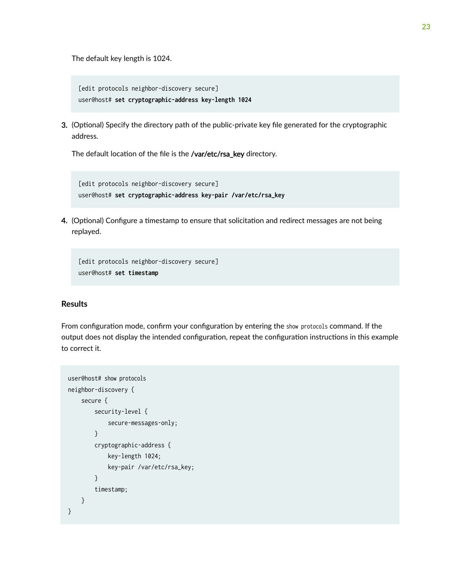The default key length is 1024.

```
[edit protocols neighbor-discovery secure]
user@host# set cryptographic-address key-length 1024
```
3. (Optional) Specify the directory path of the public-private key file generated for the cryptographic address.

The default location of the file is the /var/etc/rsa\_key directory.

```
[edit protocols neighbor-discovery secure]
user@host# set cryptographic-address key-pair /var/etc/rsa_key
```
4. (Optional) Configure a timestamp to ensure that solicitation and redirect messages are not being replayed.

[edit protocols neighbor-discovery secure] user@host# **set timestamp**

#### **Results**

From configuration mode, confirm your configuration by entering the show protocols command. If the output does not display the intended configuration, repeat the configuration instructions in this example to correct it.

```
user@host# show protocols
neighbor-discovery {
     secure {
         security-level {
              secure-messages-only;
         }
         cryptographic-address {
              key-length 1024;
              key-pair /var/etc/rsa_key;
         }
         timestamp;
     }
}
```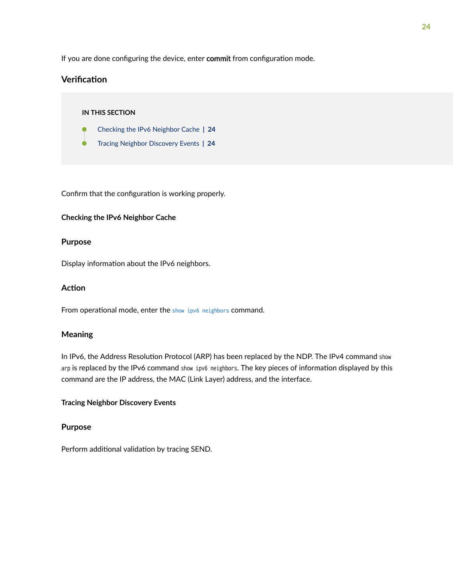<span id="page-30-0"></span>If you are done configuring the device, enter commit from configuration mode.

#### **Verification**

#### **IN THIS SECTION**

- Checking the IPv6 Neighbor Cache **| 24**
- Tracing Neighbor Discovery Events **| 24**

Confirm that the configuration is working properly.

#### **Checking the IPv6 Neighbor Cache**

#### **Purpose**

Display information about the IPv6 neighbors.

#### **Action**

From operational mode, enter the [show ipv6 neighbors](#page-181-0) command.

#### **Meaning**

In IPv6, the Address Resolution Protocol (ARP) has been replaced by the NDP. The IPv4 command show arp is replaced by the IPv6 command show ipv6 neighbors. The key pieces of information displayed by this command are the IP address, the MAC (Link Layer) address, and the interface.

#### **Tracing Neighbor Discovery Events**

#### **Purpose**

Perform additional validation by tracing SEND.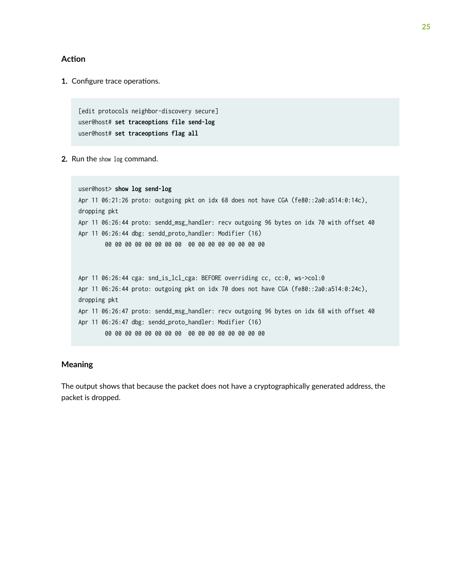#### **Action**

1. Configure trace operations.

[edit protocols neighbor-discovery secure] user@host# **set traceoptions file send-log** user@host# **set traceoptions flag all**

2. Run the show log command.

```
user@host> show log send-log
Apr 11 06:21:26 proto: outgoing pkt on idx 68 does not have CGA (fe80::2a0:a514:0:14c), 
dropping pkt
Apr 11 06:26:44 proto: sendd_msg_handler: recv outgoing 96 bytes on idx 70 with offset 40
Apr 11 06:26:44 dbg: sendd_proto_handler: Modifier (16)
         00 00 00 00 00 00 00 00 00 00 00 00 00 00 00 00
Apr 11 06:26:44 cga: snd_is_lcl_cga: BEFORE overriding cc, cc:0, ws->col:0
Apr 11 06:26:44 proto: outgoing pkt on idx 70 does not have CGA (fe80::2a0:a514:0:24c), 
dropping pkt
Apr 11 06:26:47 proto: sendd_msg_handler: recv outgoing 96 bytes on idx 68 with offset 40
Apr 11 06:26:47 dbg: sendd_proto_handler: Modifier (16)
         00 00 00 00 00 00 00 00 00 00 00 00 00 00 00 00
```
#### **Meaning**

The output shows that because the packet does not have a cryptographically generated address, the packet is dropped.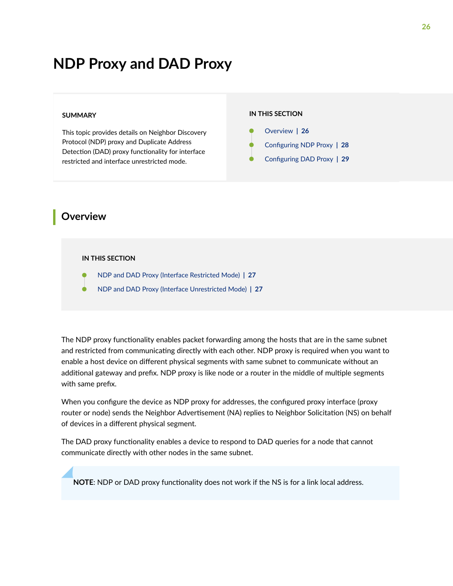## <span id="page-32-0"></span>**NDP Proxy and DAD Proxy**

#### **SUMMARY**

This topic provides details on Neighbor Discovery Protocol (NDP) proxy and Duplicate Address Detection (DAD) proxy functionality for interface restricted and interface unrestricted mode.

#### **IN THIS SECTION**

- Overview **| 26** Configuring NDP Proxy | 28
- Configuring DAD Proxy | 29

### **Overview**

#### **IN THIS SECTION**

- [NDP and DAD Proxy \(Interface Restricted Mode\)](#page-33-0) **| 27**
- [NDP and DAD Proxy \(Interface Unrestricted Mode\)](#page-33-0) **| 27**

The NDP proxy functionality enables packet forwarding among the hosts that are in the same subnet and restricted from communicating directly with each other. NDP proxy is required when you want to enable a host device on different physical segments with same subnet to communicate without an additional gateway and prefix. NDP proxy is like node or a router in the middle of multiple segments with same prefix.

When you configure the device as NDP proxy for addresses, the configured proxy interface (proxy router or node) sends the Neighbor Advertisement (NA) replies to Neighbor Solicitation (NS) on behalf of devices in a different physical segment.

The DAD proxy functionality enables a device to respond to DAD queries for a node that cannot communicate directly with other nodes in the same subnet.

**NOTE:** NDP or DAD proxy functionality does not work if the NS is for a link local address.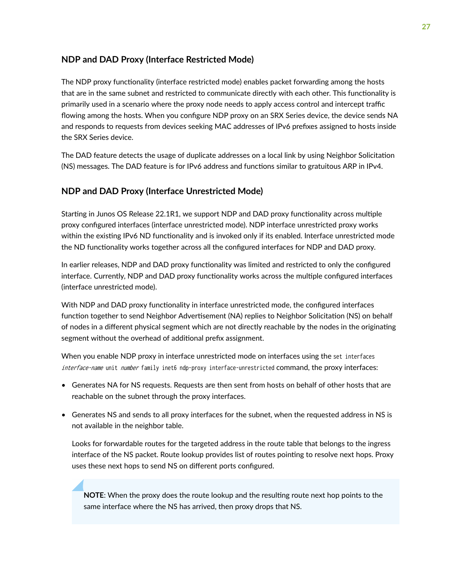#### <span id="page-33-0"></span>**NDP and DAD Proxy (Interface Restricted Mode)**

The NDP proxy functionality (interface restricted mode) enables packet forwarding among the hosts that are in the same subnet and restricted to communicate directly with each other. This functionality is primarily used in a scenario where the proxy node needs to apply access control and intercept traffic flowing among the hosts. When you configure NDP proxy on an SRX Series device, the device sends NA and responds to requests from devices seeking MAC addresses of IPv6 prefixes assigned to hosts inside the SRX Series device.

The DAD feature detects the usage of duplicate addresses on a local link by using Neighbor Solicitation (NS) messages. The DAD feature is for IPv6 address and functions similar to gratuitous ARP in IPv4.

#### **NDP and DAD Proxy (Interface Unrestricted Mode)**

Starting in Junos OS Release 22.1R1, we support NDP and DAD proxy functionality across multiple proxy configured interfaces (interface unrestricted mode). NDP interface unrestricted proxy works within the existing IPv6 ND functionality and is invoked only if its enabled. Interface unrestricted mode the ND functionality works together across all the configured interfaces for NDP and DAD proxy.

In earlier releases, NDP and DAD proxy functionality was limited and restricted to only the configured interface. Currently, NDP and DAD proxy functionality works across the multiple configured interfaces (interface unrestricted mode).

With NDP and DAD proxy functionality in interface unrestricted mode, the configured interfaces function together to send Neighbor Advertisement (NA) replies to Neighbor Solicitation (NS) on behalf of nodes in a different physical segment which are not directly reachable by the nodes in the originating segment without the overhead of additional prefix assignment.

When you enable NDP proxy in interface unrestricted mode on interfaces using the set interfaces interface-name unit number family inet6 ndp-proxy interface-unrestricted command, the proxy interfaces:

- Generates NA for NS requests. Requests are then sent from hosts on behalf of other hosts that are reachable on the subnet through the proxy interfaces.
- Generates NS and sends to all proxy interfaces for the subnet, when the requested address in NS is not available in the neighbor table.

Looks for forwardable routes for the targeted address in the route table that belongs to the ingress interface of the NS packet. Route lookup provides list of routes pointing to resolve next hops. Proxy uses these next hops to send NS on different ports configured.

**NOTE:** When the proxy does the route lookup and the resulting route next hop points to the same interface where the NS has arrived, then proxy drops that NS.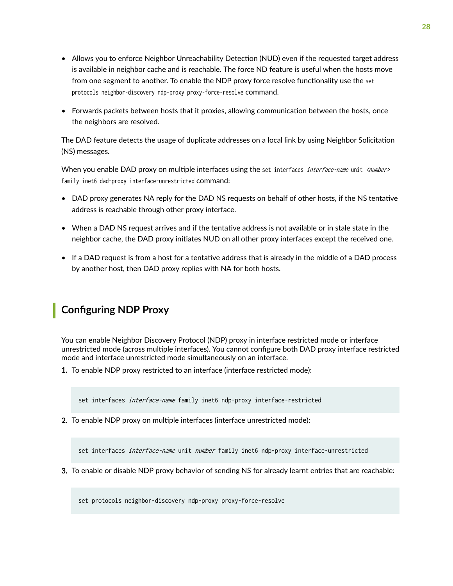- <span id="page-34-0"></span>• Allows you to enforce Neighbor Unreachability Detection (NUD) even if the requested target address is available in neighbor cache and is reachable. The force ND feature is useful when the hosts move from one segment to another. To enable the NDP proxy force resolve functionality use the set protocols neighbor-discovery ndp-proxy proxy-force-resolve command.
- $\bullet$  Forwards packets between hosts that it proxies, allowing communication between the hosts, once the neighbors are resolved.

The DAD feature detects the usage of duplicate addresses on a local link by using Neighbor Solicitation (NS) messages.

When you enable DAD proxy on multiple interfaces using the set interfaces *interface-name* unit <*number>* family inet6 dad-proxy interface-unrestricted command:

- DAD proxy generates NA reply for the DAD NS requests on behalf of other hosts, if the NS tentative address is reachable through other proxy interface.
- $\bullet$  When a DAD NS request arrives and if the tentative address is not available or in stale state in the neighbor cache, the DAD proxy initiates NUD on all other proxy interfaces except the received one.
- $\bullet$  If a DAD request is from a host for a tentative address that is already in the middle of a DAD process by another host, then DAD proxy replies with NA for both hosts.

## **Configuring NDP Proxy**

You can enable Neighbor Discovery Protocol (NDP) proxy in interface restricted mode or interface unrestricted mode (across multiple interfaces). You cannot configure both DAD proxy interface restricted mode and interface unrestricted mode simultaneously on an interface.

1. To enable NDP proxy restricted to an interface (interface restricted mode):

set interfaces *interface-name* family inet6 ndp-proxy interface-restricted

2. To enable NDP proxy on multiple interfaces (interface unrestricted mode):

set interfaces *interface-name* unit *number* family inet6 ndp-proxy interface-unrestricted

3. To enable or disable NDP proxy behavior of sending NS for already learnt entries that are reachable:

set protocols neighbor-discovery ndp-proxy proxy-force-resolve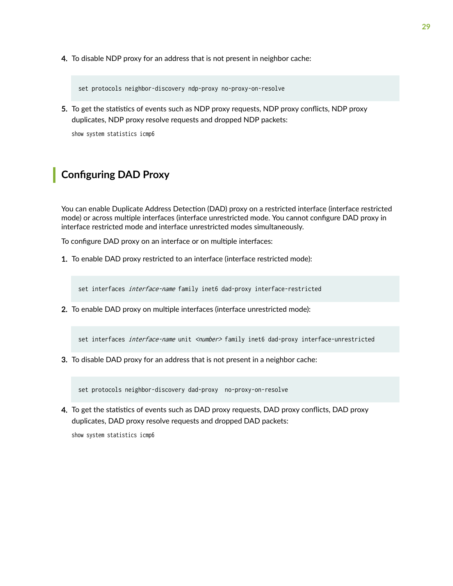<span id="page-35-0"></span>4. To disable NDP proxy for an address that is not present in neighbor cache:

set protocols neighbor-discovery ndp-proxy no-proxy-on-resolve

5. To get the statistics of events such as NDP proxy requests, NDP proxy conflicts, NDP proxy duplicates, NDP proxy resolve requests and dropped NDP packets:

show system statistics icmp6

## **Configuring DAD Proxy**

You can enable Duplicate Address Detection (DAD) proxy on a restricted interface (interface restricted mode) or across multiple interfaces (interface unrestricted mode. You cannot configure DAD proxy in interface restricted mode and interface unrestricted modes simultaneously.

To configure DAD proxy on an interface or on multiple interfaces:

1. To enable DAD proxy restricted to an interface (interface restricted mode):

set interfaces *interface-name* family inet6 dad-proxy interface-restricted

2. To enable DAD proxy on multiple interfaces (interface unrestricted mode):

set interfaces *interface-name* unit <number> family inet6 dad-proxy interface-unrestricted

3. To disable DAD proxy for an address that is not present in a neighbor cache:

set protocols neighbor-discovery dad-proxy no-proxy-on-resolve

4. To get the statistics of events such as DAD proxy requests, DAD proxy conflicts, DAD proxy duplicates, DAD proxy resolve requests and dropped DAD packets:

show system statistics icmp6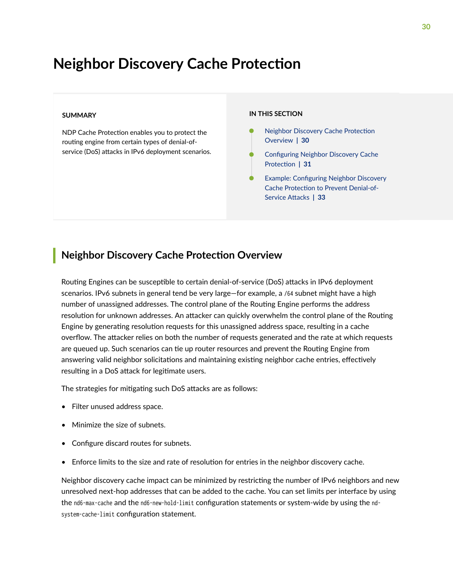## **Neighbor Discovery Cache Protection**

#### **SUMMARY**

NDP Cache Protection enables you to protect the routing engine from certain types of denial-ofservice (DoS) attacks in IPv6 deployment scenarios.

#### **IN THIS SECTION**

- Neighbor Discovery Cache Protection Overview **| 30**
- Configuring Neighbor Discovery Cache Protection | 31
- Example: Configuring Neighbor Discovery Cache Protection to Prevent Denial-of-Service Attacks | 33

### **Neighbor Discovery Cache Protection Overview**

Routing Engines can be susceptible to certain denial-of-service (DoS) attacks in IPv6 deployment scenarios. IPv6 subnets in general tend be very large—for example, a /64 subnet might have a high number of unassigned addresses. The control plane of the Routing Engine performs the address resolution for unknown addresses. An attacker can quickly overwhelm the control plane of the Routing Engine by generating resolution requests for this unassigned address space, resulting in a cache overflow. The attacker relies on both the number of requests generated and the rate at which requests are queued up. Such scenarios can tie up router resources and prevent the Routing Engine from answering valid neighbor solicitations and maintaining existing neighbor cache entries, effectively resulting in a DoS attack for legitimate users.

The strategies for mitigating such DoS attacks are as follows:

- Filter unused address space.
- Minimize the size of subnets.
- Configure discard routes for subnets.
- Enforce limits to the size and rate of resolution for entries in the neighbor discovery cache.

Neighbor discovery cache impact can be minimized by restricting the number of IPv6 neighbors and new unresolved next-hop addresses that can be added to the cache. You can set limits per interface by using the nd6-max-cache and the nd6-new-hold-limit configuration statements or system-wide by using the ndsystem-cache-limit configuration statement.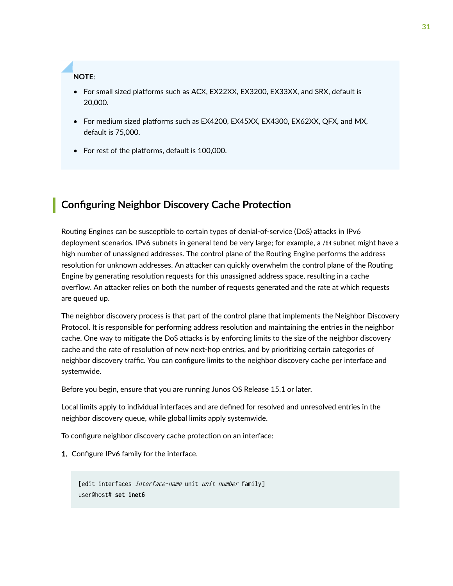<span id="page-37-0"></span>**NOTE**:

- For small sized platforms such as ACX, EX22XX, EX3200, EX33XX, and SRX, default is 20,000.
- For medium sized platforms such as EX4200, EX45XX, EX4300, EX62XX, QFX, and MX, default is 75,000.
- For rest of the platforms, default is 100,000.

### **Configuring Neighbor Discovery Cache Protection**

Routing Engines can be susceptible to certain types of denial-of-service (DoS) attacks in IPv6 deployment scenarios. IPv6 subnets in general tend be very large; for example, a /64 subnet might have a high number of unassigned addresses. The control plane of the Routing Engine performs the address resolution for unknown addresses. An attacker can quickly overwhelm the control plane of the Routing Engine by generating resolution requests for this unassigned address space, resulting in a cache overflow. An attacker relies on both the number of requests generated and the rate at which requests are queued up.

The neighbor discovery process is that part of the control plane that implements the Neighbor Discovery Protocol. It is responsible for performing address resolution and maintaining the entries in the neighbor cache. One way to mitigate the DoS attacks is by enforcing limits to the size of the neighbor discovery cache and the rate of resolution of new next-hop entries, and by prioritizing certain categories of neighbor discovery traffic. You can configure limits to the neighbor discovery cache per interface and systemwide.

Before you begin, ensure that you are running Junos OS Release 15.1 or later.

Local limits apply to individual interfaces and are defined for resolved and unresolved entries in the neighbor discovery queue, while global limits apply systemwide.

To configure neighbor discovery cache protection on an interface:

1. Configure IPv6 family for the interface.

[edit interfaces *interface-name* unit *unit number* family] user@host# **set inet6**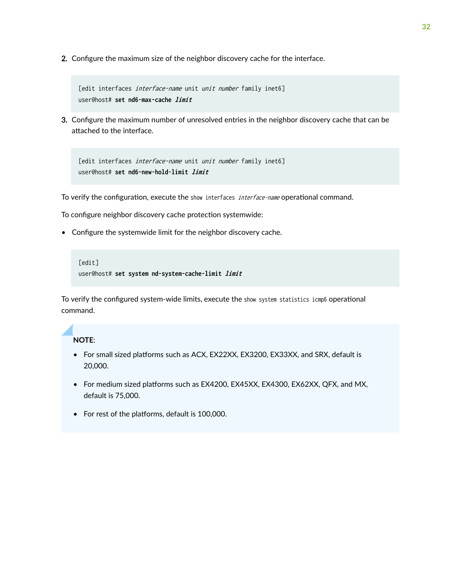2. Configure the maximum size of the neighbor discovery cache for the interface.

```
[edit interfaces interface-name unit unit number family inet6]
user@host# set nd6-max-cache limit
```
3. Configure the maximum number of unresolved entries in the neighbor discovery cache that can be attached to the interface.

```
[edit interfaces interface-name unit unit number family inet6]
user@host# set nd6-new-hold-limit limit
```
To verify the configuration, execute the show interfaces interface-name operational command.

To configure neighbor discovery cache protection systemwide:

• Configure the systemwide limit for the neighbor discovery cache.

```
[edit]
user@host# set system nd-system-cache-limit limit
```
To verify the configured system-wide limits, execute the show system statistics icmp6 operational command.

### **NOTE**:

- For small sized platforms such as ACX, EX22XX, EX3200, EX33XX, and SRX, default is 20,000.
- For medium sized platforms such as EX4200, EX45XX, EX4300, EX62XX, QFX, and MX, default is 75,000.
- For rest of the platforms, default is 100,000.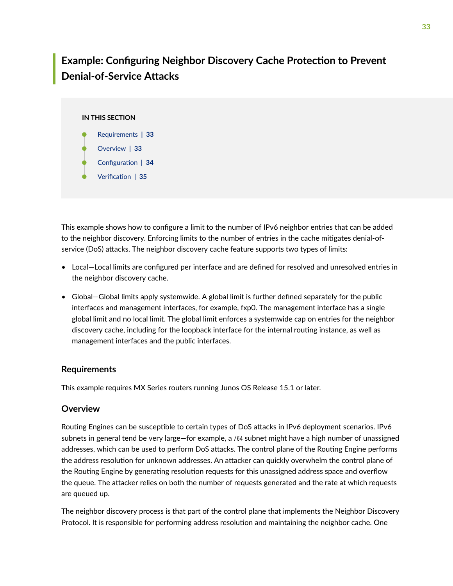## <span id="page-39-0"></span>**Example: Configuring Neighbor Discovery Cache Protection to Prevent Denial-of-Service Attacks**

### **IN THIS SECTION**

- Requirements **| 33**
- Overview **| 33**
- Configuration | 34
- Verification | 35

This example shows how to configure a limit to the number of IPv6 neighbor entries that can be added to the neighbor discovery. Enforcing limits to the number of entries in the cache mitigates denial-ofservice (DoS) attacks. The neighbor discovery cache feature supports two types of limits:

- Local–Local limits are configured per interface and are defined for resolved and unresolved entries in the neighbor discovery cache.
- Global–Global limits apply systemwide. A global limit is further defined separately for the public interfaces and management interfaces, for example, fxp0. The management interface has a single global limit and no local limit. The global limit enforces a systemwide cap on entries for the neighbor discovery cache, including for the loopback interface for the internal routing instance, as well as management interfaces and the public interfaces.

### **Requirements**

This example requires MX Series routers running Junos OS Release 15.1 or later.

### **Overview**

Routing Engines can be susceptible to certain types of DoS attacks in IPv6 deployment scenarios. IPv6 subnets in general tend be very large—for example, a /64 subnet might have a high number of unassigned addresses, which can be used to perform DoS attacks. The control plane of the Routing Engine performs the address resolution for unknown addresses. An attacker can quickly overwhelm the control plane of the Routing Engine by generating resolution requests for this unassigned address space and overflow the queue. The attacker relies on both the number of requests generated and the rate at which requests are queued up.

The neighbor discovery process is that part of the control plane that implements the Neighbor Discovery Protocol. It is responsible for performing address resolution and maintaining the neighbor cache. One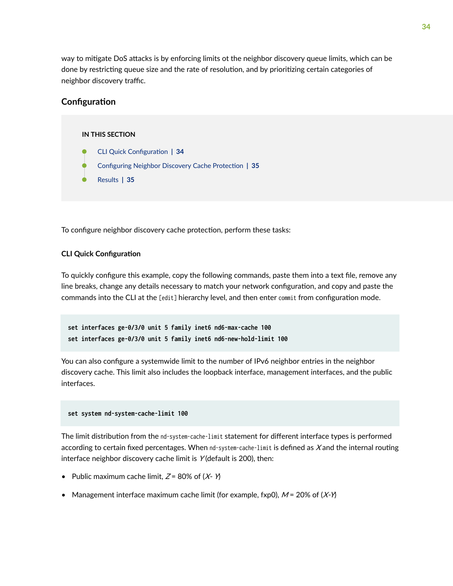<span id="page-40-0"></span>way to mitigate DoS attacks is by enforcing limits ot the neighbor discovery queue limits, which can be done by restricting queue size and the rate of resolution, and by prioritizing certain categories of neighbor discovery traffic.

### **Configuration**

#### **IN THIS SECTION**

- **CLI Quick Configuration | 34**
- Configuring Neighbor Discovery Cache Protection | 35
- [Results](#page-41-0) **| 35**

To configure neighbor discovery cache protection, perform these tasks:

#### **CLI Quick Configuration**

To quickly configure this example, copy the following commands, paste them into a text file, remove any line breaks, change any details necessary to match your network configuration, and copy and paste the commands into the CLI at the [edit] hierarchy level, and then enter commit from configuration mode.

```
set interfaces ge-0/3/0 unit 5 family inet6 nd6-max-cache 100
set interfaces ge-0/3/0 unit 5 family inet6 nd6-new-hold-limit 100
```
You can also configure a systemwide limit to the number of IPv6 neighbor entries in the neighbor discovery cache. This limit also includes the loopback interface, management interfaces, and the public interfaces.

#### **set system nd-system-cache-limit 100**

The limit distribution from the nd-system-cache-limit statement for different interface types is performed according to certain fixed percentages. When nd-system-cache-limit is defined as  $X$  and the internal routing interface neighbor discovery cache limit is  $Y$  (default is 200), then:

- Public maximum cache limit,  $Z = 80\%$  of  $(X Y)$
- Management interface maximum cache limit (for example, fxp0),  $M = 20\%$  of  $(X \cdot Y)$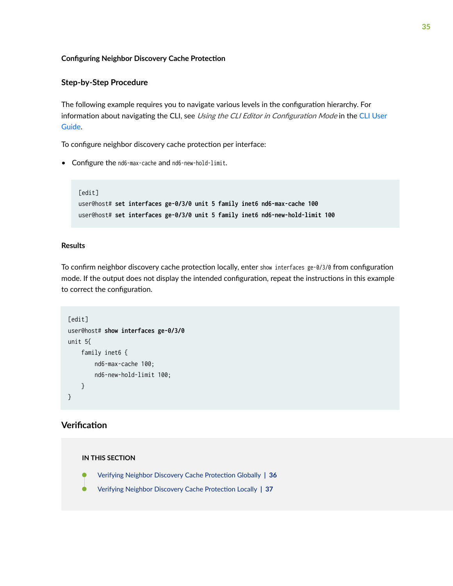#### <span id="page-41-0"></span>**Configuring Neighbor Discovery Cache Protection**

### **Step-by-Step Procedure**

The following example requires you to navigate various levels in the configuration hierarchy. For information about navigating the CLI, see Using the CLI Editor in Configuration Mode in the [CLI User](https://www.juniper.net/documentation/en_US/junos/information-products/pathway-pages/junos-cli/junos-cli.html) [Guide](https://www.juniper.net/documentation/en_US/junos/information-products/pathway-pages/junos-cli/junos-cli.html).

To configure neighbor discovery cache protection per interface:

• Configure the nd6-max-cache and nd6-new-hold-limit.

```
[edit]
user@host# set interfaces ge-0/3/0 unit 5 family inet6 nd6-max-cache 100
user@host# set interfaces ge-0/3/0 unit 5 family inet6 nd6-new-hold-limit 100
```
### **Results**

To confirm neighbor discovery cache protection locally, enter show interfaces ge-0/3/0 from configuration mode. If the output does not display the intended configuration, repeat the instructions in this example to correct the configuration.

```
[edit]
user@host# show interfaces ge-0/3/0
unit 5{
     family inet6 {
         nd6-max-cache 100;
         nd6-new-hold-limit 100;
     }
}
```
### **Verification**

#### **IN THIS SECTION**

- Verifying Neighbor Discovery Cache Protection Globally | 36
- Verifying Neighbor Discovery Cache Protection Locally | 37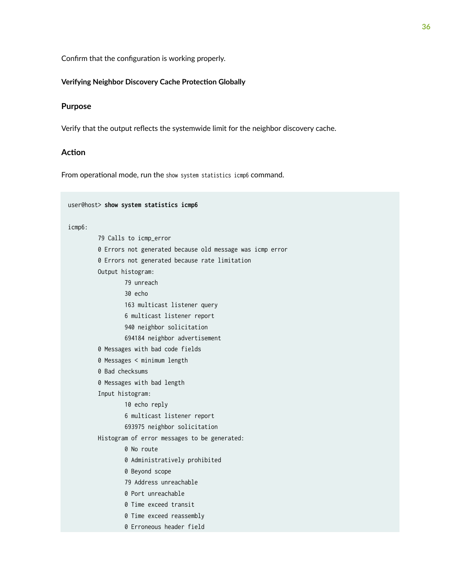<span id="page-42-0"></span>Confirm that the configuration is working properly.

### **Verifying Neighbor Discovery Cache Protection Globally**

### **Purpose**

Verify that the output reflects the systemwide limit for the neighbor discovery cache.

### **Action**

From operational mode, run the show system statistics icmp6 command.

|        | user@host> show system statistics icmp6                   |
|--------|-----------------------------------------------------------|
| icmp6: |                                                           |
|        | 79 Calls to icmp_error                                    |
|        | 0 Errors not generated because old message was icmp error |
|        | 0 Errors not generated because rate limitation            |
|        | Output histogram:                                         |
|        | 79 unreach                                                |
|        | 30 echo                                                   |
|        | 163 multicast listener query                              |
|        | 6 multicast listener report                               |
|        | 940 neighbor solicitation                                 |
|        | 694184 neighbor advertisement                             |
|        | 0 Messages with bad code fields                           |
|        | 0 Messages < minimum length                               |
|        | 0 Bad checksums                                           |
|        | 0 Messages with bad length                                |
|        | Input histogram:                                          |
|        | 10 echo reply                                             |
|        | 6 multicast listener report                               |
|        | 693975 neighbor solicitation                              |
|        | Histogram of error messages to be generated:              |
|        | 0 No route                                                |
|        | 0 Administratively prohibited                             |
|        | 0 Beyond scope                                            |
|        | 79 Address unreachable                                    |
|        | 0 Port unreachable                                        |
|        | 0 Time exceed transit                                     |
|        | 0 Time exceed reassembly                                  |
|        | 0 Erroneous header field                                  |
|        |                                                           |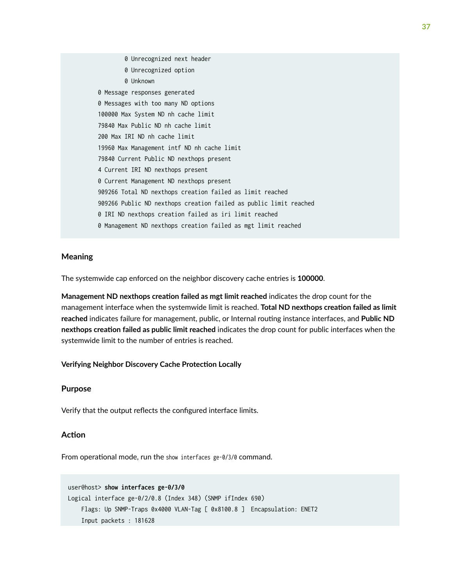<span id="page-43-0"></span> 0 Unrecognized next header 0 Unrecognized option 0 Unknown 0 Message responses generated 0 Messages with too many ND options 100000 Max System ND nh cache limit 79840 Max Public ND nh cache limit 200 Max IRI ND nh cache limit 19960 Max Management intf ND nh cache limit 79840 Current Public ND nexthops present 4 Current IRI ND nexthops present 0 Current Management ND nexthops present 909266 Total ND nexthops creation failed as limit reached 909266 Public ND nexthops creation failed as public limit reached 0 IRI ND nexthops creation failed as iri limit reached 0 Management ND nexthops creation failed as mgt limit reached

### **Meaning**

The systemwide cap enforced on the neighbor discovery cache entries is **100000**.

Management ND nexthops creation failed as mgt limit reached indicates the drop count for the management interface when the systemwide limit is reached. Total ND nexthops creation failed as limit reached indicates failure for management, public, or Internal routing instance interfaces, and Public ND nexthops creation failed as public limit reached indicates the drop count for public interfaces when the systemwide limit to the number of entries is reached.

### **Verifying Neighbor Discovery Cache Protection Locally**

### **Purpose**

Verify that the output reflects the configured interface limits.

### **Action**

From operational mode, run the show interfaces ge-0/3/0 command.

```
user@host> show interfaces ge-0/3/0
Logical interface ge-0/2/0.8 (Index 348) (SNMP ifIndex 690)
     Flags: Up SNMP-Traps 0x4000 VLAN-Tag [ 0x8100.8 ] Encapsulation: ENET2
     Input packets : 181628
```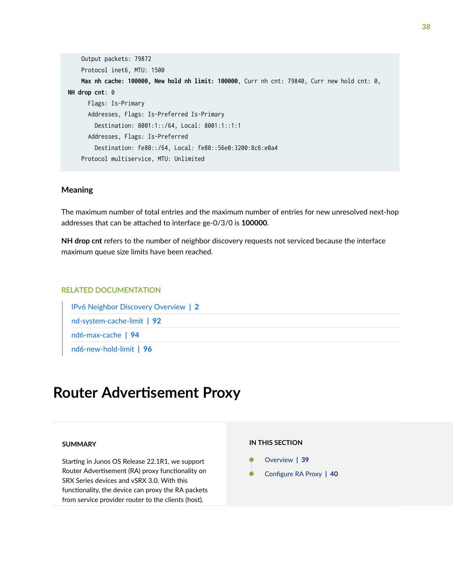```
 Output packets: 79872
     Protocol inet6, MTU: 1500
     Max nh cache: 100000, New hold nh limit: 100000, Curr nh cnt: 79840, Curr new hold cnt: 0, 
NH drop cnt: 0
       Flags: Is-Primary
       Addresses, Flags: Is-Preferred Is-Primary
         Destination: 8001:1::/64, Local: 8001:1::1:1
       Addresses, Flags: Is-Preferred
         Destination: fe80::/64, Local: fe80::56e0:3200:8c6:e0a4
     Protocol multiservice, MTU: Unlimited
```
#### **Meaning**

The maximum number of total entries and the maximum number of entries for new unresolved next-hop addresses that can be attached to interface ge-0/3/0 is 100000.

**NH drop cnt** refers to the number of neighbor discovery requests not serviced because the interface maximum queue size limits have been reached.

### RELATED DOCUMENTATION

[IPv6 Neighbor Discovery Overview](#page-8-0) **| 2** [nd-system-cache-limit](#page-98-0) **| 92** [nd6-max-cache](#page-100-0) **| 94** [nd6-new-hold-limit](#page-102-0) **| 96**

## **Router Advertisement Proxy**

### **SUMMARY**

Starting in Junos OS Release 22.1R1, we support Router Advertisement (RA) proxy functionality on SRX Series devices and vSRX 3.0. With this functionality, the device can proxy the RA packets from service provider router to the clients (host).

#### **IN THIS SECTION**

| Overview   39           |
|-------------------------|
| Configure RA Proxy   40 |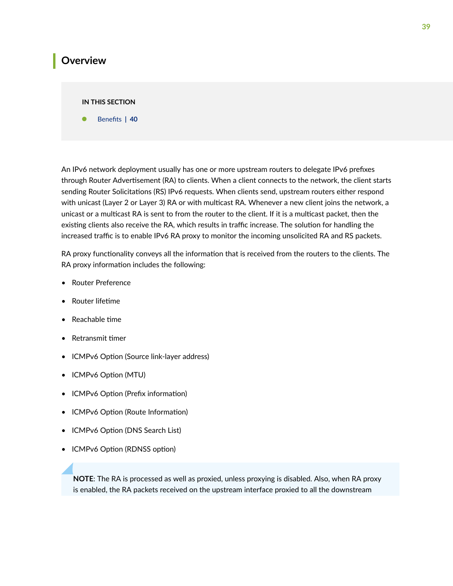### <span id="page-45-0"></span>**Overview**

#### **IN THIS SECTION**

**Benefits | 40** 

An IPv6 network deployment usually has one or more upstream routers to delegate IPv6 prefixes through Router Advertisement (RA) to clients. When a client connects to the network, the client starts sending Router Solicitations (RS) IPv6 requests. When clients send, upstream routers either respond with unicast (Layer 2 or Layer 3) RA or with multicast RA. Whenever a new client joins the network, a unicast or a multicast RA is sent to from the router to the client. If it is a multicast packet, then the existing clients also receive the RA, which results in traffic increase. The solution for handling the increased traffic is to enable IPv6 RA proxy to monitor the incoming unsolicited RA and RS packets.

RA proxy functionality conveys all the information that is received from the routers to the clients. The RA proxy information includes the following:

- Router Preference
- Router lifetime
- $\bullet$  Reachable time
- $\bullet$  Retransmit timer
- ICMPv6 Option (Source link-layer address)
- ICMPv6 Option (MTU)
- ICMPv6 Option (Prefix information)
- ICMPv6 Option (Route Information)
- ICMPv6 Option (DNS Search List)
- ICMPv6 Option (RDNSS option)

**NOTE**: The RA is processed as well as proxied, unless proxying is disabled. Also, when RA proxy is enabled, the RA packets received on the upstream interface proxied to all the downstream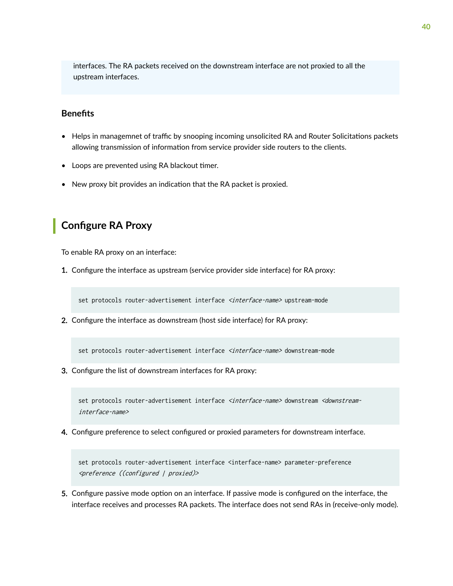<span id="page-46-0"></span>interfaces. The RA packets received on the downstream interface are not proxied to all the upstream interfaces.

### **Benefits**

- Helps in managemnet of traffic by snooping incoming unsolicited RA and Router Solicitations packets allowing transmission of information from service provider side routers to the clients.
- Loops are prevented using RA blackout timer.
- New proxy bit provides an indication that the RA packet is proxied.

### **Configure RA Proxy**

To enable RA proxy on an interface:

1. Configure the interface as upstream (service provider side interface) for RA proxy:

set protocols router-advertisement interface <interface-name> upstream-mode

2. Configure the interface as downstream (host side interface) for RA proxy:

set protocols router-advertisement interface <interface-name> downstream-mode

3. Configure the list of downstream interfaces for RA proxy:

set protocols router-advertisement interface <interface-name> downstream <downstreaminterface-name>

4. Configure preference to select configured or proxied parameters for downstream interface.

set protocols router-advertisement interface <interface-name> parameter-preference <preference ((configured | proxied)>

5. Configure passive mode option on an interface. If passive mode is configured on the interface, the interface receives and processes RA packets. The interface does not send RAs in (receive-only mode).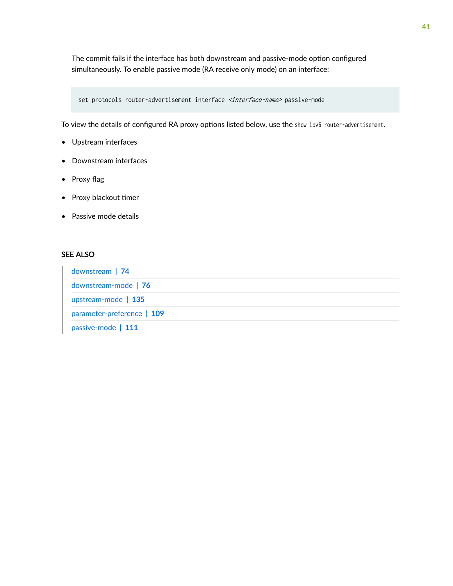The commit fails if the interface has both downstream and passive-mode option configured simultaneously. To enable passive mode (RA receive only mode) on an interface:

set protocols router-advertisement interface <interface-name> passive-mode

To view the details of configured RA proxy options listed below, use the show ipv6 router-advertisement.

- Upstream interfaces
- Downstream interfaces
- Proxy flag
- Proxy blackout timer
- Passive mode details

### SEE ALSO

| downstream   74            |  |
|----------------------------|--|
| downstream-mode   76       |  |
| upstream-mode   135        |  |
| parameter-preference   109 |  |
| passive-mode   111         |  |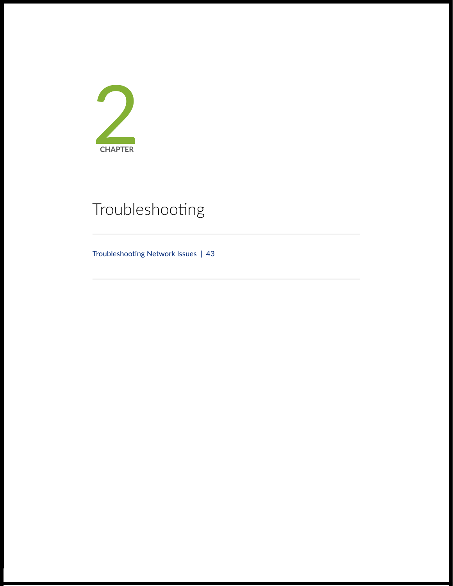

# Troubleshooting

Troubleshooting Network Issues | [43](#page-49-0)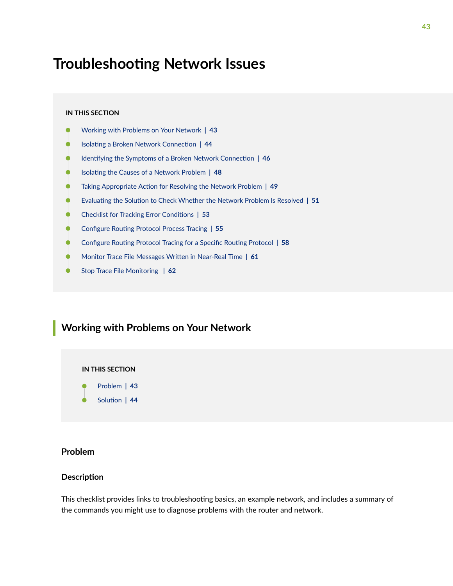## <span id="page-49-0"></span>**Troubleshooting Network Issues**

#### **IN THIS SECTION**

- Working with Problems on Your Network **| 43**
- Ò **Isolating a Broken Network Connection | 44**
- 1dentifying the Symptoms of a Broken Network Connection | 46
- Isolating the Causes of a Network Problem | 48
- Taking Appropriate Action for Resolving the Network Problem | 49
- Evaluating the Solution to Check Whether the Network Problem Is Resolved | 51
- **Checklist for Tracking Error Conditions | 53**
- **Configure Routing Protocol Process Tracing | 55**
- Configure Routing Protocol Tracing for a Specific Routing Protocol | 58
- Monitor Trace File Messages Written in Near-Real Time | 61
- [Stop Trace File Monitoring](#page-68-0) **| 62**

### **Working with Problems on Your Network**

#### **IN THIS SECTION**

- Problem **| 43**
- Solution | 44

### **Problem**

#### **Description**

This checklist provides links to troubleshooting basics, an example network, and includes a summary of the commands you might use to diagnose problems with the router and network.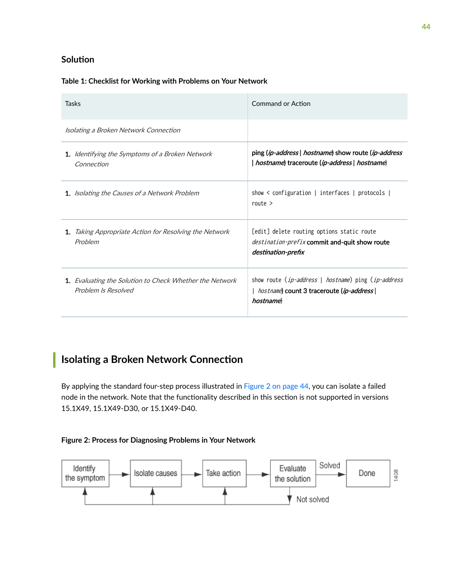### <span id="page-50-0"></span>**Solution**

### **Table 1: Checklist for Working with Problems on Your Network**

| Tasks                                                                                 | Command or Action                                                                                                                      |
|---------------------------------------------------------------------------------------|----------------------------------------------------------------------------------------------------------------------------------------|
| Isolating a Broken Network Connection                                                 |                                                                                                                                        |
| <b>1.</b> Identifying the Symptoms of a Broken Network<br>Connection                  | ping ( <i>ip-address</i>   <i>hostname</i> ) show route ( <i>ip-address</i><br>  hostname) traceroute (ip-address   hostname)          |
| <b>1.</b> Isolating the Causes of a Network Problem                                   | show $\le$ configuration   interfaces   protocols  <br>route $>$                                                                       |
| <b>1.</b> Taking Appropriate Action for Resolving the Network<br>Problem              | [edit] delete routing options static route<br>destination-prefix commit and-quit show route<br>destination-prefix                      |
| <b>1.</b> Evaluating the Solution to Check Whether the Network<br>Problem Is Resolved | show route ( <i>ip-address</i>   <i>hostname</i> ) ping ( <i>ip-address</i><br>  hostname) count 3 traceroute (ip-address)<br>hostname |

## **Isolating a Broken Network Connection**

By applying the standard four-step process illustrated in Figure 2 on page 44, you can isolate a failed node in the network. Note that the functionality described in this section is not supported in versions 15.1X49, 15.1X49-D30, or 15.1X49-D40.

### **Figure 2: Process for Diagnosing Problems in Your Network**

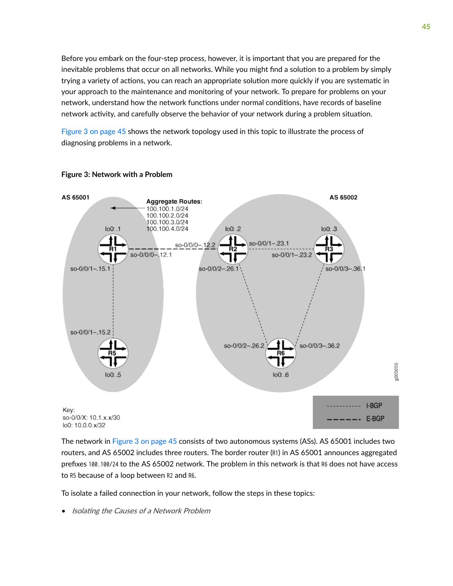Before you embark on the four-step process, however, it is important that you are prepared for the inevitable problems that occur on all networks. While you might find a solution to a problem by simply trying a variety of actions, you can reach an appropriate solution more quickly if you are systematic in your approach to the maintenance and monitoring of your network. To prepare for problems on your network, understand how the network functions under normal conditions, have records of baseline network activity, and carefully observe the behavior of your network during a problem situation.

Figure 3 on page 45 shows the network topology used in this topic to illustrate the process of diagnosing problems in a network.



#### **Figure 3: Network with a Problem**

The network in Figure 3 on page 45 consists of two autonomous systems (ASs). AS 65001 includes two routers, and AS 65002 includes three routers. The border router (R1) in AS 65001 announces aggregated prefixes 100.100/24 to the AS 65002 network. The problem in this network is that R6 does not have access to R5 because of a loop between R2 and R6.

To isolate a failed connection in your network, follow the steps in these topics:

• Isolating the Causes of a Network Problem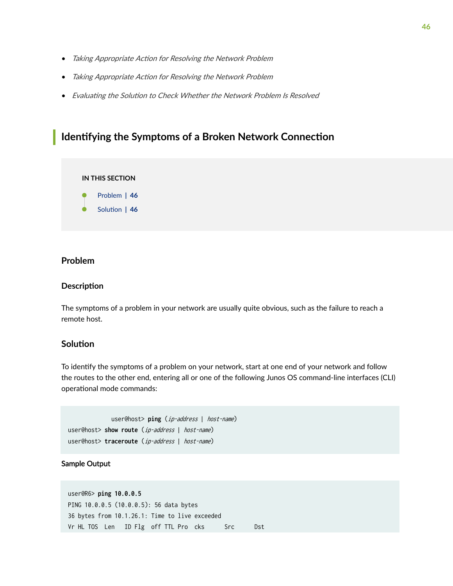- <span id="page-52-0"></span>• Taking Appropriate Action for Resolving the Network Problem
- Taking Appropriate Action for Resolving the Network Problem
- Evaluating the Solution to Check Whether the Network Problem Is Resolved

### **I** Identifying the Symptoms of a Broken Network Connection

**IN THIS SECTION**

- Problem **| 46**
- Solution | 46

### **Problem**

### **Description**

The symptoms of a problem in your network are usually quite obvious, such as the failure to reach a remote host.

### **Solution**

To identify the symptoms of a problem on your network, start at one end of your network and follow the routes to the other end, entering all or one of the following Junos OS command-line interfaces (CLI) operational mode commands:

```
 user@host> ping (ip-address | host-name)
user@host> show route (ip-address | host-name)
user@host> traceroute (ip-address | host-name)
```
### Sample Output

user@R6> **ping 10.0.0.5**  PING 10.0.0.5 (10.0.0.5): 56 data bytes 36 bytes from 10.1.26.1: Time to live exceeded Vr HL TOS Len ID Flg off TTL Pro cks Src Dst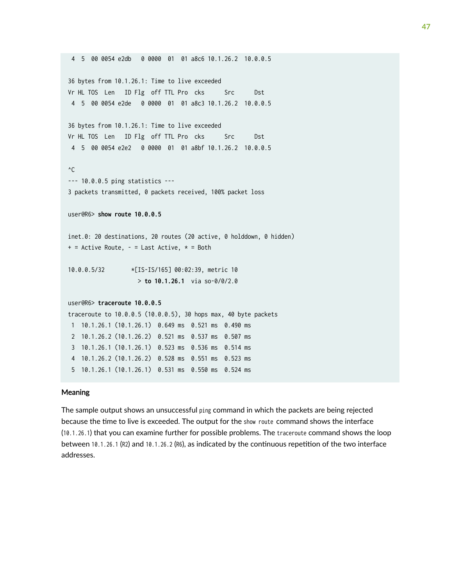```
 4 5 00 0054 e2db 0 0000 01 01 a8c6 10.1.26.2 10.0.0.5 
36 bytes from 10.1.26.1: Time to live exceeded
Vr HL TOS Len ID Flg off TTL Pro cks Src Dst
 4 5 00 0054 e2de 0 0000 01 01 a8c3 10.1.26.2 10.0.0.5 
36 bytes from 10.1.26.1: Time to live exceeded
Vr HL TOS Len ID Flg off TTL Pro cks Src Dst
 4 5 00 0054 e2e2 0 0000 01 01 a8bf 10.1.26.2 10.0.0.5 
^{\wedge}C--- 10.0.0.5 ping statistics ---
3 packets transmitted, 0 packets received, 100% packet loss
user@R6> show route 10.0.0.5
inet.0: 20 destinations, 20 routes (20 active, 0 holddown, 0 hidden)
+ = Active Route, - = Last Active, * = Both
10.0.0.5/32 *[IS-IS/165] 00:02:39, metric 10
                    > to 10.1.26.1 via so-0/0/2.0
user@R6> traceroute 10.0.0.5
traceroute to 10.0.0.5 (10.0.0.5), 30 hops max, 40 byte packets
 1 10.1.26.1 (10.1.26.1) 0.649 ms 0.521 ms 0.490 ms
 2 10.1.26.2 (10.1.26.2) 0.521 ms 0.537 ms 0.507 ms
  3 10.1.26.1 (10.1.26.1) 0.523 ms 0.536 ms 0.514 ms
  4 10.1.26.2 (10.1.26.2) 0.528 ms 0.551 ms 0.523 ms
  5 10.1.26.1 (10.1.26.1) 0.531 ms 0.550 ms 0.524 ms
```
#### Meaning

The sample output shows an unsuccessful ping command in which the packets are being rejected because the time to live is exceeded. The output for the show route command shows the interface (10.1.26.1) that you can examine further for possible problems. The traceroute command shows the loop between 10.1.26.1 (R2) and 10.1.26.2 (R6), as indicated by the continuous repetition of the two interface addresses.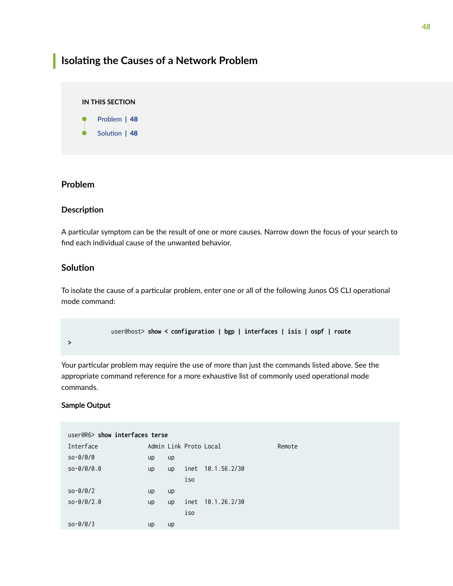## <span id="page-54-0"></span>**Isolating the Causes of a Network Problem**

### **IN THIS SECTION**

Problem **| 48**

Solution | 48

### **Problem**

### **Description**

A particular symptom can be the result of one or more causes. Narrow down the focus of your search to find each individual cause of the unwanted behavior.

### **Solution**

To isolate the cause of a particular problem, enter one or all of the following Junos OS CLI operational mode command:

```
 user@host> show < configuration | bgp | interfaces | isis | ospf | route
```
**>**

Your particular problem may require the use of more than just the commands listed above. See the appropriate command reference for a more exhaustive list of commonly used operational mode commands.

### Sample Output

| user@R6> show interfaces terse |    |    |                        |              |        |
|--------------------------------|----|----|------------------------|--------------|--------|
| Interface                      |    |    | Admin Link Proto Local |              | Remote |
| $so-0/0/0$                     | up | up |                        |              |        |
| $so-0/0/0.0$                   | up | up | inet                   | 10.1.56.2/30 |        |
|                                |    |    | iso                    |              |        |
| $so-0/0/2$                     | up | up |                        |              |        |
| $so-0/0/2.0$                   | up | up | inet                   | 10.1.26.2/30 |        |
|                                |    |    | iso                    |              |        |
| $so-0/0/3$                     | up | up |                        |              |        |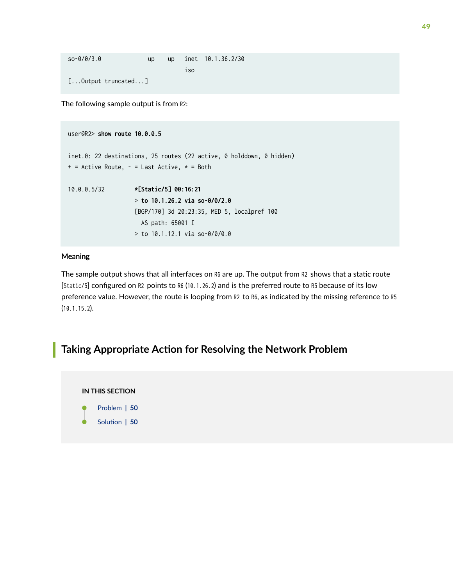<span id="page-55-0"></span>

| so-0/0/3.0 |                            | up. | <b>up</b> |      | inet 10.1.36.2/30 |
|------------|----------------------------|-----|-----------|------|-------------------|
|            |                            |     |           | 1.50 |                   |
|            | $[\dots$ Output truncated] |     |           |      |                   |

The following sample output is from R2:

```
user@R2> show route 10.0.0.5
inet.0: 22 destinations, 25 routes (22 active, 0 holddown, 0 hidden)
+ = Active Route, - = Last Active, * = Both
10.0.0.5/32 *[Static/5] 00:16:21
                    > to 10.1.26.2 via so-0/0/2.0
                    [BGP/170] 3d 20:23:35, MED 5, localpref 100
                      AS path: 65001 I
                     > to 10.1.12.1 via so-0/0/0.0
```
### Meaning

The sample output shows that all interfaces on R6 are up. The output from R2 shows that a static route [Static/5] configured on R2 points to R6 (10.1.26.2) and is the preferred route to R5 because of its low preference value. However, the route is looping from R2 to R6, as indicated by the missing reference to R5 (10.1.15.2).

### **Taking Appropriate Action for Resolving the Network Problem**

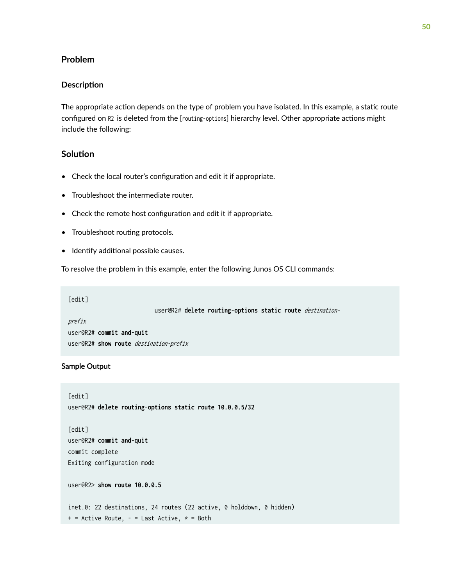### <span id="page-56-0"></span>**Problem**

### **Description**

The appropriate action depends on the type of problem you have isolated. In this example, a static route configured on R2 is deleted from the [routing-options] hierarchy level. Other appropriate actions might include the following:

### **Solution**

- Check the local router's configuration and edit it if appropriate.
- Troubleshoot the intermediate router.
- Check the remote host configuration and edit it if appropriate.
- Troubleshoot routing protocols.
- Identify additional possible causes.

To resolve the problem in this example, enter the following Junos OS CLI commands:

### [edit]

user@R2# **delete routing-options static route** destination-

prefix user@R2# **commit and-quit** user@R2# **show route** destination-prefix

### Sample Output

```
[edit]
user@R2# delete routing-options static route 10.0.0.5/32
[edit]
user@R2# commit and-quit
commit complete
Exiting configuration mode
user@R2> show route 10.0.0.5
inet.0: 22 destinations, 24 routes (22 active, 0 holddown, 0 hidden)
+ = Active Route, - = Last Active, * = Both
```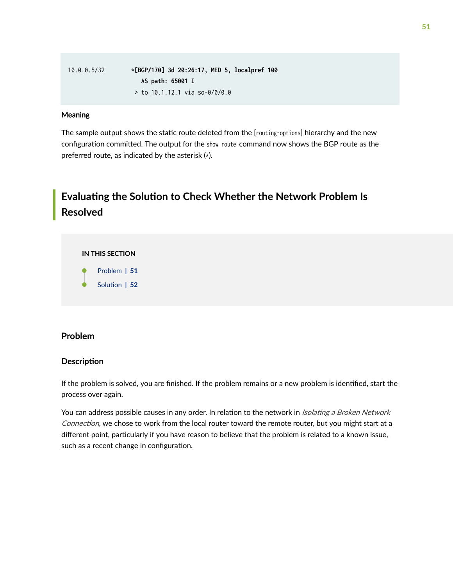<span id="page-57-0"></span>10.0.0.5/32 \***[BGP/170] 3d 20:26:17, MED 5, localpref 100 AS path: 65001 I** > to 10.1.12.1 via so-0/0/0.0

### Meaning

The sample output shows the static route deleted from the [routing-options] hierarchy and the new configuration committed. The output for the show route command now shows the BGP route as the preferred route, as indicated by the asterisk (\*).

## **Evaluating the Solution to Check Whether the Network Problem Is Resolved**

#### **IN THIS SECTION**

- Problem **| 51**
- Solution | 52

### **Problem**

### **Description**

If the problem is solved, you are finished. If the problem remains or a new problem is identified, start the process over again.

You can address possible causes in any order. In relation to the network in *Isolating a Broken Network* Connection, we chose to work from the local router toward the remote router, but you might start at a different point, particularly if you have reason to believe that the problem is related to a known issue, such as a recent change in configuration.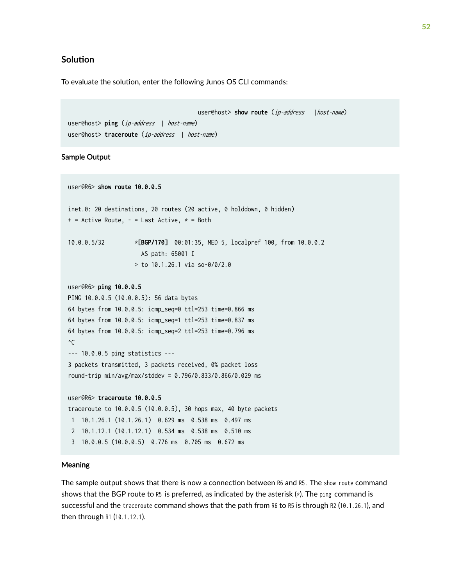### <span id="page-58-0"></span>**Solution**

To evaluate the solution, enter the following Junos OS CLI commands:

user@host> **show route** (*ip-address* | host-name) user@host> **ping** (ip-address | host-name) user@host> **traceroute** (ip-address | host-name)

### Sample Output

user@R6> **show route 10.0.0.5**  inet.0: 20 destinations, 20 routes (20 active, 0 holddown, 0 hidden)  $+$  = Active Route, - = Last Active,  $*$  = Both 10.0.0.5/32 \***[BGP/170]** 00:01:35, MED 5, localpref 100, from 10.0.0.2 AS path: 65001 I > to 10.1.26.1 via so-0/0/2.0 user@R6> **ping 10.0.0.5** PING 10.0.0.5 (10.0.0.5): 56 data bytes 64 bytes from 10.0.0.5: icmp\_seq=0 ttl=253 time=0.866 ms 64 bytes from 10.0.0.5: icmp\_seq=1 ttl=253 time=0.837 ms 64 bytes from 10.0.0.5: icmp\_seq=2 ttl=253 time=0.796 ms  $^{\wedge}$ C --- 10.0.0.5 ping statistics --- 3 packets transmitted, 3 packets received, 0% packet loss round-trip min/avg/max/stddev = 0.796/0.833/0.866/0.029 ms user@R6> **traceroute 10.0.0.5** traceroute to 10.0.0.5 (10.0.0.5), 30 hops max, 40 byte packets 1 10.1.26.1 (10.1.26.1) 0.629 ms 0.538 ms 0.497 ms 2 10.1.12.1 (10.1.12.1) 0.534 ms 0.538 ms 0.510 ms 3 10.0.0.5 (10.0.0.5) 0.776 ms 0.705 ms 0.672 ms

### Meaning

The sample output shows that there is now a connection between R6 and R5. The show route command shows that the BGP route to R5 is preferred, as indicated by the asterisk  $(*)$ . The ping command is successful and the traceroute command shows that the path from R6 to R5 is through R2 (10.1.26.1), and then through R1 (10.1.12.1).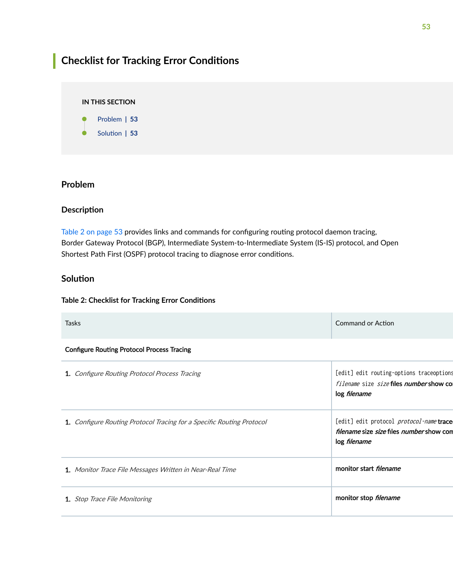## <span id="page-59-0"></span>**Checklist for Tracking Error Conditions**

### **IN THIS SECTION** Problem **| 53**

Solution | 53

### **Problem**

### **Description**

Table 2 on page 53 provides links and commands for configuring routing protocol daemon tracing, Border Gateway Protocol (BGP), Intermediate System-to-Intermediate System (IS-IS) protocol, and Open Shortest Path First (OSPF) protocol tracing to diagnose error conditions.

### **Solution**

### **Table 2: Checklist for Tracking Error Conditions**

| <b>Tasks</b>                                                          | <b>Command or Action</b>                                                                                                  |
|-----------------------------------------------------------------------|---------------------------------------------------------------------------------------------------------------------------|
| <b>Configure Routing Protocol Process Tracing</b>                     |                                                                                                                           |
| 1. Configure Routing Protocol Process Tracing                         | [edit] edit routing-options traceoptions<br><i>filename</i> size <i>size</i> files <i>number</i> show col<br>log filename |
| 1. Configure Routing Protocol Tracing for a Specific Routing Protocol | [edit] edit protocol protocol-name trace<br>filename size size files number show con<br>log filename                      |
| 1. Monitor Trace File Messages Written in Near-Real Time              | monitor start <i>filename</i>                                                                                             |
| 1. Stop Trace File Monitoring                                         | monitor stop filename                                                                                                     |
|                                                                       |                                                                                                                           |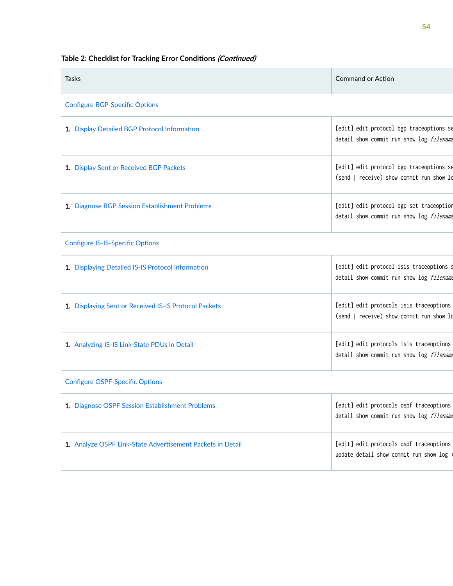**54**

### Table 2: Checklist for Tracking Error Conditions (Continued)

| Tasks                                                      | <b>Command or Action</b>                                                             |
|------------------------------------------------------------|--------------------------------------------------------------------------------------|
| <b>Configure BGP-Specific Options</b>                      |                                                                                      |
| 1. Display Detailed BGP Protocol Information               | [edit] edit protocol bgp traceoptions se<br>detail show commit run show log filename |
| 1. Display Sent or Received BGP Packets                    | [edit] edit protocol bgp traceoptions se<br>(send   receive) show commit run show lo |
| 1. Diagnose BGP Session Establishment Problems             | [edit] edit protocol bgp set traceoption<br>detail show commit run show log filename |
| <b>Configure IS-IS-Specific Options</b>                    |                                                                                      |
| 1. Displaying Detailed IS-IS Protocol Information          | [edit] edit protocol isis traceoptions s<br>detail show commit run show log filename |
| 1. Displaying Sent or Received IS-IS Protocol Packets      | [edit] edit protocols isis traceoptions<br>(send   receive) show commit run show lo  |
| 1. Analyzing IS-IS Link-State PDUs in Detail               | [edit] edit protocols isis traceoptions<br>detail show commit run show log filename  |
| <b>Configure OSPF-Specific Options</b>                     |                                                                                      |
| 1. Diagnose OSPF Session Establishment Problems            | [edit] edit protocols ospf traceoptions<br>detail show commit run show log filename  |
| 1. Analyze OSPF Link-State Advertisement Packets in Detail | [edit] edit protocols ospf traceoptions<br>update detail show commit run show log    |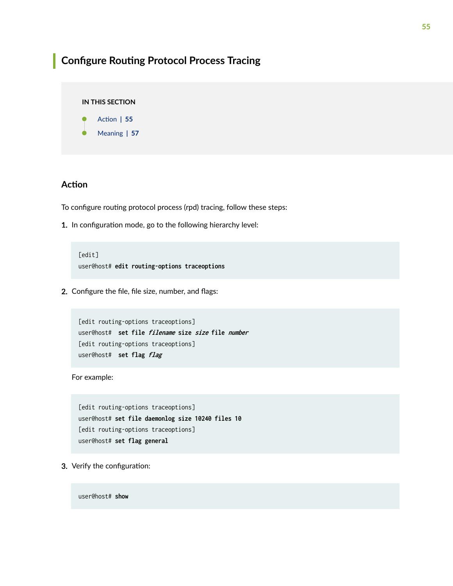### <span id="page-61-0"></span>**Configure Routing Protocol Process Tracing**

### **IN THIS SECTION**

Action | 55

[Meaning](#page-63-0) **| 57**

### **Action**

To configure routing protocol process (rpd) tracing, follow these steps:

1. In configuration mode, go to the following hierarchy level:

[edit] user@host# **edit routing-options traceoptions**

2. Configure the file, file size, number, and flags:

```
[edit routing-options traceoptions]
user@host# set file filename size size file number 
[edit routing-options traceoptions]
user@host# set flag flag
```
For example:

[edit routing-options traceoptions] user@host# **set file daemonlog size 10240 files 10** [edit routing-options traceoptions] user@host# **set flag general** 

3. Verify the configuration:

user@host# **show**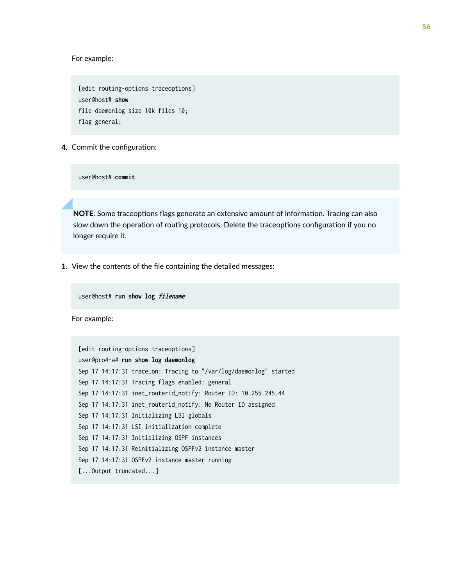For example:

[edit routing-options traceoptions] user@host# **show**  file daemonlog size 10k files 10; flag general;

4. Commit the configuration:

user@host# **commit**

**NOTE:** Some traceoptions flags generate an extensive amount of information. Tracing can also slow down the operation of routing protocols. Delete the traceoptions configuration if you no longer require it.

1. View the contents of the file containing the detailed messages:

user@host# **run show log filename** 

For example:

```
[edit routing-options traceoptions]
user@pro4-a# run show log daemonlog 
Sep 17 14:17:31 trace_on: Tracing to "/var/log/daemonlog" started
Sep 17 14:17:31 Tracing flags enabled: general
Sep 17 14:17:31 inet_routerid_notify: Router ID: 10.255.245.44
Sep 17 14:17:31 inet_routerid_notify: No Router ID assigned
Sep 17 14:17:31 Initializing LSI globals
Sep 17 14:17:31 LSI initialization complete
Sep 17 14:17:31 Initializing OSPF instances
Sep 17 14:17:31 Reinitializing OSPFv2 instance master
Sep 17 14:17:31 OSPFv2 instance master running
[...Output truncated...]
```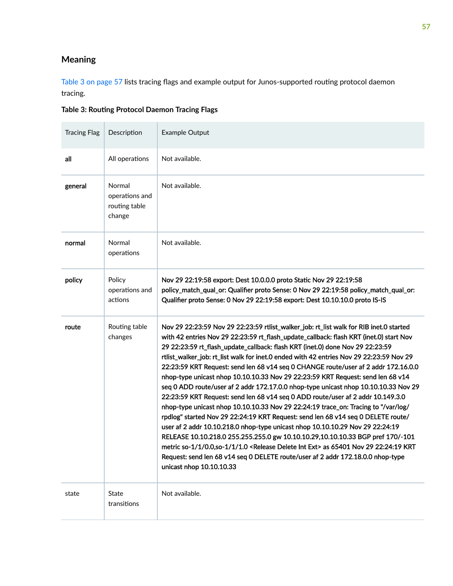### <span id="page-63-0"></span>**Meaning**

Table 3 on page 57 lists tracing flags and example output for Junos-supported routing protocol daemon tracing.

**Table 3: Routing Protocol Daemon Tracing Flags** 

| <b>Tracing Flag</b> | Description                                         | Example Output                                                                                                                                                                                                                                                                                                                                                                                                                                                                                                                                                                                                                                                                                                                                                                                                                                                                                                                                                                                                                                                                                                                                                                                                                                                                         |
|---------------------|-----------------------------------------------------|----------------------------------------------------------------------------------------------------------------------------------------------------------------------------------------------------------------------------------------------------------------------------------------------------------------------------------------------------------------------------------------------------------------------------------------------------------------------------------------------------------------------------------------------------------------------------------------------------------------------------------------------------------------------------------------------------------------------------------------------------------------------------------------------------------------------------------------------------------------------------------------------------------------------------------------------------------------------------------------------------------------------------------------------------------------------------------------------------------------------------------------------------------------------------------------------------------------------------------------------------------------------------------------|
| all                 | All operations                                      | Not available.                                                                                                                                                                                                                                                                                                                                                                                                                                                                                                                                                                                                                                                                                                                                                                                                                                                                                                                                                                                                                                                                                                                                                                                                                                                                         |
| general             | Normal<br>operations and<br>routing table<br>change | Not available.                                                                                                                                                                                                                                                                                                                                                                                                                                                                                                                                                                                                                                                                                                                                                                                                                                                                                                                                                                                                                                                                                                                                                                                                                                                                         |
| normal              | Normal<br>operations                                | Not available.                                                                                                                                                                                                                                                                                                                                                                                                                                                                                                                                                                                                                                                                                                                                                                                                                                                                                                                                                                                                                                                                                                                                                                                                                                                                         |
| policy              | Policy<br>operations and<br>actions                 | Nov 29 22:19:58 export: Dest 10.0.0.0 proto Static Nov 29 22:19:58<br>policy_match_qual_or: Qualifier proto Sense: 0 Nov 29 22:19:58 policy_match_qual_or:<br>Qualifier proto Sense: 0 Nov 29 22:19:58 export: Dest 10.10.10.0 proto IS-IS                                                                                                                                                                                                                                                                                                                                                                                                                                                                                                                                                                                                                                                                                                                                                                                                                                                                                                                                                                                                                                             |
| route               | Routing table<br>changes                            | Nov 29 22:23:59 Nov 29 22:23:59 rtlist_walker_job: rt_list walk for RIB inet.0 started<br>with 42 entries Nov 29 22:23:59 rt_flash_update_callback: flash KRT (inet.0) start Nov<br>29 22:23:59 rt_flash_update_callback: flash KRT (inet.0) done Nov 29 22:23:59<br>rtlist_walker_job: rt_list walk for inet.0 ended with 42 entries Nov 29 22:23:59 Nov 29<br>22:23:59 KRT Request: send len 68 v14 seq 0 CHANGE route/user af 2 addr 172.16.0.0<br>nhop-type unicast nhop 10.10.10.33 Nov 29 22:23:59 KRT Request: send len 68 v14<br>seq 0 ADD route/user af 2 addr 172.17.0.0 nhop-type unicast nhop 10.10.10.33 Nov 29<br>22:23:59 KRT Request: send len 68 v14 seq 0 ADD route/user af 2 addr 10.149.3.0<br>nhop-type unicast nhop 10.10.10.33 Nov 29 22:24:19 trace_on: Tracing to "/var/log/<br>rpdlog" started Nov 29 22:24:19 KRT Request: send len 68 v14 seq 0 DELETE route/<br>user af 2 addr 10.10.218.0 nhop-type unicast nhop 10.10.10.29 Nov 29 22:24:19<br>RELEASE 10.10.218.0 255.255.255.0 gw 10.10.10.29,10.10.10.33 BGP pref 170/-101<br>metric so-1/1/0.0,so-1/1/1.0 <release delete="" ext="" int=""> as 65401 Nov 29 22:24:19 KRT<br/>Request: send len 68 v14 seq 0 DELETE route/user af 2 addr 172.18.0.0 nhop-type<br/>unicast nhop 10.10.10.33</release> |
| state               | State<br>transitions                                | Not available.                                                                                                                                                                                                                                                                                                                                                                                                                                                                                                                                                                                                                                                                                                                                                                                                                                                                                                                                                                                                                                                                                                                                                                                                                                                                         |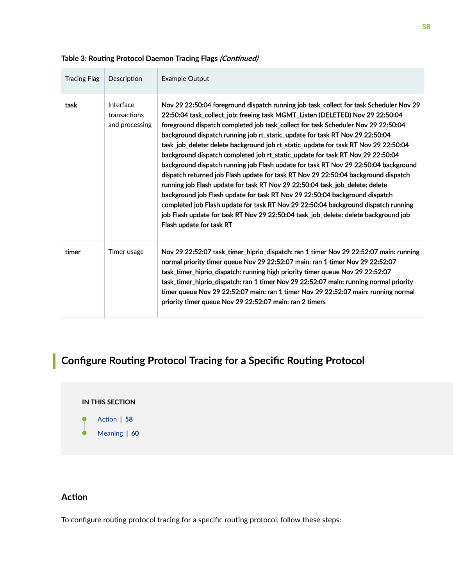| <b>Tracing Flag</b> | Description                                 | Example Output                                                                                                                                                                                                                                                                                                                                                                                                                                                                                                                                                                                                                                                                                                                                                                                                                                                                                                                                                                                                                                                             |
|---------------------|---------------------------------------------|----------------------------------------------------------------------------------------------------------------------------------------------------------------------------------------------------------------------------------------------------------------------------------------------------------------------------------------------------------------------------------------------------------------------------------------------------------------------------------------------------------------------------------------------------------------------------------------------------------------------------------------------------------------------------------------------------------------------------------------------------------------------------------------------------------------------------------------------------------------------------------------------------------------------------------------------------------------------------------------------------------------------------------------------------------------------------|
| task                | Interface<br>transactions<br>and processing | Nov 29 22:50:04 foreground dispatch running job task_collect for task Scheduler Nov 29<br>22:50:04 task_collect_job: freeing task MGMT_Listen (DELETED) Nov 29 22:50:04<br>foreground dispatch completed job task_collect for task Scheduler Nov 29 22:50:04<br>background dispatch running job rt_static_update for task RT Nov 29 22:50:04<br>task_job_delete: delete background job rt_static_update for task RT Nov 29 22:50:04<br>background dispatch completed job rt_static_update for task RT Nov 29 22:50:04<br>background dispatch running job Flash update for task RT Nov 29 22:50:04 background<br>dispatch returned job Flash update for task RT Nov 29 22:50:04 background dispatch<br>running job Flash update for task RT Nov 29 22:50:04 task_job_delete: delete<br>background job Flash update for task RT Nov 29 22:50:04 background dispatch<br>completed job Flash update for task RT Nov 29 22:50:04 background dispatch running<br>job Flash update for task RT Nov 29 22:50:04 task_job_delete: delete background job<br>Flash update for task RT |
| timer               | Timer usage                                 | Nov 29 22:52:07 task_timer_hiprio_dispatch: ran 1 timer Nov 29 22:52:07 main: running<br>normal priority timer queue Nov 29 22:52:07 main: ran 1 timer Nov 29 22:52:07<br>task_timer_hiprio_dispatch: running high priority timer queue Nov 29 22:52:07<br>task_timer_hiprio_dispatch: ran 1 timer Nov 29 22:52:07 main: running normal priority<br>timer queue Nov 29 22:52:07 main: ran 1 timer Nov 29 22:52:07 main: running normal<br>priority timer queue Nov 29 22:52:07 main: ran 2 timers                                                                                                                                                                                                                                                                                                                                                                                                                                                                                                                                                                          |

### <span id="page-64-0"></span>Table 3: Routing Protocol Daemon Tracing Flags *(Continued)*

## **Configure Routing Protocol Tracing for a Specific Routing Protocol**

### **IN THIS SECTION**

- Action | 58
- [Meaning](#page-66-0) **| 60**

### **Action**

To configure routing protocol tracing for a specific routing protocol, follow these steps: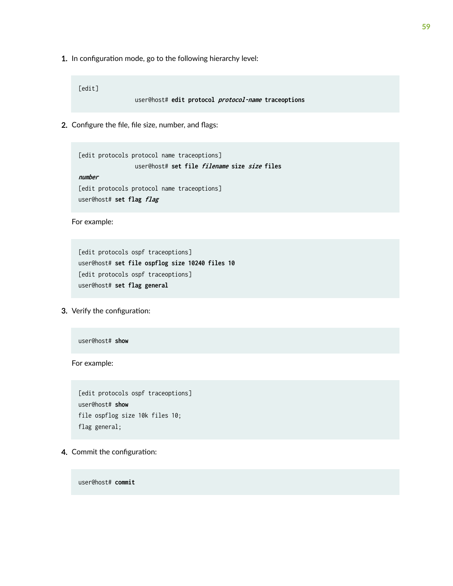1. In configuration mode, go to the following hierarchy level:

[edit]

user@host# **edit protocol protocol-name traceoptions**

2. Configure the file, file size, number, and flags:

[edit protocols protocol name traceoptions] user@host# **set file filename size size files number** 

[edit protocols protocol name traceoptions] user@host# **set flag flag** 

For example:

[edit protocols ospf traceoptions] user@host# **set file ospflog size 10240 files 10** [edit protocols ospf traceoptions] user@host# **set flag general** 

3. Verify the configuration:

user@host# **show**

For example:

[edit protocols ospf traceoptions] user@host# **show**  file ospflog size 10k files 10; flag general;

4. Commit the configuration:

user@host# **commit**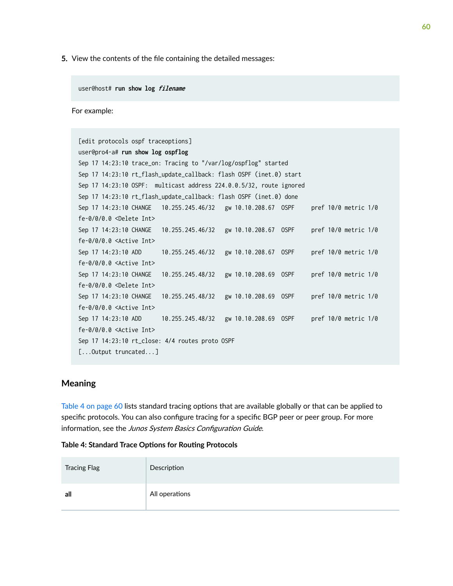<span id="page-66-0"></span>5. View the contents of the file containing the detailed messages:

user@host# **run show log filename** 

For example:

| [edit protocols ospf traceoptions]                                  |                  |                      |  |                          |  |
|---------------------------------------------------------------------|------------------|----------------------|--|--------------------------|--|
| user@pro4-a# run show log ospflog                                   |                  |                      |  |                          |  |
| Sep 17 14:23:10 trace_on: Tracing to "/var/log/ospflog" started     |                  |                      |  |                          |  |
| Sep 17 14:23:10 rt_flash_update_callback: flash OSPF (inet.0) start |                  |                      |  |                          |  |
| Sep 17 14:23:10 OSPF: multicast address 224.0.0.5/32, route ignored |                  |                      |  |                          |  |
| Sep 17 14:23:10 rt_flash_update_callback: flash OSPF (inet.0) done  |                  |                      |  |                          |  |
|                                                                     |                  |                      |  | pref $10/0$ metric $1/0$ |  |
| $fe-0/0/0.0$ <delete int=""></delete>                               |                  |                      |  |                          |  |
|                                                                     |                  |                      |  | pref 10/0 metric 1/0     |  |
| $fe-0/0/0.0$ <active int=""></active>                               |                  |                      |  |                          |  |
| Sep 17 14:23:10 ADD                                                 |                  |                      |  | pref 10/0 metric 1/0     |  |
| $fe-0/0/0.0$ <active int=""></active>                               |                  |                      |  |                          |  |
| Sep 17 14:23:10 CHANGE                                              | 10.255.245.48/32 | gw 10.10.208.69 OSPF |  | pref 10/0 metric 1/0     |  |
| $fe-0/0/0.0$ <delete int=""></delete>                               |                  |                      |  |                          |  |
| Sep 17 14:23:10 CHANGE                                              | 10.255.245.48/32 | gw 10.10.208.69 OSPF |  | pref 10/0 metric 1/0     |  |
| $fe-0/0/0.0$ <active int=""></active>                               |                  |                      |  |                          |  |
| Sep 17 14:23:10 ADD 10.255.245.48/32                                |                  | gw 10.10.208.69 OSPF |  | pref 10/0 metric 1/0     |  |
| $fe-0/0/0.0$ <active int=""></active>                               |                  |                      |  |                          |  |
| Sep 17 14:23:10 rt_close: 4/4 routes proto OSPF                     |                  |                      |  |                          |  |
| $[\dots 0$ utput truncated]                                         |                  |                      |  |                          |  |

### **Meaning**

Table 4 on page 60 lists standard tracing options that are available globally or that can be applied to specific protocols. You can also configure tracing for a specific BGP peer or peer group. For more information, see the Junos System Basics Configuration Guide.

| Table 4: Standard Trace Options for Routing Protocols |  |
|-------------------------------------------------------|--|
|-------------------------------------------------------|--|

| <b>Tracing Flag</b> | Description    |
|---------------------|----------------|
| all                 | All operations |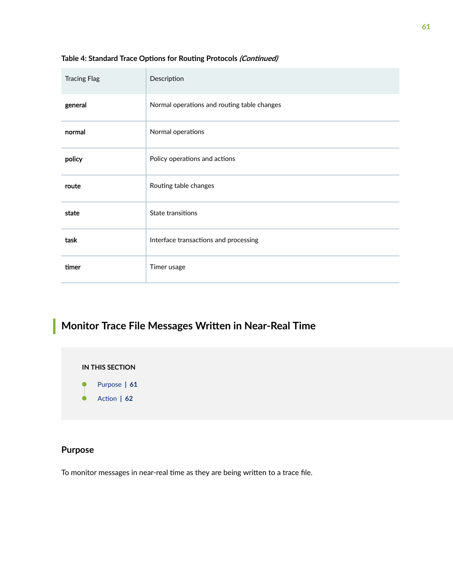| <b>Tracing Flag</b> | Description                                 |
|---------------------|---------------------------------------------|
| general             | Normal operations and routing table changes |
| normal              | Normal operations                           |
| policy              | Policy operations and actions               |
| route               | Routing table changes                       |
| state               | State transitions                           |
| task                | Interface transactions and processing       |
| timer               | Timer usage                                 |

### <span id="page-67-0"></span>Table 4: Standard Trace Options for Routing Protocols *(Continued)*

## **Monitor Trace File Messages Written in Near-Real Time**

**IN THIS SECTION**

- Purpose **| 61**
- Action | **62**

### **Purpose**

To monitor messages in near-real time as they are being written to a trace file.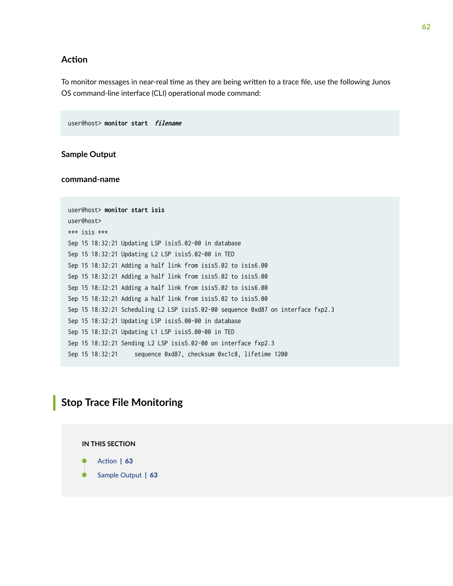### <span id="page-68-0"></span>**Action**

To monitor messages in near-real time as they are being written to a trace file, use the following Junos OS command-line interface (CLI) operational mode command:

user@host> **monitor start filename** 

### **Sample Output**

#### **command-name**

```
user@host> monitor start isis 
user@host>
*** isis ***
Sep 15 18:32:21 Updating LSP isis5.02-00 in database
Sep 15 18:32:21 Updating L2 LSP isis5.02-00 in TED
Sep 15 18:32:21 Adding a half link from isis5.02 to isis6.00
Sep 15 18:32:21 Adding a half link from isis5.02 to isis5.00
Sep 15 18:32:21 Adding a half link from isis5.02 to isis6.00
Sep 15 18:32:21 Adding a half link from isis5.02 to isis5.00
Sep 15 18:32:21 Scheduling L2 LSP isis5.02-00 sequence 0xd87 on interface fxp2.3
Sep 15 18:32:21 Updating LSP isis5.00-00 in database
Sep 15 18:32:21 Updating L1 LSP isis5.00-00 in TED
Sep 15 18:32:21 Sending L2 LSP isis5.02-00 on interface fxp2.3
Sep 15 18:32:21 sequence 0xd87, checksum 0xc1c8, lifetime 1200
```
### **Stop Trace File Monitoring**

### **IN THIS SECTION**

- Action | **63**
- [Sample Output](#page-69-0) **| 63**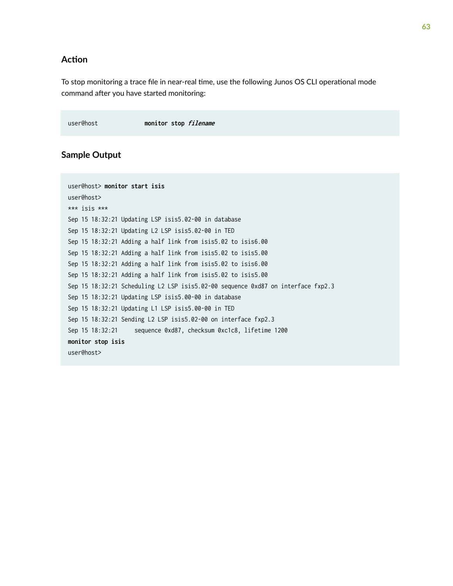### <span id="page-69-0"></span>**Action**

To stop monitoring a trace file in near-real time, use the following Junos OS CLI operational mode command after you have started monitoring:

user@host **monitor stop filename** 

### **Sample Output**

```
user@host> monitor start isis
user@host> 
*** isis ***
Sep 15 18:32:21 Updating LSP isis5.02-00 in database
Sep 15 18:32:21 Updating L2 LSP isis5.02-00 in TED
Sep 15 18:32:21 Adding a half link from isis5.02 to isis6.00
Sep 15 18:32:21 Adding a half link from isis5.02 to isis5.00
Sep 15 18:32:21 Adding a half link from isis5.02 to isis6.00
Sep 15 18:32:21 Adding a half link from isis5.02 to isis5.00
Sep 15 18:32:21 Scheduling L2 LSP isis5.02-00 sequence 0xd87 on interface fxp2.3
Sep 15 18:32:21 Updating LSP isis5.00-00 in database
Sep 15 18:32:21 Updating L1 LSP isis5.00-00 in TED
Sep 15 18:32:21 Sending L2 LSP isis5.02-00 on interface fxp2.3
Sep 15 18:32:21 sequence 0xd87, checksum 0xc1c8, lifetime 1200
monitor stop isis
user@host>
```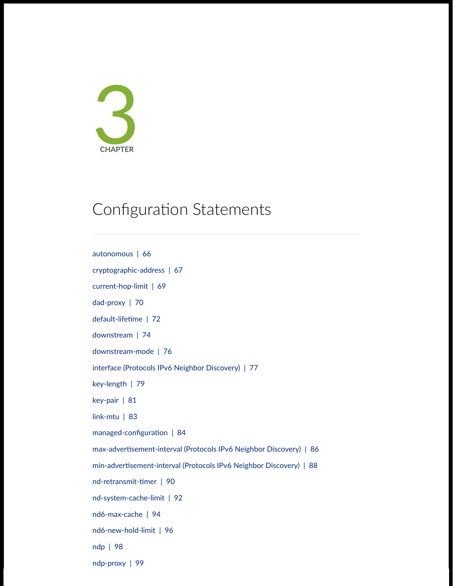

## Configuration Statements

[autonomous](#page-72-0) | [66](#page-72-0) [cryptographic-address](#page-73-0) | [67](#page-73-0) [current-hop-limit](#page-75-0) | [69](#page-75-0) [dad-proxy](#page-76-0) | [70](#page-76-0) default-lifetime | [72](#page-78-0) [downstream](#page-80-0) | [74](#page-80-0) [downstream-mode](#page-82-0) | [76](#page-82-0) [interface \(Protocols IPv6 Neighbor Discovery\)](#page-83-0) | [77](#page-83-0) [key-length](#page-85-0) | [79](#page-85-0) [key-pair](#page-87-0) | [81](#page-87-0) [link-mtu](#page-89-0) | [83](#page-89-0) managed-configuration  $| 84$  $| 84$ max-advertisement-interval (Protocols IPv6 Neighbor Discovery) | [86](#page-92-0) min-advertisement-interval (Protocols IPv6 Neighbor Discovery) | [88](#page-94-0) nd-retransmit-timer | [90](#page-96-0) [nd-system-cache-limit](#page-98-0) | [92](#page-98-0) [nd6-max-cache](#page-100-0) | [94](#page-100-0) [nd6-new-hold-limit](#page-102-0) | [96](#page-102-0) [ndp](#page-104-0) | [98](#page-104-0) [ndp-proxy](#page-105-0) | [99](#page-105-0)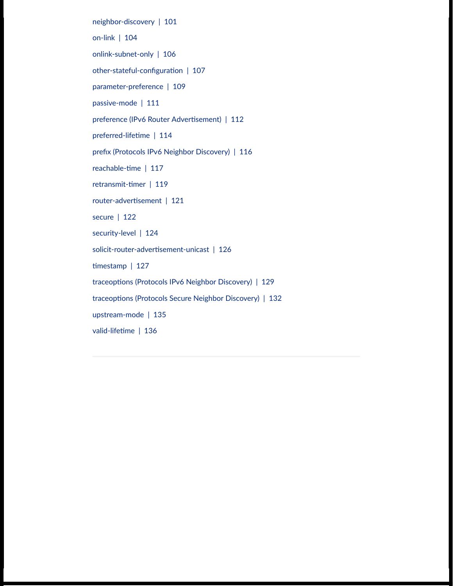[neighbor-discovery](#page-107-0) | [101](#page-107-0)

[on-link](#page-110-0) | [104](#page-110-0)

[onlink-subnet-only](#page-112-0) | [106](#page-112-0)

other-stateful-configuration | [107](#page-113-0)

[parameter-preference](#page-115-0) | [109](#page-115-0)

[passive-mode](#page-117-0) | [111](#page-117-0)

preference (IPv6 Router Advertisement) | [112](#page-118-0)

preferred-lifetime | [114](#page-120-0)

prefix (Protocols IPv6 Neighbor Discovery) | [116](#page-122-0)

reachable-time | [117](#page-123-0)

retransmit-timer | [119](#page-125-0)

router-advertisement | [121](#page-127-0)

[secure](#page-128-0) | [122](#page-128-0)

[security-level](#page-130-0) | [124](#page-130-0)

solicit-router-advertisement-unicast | [126](#page-132-0)

 $time stamp$  | [127](#page-133-0)

traceoptions (Protocols IPv6 Neighbor Discovery) | [129](#page-135-0)

traceoptions (Protocols Secure Neighbor Discovery) | [132](#page-138-0)

[upstream-mode](#page-141-0) | [135](#page-141-0)

valid-lifetime | [136](#page-142-0)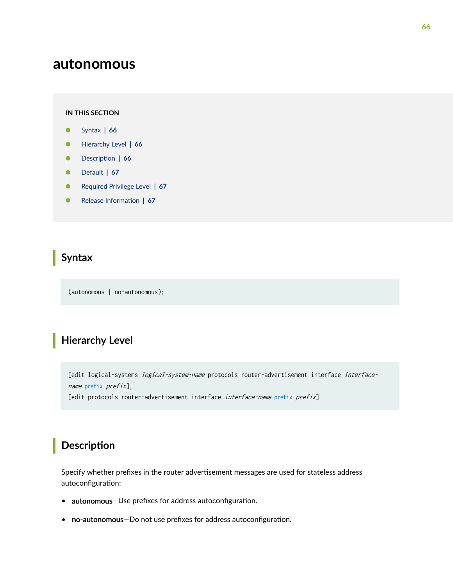# <span id="page-72-0"></span>**autonomous**

#### **IN THIS SECTION**

- Syntax **| 66**
- Hierarchy Level **| 66**
- **Description** | 66
- [Default](#page-73-0) **| 67**
- [Required Privilege Level](#page-73-0) **| 67**
- Release Information | 67

#### **Syntax**

(autonomous | no-autonomous);

# **Hierarchy Level**

[edit logical-systems *logical-system-name* protocols router-advertisement interface interfacename [prefix](#page-122-0) prefix],

[edit protocols router-advertisement interface interface-name [prefix](#page-122-0) prefix]

### **Description**

Specify whether prefixes in the router advertisement messages are used for stateless address autoconfiguration:

- autonomous-Use prefixes for address autoconfiguration.
- no-autonomous-Do not use prefixes for address autoconfiguration.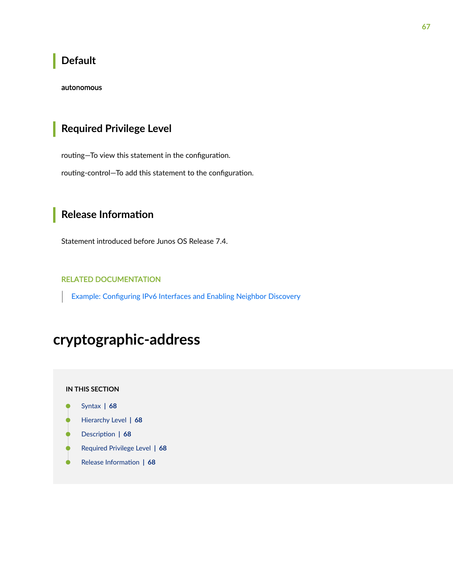### <span id="page-73-0"></span>**Default**

#### autonomous

# Required Privilege Level

routing-To view this statement in the configuration.

routing-control-To add this statement to the configuration.

# **Release Information**

Statement introduced before Junos OS Release 7.4.

#### **RELATED DOCUMENTATION**

Example: Configuring IPv6 Interfaces and Enabling Neighbor Discovery

# cryptographic-address

#### IN THIS SECTION

- Syntax | 68  $\bullet$
- $\bullet$ Hierarchy Level | 68
- Ò Description | 68
- Required Privilege Level | 68 ۰
- $\bullet$ Release Information | 68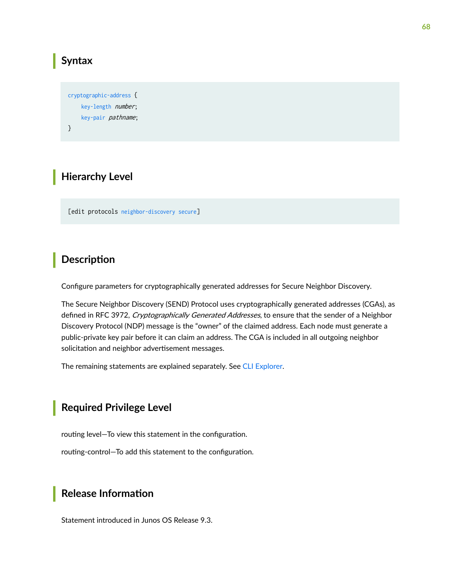#### <span id="page-74-0"></span>**Syntax**

```
cryptographic-address {
     key-length number;
     key-pair pathname;
}
```
### **Hierarchy Level**

[edit protocols [neighbor-discovery](#page-107-0) [secure](#page-128-0)]

#### **Description**

Configure parameters for cryptographically generated addresses for Secure Neighbor Discovery.

The Secure Neighbor Discovery (SEND) Protocol uses cryptographically generated addresses (CGAs), as defined in RFC 3972, Cryptographically Generated Addresses, to ensure that the sender of a Neighbor Discovery Protocol (NDP) message is the "owner" of the claimed address. Each node must generate a public-private key pair before it can claim an address. The CGA is included in all outgoing neighbor solicitation and neighbor advertisement messages.

The remaining statements are explained separately. See [CLI Explorer.](https://apps.juniper.net/cli-explorer/)

#### **Required Privilege Level**

routing level–To view this statement in the configuration.

routing-control-To add this statement to the configuration.

#### **Release Information**

Statement introduced in Junos OS Release 9.3.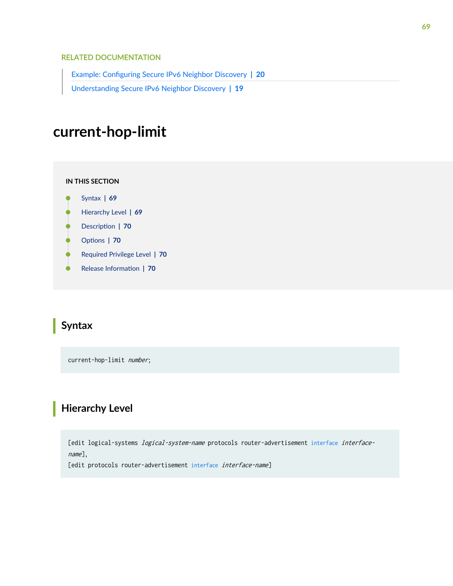#### <span id="page-75-0"></span>RELATED DOCUMENTATION

Example: Configuring Secure IPv6 Neighbor Discovery | 20 [Understanding Secure IPv6 Neighbor Discovery](#page-25-0) **| 19**

# **current-hop-limit**

**IN THIS SECTION**

- Syntax **| 69**
- Hierarchy Level **| 69**
- Description | 70
- [rঞons](#page-76-0) **| 70**
- $\bullet$ [Required Privilege Level](#page-76-0) **| 70**
- $\bullet$ Release Information | 70

#### **Syntax**

current-hop-limit *number*;

# **Hierarchy Level**

[edit logical-systems *logical-system-name* protocols router-advertisement [interface](#page-83-0) interfacename],

[edit protocols router-advertisement [interface](#page-83-0) interface-name]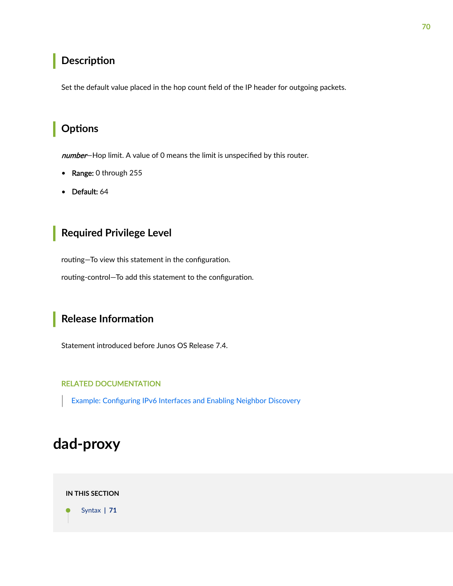### <span id="page-76-0"></span>**Description**

Set the default value placed in the hop count field of the IP header for outgoing packets.

### Options

number-Hop limit. A value of 0 means the limit is unspecified by this router.

- Range: 0 through 255
- Default: 64

### **Required Privilege Level**

routing-To view this statement in the configuration.

routing-control-To add this statement to the configuration.

### **Release Information**

Statement introduced before Junos OS Release 7.4.

#### **RELATED DOCUMENTATION**

Example: Configuring IPv6 Interfaces and Enabling Neighbor Discovery

# dad-proxy

#### **IN THIS SECTION**

Syntax | 71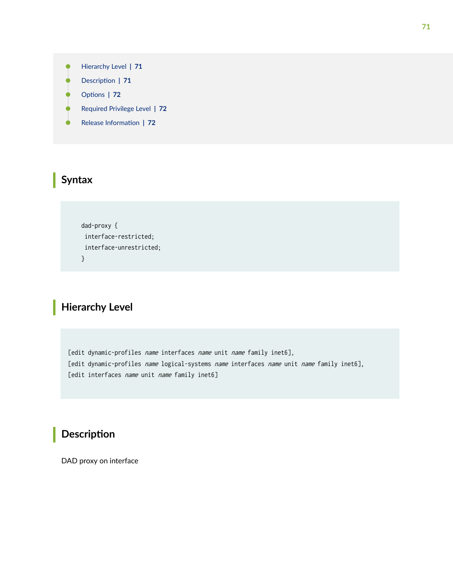- <span id="page-77-0"></span>Hierarchy Level **| 71**  $\bullet$
- Description | 71
- Options | 72
- [Required Privilege Level](#page-78-0) **| 72**
- Release Information | 72

#### **Syntax**

```
 dad-proxy {
 interface-restricted;
 interface-unrestricted;
 }
```
# **Hierarchy Level**

[edit dynamic-profiles name interfaces name unit name family inet6], [edit dynamic-profiles name logical-systems name interfaces name unit name family inet6], [edit interfaces *name* unit *name* family inet6]

# **Description**

DAD proxy on interface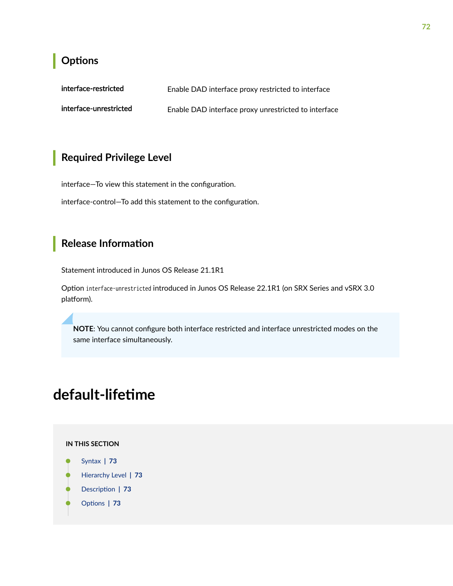## <span id="page-78-0"></span>Options

| interface-restricted   | Enable DAD interface proxy restricted to interface   |
|------------------------|------------------------------------------------------|
| interface-unrestricted | Enable DAD interface proxy unrestricted to interface |

# Required Privilege Level

interface-To view this statement in the configuration.

interface-control-To add this statement to the configuration.

### **Release Information**

Statement introduced in Junos OS Release 21.1R1

Option interface-unrestricted introduced in Junos OS Release 22.1R1 (on SRX Series and vSRX 3.0 platform).

NOTE: You cannot configure both interface restricted and interface unrestricted modes on the same interface simultaneously.

# default-lifetime

#### IN THIS SECTION

- Syntax | 73
- Hierarchy Level | 73
- Description | 73
- Options | 73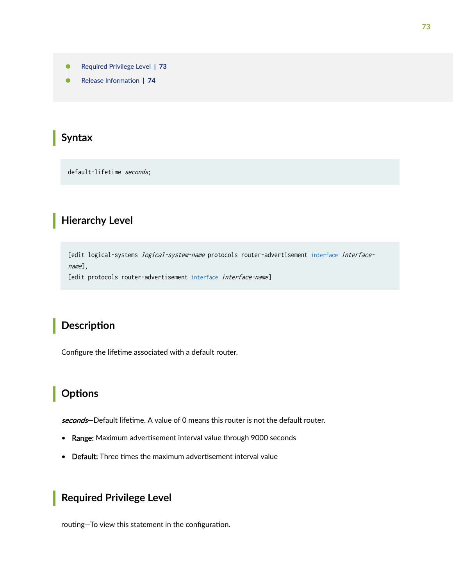- <span id="page-79-0"></span>Required Privilege Level | 73  $\bullet$
- ė Release Information | 74

### Syntax

default-lifetime seconds:

#### **Hierarchy Level**

[edit logical-systems *logical-system-name* protocols router-advertisement interface interface $name]$ ,

[edit protocols router-advertisement interface interface-name]

### **Description**

Configure the lifetime associated with a default router.

## Options

seconds-Default lifetime. A value of 0 means this router is not the default router.

- Range: Maximum advertisement interval value through 9000 seconds
- Default: Three times the maximum advertisement interval value

### **Required Privilege Level**

routing-To view this statement in the configuration.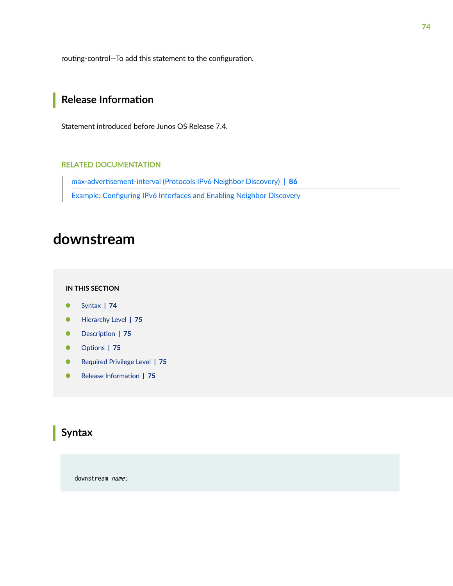<span id="page-80-0"></span>routing-control-To add this statement to the configuration.

# Release Information

Statement introduced before Junos OS Release 7.4.

#### **RELATED DOCUMENTATION**

max-advertisement-interval (Protocols IPv6 Neighbor Discovery) | 86 Example: Configuring IPv6 Interfaces and Enabling Neighbor Discovery

# downstream

#### IN THIS SECTION

- Syntax | 74  $\bullet$
- Hierarchy Level | 75 Ò
- Ò Description | 75
- Options | 75
- $\bullet$ Required Privilege Level | 75
- $\bullet$ Release Information | 75

### Syntax

downstream name;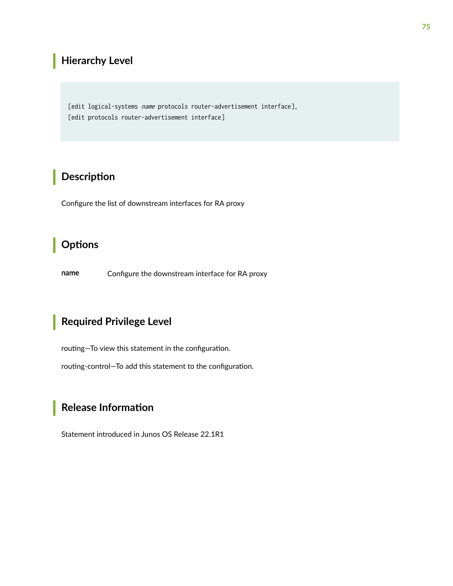## <span id="page-81-0"></span>**Hierarchy Level**

[edit logical-systems name protocols router-advertisement interface], [edit protocols router-advertisement interface]

# Description

Configure the list of downstream interfaces for RA proxy

### Options

Configure the downstream interface for RA proxy name

### **Required Privilege Level**

routing-To view this statement in the configuration.

routing-control-To add this statement to the configuration.

## **Release Information**

Statement introduced in Junos OS Release 22.1R1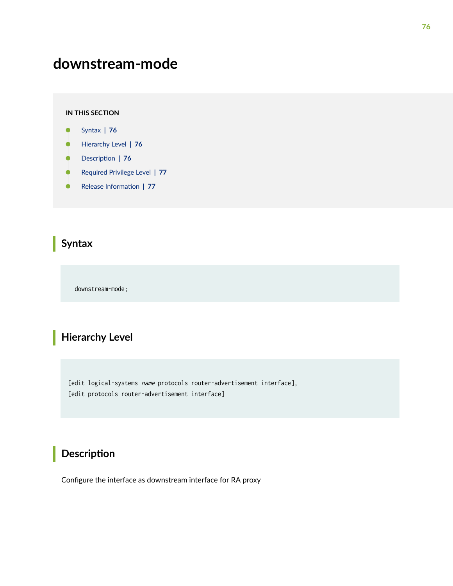# **downstream-mode**

#### **IN THIS SECTION**

- Syntax **| 76**
- Hierarchy Level **| 76**  $\bullet$
- Ó **Description** | 76
- $\bullet$ [Required Privilege Level](#page-83-0) **| 77**
- ۰ Release Information | 77

## **Syntax**

downstream-mode;

# **Hierarchy Level**

[edit logical-systems name protocols router-advertisement interface], [edit protocols router-advertisement interface]

# **Description**

Configure the interface as downstream interface for RA proxy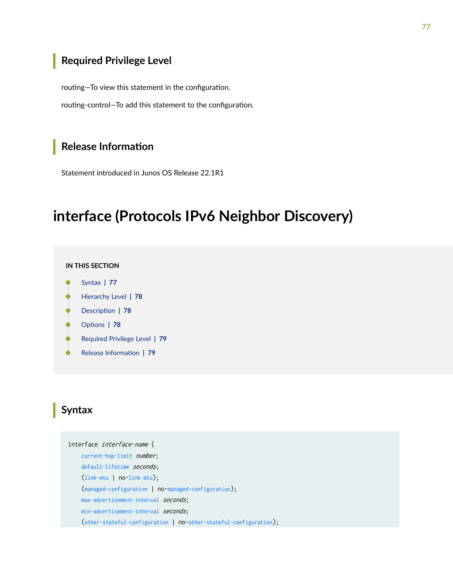### <span id="page-83-0"></span>**Required Privilege Level**

routing-To view this statement in the configuration.

routing-control-To add this statement to the configuration.

### **Release Information**

Statement introduced in Junos OS Release 22.1R1

# **interface (Protocols IPv6 Neighbor Discovery)**

#### **IN THIS SECTION**

- Syntax **| 77**
- [Hierarchy Level](#page-84-0) **| 78**
- **Description** | 78
- **Options** | 78
- [Required Privilege Level](#page-85-0) **| 79** Ŏ
- Release Information | 79

#### **Syntax**

interface interface-name { [current-hop-limit](#page-75-0) *number*; [default-lifetime](#page-78-0) seconds; ([link-mtu](#page-89-0) | no-[link-mtu](#page-89-0)); ([managed-configuration](#page-90-0) | no-[managed-configuration](#page-90-0)); [max-advertisement-interval](#page-92-0) seconds; [min-advertisement-interval](#page-94-0) seconds; ([other-stateful-configuration](#page-113-0) | no-[other-stateful-configuration](#page-113-0));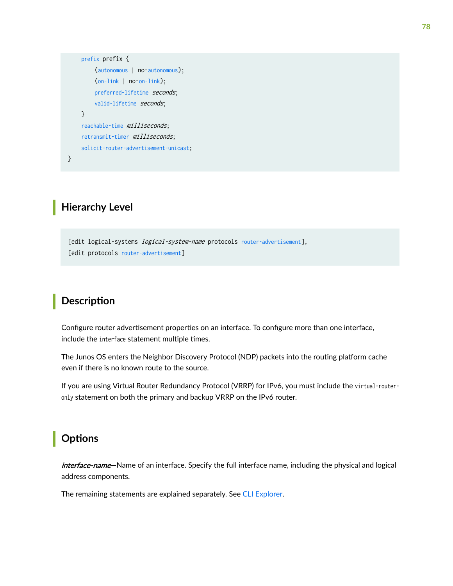```
 prefix prefix {
      (autonomous | no-autonomous);
      (on-link | no-on-link);
     preferred-lifetime seconds;
     valid-lifetime seconds;
 }
 reachable-time milliseconds;
 retransmit-timer milliseconds;
 solicit-router-advertisement-unicast;
```
#### **Hierarchy Level**

}

[edit logical-systems *logical-system-name* protocols [router-advertisement](#page-127-0)], [edit protocols [router-advertisement](#page-127-0)]

#### **Description**

Configure router advertisement properties on an interface. To configure more than one interface, include the interface statement multiple times.

The Junos OS enters the Neighbor Discovery Protocol (NDP) packets into the routing platform cache even if there is no known route to the source.

If you are using Virtual Router Redundancy Protocol (VRRP) for IPv6, you must include the virtual-routeronly statement on both the primary and backup VRRP on the IPv6 router.

### **Options**

interface-name—Name of an interface. Specify the full interface name, including the physical and logical address components.

The remaining statements are explained separately. See [CLI Explorer.](https://www.juniper.net/documentation/content-applications/cli-explorer/)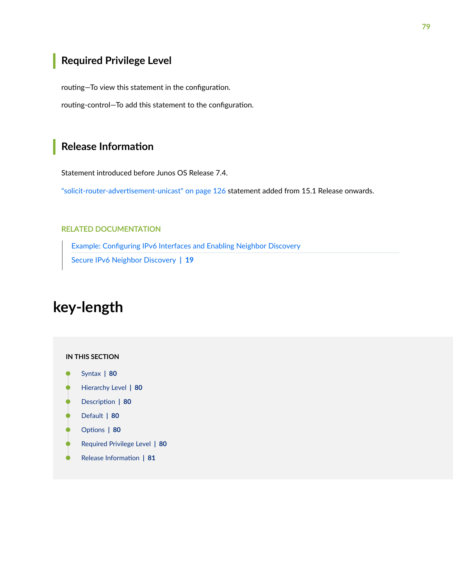# <span id="page-85-0"></span>**Required Privilege Level**

routing-To view this statement in the configuration.

routing-control-To add this statement to the configuration.

#### **Release Information**

Statement introduced before Junos OS Release 7.4.

"solicit-router-advertisement-unicast" on page 126 statement added from 15.1 Release onwards.

#### RELATED DOCUMENTATION

Example: Configuring IPv6 Interfaces and Enabling Neighbor Discovery [Secure IPv6 Neighbor Discovery](#page-25-0) **| 19**

# **key-length**

#### **IN THIS SECTION**

- [Syntax](#page-86-0) **| 80**
- [Hierarchy Level](#page-86-0) **| 80**
- Description | 80
- [Default](#page-86-0) **| 80**
- **Options** | 80
- [Required Privilege Level](#page-86-0) **| 80**  $\bullet$
- $\bullet$ Release Information | 81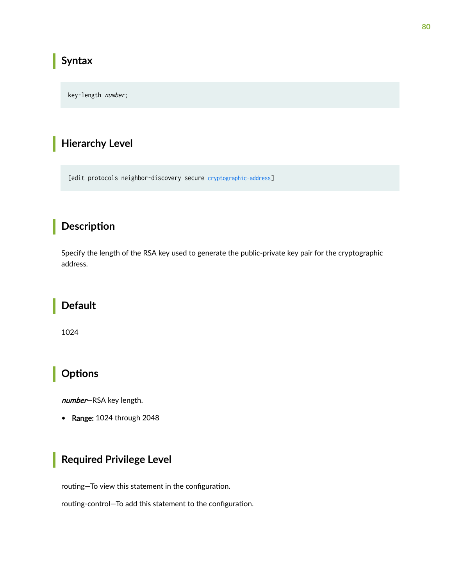### <span id="page-86-0"></span>**Syntax**

key-length number;

## **Hierarchy Level**

[edit protocols neighbor-discovery secure cryptographic-address]

## Description

Specify the length of the RSA key used to generate the public-private key pair for the cryptographic address.

### **Default**

1024

## **Options**

number-RSA key length.

• Range: 1024 through 2048

# **Required Privilege Level**

routing-To view this statement in the configuration.

routing-control-To add this statement to the configuration.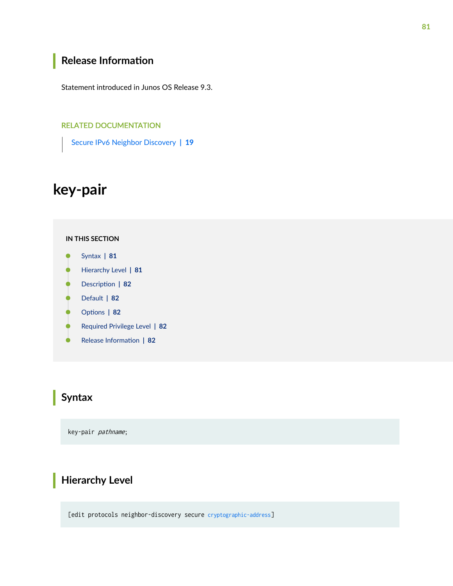### <span id="page-87-0"></span>**Release Information**

Statement introduced in Junos OS Release 9.3.

#### RELATED DOCUMENTATION

[Secure IPv6 Neighbor Discovery](#page-25-0) **| 19**

# **key-pair**

#### **IN THIS SECTION**

- Syntax **| 81** C
- Hierarchy Level **| 81**  $\bullet$
- Description | 82 ė
- [Default](#page-88-0) **| 82**
- **Options** | 82
- [Required Privilege Level](#page-88-0) **| 82**  $\bullet$
- $\bullet$ Release Information | 82

### **Syntax**

key-pair pathname;

# **Hierarchy Level**

[edit protocols neighbor-discovery secure [cryptographic-address](#page-73-0)]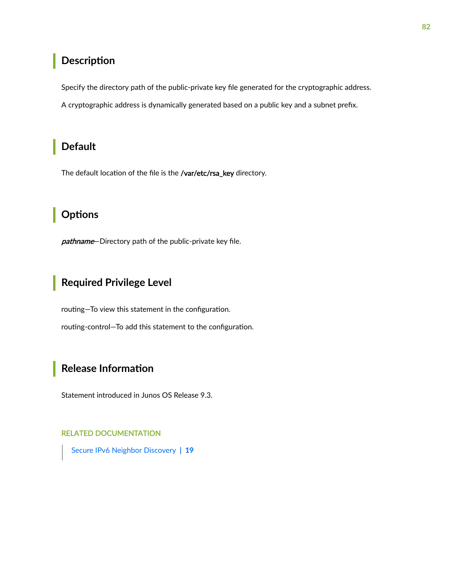### <span id="page-88-0"></span>**Description**

Specify the directory path of the public-private key file generated for the cryptographic address.

A cryptographic address is dynamically generated based on a public key and a subnet prefix.

## **Default**

The default location of the file is the /var/etc/rsa\_key directory.

## Options

pathname-Directory path of the public-private key file.

# **Required Privilege Level**

routing-To view this statement in the configuration. routing-control-To add this statement to the configuration.

## Release Information

Statement introduced in Junos OS Release 9.3.

#### **RELATED DOCUMENTATION**

Secure IPv6 Neighbor Discovery | 19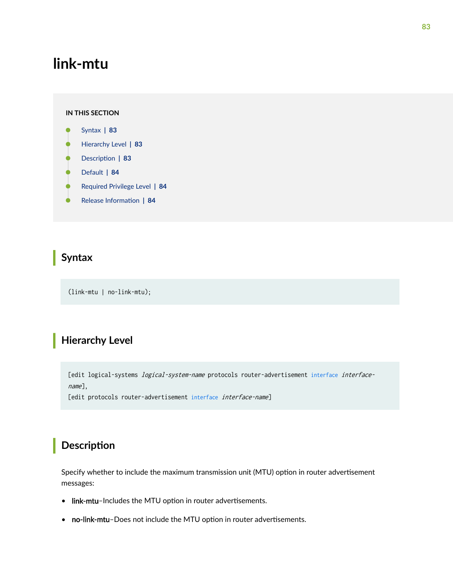# <span id="page-89-0"></span>**link-mtu**

#### **IN THIS SECTION**

- Syntax **| 83**
- Hierarchy Level **| 83** Ò
- Description | 83
- Ó [Default](#page-90-0) **| 84**
- ė [Required Privilege Level](#page-90-0) **| 84**
- Ò Release Information | 84

#### **Syntax**

(link-mtu | no-link-mtu);

# **Hierarchy Level**

[edit logical-systems *logical-system-name* protocols router-advertisement [interface](#page-83-0) interfacename],

[edit protocols router-advertisement [interface](#page-83-0) interface-name]

# **Description**

Specify whether to include the maximum transmission unit (MTU) option in router advertisement messages:

- link-mtu-Includes the MTU option in router advertisements.
- no-link-mtu-Does not include the MTU option in router advertisements.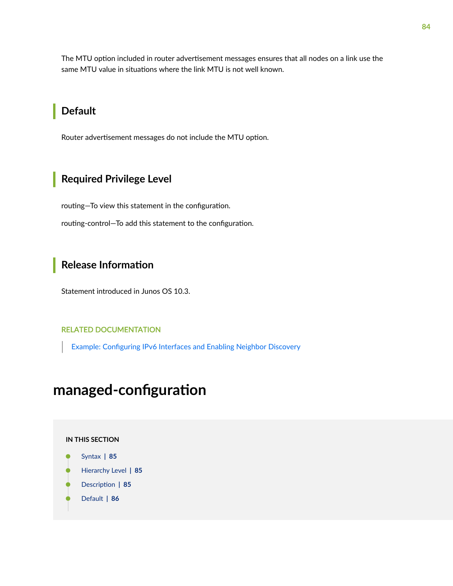<span id="page-90-0"></span>The MTU option included in router advertisement messages ensures that all nodes on a link use the same MTU value in situations where the link MTU is not well known.

#### **Default**

Router advertisement messages do not include the MTU option.

# Required Privilege Level

routing-To view this statement in the configuration.

routing-control-To add this statement to the configuration.

### **Release Information**

Statement introduced in Junos OS 10.3.

#### **RELATED DOCUMENTATION**

Example: Configuring IPv6 Interfaces and Enabling Neighbor Discovery

# managed-configuration

#### **IN THIS SECTION**



- Hierarchy Level | 85
- $\bullet$ Description | 85
- Default | 86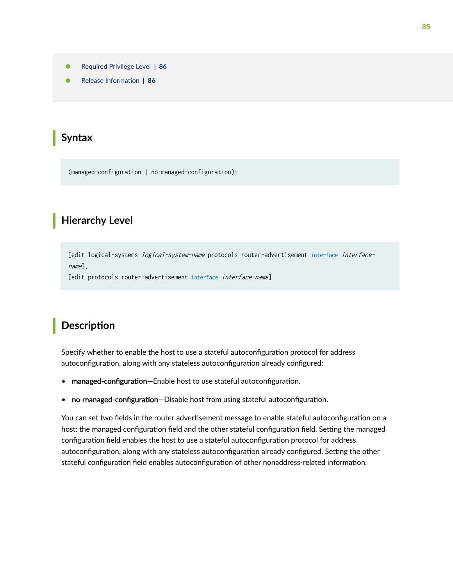- <span id="page-91-0"></span>[Required Privilege Level](#page-92-0) **| 86**
- Release Information | 86

#### **Syntax**

(managed-configuration | no-managed-configuration);

#### **Hierarchy Level**

[edit logical-systems *logical-system-name* protocols router-advertisement [interface](#page-83-0) interfacename],

[edit protocols router-advertisement [interface](#page-83-0) interface-name]

#### **Description**

Specify whether to enable the host to use a stateful autoconfiguration protocol for address autoconfiguration, along with any stateless autoconfiguration already configured:

- managed-configuration–Enable host to use stateful autoconfiguration.
- no-managed-configuration-Disable host from using stateful autoconfiguration.

You can set two fields in the router advertisement message to enable stateful autoconfiguration on a host: the managed configuration field and the other stateful configuration field. Setting the managed configuration field enables the host to use a stateful autoconfiguration protocol for address autoconfiguration, along with any stateless autoconfiguration already configured. Setting the other stateful configuration field enables autoconfiguration of other nonaddress-related information.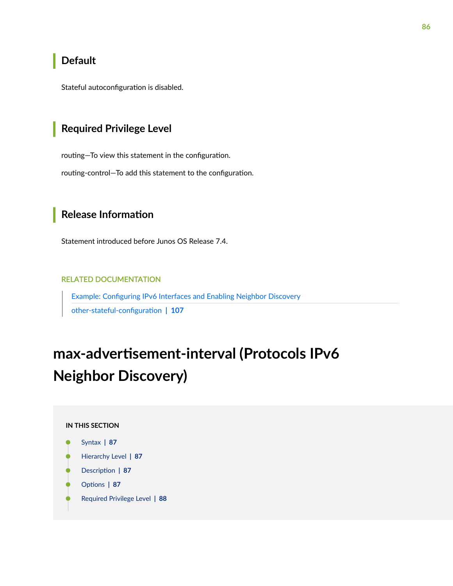### <span id="page-92-0"></span>**Default**

Stateful autoconfiguration is disabled.

#### **Required Privilege Level**

routing-To view this statement in the configuration.

routing-control-To add this statement to the configuration.

### **Release Information**

Statement introduced before Junos OS Release 7.4.

#### RELATED DOCUMENTATION

Example: Configuring IPv6 Interfaces and Enabling Neighbor Discovery other-stateful-configuration | 107

# max-advertisement-interval (Protocols IPv6 **Neighbor Discovery)**

#### **IN THIS SECTION**

- [Syntax](#page-93-0) **| 87**
- [Hierarchy Level](#page-93-0) **| 87**
- Description | 87
- **Options** | 87
- [Required Privilege Level](#page-94-0) **| 88**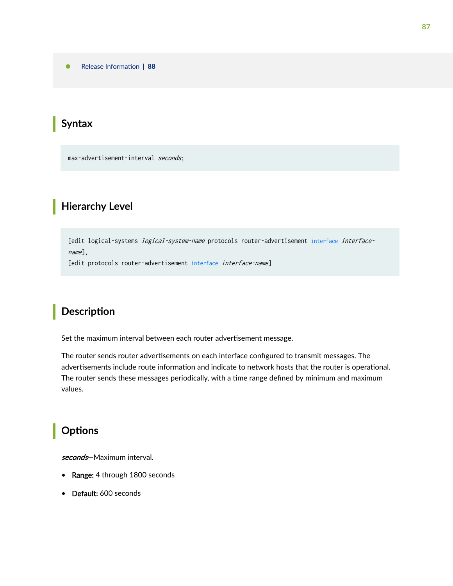<span id="page-93-0"></span>Release Information | 88

## **Syntax**

max-advertisement-interval seconds;

## **Hierarchy Level**

[edit logical-systems *logical-system-name* protocols router-advertisement [interface](#page-83-0) interfacename],

[edit protocols router-advertisement [interface](#page-83-0) interface-name]

## **Description**

Set the maximum interval between each router advertisement message.

The router sends router advertisements on each interface configured to transmit messages. The advertisements include route information and indicate to network hosts that the router is operational. The router sends these messages periodically, with a time range defined by minimum and maximum values.

# **Options**

seconds-Maximum interval.

- Range: 4 through 1800 seconds
- Default: 600 seconds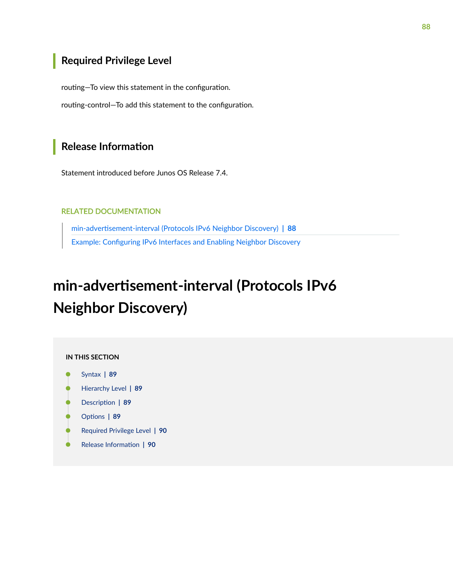### <span id="page-94-0"></span>Required Privilege Level

routing-To view this statement in the configuration.

routing-control-To add this statement to the configuration.

### **Release Information**

Statement introduced before Junos OS Release 7.4.

#### **RELATED DOCUMENTATION**

min-advertisement-interval (Protocols IPv6 Neighbor Discovery) | 88 Example: Configuring IPv6 Interfaces and Enabling Neighbor Discovery

# min-advertisement-interval (Protocols IPv6 **Neighbor Discovery)**

#### IN THIS SECTION

- Syntax | 89
- Hierarchy Level | 89
- Description | 89
- Options | 89
- Required Privilege Level | 90
- $\bullet$ Release Information | 90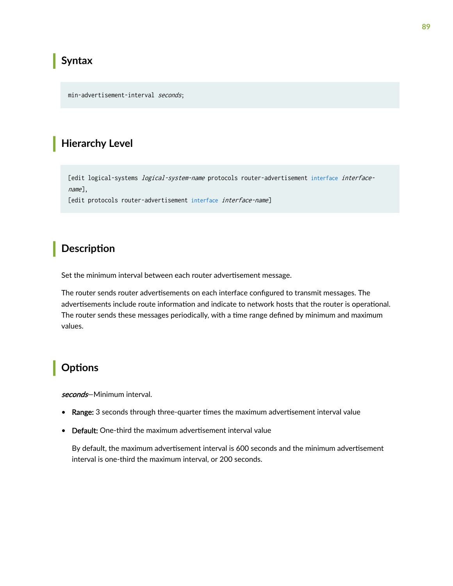### <span id="page-95-0"></span>**Syntax**

min-advertisement-interval seconds;

### **Hierarchy Level**

[edit logical-systems *logical-system-name* protocols router-advertisement [interface](#page-83-0) interfacename],

[edit protocols router-advertisement [interface](#page-83-0) interface-name]

### **Description**

Set the minimum interval between each router advertisement message.

The router sends router advertisements on each interface configured to transmit messages. The advertisements include route information and indicate to network hosts that the router is operational. The router sends these messages periodically, with a time range defined by minimum and maximum values.

### **Options**

seconds-Minimum interval.

- Range: 3 seconds through three-quarter times the maximum advertisement interval value
- Default: One-third the maximum advertisement interval value

By default, the maximum advertisement interval is 600 seconds and the minimum advertisement interval is one-third the maximum interval, or 200 seconds.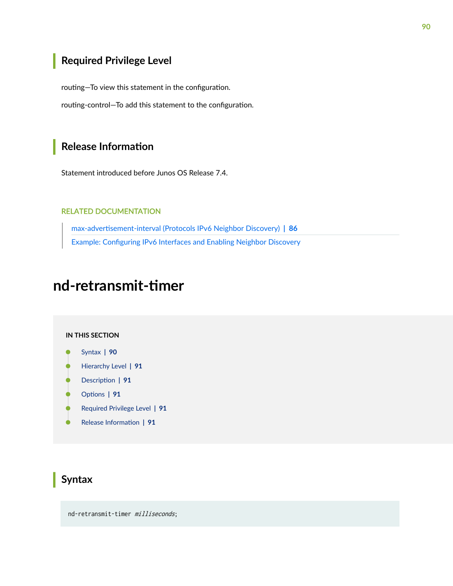# <span id="page-96-0"></span>Required Privilege Level

routing-To view this statement in the configuration.

routing-control-To add this statement to the configuration.

#### **Release Information**

Statement introduced before Junos OS Release 7.4.

#### **RELATED DOCUMENTATION**

max-advertisement-interval (Protocols IPv6 Neighbor Discovery) | 86 Example: Configuring IPv6 Interfaces and Enabling Neighbor Discovery

# nd-retransmit-timer

#### **IN THIS SECTION**

- Syntax | 90  $\bullet$
- Hierarchy Level | 91 ė
- Description | 91
- Options | 91
- Required Privilege Level | 91
- $\bullet$ Release Information | 91

#### Syntax

nd-retransmit-timer milliseconds;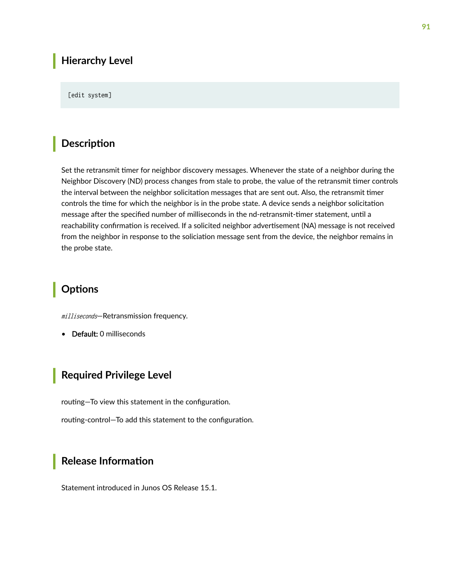#### <span id="page-97-0"></span>**Hierarchy Level**

#### [edit system]

#### **Description**

Set the retransmit timer for neighbor discovery messages. Whenever the state of a neighbor during the Neighbor Discovery (ND) process changes from stale to probe, the value of the retransmit timer controls the interval between the neighbor solicitation messages that are sent out. Also, the retransmit timer controls the time for which the neighbor is in the probe state. A device sends a neighbor solicitation message after the specified number of milliseconds in the nd-retransmit-timer statement, until a reachability confirmation is received. If a solicited neighbor advertisement (NA) message is not received from the neighbor in response to the soliciation message sent from the device, the neighbor remains in the probe state.

#### **Options**

milliseconds—Retransmission frequency.

• Default: 0 milliseconds

#### **Required Privilege Level**

routing-To view this statement in the configuration.

routing-control-To add this statement to the configuration.

#### **Release Information**

Statement introduced in Junos OS Release 15.1.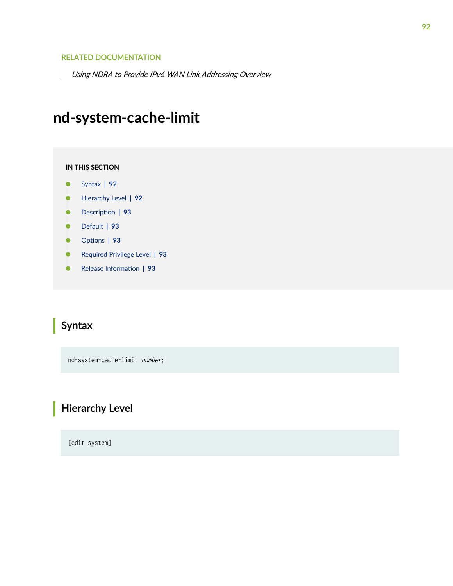#### <span id="page-98-0"></span>RELATED DOCUMENTATION

Using NDRA to Provide IPv6 WAN Link Addressing Overview

# **nd-system-cache-limit**

#### **IN THIS SECTION**

- Syntax **| 92**
- Hierarchy Level **| 92** ●
- Description | 93 Ó
- [Default](#page-99-0) **| 93**
- **Options** | 93 Ó
- $\bullet$ [Required Privilege Level](#page-99-0) **| 93**
- Release Information | 93  $\bullet$

### **Syntax**

nd-system-cache-limit number;

## **Hierarchy Level**

[edit system]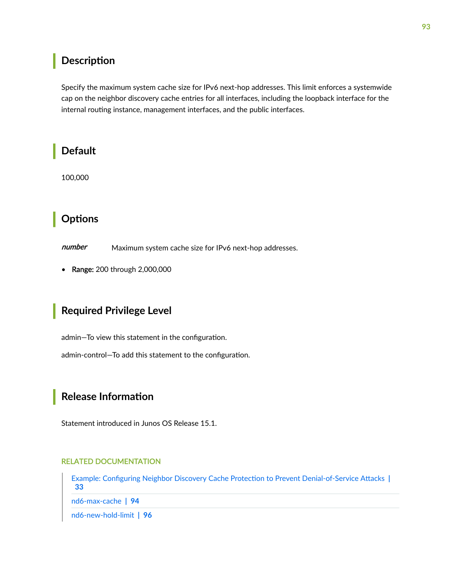#### <span id="page-99-0"></span>Description

Specify the maximum system cache size for IPv6 next-hop addresses. This limit enforces a systemwide cap on the neighbor discovery cache entries for all interfaces, including the loopback interface for the internal routing instance, management interfaces, and the public interfaces.

## **Default**

100,000

# **Options**

number Maximum system cache size for IPv6 next-hop addresses.

Range: 200 through 2,000,000  $\bullet$ 

## **Required Privilege Level**

admin-To view this statement in the configuration.

admin-control-To add this statement to the configuration.

# **Release Information**

Statement introduced in Junos OS Release 15.1.

#### **RELATED DOCUMENTATION**

Example: Configuring Neighbor Discovery Cache Protection to Prevent Denial-of-Service Attacks | 33

nd6-max-cache | 94

nd6-new-hold-limit | 96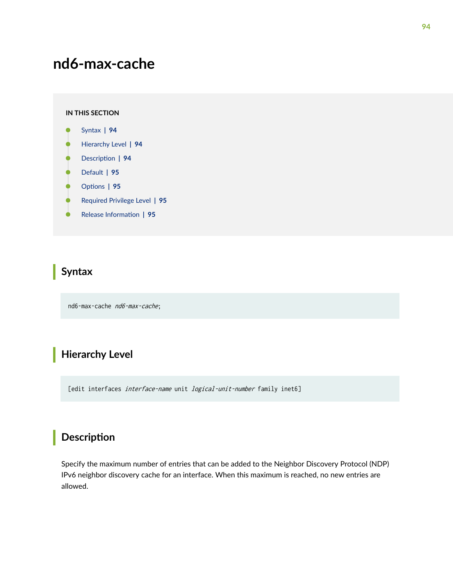# <span id="page-100-0"></span>**nd6-max-cache**

#### **IN THIS SECTION**

- Syntax **| 94**
- Hierarchy Level **| 94** Ò
- Description | 94
- Ó [Default](#page-101-0) **| 95**
- Ċ Options | 95
- [Required Privilege Level](#page-101-0) **| 95**  $\bullet$
- ۰ Release Information | 95

### **Syntax**

nd6-max-cache nd6-max-cache;

### **Hierarchy Level**

[edit interfaces interface-name unit logical-unit-number family inet6]

### **Description**

Specify the maximum number of entries that can be added to the Neighbor Discovery Protocol (NDP) IPv6 neighbor discovery cache for an interface. When this maximum is reached, no new entries are allowed.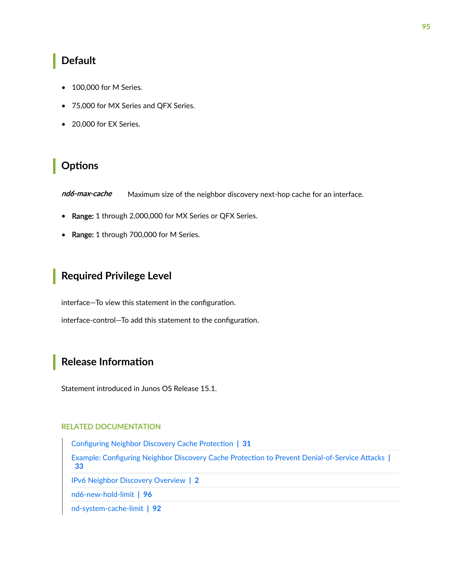#### <span id="page-101-0"></span>**Default**

- 100,000 for M Series.
- 75,000 for MX Series and QFX Series.
- 20,000 for EX Series.

### **Options**

nd6-max-cache Maximum size of the neighbor discovery next-hop cache for an interface.

- Range: 1 through 2,000,000 for MX Series or QFX Series.
- Range: 1 through 700,000 for M Series.

### **Required Privilege Level**

interface—To view this statement in the configuration.

interface-control-To add this statement to the configuration.

### **Release Information**

Statement introduced in Junos OS Release 15.1.

#### RELATED DOCUMENTATION

Configuring Neighbor Discovery Cache Protection | 31 Example: Configuring Neighbor Discovery Cache Protection to Prevent Denial-of-Service Attacks |  **[33](#page-39-0)** [IPv6 Neighbor Discovery Overview](#page-8-0) **| 2** [nd6-new-hold-limit](#page-102-0) **| 96**

[nd-system-cache-limit](#page-98-0) **| 92**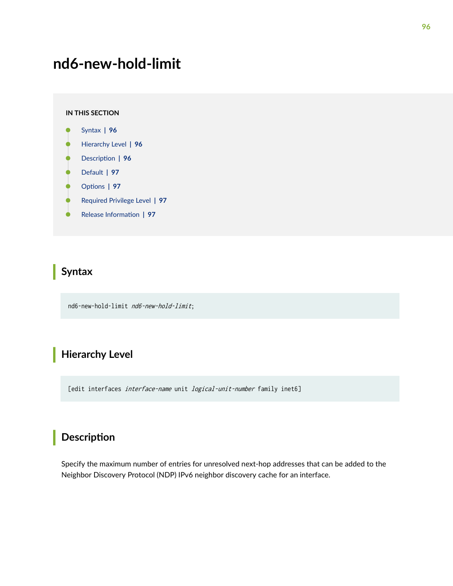# <span id="page-102-0"></span>**nd6-new-hold-limit**

#### **IN THIS SECTION**

- Syntax **| 96**
- Hierarchy Level **| 96** Ò
- Description | 96
- Ó [Default](#page-103-0) **| 97**
- ė **Options** | 97
- [Required Privilege Level](#page-103-0) **| 97**  $\bullet$
- ۰ Release Information | 97

### **Syntax**

nd6-new-hold-limit nd6-new-hold-limit;

### **Hierarchy Level**

[edit interfaces *interface-name* unit *logical-unit-number* family inet6]

## **Description**

Specify the maximum number of entries for unresolved next-hop addresses that can be added to the Neighbor Discovery Protocol (NDP) IPv6 neighbor discovery cache for an interface.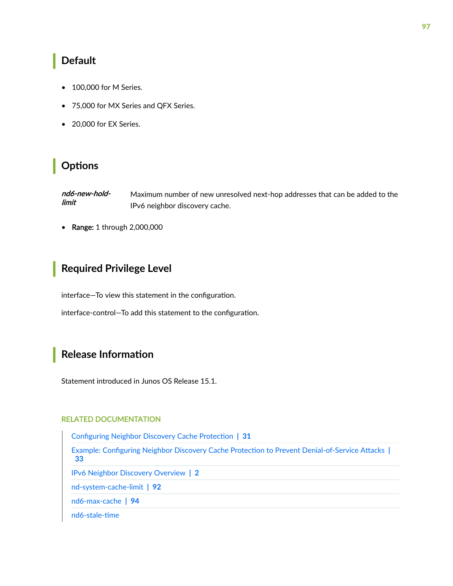### <span id="page-103-0"></span>**Default**

- 100,000 for M Series.
- 75,000 for MX Series and QFX Series.
- 20,000 for EX Series.

### **Options**

nd6-new-holdlimit Maximum number of new unresolved next-hop addresses that can be added to the IPv6 neighbor discovery cache.

• Range: 1 through 2,000,000

#### **Required Privilege Level**

interface—To view this statement in the configuration.

interface-control-To add this statement to the configuration.

#### **Release Information**

Statement introduced in Junos OS Release 15.1.

#### RELATED DOCUMENTATION

Configuring Neighbor Discovery Cache Protection | 31

Example: Configuring Neighbor Discovery Cache Protection to Prevent Denial-of-Service Attacks |  **[33](#page-39-0)**

[IPv6 Neighbor Discovery Overview](#page-8-0) **| 2**

[nd-system-cache-limit](#page-98-0) **| 92**

[nd6-max-cache](#page-100-0) **| 94**

nd6-stale-time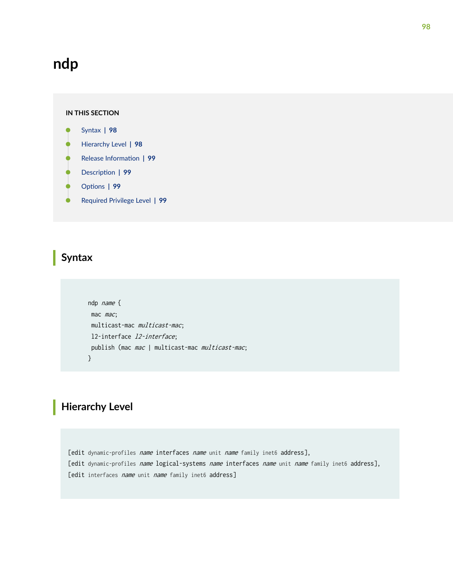# **ndp**

#### **IN THIS SECTION**

- Syntax **| 98**
- Hierarchy Level **| 98**  $\bullet$
- Release Information | 99  $\bullet$
- Description | 99
- $\bullet$ **Options** | 99
- [Required Privilege Level](#page-105-0) **| 99**

#### **Syntax**

```
 ndp name {
mac mac;
 multicast-mac multicast-mac;
 l2-interface l2-interface;
publish (mac mac | multicast-mac multicast-mac;
 }
```
# **Hierarchy Level**

[edit dynamic-profiles name interfaces name unit name family inet6 address], [edit dynamic-profiles name logical-systems name interfaces name unit name family inet6 address], [edit interfaces name unit name family inet6 address]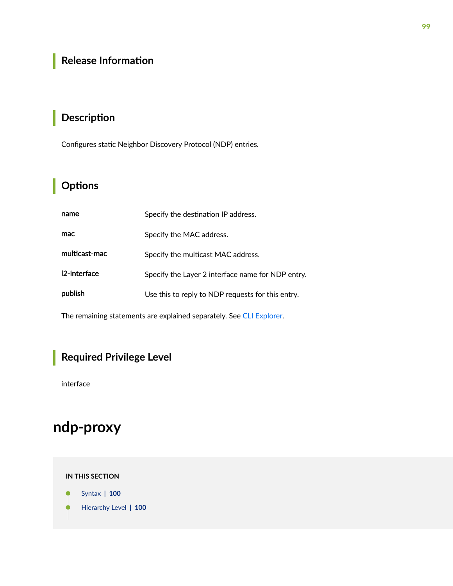# <span id="page-105-0"></span>**Release Information**

# **Description**

Configures static Neighbor Discovery Protocol (NDP) entries.

# **p** Options

| name          | Specify the destination IP address.               |
|---------------|---------------------------------------------------|
| mac           | Specify the MAC address.                          |
| multicast-mac | Specify the multicast MAC address.                |
| 12-interface  | Specify the Layer 2 interface name for NDP entry. |
| publish       | Use this to reply to NDP requests for this entry. |
|               |                                                   |

The remaining statements are explained separately. See [CLI Explorer.](https://apps.juniper.net/cli-explorer/)

# **Required Privilege Level**

interface

# **ndp-proxy**

**IN THIS SECTION**

Syntax **[| 100](#page-106-0)**  $\bullet$ 

[Hierarchy Level](#page-106-0) **| 100** Ò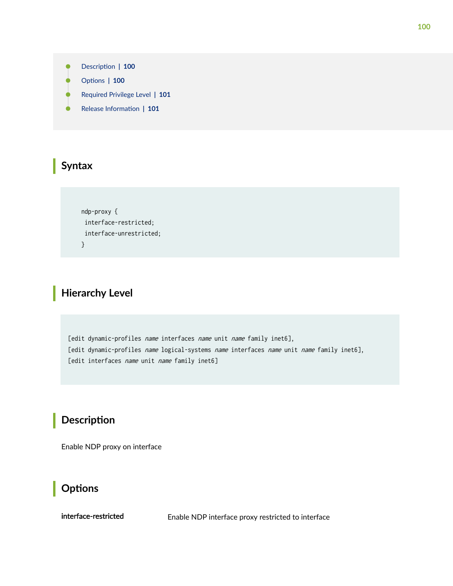- <span id="page-106-0"></span>Description | 100
- rঞons **| 100**
- [Required Privilege Level](#page-107-0) **| 101**
- Release Information | 101

# **Syntax**

 ndp-proxy { interface-restricted; interface-unrestricted; }

## **Hierarchy Level**

[edit dynamic-profiles *name* interfaces *name* unit *name* family inet6], [edit dynamic-profiles name logical-systems name interfaces name unit name family inet6], [edit interfaces *name* unit *name* family inet6]

### **Description**

Enable NDP proxy on interface

### **Options**

interface-restricted Enable NDP interface proxy restricted to interface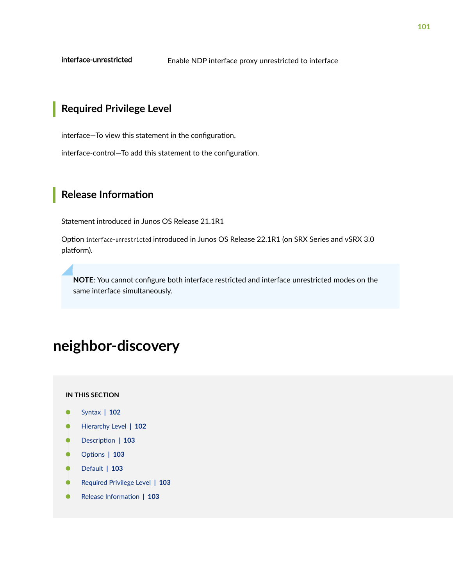<span id="page-107-0"></span>interface-unrestricted

Enable NDP interface proxy unrestricted to interface

### **Required Privilege Level**

interface-To view this statement in the configuration.

interface-control-To add this statement to the configuration.

### **Release Information**

Statement introduced in Junos OS Release 21.1R1

Option interface-unrestricted introduced in Junos OS Release 22.1R1 (on SRX Series and vSRX 3.0 platform).

NOTE: You cannot configure both interface restricted and interface unrestricted modes on the same interface simultaneously.

# neighbor-discovery

#### IN THIS SECTION

- Syntax | 102
- Hierarchy Level | 102
- Description | 103
- Options | 103
- Default | 103
- Required Privilege Level | 103
- Release Information | 103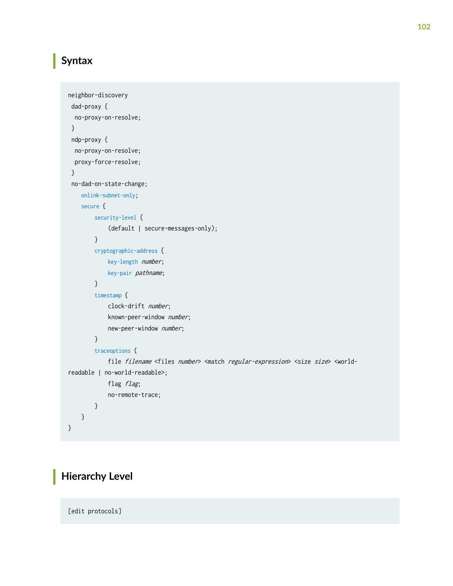## **Syntax**

```
neighbor-discovery 
  dad-proxy {
  no-proxy-on-resolve;
  }
  ndp-proxy {
  no-proxy-on-resolve;
  proxy-force-resolve;
  }
  no-dad-on-state-change;
     onlink-subnet-only;
     secure {
         security-level {
              (default | secure-messages-only);
         }
         cryptographic-address {
              key-length number;
              key-pair pathname;
         }
         timestamp {
             clock-drift number;
              known-peer-window number;
             new-peer-window number;
         }
         traceoptions {
             file filename <files number> <match regular-expression> <size size> <world-
readable | no-world-readable>;
            flag flag;
              no-remote-trace;
         }
     }
}
```
## **Hierarchy Level**

[edit protocols]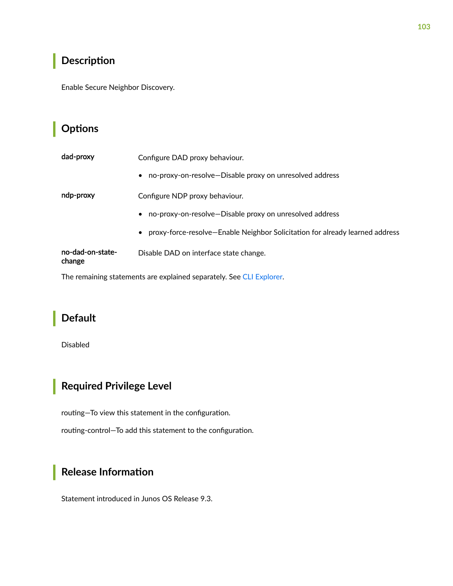## Description

Enable Secure Neighbor Discovery.

## Options

| dad-proxy                  | Configure DAD proxy behaviour.                                                 |  |  |  |
|----------------------------|--------------------------------------------------------------------------------|--|--|--|
|                            | no-proxy-on-resolve-Disable proxy on unresolved address<br>$\bullet$           |  |  |  |
| ndp-proxy                  | Configure NDP proxy behaviour.                                                 |  |  |  |
|                            | no-proxy-on-resolve—Disable proxy on unresolved address<br>$\bullet$           |  |  |  |
|                            | • proxy-force-resolve-Enable Neighbor Solicitation for already learned address |  |  |  |
| no-dad-on-state-<br>change | Disable DAD on interface state change.                                         |  |  |  |

The remaining statements are explained separately. See CLI Explorer.

## **Default**

Disabled

# Required Privilege Level

routing-To view this statement in the configuration.

routing-control-To add this statement to the configuration.

## Release Information

Statement introduced in Junos OS Release 9.3.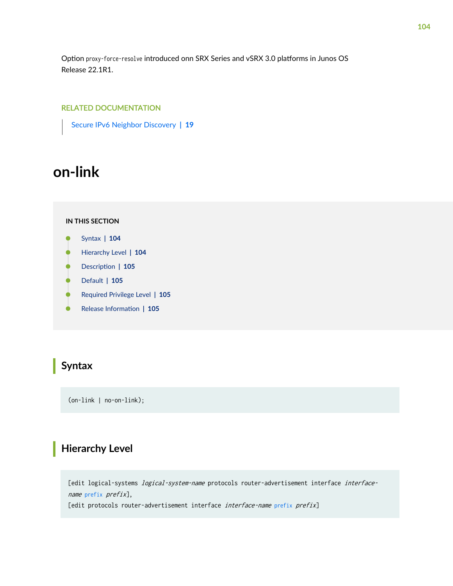<span id="page-110-0"></span>Option proxy-force-resolve introduced onn SRX Series and vSRX 3.0 platforms in Junos OS Release 22.1R1.

#### RELATED DOCUMENTATION

[Secure IPv6 Neighbor Discovery](#page-25-0) **| 19**

# **on-link**

#### **IN THIS SECTION**

- Syntax **| 104**
- Hierarchy Level **| 104** Ò
- Ó Description | 105
- [Default](#page-111-0) **| 105**
- [Required Privilege Level](#page-111-0) **| 105**
- Release Information | 105

## **Syntax**

(on-link | no-on-link);

### **Hierarchy Level**

[edit logical-systems *logical-system-name* protocols router-advertisement interface *interface*name [prefix](#page-122-0) prefix],

[edit protocols router-advertisement interface interface-name [prefix](#page-122-0) prefix]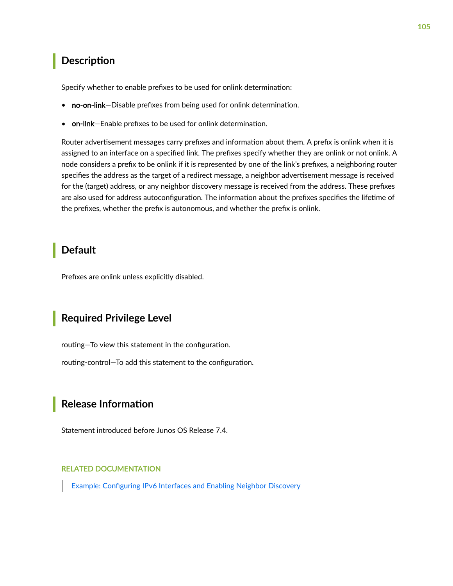## <span id="page-111-0"></span>**Description**

Specify whether to enable prefixes to be used for onlink determination:

- no-on-link-Disable prefixes from being used for onlink determination.
- on-link–Enable prefixes to be used for onlink determination.

Router advertisement messages carry prefixes and information about them. A prefix is onlink when it is assigned to an interface on a specified link. The prefixes specify whether they are onlink or not onlink. A node considers a prefix to be onlink if it is represented by one of the link's prefixes, a neighboring router specifies the address as the target of a redirect message, a neighbor advertisement message is received for the (target) address, or any neighbor discovery message is received from the address. These prefixes are also used for address autoconfiguration. The information about the prefixes specifies the lifetime of the prefixes, whether the prefix is autonomous, and whether the prefix is onlink.

### **Default**

Prefixes are onlink unless explicitly disabled.

### **Required Privilege Level**

routing-To view this statement in the configuration.

routing-control-To add this statement to the configuration.

### **Release Information**

Statement introduced before Junos OS Release 7.4.

#### RELATED DOCUMENTATION

Example: Configuring IPv6 Interfaces and Enabling Neighbor Discovery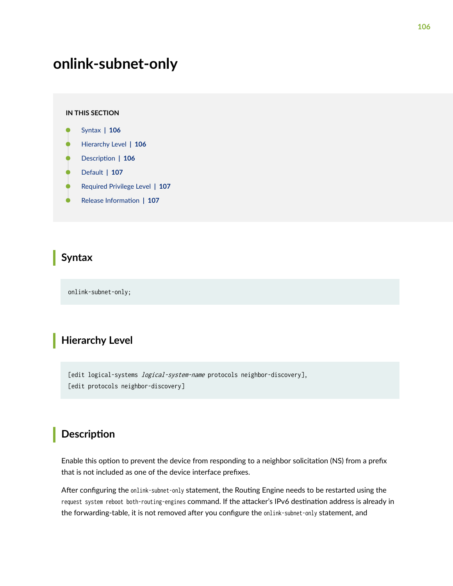# <span id="page-112-0"></span>**onlink-subnet-only**

#### **IN THIS SECTION**

- Syntax **| 106**
- Hierarchy Level **| 106**
- Description | 106
- [Default](#page-113-0) **| 107**
- [Required Privilege Level](#page-113-0) **| 107**
- Release Information | 107

### **Syntax**

onlink-subnet-only;

## **Hierarchy Level**

[edit logical-systems *logical-system-name* protocols neighbor-discovery], [edit protocols neighbor-discovery]

### **Description**

Enable this option to prevent the device from responding to a neighbor solicitation (NS) from a prefix that is not included as one of the device interface prefixes.

After configuring the onlink-subnet-only statement, the Routing Engine needs to be restarted using the request system reboot both-routing-engines command. If the attacker's IPv6 destination address is already in the forwarding-table, it is not removed after you configure the onlink-subnet-only statement, and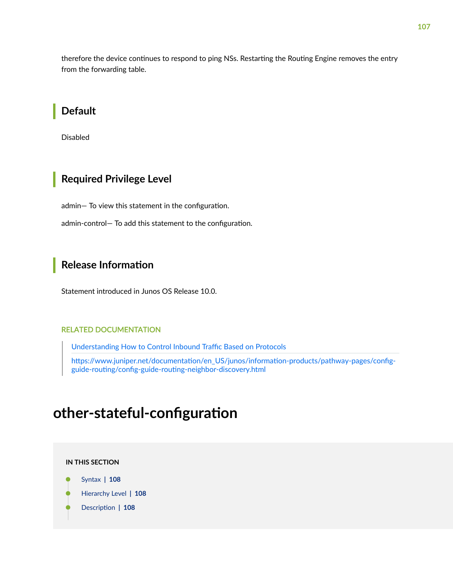<span id="page-113-0"></span>therefore the device continues to respond to ping NSs. Restarting the Routing Engine removes the entry from the forwarding table.

### **Default**

**Disabled** 

### **Required Privilege Level**

admin- To view this statement in the configuration.

admin-control- To add this statement to the configuration.

### **Release Information**

Statement introduced in Junos OS Release 10.0.

#### **RELATED DOCUMENTATION**

Understanding How to Control Inbound Traffic Based on Protocols

https://www.juniper.net/documentation/en\_US/junos/information-products/pathway-pages/configguide-routing/config-guide-routing-neighbor-discovery.html

# other-stateful-configuration

#### IN THIS SECTION

- Syntax | 108
- Hierarchy Level | 108
- Description | 108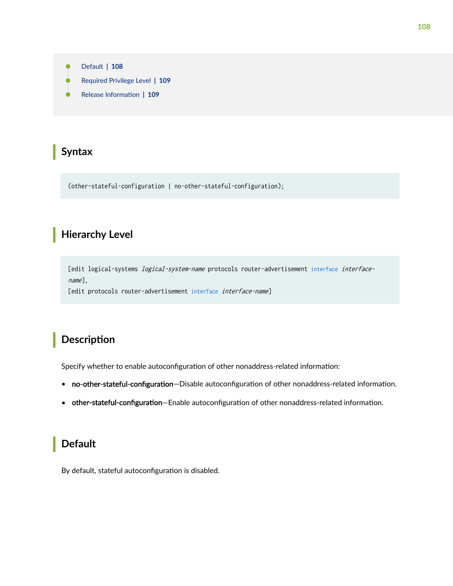<span id="page-114-0"></span>

## **Syntax**

(other-stateful-configuration | no-other-stateful-configuration);

## **Hierarchy Level**

[edit logical-systems *logical-system-name* protocols router-advertisement [interface](#page-83-0) interfacename],

[edit protocols router-advertisement [interface](#page-83-0) interface-name]

## **Description**

Specify whether to enable autoconfiguration of other nonaddress-related information:

- no-other-stateful-configuration-Disable autoconfiguration of other nonaddress-related information.
- other-stateful-configuration-Enable autoconfiguration of other nonaddress-related information.

## **Default**

By default, stateful autoconfiguration is disabled.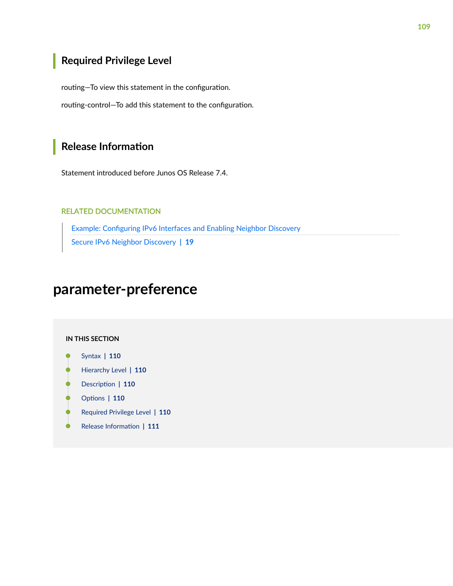## <span id="page-115-0"></span>Required Privilege Level

routing-To view this statement in the configuration.

routing-control-To add this statement to the configuration.

### **Release Information**

Statement introduced before Junos OS Release 7.4.

#### **RELATED DOCUMENTATION**

Example: Configuring IPv6 Interfaces and Enabling Neighbor Discovery Secure IPv6 Neighbor Discovery | 19

# parameter-preference

#### **IN THIS SECTION**

- Syntax | 110
- Hierarchy Level | 110 Ŏ
- Description | 110
- Options | 110
- Required Privilege Level | 110
- $\bullet$ Release Information | 111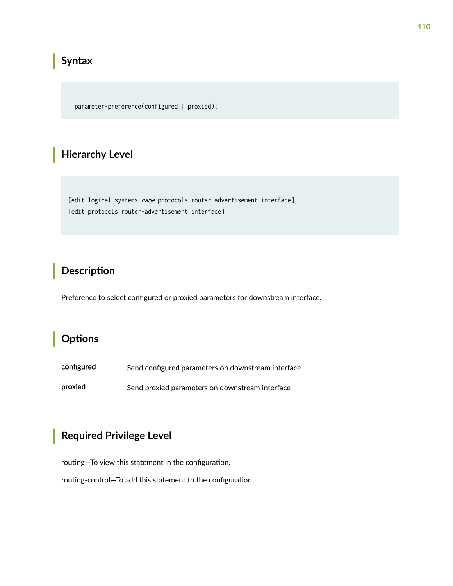## <span id="page-116-0"></span> $\vert$  Syntax

parameter-preference(configured | proxied);

## **Hierarchy Level**

[edit logical-systems name protocols router-advertisement interface], [edit protocols router-advertisement interface]

## Description

Preference to select configured or proxied parameters for downstream interface.

## Options

configured Send configured parameters on downstream interface

proxied Send proxied parameters on downstream interface

### **Required Privilege Level**

routing-To view this statement in the configuration.

routing-control-To add this statement to the configuration.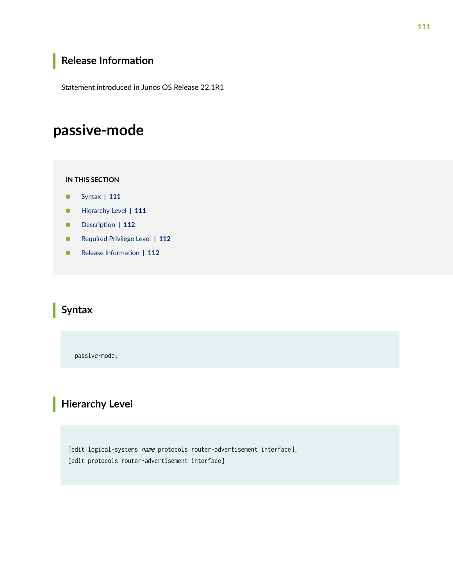## <span id="page-117-0"></span>**Release Information**

Statement introduced in Junos OS Release 22.1R1

# **passive-mode**

#### **IN THIS SECTION**

- Syntax **| 111**
- Hierarchy Level **| 111**
- $\bullet$ **Description | 112**
- $\bullet$ [Required Privilege Level](#page-118-0) **| 112**
- Release Information | 112  $\bullet$

## **Syntax**

passive-mode;

## **Hierarchy Level**

[edit logical-systems name protocols router-advertisement interface], [edit protocols router-advertisement interface]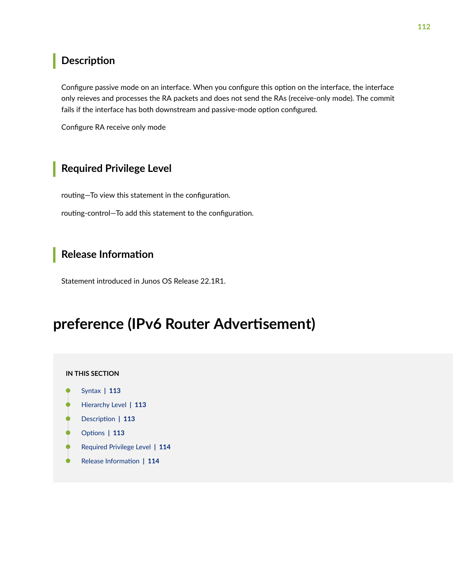### <span id="page-118-0"></span>**Description**

Configure passive mode on an interface. When you configure this option on the interface, the interface only reieves and processes the RA packets and does not send the RAs (receive-only mode). The commit fails if the interface has both downstream and passive-mode option configured.

Configure RA receive only mode

## Required Privilege Level

routing-To view this statement in the configuration. routing-control-To add this statement to the configuration.

### **Release Information**

Statement introduced in Junos OS Release 22.1R1.

# preference (IPv6 Router Advertisement)

#### IN THIS SECTION

- Syntax | 113
- Hierarchy Level | 113
- ó Description | 113
- Options | 113
- Required Privilege Level | 114
- Release Information | 114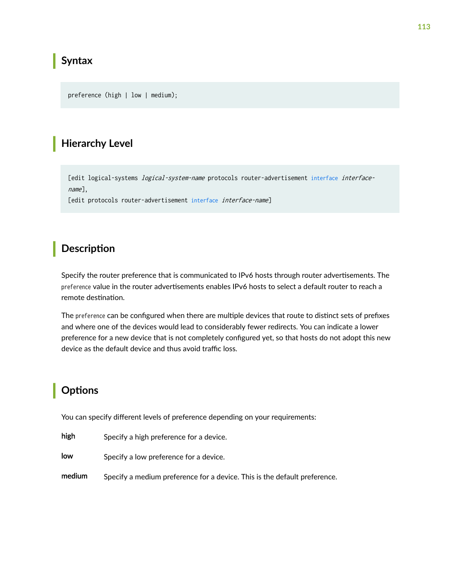## <span id="page-119-0"></span>**Syntax**

preference (high | low | medium);

### **Hierarchy Level**

[edit logical-systems *logical-system-name* protocols router-advertisement [interface](#page-83-0) interfacename],

[edit protocols router-advertisement [interface](#page-83-0) interface-name]

## **Description**

Specify the router preference that is communicated to IPv6 hosts through router advertisements. The preference value in the router advertisements enables IPv6 hosts to select a default router to reach a remote destination.

The preference can be configured when there are multiple devices that route to distinct sets of prefixes and where one of the devices would lead to considerably fewer redirects. You can indicate a lower preference for a new device that is not completely configured yet, so that hosts do not adopt this new device as the default device and thus avoid traffic loss.

## **Options**

You can specify different levels of preference depending on your requirements:

| high |  | Specify a high preference for a device. |  |
|------|--|-----------------------------------------|--|
|      |  |                                         |  |

- low Specify a low preference for a device.
- medium Specify a medium preference for a device. This is the default preference.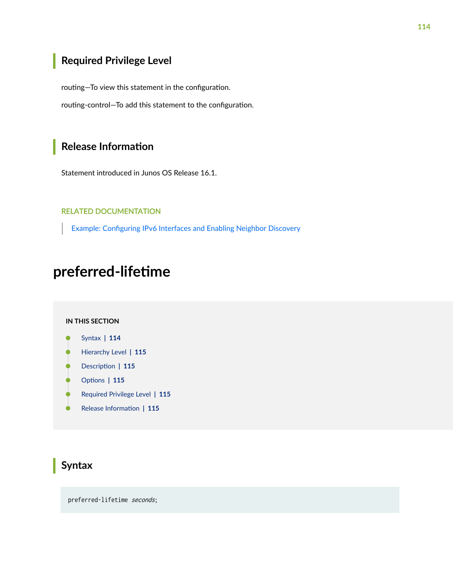## <span id="page-120-0"></span>**Required Privilege Level**

routing-To view this statement in the configuration.

routing-control-To add this statement to the configuration.

### **Release Information**

Statement introduced in Junos OS Release 16.1.

#### RELATED DOCUMENTATION

Example: Configuring IPv6 Interfaces and Enabling Neighbor Discovery

# preferred-lifetime

#### **IN THIS SECTION**

- Syntax **| 114** Ô
- [Hierarchy Level](#page-121-0) **| 115** Ó
- Description | 115 ė
- **Options** | 115 Ó
- $\bullet$ [Required Privilege Level](#page-121-0) **| 115**
- $\bullet$ Release Information | 115

### **Syntax**

preferred-lifetime seconds;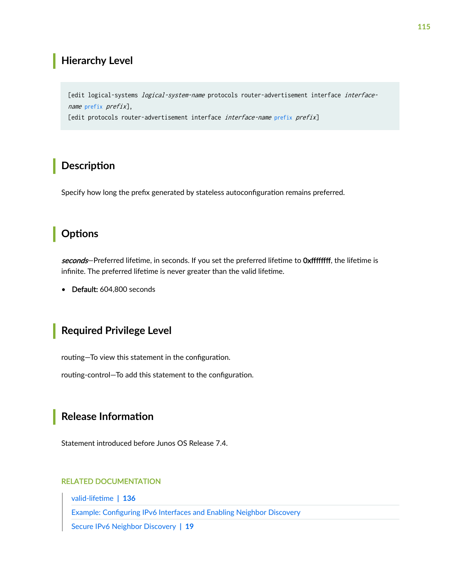### <span id="page-121-0"></span>**Hierarchy Level**

[edit logical-systems *logical-system-name* protocols router-advertisement interface interfacename [prefix](#page-122-0) prefix],

[edit protocols router-advertisement interface interface-name [prefix](#page-122-0) prefix]

## **Description**

Specify how long the prefix generated by stateless autoconfiguration remains preferred.

### **Options**

seconds–Preferred lifetime, in seconds. If you set the preferred lifetime to Oxffffffff, the lifetime is infinite. The preferred lifetime is never greater than the valid lifetime.

• Default: 604,800 seconds

### **Required Privilege Level**

routing-To view this statement in the configuration.

routing-control-To add this statement to the configuration.

## **Release Information**

Statement introduced before Junos OS Release 7.4.

#### RELATED DOCUMENTATION

valid-lifetime | 136

Example: Configuring IPv6 Interfaces and Enabling Neighbor Discovery

[Secure IPv6 Neighbor Discovery](#page-25-0) **| 19**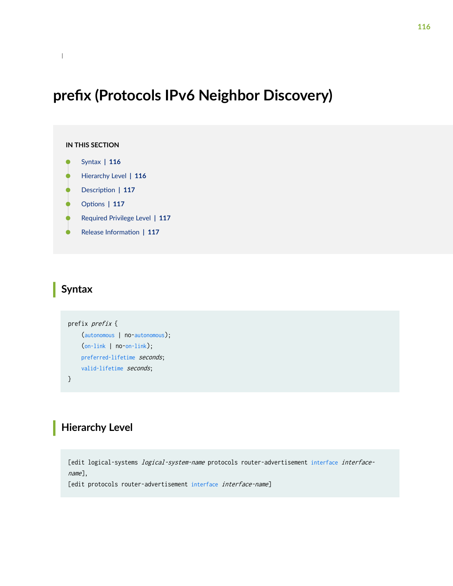# <span id="page-122-0"></span>prefix (Protocols IPv6 Neighbor Discovery)

```
IN THIS SECTION
     Syntax | 116
\bulletHierarchy Level | 116
    Description | 117
ó
    Options | 117
    Required Privilege Level | 117
     Release Information | 117
```
## **Syntax**

```
prefix prefix {
     (autonomous | no-autonomous);
     (on-link | no-on-link);
     preferred-lifetime seconds;
    valid-lifetime seconds;
```
}

## **Hierarchy Level**

[edit logical-systems *logical-system-name* protocols router-advertisement [interface](#page-83-0) *interface*name],

[edit protocols router-advertisement [interface](#page-83-0) interface-name]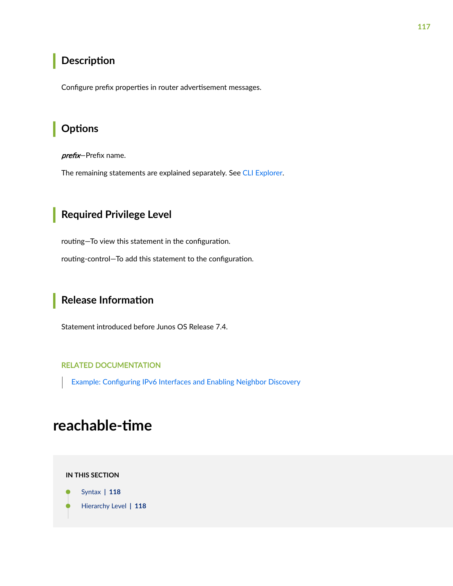## <span id="page-123-0"></span>**Description**

Configure prefix properties in router advertisement messages.

### Options

prefix-Prefix name.

The remaining statements are explained separately. See CLI Explorer.

## Required Privilege Level

routing-To view this statement in the configuration.

routing-control-To add this statement to the configuration.

### **Release Information**

Statement introduced before Junos OS Release 7.4.

#### **RELATED DOCUMENTATION**

Example: Configuring IPv6 Interfaces and Enabling Neighbor Discovery

# reachable-time

IN THIS SECTION

Syntax | 118

Hierarchy Level | 118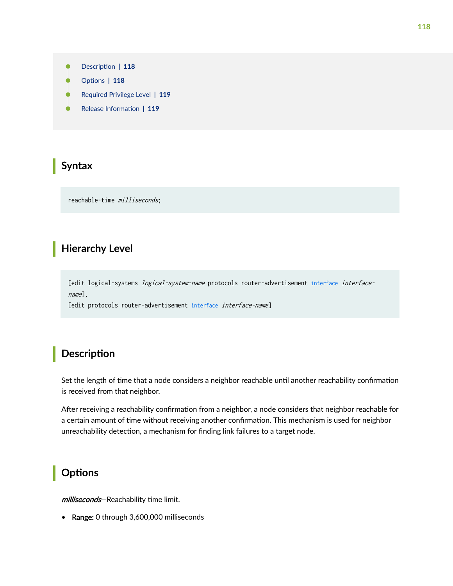- <span id="page-124-0"></span>Description | 118
- rঞons **| 118**
- [Required Privilege Level](#page-125-0) **| 119**
- Release Information | 119

### **Syntax**

reachable-time milliseconds;

## **Hierarchy Level**

[edit logical-systems *logical-system-name* protocols router-advertisement [interface](#page-83-0) interfacename],

[edit protocols router-advertisement [interface](#page-83-0) interface-name]

## **Description**

Set the length of time that a node considers a neighbor reachable until another reachability confirmation is received from that neighbor.

After receiving a reachability confirmation from a neighbor, a node considers that neighbor reachable for a certain amount of time without receiving another confirmation. This mechanism is used for neighbor unreachability detection, a mechanism for finding link failures to a target node.

## **Options**

milliseconds-Reachability time limit.

• Range: 0 through 3,600,000 milliseconds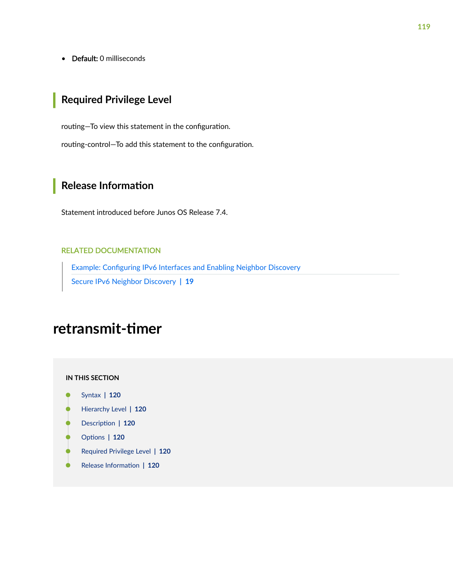<span id="page-125-0"></span>• Default: 0 milliseconds

## **Required Privilege Level**

routing-To view this statement in the configuration. routing-control-To add this statement to the configuration.

## **Release Information**

Statement introduced before Junos OS Release 7.4.

#### RELATED DOCUMENTATION

Example: Configuring IPv6 Interfaces and Enabling Neighbor Discovery [Secure IPv6 Neighbor Discovery](#page-25-0) **| 19**

# retransmit-timer

**IN THIS SECTION**

- Syntax **[| 120](#page-126-0)**
- [Hierarchy Level](#page-126-0) **| 120**  $\bullet$
- Ó Description | 120
- **Options | 120**
- $\bullet$ [Required Privilege Level](#page-126-0) **| 120**
- $\bullet$ Release Information | 120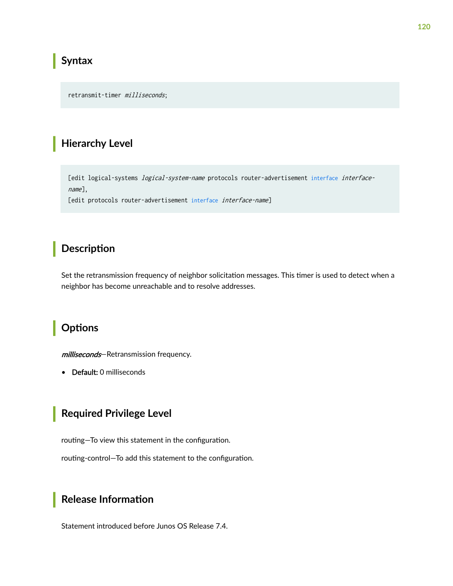### <span id="page-126-0"></span>**Syntax**

retransmit-timer milliseconds;

### **Hierarchy Level**

[edit logical-systems *logical-system-name* protocols router-advertisement interface interface $name]$ ,

[edit protocols router-advertisement interface interface-name]

## Description

Set the retransmission frequency of neighbor solicitation messages. This timer is used to detect when a neighbor has become unreachable and to resolve addresses.

## Options

milliseconds-Retransmission frequency.

• Default: 0 milliseconds

## **Required Privilege Level**

routing-To view this statement in the configuration.

routing-control-To add this statement to the configuration.

## Release Information

Statement introduced before Junos OS Release 7.4.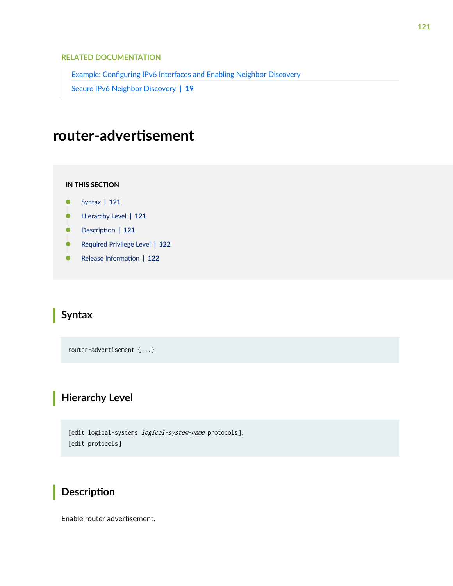#### <span id="page-127-0"></span>RELATED DOCUMENTATION

Example: Configuring IPv6 Interfaces and Enabling Neighbor Discovery

[Secure IPv6 Neighbor Discovery](#page-25-0) **| 19**

# $r$ outer-advertisement

#### **IN THIS SECTION**

- Syntax **| 121**  $\bullet$
- Hierarchy Level **| 121** Ŏ
- $\bullet$ **Description** | 121
- [Required Privilege Level](#page-128-0) **| 122**
- $\bullet$ Release Information | 122

## **Syntax**

router-advertisement {...}

## **Hierarchy Level**

```
[edit logical-systems logical-system-name protocols],
[edit protocols]
```
## **Description**

Enable router advertisement.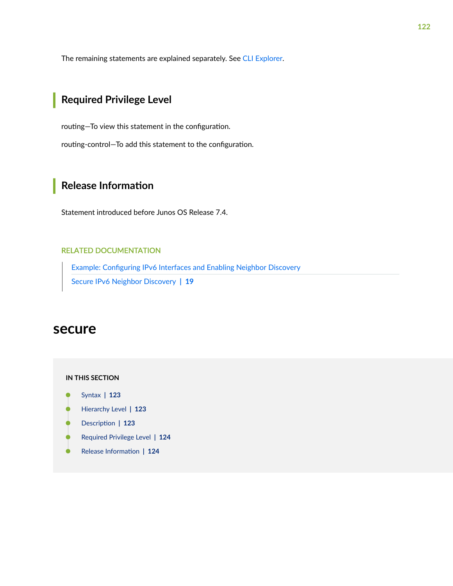<span id="page-128-0"></span>The remaining statements are explained separately. See [CLI Explorer.](https://apps.juniper.net/cli-explorer/)

## **Required Privilege Level**

routing-To view this statement in the configuration. routing-control-To add this statement to the configuration.

## **Release Information**

Statement introduced before Junos OS Release 7.4.

#### RELATED DOCUMENTATION

Example: Configuring IPv6 Interfaces and Enabling Neighbor Discovery [Secure IPv6 Neighbor Discovery](#page-25-0) **| 19**

### **secure**

#### **IN THIS SECTION**

- Syntax **[| 123](#page-129-0)**
- [Hierarchy Level](#page-129-0) **| 123** Ó
- Description | 123
- $\bullet$ [Required Privilege Level](#page-130-0) **| 124**
- Ò Release Information | 124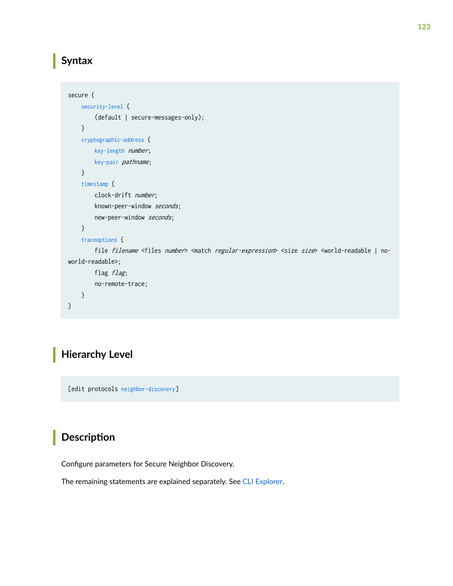## <span id="page-129-0"></span>**Syntax**

```
secure {
     security-level {
         (default | secure-messages-only);
     }
     cryptographic-address {
         key-length number;
         key-pair pathname;
     }
     timestamp {
         clock-drift number;
         known-peer-window seconds;
        new-peer-window seconds;
     }
     traceoptions {
        file filename <files number> <match regular-expression> <size size> <world-readable | no-
world-readable>;
        flag flag;
         no-remote-trace;
     }
}
```
## **Hierarchy Level**

[edit protocols [neighbor-discovery](#page-107-0)]

## **Description**

Configure parameters for Secure Neighbor Discovery.

The remaining statements are explained separately. See [CLI Explorer.](https://apps.juniper.net/cli-explorer/)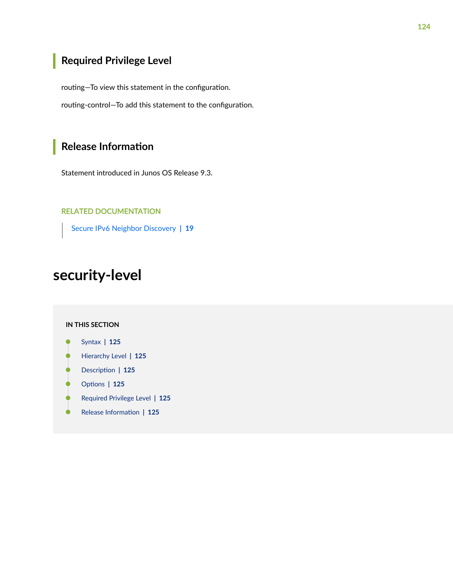## <span id="page-130-0"></span>Required Privilege Level

routing-To view this statement in the configuration.

routing-control-To add this statement to the configuration.

## Release Information

Statement introduced in Junos OS Release 9.3.

#### **RELATED DOCUMENTATION**

Secure IPv6 Neighbor Discovery | 19

# security-level

#### **IN THIS SECTION**

- Syntax | 125
- Hierarchy Level | 125 Ó
- Description | 125 Ŏ
- Options | 125
- Required Privilege Level | 125 ۰
- $\bullet$ Release Information | 125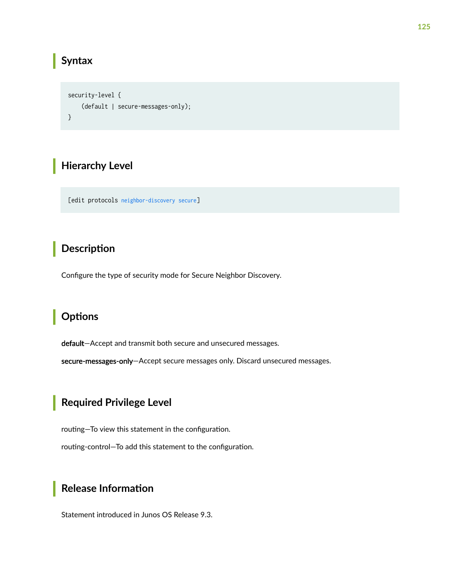### <span id="page-131-0"></span>**Syntax**

```
security-level {
    (default | secure-messages-only);
\}
```
## **Hierarchy Level**

[edit protocols neighbor-discovery secure]

## Description

Configure the type of security mode for Secure Neighbor Discovery.

## Options

default-Accept and transmit both secure and unsecured messages.

secure-messages-only-Accept secure messages only. Discard unsecured messages.

## Required Privilege Level

routing-To view this statement in the configuration.

routing-control-To add this statement to the configuration.

## **Release Information**

Statement introduced in Junos OS Release 9.3.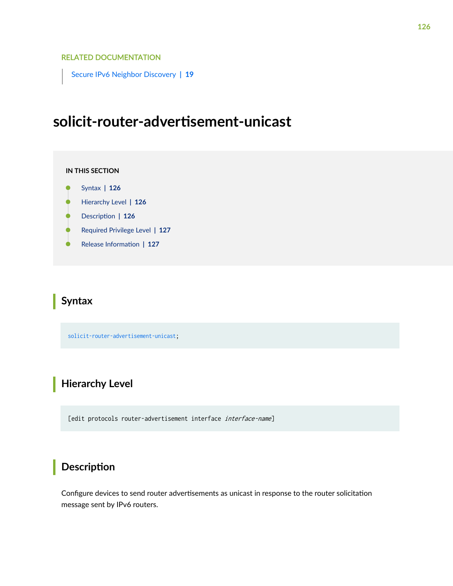#### RELATED DOCUMENTATION

[Secure IPv6 Neighbor Discovery](#page-25-0) **| 19**

# solicit-router-advertisement-unicast

#### **IN THIS SECTION**

- $\bullet$ Syntax **| 126**
- Ò Hierarchy Level **| 126**
- Ŏ Description | 126
- $\bullet$ [Required Privilege Level](#page-133-0) **| 127**
- Release Information | 127

### **Syntax**

solicit-router-advertisement-unicast;

## **Hierarchy Level**

[edit protocols router-advertisement interface interface-name]

### **Description**

Configure devices to send router advertisements as unicast in response to the router solicitation message sent by IPv6 routers.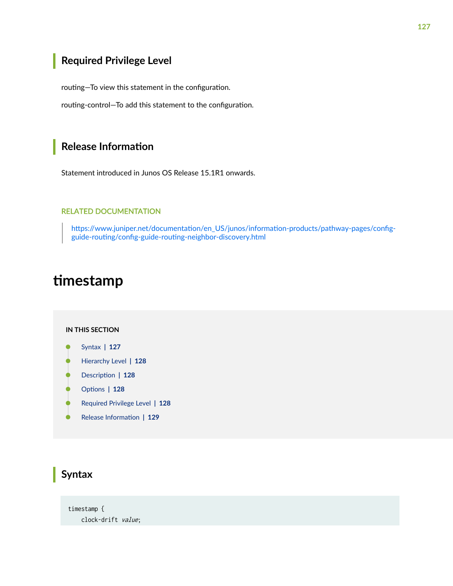## <span id="page-133-0"></span>Required Privilege Level

routing-To view this statement in the configuration.

routing-control-To add this statement to the configuration.

### **Release Information**

Statement introduced in Junos OS Release 15.1R1 onwards.

#### **RELATED DOCUMENTATION**

https://www.juniper.net/documentation/en\_US/junos/information-products/pathway-pages/configguide-routing/config-guide-routing-neighbor-discovery.html

# timestamp

#### IN THIS SECTION

- Syntax | 127
- Hierarchy Level | 128
- Description | 128
- Ó Options | 128
- $\bullet$ Required Privilege Level | 128
- Release Information | 129  $\bullet$

### **Syntax**

timestamp { clock-drift value;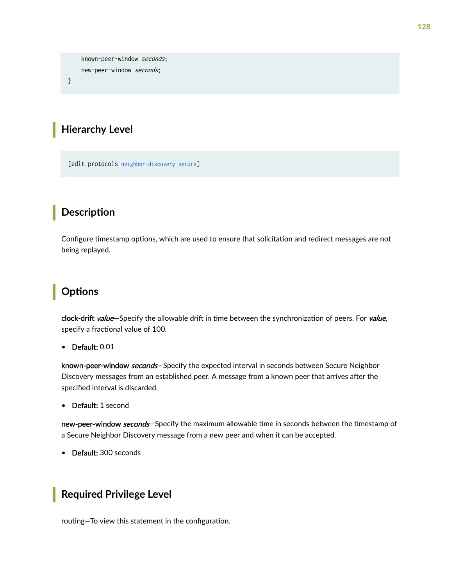<span id="page-134-0"></span>known-peer-window seconds; new-peer-window seconds;

 $\mathcal{E}$ 

### **Hierarchy Level**

[edit protocols neighbor-discovery secure]

## Description

Configure timestamp options, which are used to ensure that solicitation and redirect messages are not being replayed.

## Options

clock-drift value-Specify the allowable drift in time between the synchronization of peers. For value, specify a fractional value of 100.

• Default: 0.01

known-peer-window seconds-Specify the expected interval in seconds between Secure Neighbor Discovery messages from an established peer. A message from a known peer that arrives after the specified interval is discarded.

Default: 1 second  $\bullet$ 

new-peer-window *seconds*-Specify the maximum allowable time in seconds between the timestamp of a Secure Neighbor Discovery message from a new peer and when it can be accepted.

• Default: 300 seconds

## **Required Privilege Level**

routing-To view this statement in the configuration.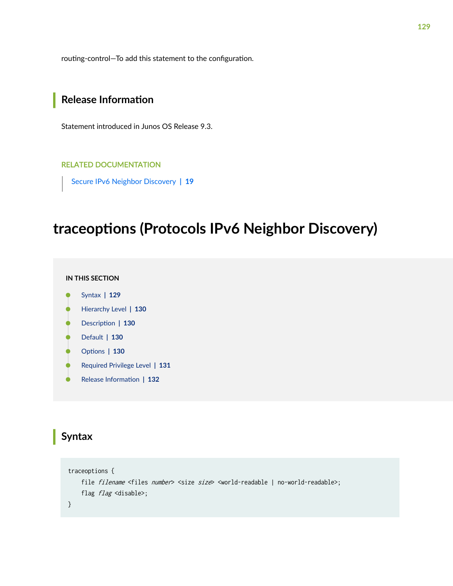<span id="page-135-0"></span>routing-control-To add this statement to the configuration.

### **Release Information**

Statement introduced in Junos OS Release 9.3.

#### **RELATED DOCUMENTATION**

Secure IPv6 Neighbor Discovery | 19

# traceoptions (Protocols IPv6 Neighbor Discovery)

#### IN THIS SECTION

- Syntax | 129
- Hierarchy Level | 130
- Description | 130 O
- Default | 130
- Options | 130
- Required Privilege Level | 131
- Release Information | 132  $\bullet$

### **Syntax**

```
traceoptions {
   file filename <files number> <size size> <world-readable | no-world-readable>;
    flag flag <disable>;
\}
```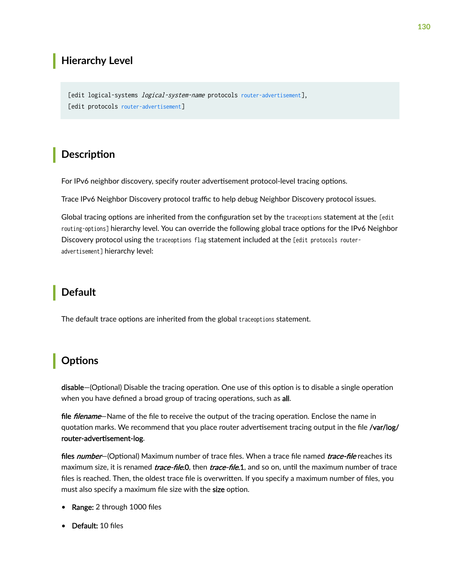## <span id="page-136-0"></span>**Hierarchy Level**

[edit logical-systems *logical-system-name* protocols router-advertisement], [edit protocols router-advertisement]

### **Description**

For IPv6 neighbor discovery, specify router advertisement protocol-level tracing options.

Trace IPv6 Neighbor Discovery protocol traffic to help debug Neighbor Discovery protocol issues.

Global tracing options are inherited from the configuration set by the traceoptions statement at the [edit routing-options] hierarchy level. You can override the following global trace options for the IPv6 Neighbor Discovery protocol using the traceoptions flag statement included at the [edit protocols routeradvertisement] hierarchy level:

## **Default**

The default trace options are inherited from the global traceoptions statement.

## **Options**

disable–(Optional) Disable the tracing operation. One use of this option is to disable a single operation when you have defined a broad group of tracing operations, such as all.

file *filename*—Name of the file to receive the output of the tracing operation. Enclose the name in quotation marks. We recommend that you place router advertisement tracing output in the file /var/log/ router-advertisement-log.

files number-(Optional) Maximum number of trace files. When a trace file named trace-file reaches its maximum size, it is renamed *trace-file.*0, then *trace-file.1*, and so on, until the maximum number of trace files is reached. Then, the oldest trace file is overwritten. If you specify a maximum number of files, you must also specify a maximum file size with the size option.

- Range: 2 through 1000 files
- Default: 10 files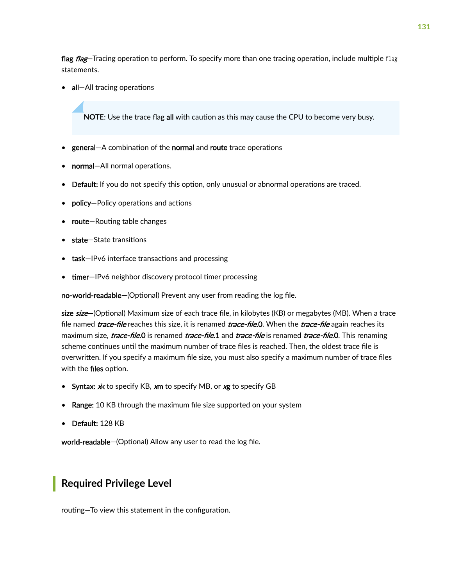<span id="page-137-0"></span>flag flag-Tracing operation to perform. To specify more than one tracing operation, include multiple flag statements.

• all-All tracing operations

**NOTE:** Use the trace flag all with caution as this may cause the CPU to become very busy.

- general—A combination of the normal and route trace operations
- normal-All normal operations.
- Default: If you do not specify this option, only unusual or abnormal operations are traced.
- **policy**—Policy operations and actions
- route-Routing table changes
- state-State transitions
- task-IPv6 interface transactions and processing
- timer-IPv6 neighbor discovery protocol timer processing

no-world-readable–(Optional) Prevent any user from reading the log file.

size size-(Optional) Maximum size of each trace file, in kilobytes (KB) or megabytes (MB). When a trace file named *trace-file* reaches this size, it is renamed *trace-file.*0. When the *trace-file* again reaches its maximum size, *trace-file*.0 is renamed *trace-file*.1 and *trace-file* is renamed *trace-file*.0. This renaming scheme continues until the maximum number of trace files is reached. Then, the oldest trace file is overwritten. If you specify a maximum file size, you must also specify a maximum number of trace files with the files option.

- Syntax: xk to specify KB, xm to specify MB, or xg to specify GB
- Range: 10 KB through the maximum file size supported on your system
- Default: 128 KB

world-readable-(Optional) Allow any user to read the log file.

### **Required Privilege Level**

routing-To view this statement in the configuration.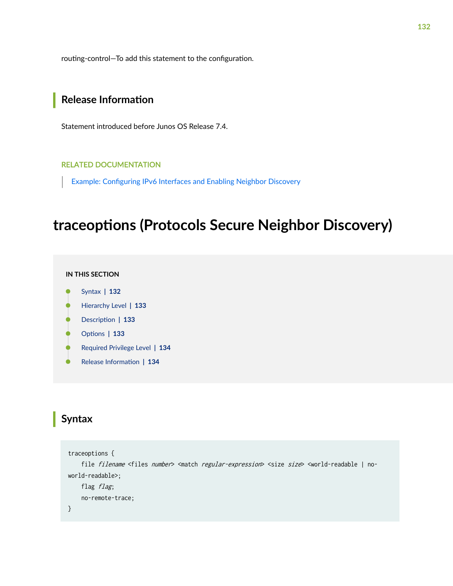<span id="page-138-0"></span>routing-control-To add this statement to the configuration.

### **Release Information**

Statement introduced before Junos OS Release 7.4.

#### **RELATED DOCUMENTATION**

Example: Configuring IPv6 Interfaces and Enabling Neighbor Discovery

# traceoptions (Protocols Secure Neighbor Discovery)

#### IN THIS SECTION

- Syntax | 132
- Hierarchy Level | 133
- Description | 133
- Options | 133
- Required Privilege Level | 134
- Release Information | 134  $\bullet$

## Syntax

```
traceoptions {
    file filename <files number> <match regular-expression> <size size> <world-readable | no-
world-readable>;
    flag flag;
    no-remote-trace;
\}
```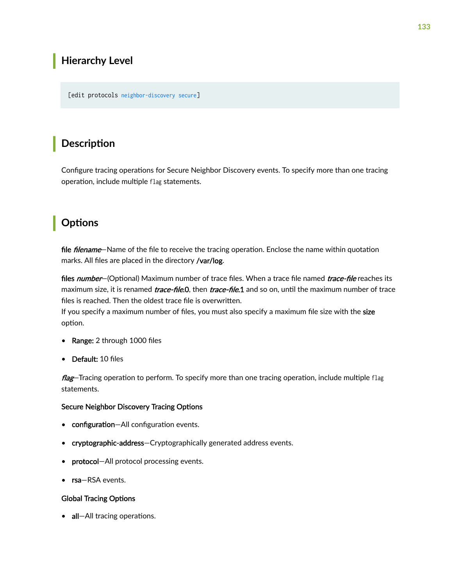## <span id="page-139-0"></span>**Hierarchy Level**

[edit protocols [neighbor-discovery](#page-107-0) [secure](#page-128-0)]

## **Description**

Configure tracing operations for Secure Neighbor Discovery events. To specify more than one tracing operation, include multiple flag statements.

## **Options**

file *filename*—Name of the file to receive the tracing operation. Enclose the name within quotation marks. All files are placed in the directory /var/log.

files number–(Optional) Maximum number of trace files. When a trace file named trace-file reaches its maximum size, it is renamed *trace-file*.0, then *trace-file*.1 and so on, until the maximum number of trace files is reached. Then the oldest trace file is overwritten.

If you specify a maximum number of files, you must also specify a maximum file size with the size option.

- Range: 2 through 1000 files
- Default: 10 files

flag—Tracing operation to perform. To specify more than one tracing operation, include multiple flag statements.

#### Secure Neighbor Discovery Tracing Options

- configuration-All configuration events.
- cryptographic-address-Cryptographically generated address events.
- protocol-All protocol processing events.
- rsa-RSA events.

#### **Global Tracing Options**

• all-All tracing operations.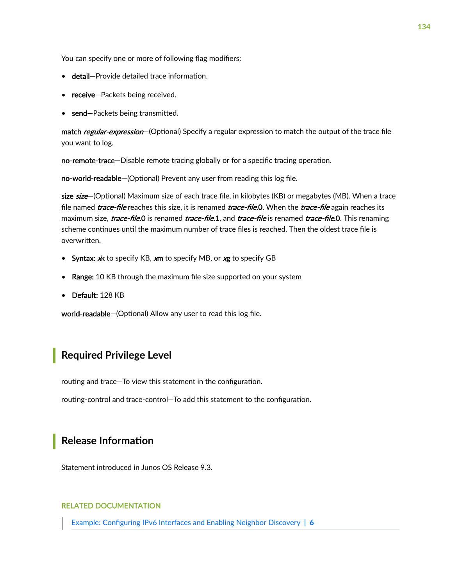<span id="page-140-0"></span>You can specify one or more of following flag modifiers:

- detail-Provide detailed trace information.
- receive-Packets being received.
- send-Packets being transmitted.

match regular-expression-(Optional) Specify a regular expression to match the output of the trace file you want to log.

no-remote-trace—Disable remote tracing globally or for a specific tracing operation.

no-world-readable-(Optional) Prevent any user from reading this log file.

size size-(Optional) Maximum size of each trace file, in kilobytes (KB) or megabytes (MB). When a trace file named *trace-file* reaches this size, it is renamed *trace-file*.0. When the *trace-file* again reaches its maximum size, *trace-file*.0 is renamed *trace-file.*1, and *trace-file* is renamed *trace-file*.0. This renaming scheme continues until the maximum number of trace files is reached. Then the oldest trace file is overwritten.

- Syntax: xk to specify KB, xm to specify MB, or xg to specify GB
- Range: 10 KB through the maximum file size supported on your system
- Default: 128 KB

world-readable-(Optional) Allow any user to read this log file.

### **Required Privilege Level**

routing and trace–To view this statement in the configuration.

routing-control and trace-control—To add this statement to the configuration.

### **Release Information**

Statement introduced in Junos OS Release 9.3.

#### RELATED DOCUMENTATION

Example: Configuring IPv6 Interfaces and Enabling Neighbor Discovery | 6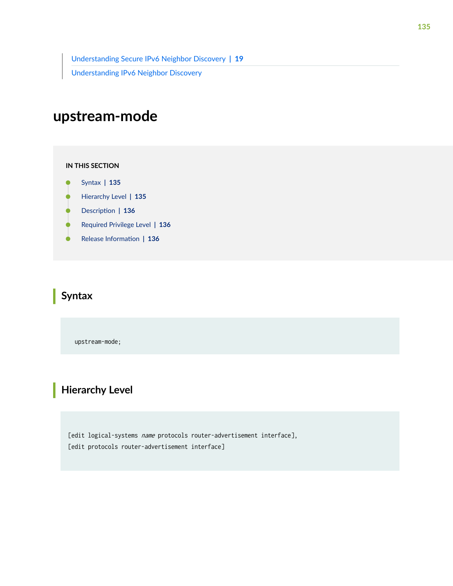[Understanding Secure IPv6 Neighbor Discovery](#page-25-0) **| 19** [Understanding IPv6 Neighbor Discovery](https://www.juniper.net/documentation/en_US/junos/topics/concept/ipv6-neighbor-discovery-understanding.html)

# **upstream-mode**

#### **IN THIS SECTION**

- Syntax **| 135**
- Hierarchy Level **| 135**
- **Description** | 136
- $\bullet$ [Required Privilege Level](#page-142-0) **| 136**
- Release Information | 136

## **Syntax**

upstream-mode;

## **Hierarchy Level**

[edit logical-systems name protocols router-advertisement interface], [edit protocols router-advertisement interface]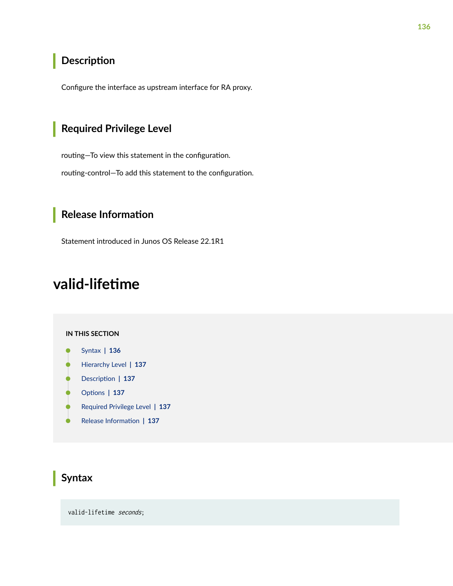## <span id="page-142-0"></span>**Description**

Configure the interface as upstream interface for RA proxy.

## **Required Privilege Level**

routing-To view this statement in the configuration.

routing-control-To add this statement to the configuration.

## **Release Information**

Statement introduced in Junos OS Release 22.1R1

# valid-lifetime

#### **IN THIS SECTION**

- Syntax **| 136**
- [Hierarchy Level](#page-143-0) **| 137**
- Description | 137
- **Options** | 137
- $\bullet$ [Required Privilege Level](#page-143-0) **| 137**
- $\bullet$ Release Information | 137

## **Syntax**

valid-lifetime seconds;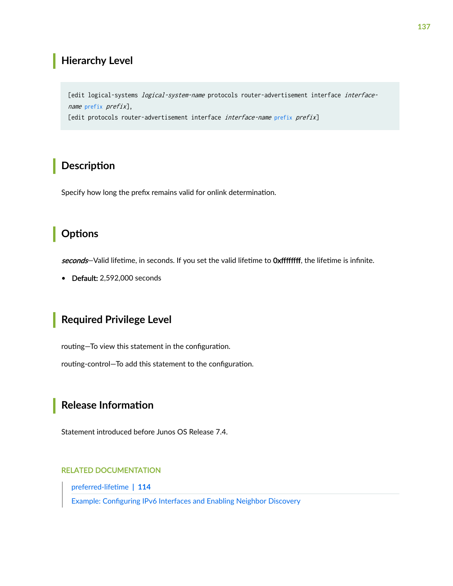### <span id="page-143-0"></span>**Hierarchy Level**

[edit logical-systems *logical-system-name* protocols router-advertisement interface interfacename prefix prefix], [edit protocols router-advertisement interface interface-name prefix prefix]

## Description

Specify how long the prefix remains valid for onlink determination.

## Options

seconds-Valid lifetime, in seconds. If you set the valid lifetime to Oxffffffff, the lifetime is infinite.

• Default: 2,592,000 seconds

## **Required Privilege Level**

routing-To view this statement in the configuration.

routing-control-To add this statement to the configuration.

## Release Information

Statement introduced before Junos OS Release 7.4.

#### **RELATED DOCUMENTATION**

preferred-lifetime | 114

Example: Configuring IPv6 Interfaces and Enabling Neighbor Discovery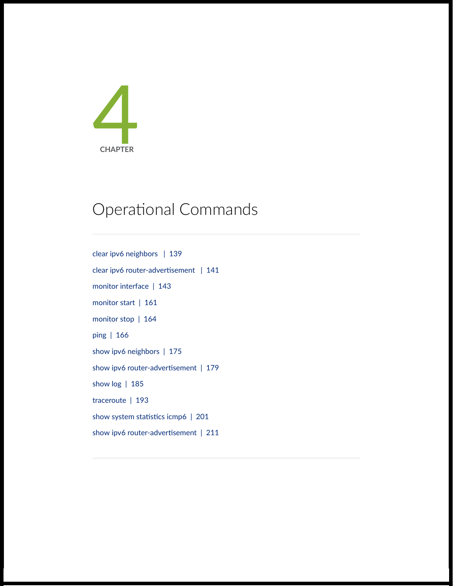

# Operational Commands

[clear ipv6 neighbors](#page-145-0) | [139](#page-145-0) clear ipv6 router-advertisement | [141](#page-147-0) [monitor interface](#page-149-0) | [143](#page-149-0) [monitor start](#page-167-0) | [161](#page-167-0) [monitor stop](#page-170-0) | [164](#page-170-0) [ping](#page-172-0) | [166](#page-172-0) [show ipv6 neighbors](#page-181-0) | [175](#page-181-0) show ipv6 router-advertisement | [179](#page-185-0) [show log](#page-191-0) | [185](#page-191-0) [traceroute](#page-199-0) | [193](#page-199-0) show system statistics icmp6 | [201](#page-207-0) show ipv6 router-advertisement | [211](#page-217-0)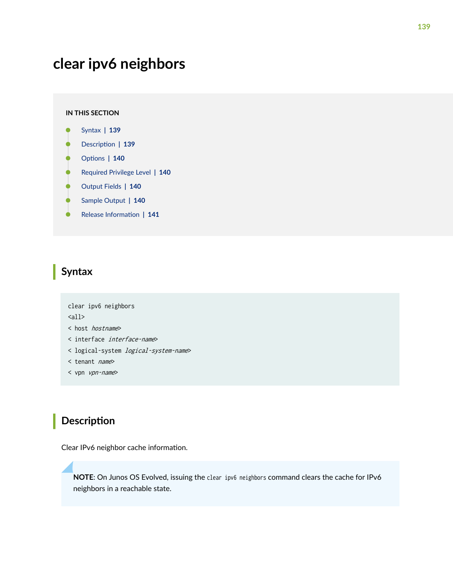## <span id="page-145-0"></span>**clear ipv6 neighbors**

#### **IN THIS SECTION**

- Syntax **| 139**
- Description | 139 Ò
- **Options | 140**
- [Required Privilege Level](#page-146-0) **| 140**
- [Output Fields](#page-146-0) **| 140**
- [Sample Output](#page-146-0) **| 140**
- Ò Release Information | 141

## **Syntax**

```
clear ipv6 neighbors
\langle \text{all} \rangle< host hostname>
< interface interface-name>
< logical-system logical-system-name>
< tenant name>
```
< vpn vpn-name>

## **Description**

Clear IPv6 neighbor cache information.

**NOTE**: On Junos OS Evolved, issuing the clear ipv6 neighbors command clears the cache for IPv6 neighbors in a reachable state.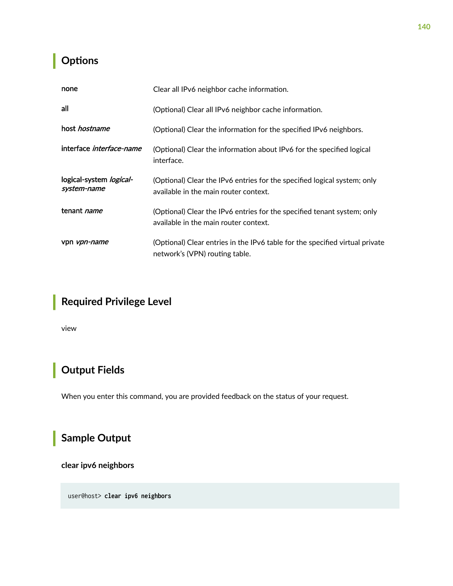## <span id="page-146-0"></span>**p** Options

| none                                   | Clear all IPv6 neighbor cache information.                                                                        |  |
|----------------------------------------|-------------------------------------------------------------------------------------------------------------------|--|
| all                                    | (Optional) Clear all IPv6 neighbor cache information.                                                             |  |
| host <i>hostname</i>                   | (Optional) Clear the information for the specified IPv6 neighbors.                                                |  |
| interface <i>interface-name</i>        | (Optional) Clear the information about IPv6 for the specified logical<br>interface.                               |  |
| logical-system logical-<br>system-name | (Optional) Clear the IPv6 entries for the specified logical system; only<br>available in the main router context. |  |
| tenant <i>name</i>                     | (Optional) Clear the IPv6 entries for the specified tenant system; only<br>available in the main router context.  |  |
| vpn <i>vpn-name</i>                    | (Optional) Clear entries in the IPv6 table for the specified virtual private<br>network's (VPN) routing table.    |  |

## **Required Privilege Level**

view

## **Output Fields**

When you enter this command, you are provided feedback on the status of your request.

## **Sample Output**

**clear ipv6 neighbors**

user@host> **clear ipv6 neighbors**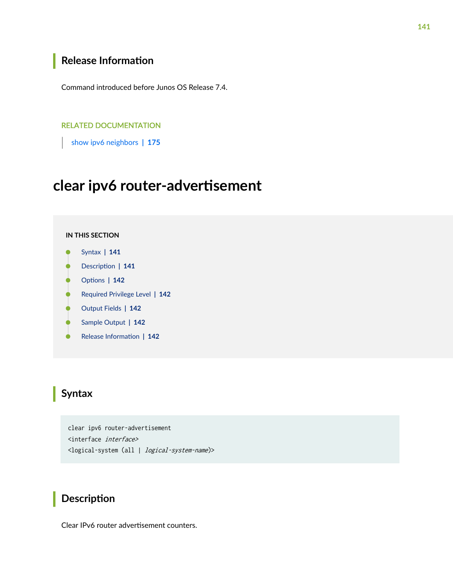## <span id="page-147-0"></span>**Release Information**

Command introduced before Junos OS Release 7.4.

#### RELATED DOCUMENTATION

[show ipv6 neighbors](#page-181-0) **| 175**

## clear ipv6 router-advertisement

#### **IN THIS SECTION**

- Syntax **| 141**
- Description | 141 ė
- **Options | 142**
- [Required Privilege Level](#page-148-0) **| 142**
- [Output Fields](#page-148-0) **| 142**
- [Sample Output](#page-148-0) **| 142** Ó
- Ò Release Information | 142

## **Syntax**

clear ipv6 router-advertisement <interface interface> <logical-system (all | logical-system-name)>

## **Description**

Clear IPv6 router advertisement counters.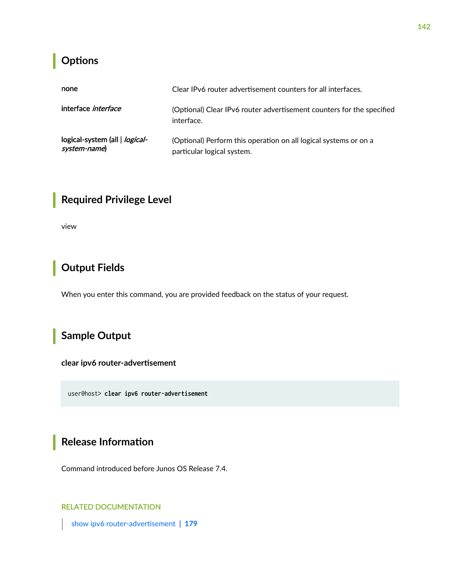## <span id="page-148-0"></span>**Properises**

| none                                                  | Clear IPv6 router advertisement counters for all interfaces.                                   |  |
|-------------------------------------------------------|------------------------------------------------------------------------------------------------|--|
| interface <i>interface</i>                            | (Optional) Clear IPv6 router advertisement counters for the specified<br>interface.            |  |
| logical-system (all   <i>logical-</i><br>system-name) | (Optional) Perform this operation on all logical systems or on a<br>particular logical system. |  |

## **Required Privilege Level**

view

## **Output Fields**

When you enter this command, you are provided feedback on the status of your request.

## **Sample Output**

clear ipv6 router-advertisement

user@host> **clear ipv6 router-advertisement**

## **Release Information**

Command introduced before Junos OS Release 7.4.

### RELATED DOCUMENTATION

show ipv6 router-advertisement | 179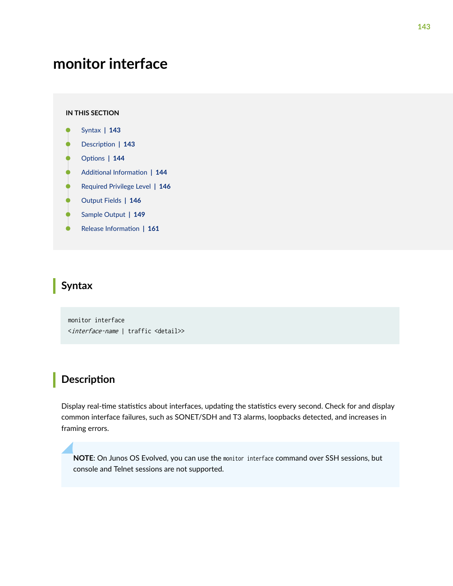## <span id="page-149-0"></span>**monitor interface**

#### **IN THIS SECTION**

- Syntax **| 143**
- Ò Description | 143
- **Options** | 144
- $\blacksquare$  Additional Information | 144
- [Required Privilege Level](#page-152-0) **| 146**
- [Output Fields](#page-152-0) **| 146**
- Ŏ [Sample Output](#page-155-0) **| 149**
- Release Information | 161

### **Syntax**

monitor interface <interface-name | traffic <detail>>

### **Description**

Display real-time statistics about interfaces, updating the statistics every second. Check for and display common interface failures, such as SONET/SDH and T3 alarms, loopbacks detected, and increases in framing errors.

**NOTE**: On Junos OS Evolved, you can use the monitor interface command over SSH sessions, but console and Telnet sessions are not supported.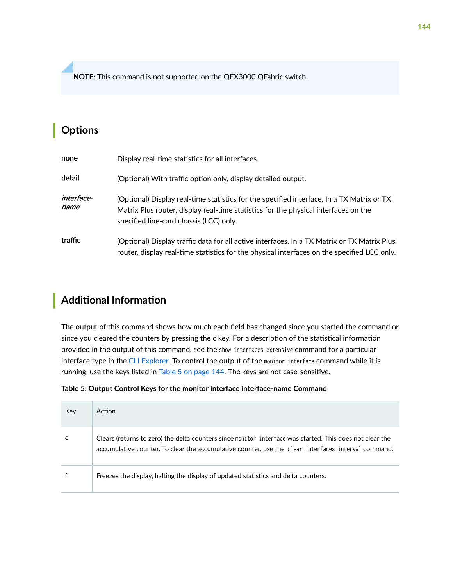<span id="page-150-0"></span>**NOTE**: This command is not supported on the QFX3000 QFabric switch.

## **Options**

| none               | Display real-time statistics for all interfaces.                                                                                                                                                                            |
|--------------------|-----------------------------------------------------------------------------------------------------------------------------------------------------------------------------------------------------------------------------|
| detail             | (Optional) With traffic option only, display detailed output.                                                                                                                                                               |
| interface-<br>name | (Optional) Display real-time statistics for the specified interface. In a TX Matrix or TX<br>Matrix Plus router, display real-time statistics for the physical interfaces on the<br>specified line-card chassis (LCC) only. |
| traffic            | (Optional) Display traffic data for all active interfaces. In a TX Matrix or TX Matrix Plus<br>router, display real-time statistics for the physical interfaces on the specified LCC only.                                  |

## **Additional Information**

The output of this command shows how much each field has changed since you started the command or since you cleared the counters by pressing the c key. For a description of the statistical information provided in the output of this command, see the show interfaces extensive command for a particular interface type in the [CLI Explorer](https://www.juniper.net/documentation/content-applications/cli-explorer/junos/). To control the output of the monitor interface command while it is running, use the keys listed in Table 5 on page 144. The keys are not case-sensitive.

#### **Table 5: Output Control Keys for the monitor interface interface-name Command**

| Key | Action                                                                                                                                                                                                          |
|-----|-----------------------------------------------------------------------------------------------------------------------------------------------------------------------------------------------------------------|
|     | Clears (returns to zero) the delta counters since monitor interface was started. This does not clear the<br>accumulative counter. To clear the accumulative counter, use the clear interfaces interval command. |
|     | Freezes the display, halting the display of updated statistics and delta counters.                                                                                                                              |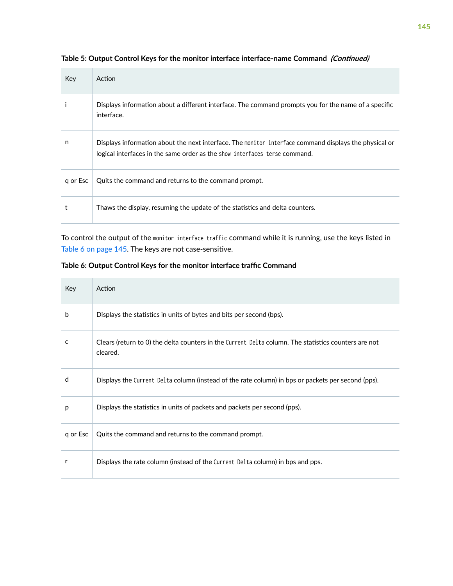| Key      | Action                                                                                                                                                                              |
|----------|-------------------------------------------------------------------------------------------------------------------------------------------------------------------------------------|
|          | Displays information about a different interface. The command prompts you for the name of a specific<br>interface.                                                                  |
| n        | Displays information about the next interface. The monitor interface command displays the physical or<br>logical interfaces in the same order as the show interfaces terse command. |
| g or Esc | Quits the command and returns to the command prompt.                                                                                                                                |
| t        | Thaws the display, resuming the update of the statistics and delta counters.                                                                                                        |

Table 5: Output Control Keys for the monitor interface interface-name Command *(Continued)* 

To control the output of the monitor interface traffic command while it is running, use the keys listed in Table 6 on page 145. The keys are not case-sensitive.

Table 6: Output Control Keys for the monitor interface traffic Command

| Key      | Action                                                                                                           |
|----------|------------------------------------------------------------------------------------------------------------------|
| b        | Displays the statistics in units of bytes and bits per second (bps).                                             |
| c        | Clears (return to 0) the delta counters in the Current Delta column. The statistics counters are not<br>cleared. |
| d        | Displays the Current Delta column (instead of the rate column) in bps or packets per second (pps).               |
| р        | Displays the statistics in units of packets and packets per second (pps).                                        |
| q or Esc | Quits the command and returns to the command prompt.                                                             |
| r        | Displays the rate column (instead of the Current Delta column) in bps and pps.                                   |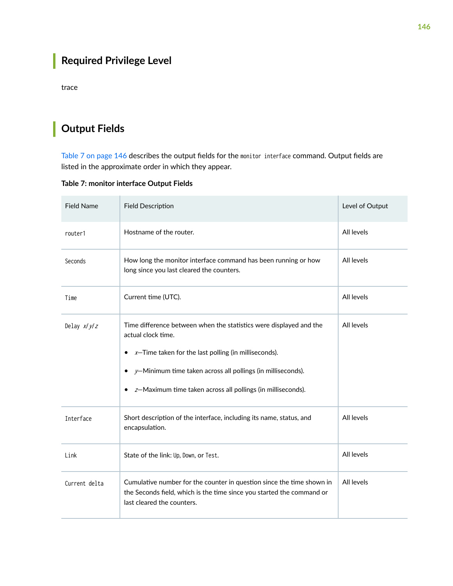## <span id="page-152-0"></span>**Required Privilege Level**

trace

## **Output Fields**

Table 7 on page 146 describes the output fields for the monitor interface command. Output fields are listed in the approximate order in which they appear.

| <b>Field Name</b> | <b>Field Description</b>                                                                                                                                                                                                                                                                  | Level of Output |
|-------------------|-------------------------------------------------------------------------------------------------------------------------------------------------------------------------------------------------------------------------------------------------------------------------------------------|-----------------|
| router1           | Hostname of the router.                                                                                                                                                                                                                                                                   | All levels      |
| Seconds           | How long the monitor interface command has been running or how<br>long since you last cleared the counters.                                                                                                                                                                               | All levels      |
| Time              | Current time (UTC).                                                                                                                                                                                                                                                                       | All levels      |
| Delay $x/y/z$     | Time difference between when the statistics were displayed and the<br>actual clock time.<br>$x$ –Time taken for the last polling (in milliseconds).<br>٠<br>$y$ -Minimum time taken across all pollings (in milliseconds).<br>z-Maximum time taken across all pollings (in milliseconds). | All levels      |
| Interface         | Short description of the interface, including its name, status, and<br>encapsulation.                                                                                                                                                                                                     | All levels      |
| Link              | State of the link: Up, Down, or Test.                                                                                                                                                                                                                                                     | All levels      |
| Current delta     | Cumulative number for the counter in question since the time shown in<br>the Seconds field, which is the time since you started the command or<br>last cleared the counters.                                                                                                              | All levels      |

**Table 7: monitor interface Output Fields**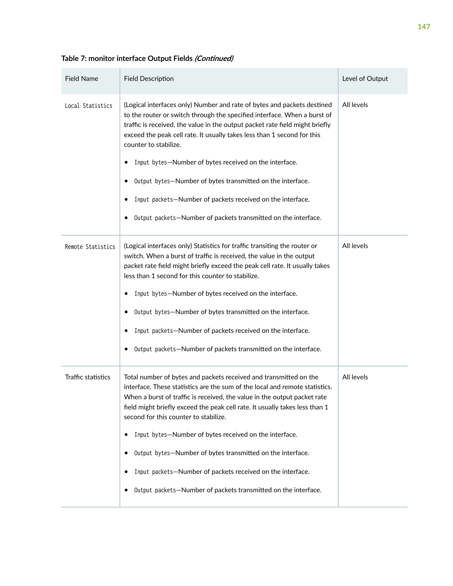| <b>Field Name</b>  | <b>Field Description</b>                                                                                                                                                                                                                                                                                                                                                                                                                                                                                                                                                                                               | Level of Output |
|--------------------|------------------------------------------------------------------------------------------------------------------------------------------------------------------------------------------------------------------------------------------------------------------------------------------------------------------------------------------------------------------------------------------------------------------------------------------------------------------------------------------------------------------------------------------------------------------------------------------------------------------------|-----------------|
| Local Statistics   | (Logical interfaces only) Number and rate of bytes and packets destined<br>to the router or switch through the specified interface. When a burst of<br>traffic is received, the value in the output packet rate field might briefly<br>exceed the peak cell rate. It usually takes less than 1 second for this<br>counter to stabilize.<br>Input bytes-Number of bytes received on the interface.<br>Output bytes-Number of bytes transmitted on the interface.<br>Input packets-Number of packets received on the interface.<br>Output packets-Number of packets transmitted on the interface.                        | All levels      |
| Remote Statistics  | (Logical interfaces only) Statistics for traffic transiting the router or<br>switch. When a burst of traffic is received, the value in the output<br>packet rate field might briefly exceed the peak cell rate. It usually takes<br>less than 1 second for this counter to stabilize.<br>Input bytes-Number of bytes received on the interface.<br>Output bytes-Number of bytes transmitted on the interface.<br>Input packets-Number of packets received on the interface.<br>Output packets-Number of packets transmitted on the interface.                                                                          | All levels      |
| Traffic statistics | Total number of bytes and packets received and transmitted on the<br>interface. These statistics are the sum of the local and remote statistics.<br>When a burst of traffic is received, the value in the output packet rate<br>field might briefly exceed the peak cell rate. It usually takes less than 1<br>second for this counter to stabilize.<br>Input bytes-Number of bytes received on the interface.<br>٠<br>Output bytes-Number of bytes transmitted on the interface.<br>Input packets-Number of packets received on the interface.<br>Output packets-Number of packets transmitted on the interface.<br>٠ | All levels      |

Table 7: monitor interface Output Fields (Continued)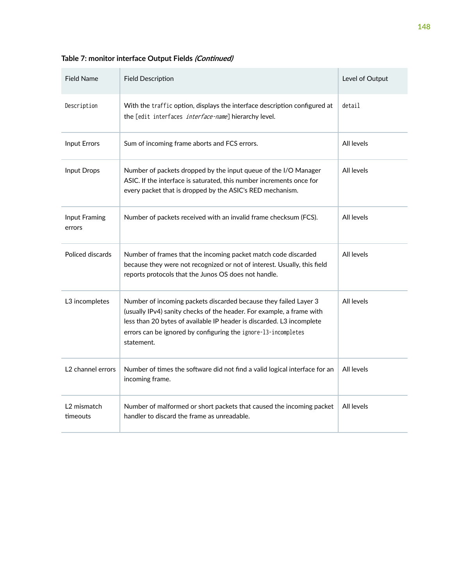| <b>Field Name</b>                   | <b>Field Description</b>                                                                                                                                                                                                                                                                           | Level of Output |
|-------------------------------------|----------------------------------------------------------------------------------------------------------------------------------------------------------------------------------------------------------------------------------------------------------------------------------------------------|-----------------|
| Description                         | With the traffic option, displays the interface description configured at<br>the [edit interfaces interface-name] hierarchy level.                                                                                                                                                                 | detail          |
| <b>Input Errors</b>                 | Sum of incoming frame aborts and FCS errors.                                                                                                                                                                                                                                                       | All levels      |
| Input Drops                         | Number of packets dropped by the input queue of the I/O Manager<br>ASIC. If the interface is saturated, this number increments once for<br>every packet that is dropped by the ASIC's RED mechanism.                                                                                               | All levels      |
| Input Framing<br>errors             | Number of packets received with an invalid frame checksum (FCS).                                                                                                                                                                                                                                   | All levels      |
| Policed discards                    | Number of frames that the incoming packet match code discarded<br>because they were not recognized or not of interest. Usually, this field<br>reports protocols that the Junos OS does not handle.                                                                                                 | All levels      |
| L3 incompletes                      | Number of incoming packets discarded because they failed Layer 3<br>(usually IPv4) sanity checks of the header. For example, a frame with<br>less than 20 bytes of available IP header is discarded. L3 incomplete<br>errors can be ignored by configuring the ignore-13-incompletes<br>statement. | All levels      |
| L <sub>2</sub> channel errors       | Number of times the software did not find a valid logical interface for an<br>incoming frame.                                                                                                                                                                                                      | All levels      |
| L <sub>2</sub> mismatch<br>timeouts | Number of malformed or short packets that caused the incoming packet<br>handler to discard the frame as unreadable.                                                                                                                                                                                | All levels      |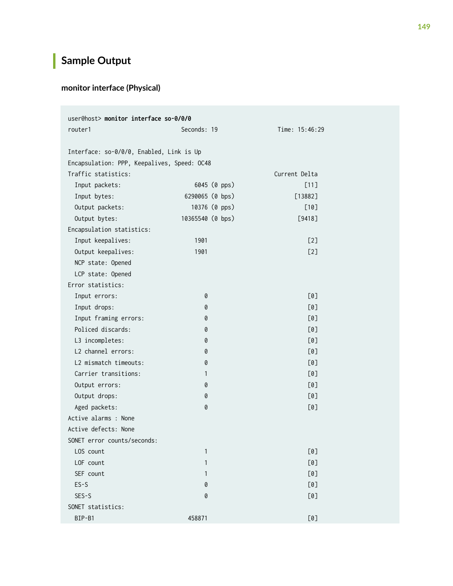## <span id="page-155-0"></span>**Sample Output**

### **monitor interface (Physical)**

| user@host> monitor interface so-0/0/0       |                  |                |  |
|---------------------------------------------|------------------|----------------|--|
| router1                                     | Seconds: 19      | Time: 15:46:29 |  |
|                                             |                  |                |  |
| Interface: so-0/0/0, Enabled, Link is Up    |                  |                |  |
| Encapsulation: PPP, Keepalives, Speed: OC48 |                  |                |  |
| Traffic statistics:                         |                  | Current Delta  |  |
| Input packets:                              | 6045 (0 pps)     | [11]           |  |
| Input bytes:                                | 6290065 (0 bps)  | $[13882]$      |  |
| Output packets:                             | 10376 (0 pps)    | $[10]$         |  |
| Output bytes:                               | 10365540 (0 bps) | $[9418]$       |  |
| Encapsulation statistics:                   |                  |                |  |
| Input keepalives:                           | 1901             | [2]            |  |
| Output keepalives:                          | 1901             | [2]            |  |
| NCP state: Opened                           |                  |                |  |
| LCP state: Opened                           |                  |                |  |
| Error statistics:                           |                  |                |  |
| Input errors:                               | 0                | [0]            |  |
| Input drops:                                | 0                | [0]            |  |
| Input framing errors:                       | 0                | [0]            |  |
| Policed discards:                           | 0                | [0]            |  |
| L3 incompletes:                             | 0                | [0]            |  |
| L2 channel errors:                          | 0                | [0]            |  |
| L2 mismatch timeouts:                       | 0                | [0]            |  |
| Carrier transitions:                        | $\mathbf{1}$     | [0]            |  |
| Output errors:                              | 0                | [0]            |  |
| Output drops:                               | 0                | [0]            |  |
| Aged packets:                               | 0                | [0]            |  |
| Active alarms : None                        |                  |                |  |
| Active defects: None                        |                  |                |  |
| SONET error counts/seconds:                 |                  |                |  |
| LOS count                                   | $\mathbf{1}$     | [0]            |  |
| LOF count                                   | $\mathbf{1}$     | [0]            |  |
| SEF count                                   | $\mathbf{1}$     | [0]            |  |
| $ES-S$                                      | 0                | [0]            |  |
| $SES-S$                                     | 0                | [0]            |  |
| SONET statistics:                           |                  |                |  |
| BIP-B1                                      | 458871           | [0]            |  |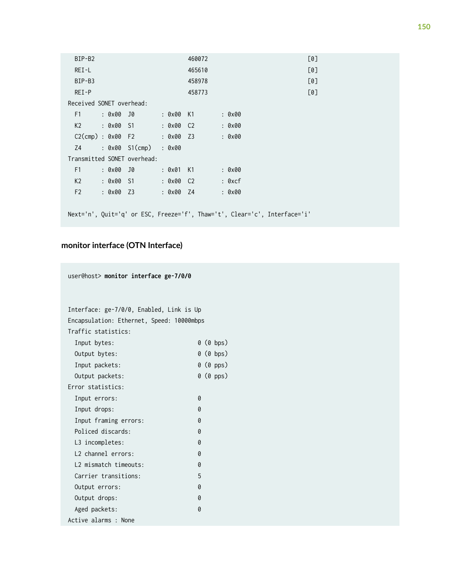| BIP-B2                                                                    | 460072             | [0]    |  |  |
|---------------------------------------------------------------------------|--------------------|--------|--|--|
| REI-L                                                                     | 465610             | [0]    |  |  |
| BIP-B3                                                                    | 458978             | [0]    |  |  |
| $REI-P$                                                                   | 458773             | [0]    |  |  |
| Received SONET overhead:                                                  |                    |        |  |  |
| F1 : 0x00 J0                                                              | : 0x00 K1          | : 0x00 |  |  |
| K2 : 0x00 S1                                                              | : 0x00 C2          | : 0x00 |  |  |
| $C2$ (cmp) : 0x00 F2 : 0x00 Z3                                            |                    | : 0x00 |  |  |
| Z4 : 0x00 S1(cmp) : 0x00                                                  |                    |        |  |  |
| Transmitted SONET overhead:                                               |                    |        |  |  |
| F1<br>: 0x00 J0                                                           | : 0x01 K1          | : 0x00 |  |  |
| K2<br>: 0x00 S1                                                           | : 0x00 C2          | : 0xcf |  |  |
| F2<br>: 0x00 Z3                                                           | $9 \times 00$ $74$ | : 0x00 |  |  |
|                                                                           |                    |        |  |  |
| Next='n', Quit='q' or ESC, Freeze='f', Thaw='t', Clear='c', Interface='i' |                    |        |  |  |

### **monitor interface (OTN Interface)**

user@host> **monitor interface ge-7/0/0**

| Interface: ge-7/0/0, Enabled, Link is Up  |  |
|-------------------------------------------|--|
| Encapsulation: Ethernet, Speed: 10000mbps |  |
| Traffic statistics:                       |  |
| 0 (0 bps)<br>Input bytes:                 |  |
| 0 (0 bps)<br>Output bytes:                |  |
| 0 (0 pps)<br>Input packets:               |  |
| 0 (0 pps)<br>Output packets:              |  |
| Error statistics:                         |  |
| 0<br>Input errors:                        |  |
| Ø<br>Input drops:                         |  |
| Input framing errors:<br>Ø                |  |
| Policed discards:<br>Ø                    |  |
| L3 incompletes:<br>0                      |  |
| L2 channel errors:<br>0                   |  |
| L2 mismatch timeouts:<br>0                |  |
| 5<br>Carrier transitions:                 |  |
| 0<br>Output errors:                       |  |
| 0<br>Output drops:                        |  |
| Aged packets:<br>0                        |  |
| Active alarms : None                      |  |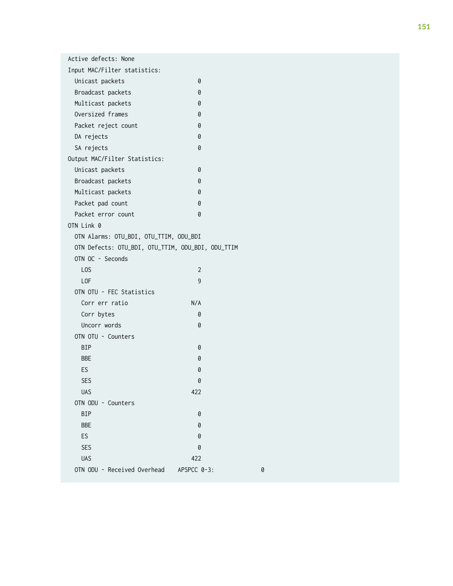| Active defects: None                              |                |   |
|---------------------------------------------------|----------------|---|
| Input MAC/Filter statistics:                      |                |   |
| Unicast packets                                   | 0              |   |
| Broadcast packets                                 | 0              |   |
| Multicast packets                                 | 0              |   |
| Oversized frames                                  | 0              |   |
| Packet reject count                               | 0              |   |
| DA rejects                                        | 0              |   |
| SA rejects                                        | 0              |   |
| Output MAC/Filter Statistics:                     |                |   |
| Unicast packets                                   | 0              |   |
| Broadcast packets                                 | 0              |   |
| Multicast packets                                 | 0              |   |
| Packet pad count                                  | 0              |   |
| Packet error count                                | 0              |   |
| OTN Link 0                                        |                |   |
| OTN Alarms: OTU_BDI, OTU_TTIM, ODU_BDI            |                |   |
| OTN Defects: OTU_BDI, OTU_TTIM, ODU_BDI, ODU_TTIM |                |   |
| OTN OC - Seconds                                  |                |   |
| L <sub>OS</sub>                                   | $\overline{2}$ |   |
| <b>LOF</b>                                        | 9              |   |
| OTN OTU - FEC Statistics                          |                |   |
| Corr err ratio                                    | N/A            |   |
| Corr bytes                                        | 0              |   |
| Uncorr words                                      | 0              |   |
| OTN OTU - Counters                                |                |   |
| <b>BIP</b>                                        | 0              |   |
| <b>BBE</b>                                        | 0              |   |
| ES                                                | 0              |   |
| <b>SFS</b>                                        | 0              |   |
| <b>UAS</b>                                        | 422            |   |
| OTN ODU - Counters                                |                |   |
| BIP                                               | 0              |   |
| <b>BBE</b>                                        | 0              |   |
| ES                                                | 0              |   |
| <b>SES</b>                                        | 0              |   |
| <b>UAS</b>                                        | 422            |   |
| OTN ODU - Received Overhead                       | APSPCC 0-3:    | 0 |
|                                                   |                |   |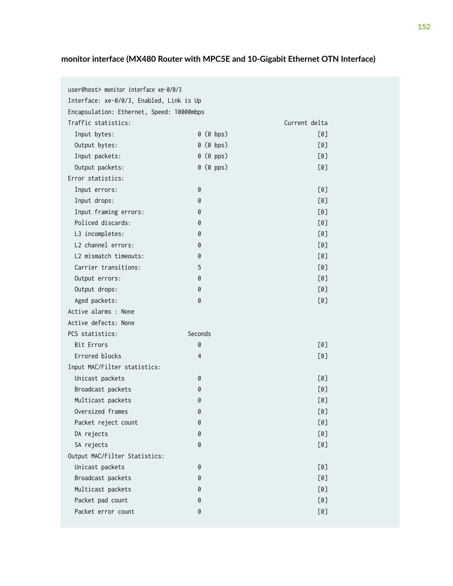### **monitor interface (MX480 Router with MPC5E and 10-Gigabit Ethernet OTN Interface)**

| user@host> monitor interface xe-0/0/3     |                |               |
|-------------------------------------------|----------------|---------------|
| Interface: xe-0/0/3, Enabled, Link is Up  |                |               |
| Encapsulation: Ethernet, Speed: 10000mbps |                |               |
| Traffic statistics:                       |                | Current delta |
| Input bytes:                              | $0$ ( $0$ bps) | [0]           |
| Output bytes:                             | $0$ ( $0$ bps) | [0]           |
| Input packets:                            | $0$ ( $0$ pps) | [0]           |
| Output packets:                           | 0 (0 pps)      | [0]           |
| Error statistics:                         |                |               |
| Input errors:                             | 0              | [0]           |
| Input drops:                              | 0              | [0]           |
| Input framing errors:                     | 0              | [0]           |
| Policed discards:                         | 0              | [0]           |
| L3 incompletes:                           | 0              | [0]           |
| L2 channel errors:                        | 0              | [0]           |
| L2 mismatch timeouts:                     | 0              | [0]           |
| Carrier transitions:                      | 5              | [0]           |
| Output errors:                            | 0              | [0]           |
| Output drops:                             | 0              | [0]           |
| Aged packets:                             | 0              | [0]           |
| Active alarms : None                      |                |               |
| Active defects: None                      |                |               |
| PCS statistics:                           | Seconds        |               |
| <b>Bit Errors</b>                         | 0              | [0]           |
| Errored blocks                            | 4              | [0]           |
| Input MAC/Filter statistics:              |                |               |
| Unicast packets                           | 0              | [0]           |
| Broadcast packets                         | 0              | [0]           |
| Multicast packets                         | 0              | [0]           |
| Oversized frames                          | 0              | [0]           |
| Packet reject count                       | 0              | [0]           |
| DA rejects                                | 0              | [0]           |
| SA rejects                                | 0              | [0]           |
| Output MAC/Filter Statistics:             |                |               |
| Unicast packets                           | 0              | [0]           |
| Broadcast packets                         | 0              | [0]           |
| Multicast packets                         | 0              | [0]           |
| Packet pad count                          | 0              | [0]           |
| Packet error count                        | 0              | [0]           |
|                                           |                |               |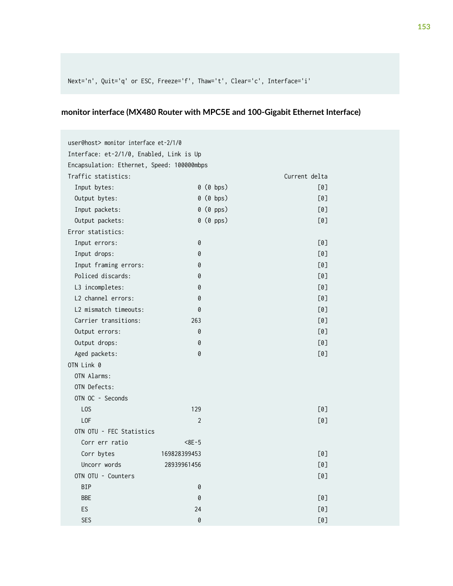### **monitor interface (MX480 Router with MPC5E and 100-Gigabit Ethernet Interface)**

|                                            | user@host> monitor interface et-2/1/0 |                |               |  |
|--------------------------------------------|---------------------------------------|----------------|---------------|--|
| Interface: et-2/1/0, Enabled, Link is Up   |                                       |                |               |  |
| Encapsulation: Ethernet, Speed: 100000mbps |                                       |                |               |  |
| Traffic statistics:                        |                                       |                | Current delta |  |
| Input bytes:                               |                                       | 0 (0 bps)      | [0]           |  |
| Output bytes:                              |                                       | $0$ ( $0$ bps) | [0]           |  |
| Input packets:                             |                                       | $0$ ( $0$ pps) | [0]           |  |
| Output packets:                            |                                       | 0 (0 pps)      | [0]           |  |
| Error statistics:                          |                                       |                |               |  |
| Input errors:                              | 0                                     |                | [0]           |  |
| Input drops:                               | 0                                     |                | [0]           |  |
| Input framing errors:                      | 0                                     |                | [0]           |  |
| Policed discards:                          | 0                                     |                | [0]           |  |
| L3 incompletes:                            | 0                                     |                | [0]           |  |
| L2 channel errors:                         | 0                                     |                | [0]           |  |
| L2 mismatch timeouts:                      | 0                                     |                | [0]           |  |
| Carrier transitions:                       | 263                                   |                | [0]           |  |
| Output errors:                             | 0                                     |                | [0]           |  |
| Output drops:                              | 0                                     |                | [0]           |  |
| Aged packets:                              | 0                                     |                | [0]           |  |
| OTN Link 0                                 |                                       |                |               |  |
| OTN Alarms:                                |                                       |                |               |  |
| OTN Defects:                               |                                       |                |               |  |
| OTN OC - Seconds                           |                                       |                |               |  |
| L <sub>0</sub> S                           | 129                                   |                | [0]           |  |
| L <sub>OF</sub>                            | $\overline{2}$                        |                | [0]           |  |
| OTN OTU - FEC Statistics                   |                                       |                |               |  |
| Corr err ratio                             | $8E-5$                                |                |               |  |
| Corr bytes                                 | 169828399453                          |                | [0]           |  |
| Uncorr words                               | 28939961456                           |                | [0]           |  |
| OTN OTU - Counters                         |                                       |                | [0]           |  |
| <b>BIP</b>                                 | 0                                     |                |               |  |
| <b>BBE</b>                                 | 0                                     |                | [0]           |  |
| ES                                         | 24                                    |                | [0]           |  |
| <b>SES</b>                                 | 0                                     |                | [0]           |  |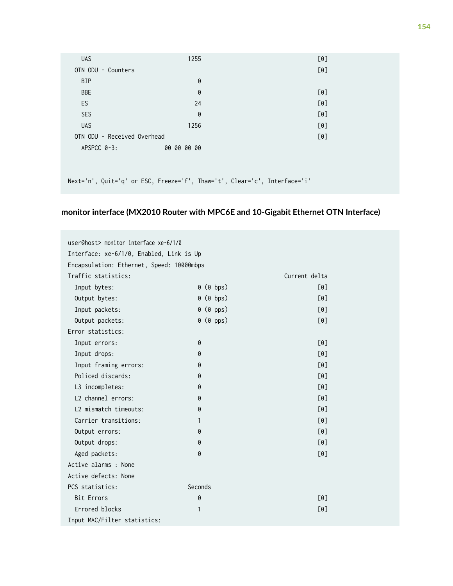| <b>UAS</b>                  | 1255                                                                      | [0] |
|-----------------------------|---------------------------------------------------------------------------|-----|
| OTN ODU - Counters          |                                                                           | [0] |
| <b>BIP</b>                  | 0                                                                         |     |
| <b>BBE</b>                  | 0                                                                         | [0] |
| <b>ES</b>                   | 24                                                                        | [0] |
| <b>SES</b>                  | 0                                                                         | [0] |
| <b>UAS</b>                  | 1256                                                                      | [0] |
| OTN ODU - Received Overhead |                                                                           | [0] |
| $APSPCC 0-3:$               | 00 00 00 00                                                               |     |
|                             |                                                                           |     |
|                             |                                                                           |     |
|                             | Next='n', Quit='q' or ESC, Freeze='f', Thaw='t', Clear='c', Interface='i' |     |

## **monitor interface (MX2010 Router with MPC6E and 10-Gigabit Ethernet OTN Interface)**

| user@host> monitor interface xe-6/1/0     |                |                        |  |  |
|-------------------------------------------|----------------|------------------------|--|--|
| Interface: xe-6/1/0, Enabled, Link is Up  |                |                        |  |  |
| Encapsulation: Ethernet, Speed: 10000mbps |                |                        |  |  |
| Traffic statistics:                       |                | Current delta          |  |  |
| Input bytes:                              | $0$ ( $0$ bps) | $\lceil 0 \rceil$      |  |  |
| Output bytes:                             | $0$ ( $0$ bps) | $\lceil 0 \rceil$      |  |  |
| Input packets:                            | $0$ ( $0$ pps) | $\lceil 0 \rceil$      |  |  |
| Output packets:                           | 0 (0 pps)      | [0]                    |  |  |
| Error statistics:                         |                |                        |  |  |
| Input errors:                             | 0              | [0]                    |  |  |
| Input drops:                              | 0              | $\lceil 0 \rceil$      |  |  |
| Input framing errors:                     | 0              | $\lceil \theta \rceil$ |  |  |
| Policed discards:                         | 0              | [0]                    |  |  |
| L3 incompletes:                           | 0              | $\lceil 0 \rceil$      |  |  |
| L2 channel errors:                        | 0              | $\lceil 0 \rceil$      |  |  |
| L2 mismatch timeouts:                     | 0              | [0]                    |  |  |
| Carrier transitions:                      | 1              | [0]                    |  |  |
| Output errors:                            | 0              | [0]                    |  |  |
| Output drops:                             | 0              | [0]                    |  |  |
| Aged packets:                             | 0              | [0]                    |  |  |
| Active alarms : None                      |                |                        |  |  |
| Active defects: None                      |                |                        |  |  |
| PCS statistics:                           | Seconds        |                        |  |  |
| <b>Bit Errors</b>                         | 0              | [0]                    |  |  |
| Errored blocks                            | 1              | [0]                    |  |  |
| Input MAC/Filter statistics:              |                |                        |  |  |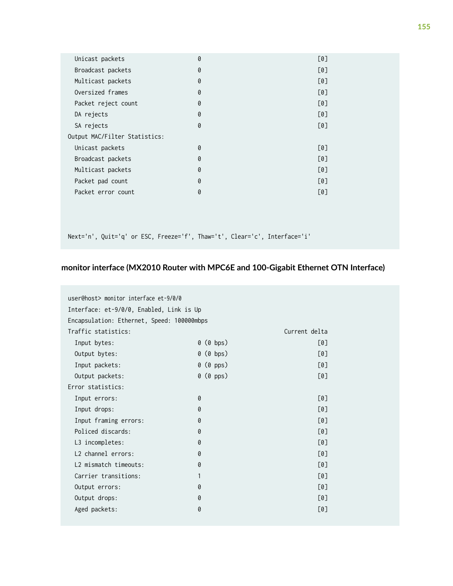| Unicast packets               | 0 | [0] |
|-------------------------------|---|-----|
| Broadcast packets             | 0 | [0] |
| Multicast packets             | 0 | [0] |
| Oversized frames              | 0 | [0] |
| Packet reject count           | 0 | [0] |
| DA rejects                    | 0 | [0] |
| SA rejects                    | 0 | [0] |
| Output MAC/Filter Statistics: |   |     |
| Unicast packets               | 0 | [0] |
| Broadcast packets             | 0 | [0] |
| Multicast packets             | 0 | [0] |
| Packet pad count              | 0 | [0] |
| Packet error count            | 0 | [0] |
|                               |   |     |
|                               |   |     |

### **monitor interface (MX2010 Router with MPC6E and 100-Gigabit Ethernet OTN Interface)**

| user@host> monitor interface et-9/0/0      |                |                        |  |
|--------------------------------------------|----------------|------------------------|--|
| Interface: et-9/0/0, Enabled, Link is Up   |                |                        |  |
|                                            |                |                        |  |
| Encapsulation: Ethernet, Speed: 100000mbps |                |                        |  |
| Traffic statistics:                        |                | Current delta          |  |
| Input bytes:                               | 0 (0 bps)      | $\lceil 0 \rceil$      |  |
| Output bytes:                              | $0$ ( $0$ bps) | $\lceil 0 \rceil$      |  |
| Input packets:                             | $0$ ( $0$ pps) | $\lceil \theta \rceil$ |  |
| Output packets:                            | $0$ ( $0$ pps) | $\lceil \theta \rceil$ |  |
| Error statistics:                          |                |                        |  |
| Input errors:                              | 0              | $\lceil \theta \rceil$ |  |
| Input drops:                               | 0              | $\lceil 0 \rceil$      |  |
| Input framing errors:                      | 0              | $\lceil \theta \rceil$ |  |
| Policed discards:                          | 0              | $\lceil 0 \rceil$      |  |
| L3 incompletes:                            | 0              | $\lceil \theta \rceil$ |  |
| L <sub>2</sub> channel errors:             | 0              | $\lceil 0 \rceil$      |  |
| L2 mismatch timeouts:                      | 0              | $\lceil 0 \rceil$      |  |
| Carrier transitions:                       | 1              | $\lceil \theta \rceil$ |  |
| Output errors:                             | 0              | $\lceil \theta \rceil$ |  |
| Output drops:                              | 0              | $\lceil \theta \rceil$ |  |
| Aged packets:                              | 0              | [0]                    |  |
|                                            |                |                        |  |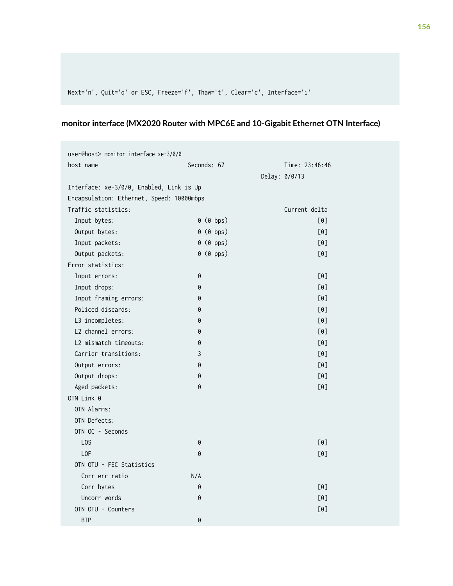### **monitor interface (MX2020 Router with MPC6E and 10-Gigabit Ethernet OTN Interface)**

| user@host> monitor interface xe-3/0/0     |                |                |  |  |
|-------------------------------------------|----------------|----------------|--|--|
| host name                                 | Seconds: 67    | Time: 23:46:46 |  |  |
|                                           |                | Delay: 0/0/13  |  |  |
| Interface: xe-3/0/0, Enabled, Link is Up  |                |                |  |  |
| Encapsulation: Ethernet, Speed: 10000mbps |                |                |  |  |
| Traffic statistics:                       |                | Current delta  |  |  |
| Input bytes:                              | $0$ ( $0$ bps) | [0]            |  |  |
| Output bytes:                             | $0$ ( $0$ bps) | [0]            |  |  |
| Input packets:                            | $0$ ( $0$ pps) | [0]            |  |  |
| Output packets:                           | 0 (0 pps)      | [0]            |  |  |
| Error statistics:                         |                |                |  |  |
| Input errors:                             | 0              | [0]            |  |  |
| Input drops:                              | 0              | [0]            |  |  |
| Input framing errors:                     | 0              | [0]            |  |  |
| Policed discards:                         | 0              | [0]            |  |  |
| L3 incompletes:                           | 0              | [0]            |  |  |
| L2 channel errors:                        | 0              | [0]            |  |  |
| L2 mismatch timeouts:                     | 0              | [0]            |  |  |
| Carrier transitions:                      | 3              | [0]            |  |  |
| Output errors:                            | 0              | [0]            |  |  |
| Output drops:                             | 0              | [0]            |  |  |
| Aged packets:                             | 0              | [0]            |  |  |
| OTN Link 0                                |                |                |  |  |
| OTN Alarms:                               |                |                |  |  |
| OTN Defects:                              |                |                |  |  |
| OTN OC - Seconds                          |                |                |  |  |
| L <sub>0</sub> S                          | 0              | [0]            |  |  |
| LOF                                       | 0              | [0]            |  |  |
| OTN OTU - FEC Statistics                  |                |                |  |  |
| Corr err ratio                            | N/A            |                |  |  |
| Corr bytes                                | 0              | [0]            |  |  |
| Uncorr words                              | 0              | [0]            |  |  |
| OTN OTU - Counters                        |                | [0]            |  |  |
| <b>BIP</b>                                | 0              |                |  |  |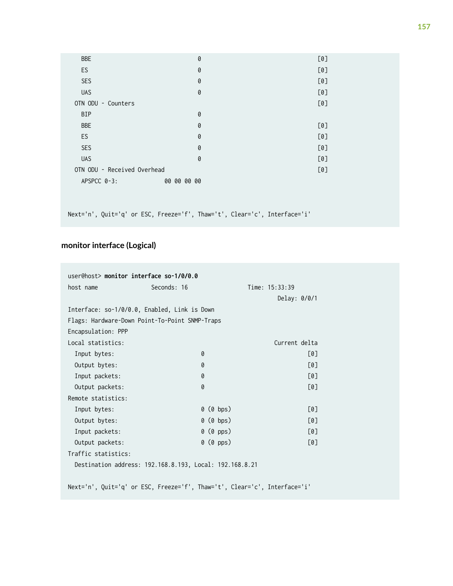| <b>BBE</b>                  | 0           | [0] |
|-----------------------------|-------------|-----|
| ES                          | 0           | [0] |
| SES                         | 0           | [0] |
| <b>UAS</b>                  | 0           | [0] |
| OTN ODU - Counters          |             | [0] |
| <b>BIP</b>                  | 0           |     |
| <b>BBE</b>                  | 0           | [0] |
| ES                          | 0           | [0] |
| SES                         | 0           | [0] |
| <b>UAS</b>                  | 0           | [0] |
| OTN ODU - Received Overhead |             | [0] |
| APSPCC 0-3:                 | 00 00 00 00 |     |

### **monitor interface (Logical)**

|                                                         | user@host> monitor interface so-1/0/0.0                                   |                |                  |                   |
|---------------------------------------------------------|---------------------------------------------------------------------------|----------------|------------------|-------------------|
| host name                                               | Seconds: 16                                                               |                | Time: $15:33:39$ |                   |
|                                                         |                                                                           |                | Delay: 0/0/1     |                   |
|                                                         | Interface: so-1/0/0.0, Enabled, Link is Down                              |                |                  |                   |
|                                                         | Flags: Hardware-Down Point-To-Point SNMP-Traps                            |                |                  |                   |
| Encapsulation: PPP                                      |                                                                           |                |                  |                   |
| Local statistics:                                       |                                                                           |                | Current delta    |                   |
| Input bytes:                                            | 0                                                                         |                |                  | [0]               |
| Output bytes:                                           | 0                                                                         |                |                  | $\lceil 0 \rceil$ |
| Input packets:                                          | 0                                                                         |                |                  | [0]               |
| Output packets:                                         | 0                                                                         |                |                  | [0]               |
| Remote statistics:                                      |                                                                           |                |                  |                   |
| Input bytes:                                            |                                                                           | $0$ ( $0$ bps) |                  | [0]               |
| Output bytes:                                           |                                                                           | $0$ ( $0$ bps) |                  | [0]               |
| Input packets:                                          |                                                                           | $0$ ( $0$ pps) |                  | [0]               |
| Output packets:                                         |                                                                           | $0$ ( $0$ pps) |                  | [0]               |
| Traffic statistics:                                     |                                                                           |                |                  |                   |
| Destination address: 192.168.8.193, Local: 192.168.8.21 |                                                                           |                |                  |                   |
|                                                         |                                                                           |                |                  |                   |
|                                                         | Next='n', Quit='q' or ESC, Freeze='f', Thaw='t', Clear='c', Interface='i' |                |                  |                   |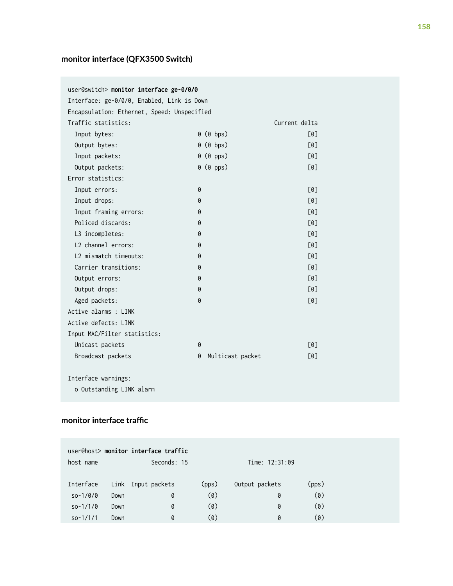## **monitor interface (QFX3500 Switch)**

| user@switch> monitor interface ge-0/0/0     |                       |               |
|---------------------------------------------|-----------------------|---------------|
| Interface: ge-0/0/0, Enabled, Link is Down  |                       |               |
| Encapsulation: Ethernet, Speed: Unspecified |                       |               |
| Traffic statistics:                         |                       | Current delta |
| Input bytes:                                | $0$ ( $0$ bps)        | [0]           |
| Output bytes:                               | $0$ ( $0$ bps)        | [0]           |
| Input packets:                              | $0$ ( $0$ pps)        | [0]           |
| Output packets:                             | $0$ ( $0$ pps)        | [0]           |
| Error statistics:                           |                       |               |
| Input errors:                               | 0                     | [0]           |
| Input drops:                                | 0                     | [0]           |
| Input framing errors:                       | 0                     | [0]           |
| Policed discards:                           | 0                     | [0]           |
| L3 incompletes:                             | 0                     | [0]           |
| L <sub>2</sub> channel errors:              | 0                     | [0]           |
| L2 mismatch timeouts:                       | 0                     | [0]           |
| Carrier transitions:                        | 0                     | [0]           |
| Output errors:                              | 0                     | [0]           |
| Output drops:                               | 0                     | [0]           |
| Aged packets:                               | 0                     | [0]           |
| Active alarms : LINK                        |                       |               |
| Active defects: LINK                        |                       |               |
| Input MAC/Filter statistics:                |                       |               |
| Unicast packets                             | 0                     | [0]           |
| Broadcast packets                           | Multicast packet<br>0 | [0]           |
| Interface warnings:                         |                       |               |
| o Outstanding LINK alarm                    |                       |               |

### monitor interface traffic

| host name  |      | user@host> monitor interface traffic<br>Seconds: 15 |       | Time: 12:31:09 |       |
|------------|------|-----------------------------------------------------|-------|----------------|-------|
| Interface  | Link | Input packets                                       | (pps) | Output packets | (pps) |
| $so-1/0/0$ | Down | 0                                                   | (0)   | 0              | (0)   |
| $so-1/1/0$ | Down | 0                                                   | (0)   | 0              | (0)   |
| $so-1/1/1$ | Down | 0                                                   | (0)   | 0              | (0)   |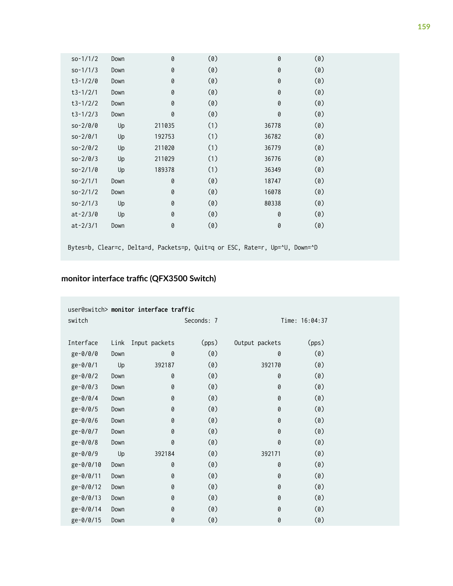| $so-1/1/2$   | Down | 0      | (0) | 0                                                                           | (0) |  |
|--------------|------|--------|-----|-----------------------------------------------------------------------------|-----|--|
| $so-1/1/3$   | Down | 0      | (0) | 0                                                                           | (0) |  |
| $t3-1/2/0$   | Down | 0      | (0) | 0                                                                           | (0) |  |
| $t3-1/2/1$   | Down | 0      | (0) | 0                                                                           | (0) |  |
| $t3-1/2/2$   | Down | 0      | (0) | 0                                                                           | (0) |  |
| $t3-1/2/3$   | Down | 0      | (0) | 0                                                                           | (0) |  |
| $so-2/0/0$   | Up   | 211035 | (1) | 36778                                                                       | (0) |  |
| $so-2/0/1$   | Up   | 192753 | (1) | 36782                                                                       | (0) |  |
| $so-2/0/2$   | Up   | 211020 | (1) | 36779                                                                       | (0) |  |
| $so-2/0/3$   | Up   | 211029 | (1) | 36776                                                                       | (0) |  |
| $so-2/1/0$   | Up   | 189378 | (1) | 36349                                                                       | (0) |  |
| $so-2/1/1$   | Down | 0      | (0) | 18747                                                                       | (0) |  |
| $so-2/1/2$   | Down | 0      | (0) | 16078                                                                       | (0) |  |
| $so-2/1/3$   | Up   | 0      | (0) | 80338                                                                       | (0) |  |
| $at - 2/3/0$ | Up   | 0      | (0) | 0                                                                           | (0) |  |
| $at - 2/3/1$ | Down | 0      | (0) | 0                                                                           | (0) |  |
|              |      |        |     |                                                                             |     |  |
|              |      |        |     | Bytes=b, Clear=c, Delta=d, Packets=p, Quit=q or ESC, Rate=r, Up=^U, Down=^D |     |  |

### monitor interface traffic (QFX3500 Switch)

| switch    |      |                    | Seconds: 7 |                | Time: 16:04:37 |
|-----------|------|--------------------|------------|----------------|----------------|
|           |      |                    |            |                |                |
| Interface |      | Link Input packets | (pps)      | Output packets | (pps)          |
| ge-0/0/0  | Down | 0                  | (0)        | 0              | (0)            |
| ge-0/0/1  | Up   | 392187             | (0)        | 392170         | (0)            |
| ge-0/0/2  | Down | 0                  | (0)        | 0              | (0)            |
| ge-0/0/3  | Down | 0                  | (0)        | 0              | (0)            |
| ge-0/0/4  | Down | 0                  | (0)        | 0              | (0)            |
| ge-0/0/5  | Down | 0                  | (0)        | 0              | (0)            |
| ge-0/0/6  | Down | 0                  | (0)        | 0              | (0)            |
| ge-0/0/7  | Down | 0                  | (0)        | 0              | (0)            |
| ge-0/0/8  | Down | 0                  | (0)        | 0              | (0)            |
| ge-0/0/9  | Up   | 392184             | (0)        | 392171         | (0)            |
| ge-0/0/10 | Down | 0                  | (0)        | 0              | (0)            |
| ge-0/0/11 | Down | 0                  | (0)        | 0              | (0)            |
| ge-0/0/12 | Down | 0                  | (0)        | 0              | (0)            |
| ge-0/0/13 | Down | 0                  | (0)        | 0              | (0)            |
| ge-0/0/14 | Down | 0                  | (0)        | 0              | (0)            |
| ge-0/0/15 | Down | 0                  | (0)        | 0              | (0)            |
|           |      |                    |            |                |                |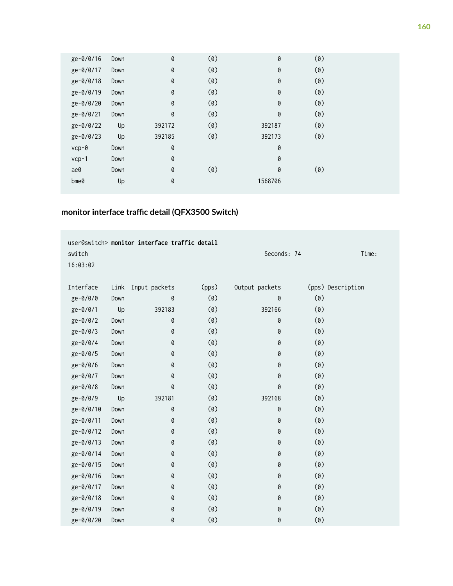| ge-0/0/16       | Down | 0      | (0) | 0       | (0) |  |
|-----------------|------|--------|-----|---------|-----|--|
| ge-0/0/17       | Down | 0      | (0) | 0       | (0) |  |
| ge-0/0/18       | Down | 0      | (0) | 0       | (0) |  |
| ge-0/0/19       | Down | 0      | (0) | 0       | (0) |  |
| ge-0/0/20       | Down | 0      | (0) | 0       | (0) |  |
| ge-0/0/21       | Down | 0      | (0) | 0       | (0) |  |
| ge-0/0/22       | Up   | 392172 | (0) | 392187  | (0) |  |
| ge-0/0/23       | Up   | 392185 | (0) | 392173  | (0) |  |
| $vcp-\theta$    | Down | 0      |     | 0       |     |  |
| $vcp-1$         | Down | 0      |     | 0       |     |  |
| ae0             | Down | 0      | (0) | 0       | (0) |  |
| $b$ me $\theta$ | Up   | 0      |     | 1568706 |     |  |

### monitor interface traffic detail (QFX3500 Switch)

|           |      | user@switch> monitor interface traffic detail |       |                |     |                   |
|-----------|------|-----------------------------------------------|-------|----------------|-----|-------------------|
| switch    |      |                                               |       | Seconds: 74    |     | Time:             |
| 16:03:02  |      |                                               |       |                |     |                   |
|           |      |                                               |       |                |     |                   |
| Interface | Link | Input packets                                 | (pps) | Output packets |     | (pps) Description |
| ge-0/0/0  | Down | 0                                             | (0)   | 0              | (0) |                   |
| ge-0/0/1  | Up   | 392183                                        | (0)   | 392166         | (0) |                   |
| ge-0/0/2  | Down | 0                                             | (0)   | 0              | (0) |                   |
| ge-0/0/3  | Down | 0                                             | (0)   | 0              | (0) |                   |
| ge-0/0/4  | Down | 0                                             | (0)   | 0              | (0) |                   |
| ge-0/0/5  | Down | 0                                             | (0)   | 0              | (0) |                   |
| ge-0/0/6  | Down | 0                                             | (0)   | 0              | (0) |                   |
| ge-0/0/7  | Down | 0                                             | (0)   | 0              | (0) |                   |
| ge-0/0/8  | Down | 0                                             | (0)   | 0              | (0) |                   |
| ge-0/0/9  | Up   | 392181                                        | (0)   | 392168         | (0) |                   |
| ge-0/0/10 | Down | 0                                             | (0)   | 0              | (0) |                   |
| ge-0/0/11 | Down | 0                                             | (0)   | 0              | (0) |                   |
| ge-0/0/12 | Down | 0                                             | (0)   | 0              | (0) |                   |
| ge-0/0/13 | Down | 0                                             | (0)   | 0              | (0) |                   |
| ge-0/0/14 | Down | 0                                             | (0)   | 0              | (0) |                   |
| ge-0/0/15 | Down | 0                                             | (0)   | 0              | (0) |                   |
| ge-0/0/16 | Down | 0                                             | (0)   | 0              | (0) |                   |
| ge-0/0/17 | Down | 0                                             | (0)   | 0              | (0) |                   |
| ge-0/0/18 | Down | 0                                             | (0)   | 0              | (0) |                   |
| ge-0/0/19 | Down | 0                                             | (0)   | 0              | (0) |                   |
| ge-0/0/20 | Down | 0                                             | (0)   | 0              | (0) |                   |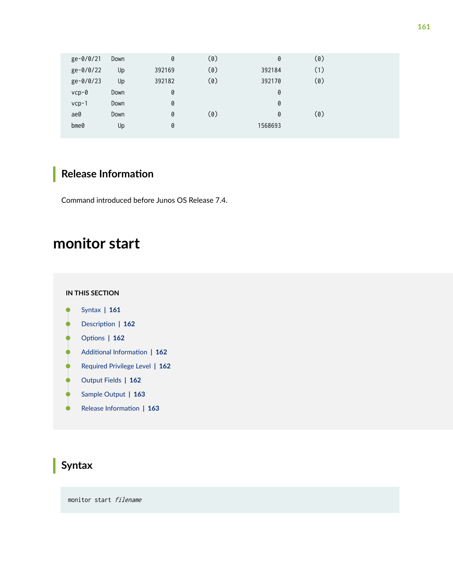<span id="page-167-0"></span>

| ge-0/0/21       | Down | 0      | (0) | 0       | (0) |  |
|-----------------|------|--------|-----|---------|-----|--|
| ge-0/0/22       | Up   | 392169 | (0) | 392184  | (1) |  |
| ge-0/0/23       | Up   | 392182 | (0) | 392170  | (0) |  |
| $vcp-\theta$    | Down | 0      |     | 0       |     |  |
| $vcp-1$         | Down | 0      |     | 0       |     |  |
| ae0             | Down | 0      | (0) | 0       | (0) |  |
| $b$ me $\theta$ | Up   | 0      |     | 1568693 |     |  |
|                 |      |        |     |         |     |  |

## **Release Information**

Command introduced before Junos OS Release 7.4.

## **monitor start**

#### **IN THIS SECTION**

- Syntax **| 161** ●
- Description | 162 Ŏ
- **Options** | 162  $\bullet$
- **Additional Information | 162** Ò
- [Required Privilege Level](#page-168-0) **| 162** ė
- Ó [Output Fields](#page-168-0) **| 162**
- $\bullet$ [Sample Output](#page-169-0) **| 163**
- $\bullet$ Release Information | 163

## **Syntax**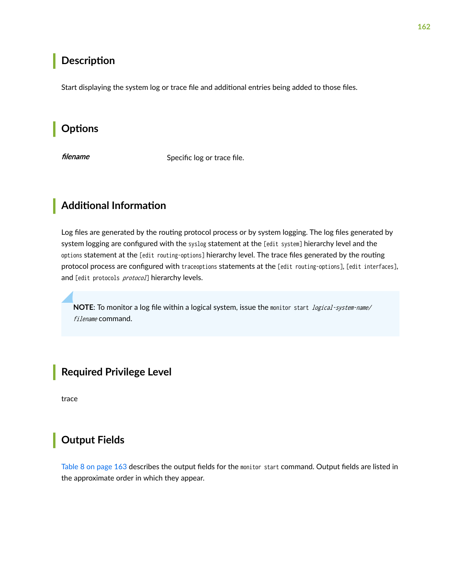### <span id="page-168-0"></span>**Description**

Start displaying the system log or trace file and additional entries being added to those files.

## **Options**

Filename Specific log or trace file.

## **Additional Information**

Log files are generated by the routing protocol process or by system logging. The log files generated by system logging are configured with the syslog statement at the [edit system] hierarchy level and the options statement at the [edit routing-options] hierarchy level. The trace files generated by the routing protocol process are configured with traceoptions statements at the [edit routing-options], [edit interfaces], and [edit protocols protocol] hierarchy levels.

**NOTE:** To monitor a log file within a logical system, issue the monitor start *logical-system-name/* filename command.

**Required Privilege Level**

trace

## **Output Fields**

[Table 8 on page 163](#page-169-0) describes the output fields for the monitor start command. Output fields are listed in the approximate order in which they appear.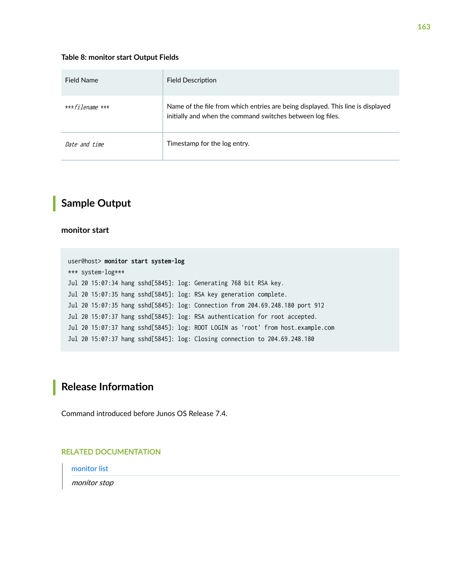#### <span id="page-169-0"></span>**Table 8: monitor start Output Fields**

| Field Name              | <b>Field Description</b>                                                                                                                      |
|-------------------------|-----------------------------------------------------------------------------------------------------------------------------------------------|
| *** <i>filename</i> *** | Name of the file from which entries are being displayed. This line is displayed<br>initially and when the command switches between log files. |
| Date and time           | Timestamp for the log entry.                                                                                                                  |

### **Sample Output**

#### **monitor start**

```
user@host> monitor start system-log
*** system-log***
Jul 20 15:07:34 hang sshd[5845]: log: Generating 768 bit RSA key.
Jul 20 15:07:35 hang sshd[5845]: log: RSA key generation complete.
Jul 20 15:07:35 hang sshd[5845]: log: Connection from 204.69.248.180 port 912
Jul 20 15:07:37 hang sshd[5845]: log: RSA authentication for root accepted.
Jul 20 15:07:37 hang sshd[5845]: log: ROOT LOGIN as 'root' from host.example.com
Jul 20 15:07:37 hang sshd[5845]: log: Closing connection to 204.69.248.180
```
## **Release Information**

Command introduced before Junos OS Release 7.4.

#### RELATED DOCUMENTATION

[monitor list](https://www.juniper.net/documentation/en_US/junos/topics/reference/command-summary/monitor-list.html)

monitor stop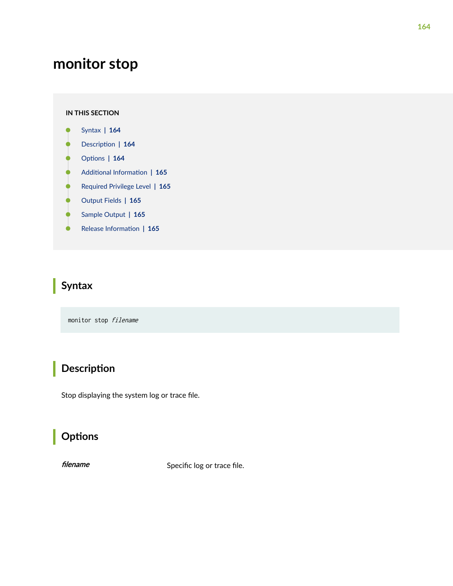## <span id="page-170-0"></span>**monitor stop**

#### **IN THIS SECTION**

- Syntax **| 164**
- Description | 164 Ò
- **Options** | 164
- Ó **Additional Information | 165**
- [Required Privilege Level](#page-171-0) **| 165** Ċ
- [Output Fields](#page-171-0) **| 165** Ó
- $\bullet$ [Sample Output](#page-171-0) **| 165**
- Release Information | 165 Ò

## **Syntax**

monitor stop filename

## **Description**

Stop displaying the system log or trace file.

## **Options**

filename Specific log or trace file.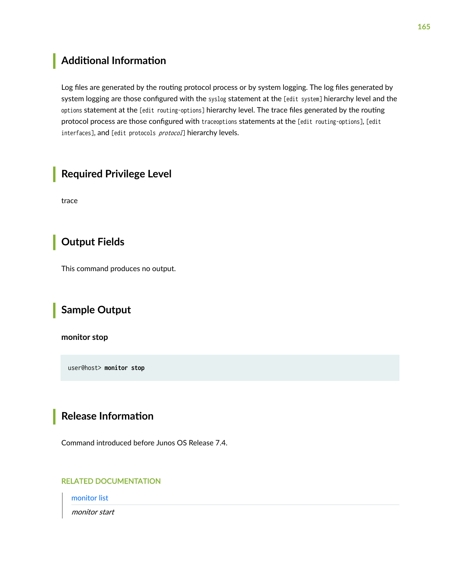## <span id="page-171-0"></span>**Additional Information**

Log files are generated by the routing protocol process or by system logging. The log files generated by system logging are those configured with the syslog statement at the [edit system] hierarchy level and the options statement at the [edit routing-options] hierarchy level. The trace files generated by the routing protocol process are those configured with traceoptions statements at the [edit routing-options], [edit interfaces], and [edit protocols protocol] hierarchy levels.

### **Required Privilege Level**

trace

## **Output Fields**

This command produces no output.

## **Sample Output**

**monitor stop**

user@host> **monitor stop**

## **Release Information**

Command introduced before Junos OS Release 7.4.

#### RELATED DOCUMENTATION

[monitor list](https://www.juniper.net/documentation/en_US/junos/topics/reference/command-summary/monitor-list.html)

monitor start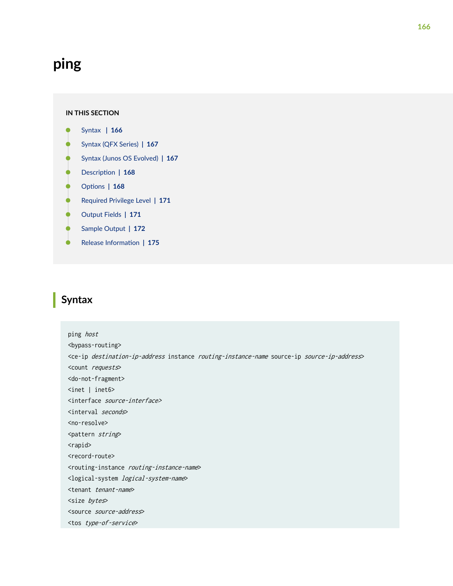## <span id="page-172-0"></span>**ping**

#### **IN THIS SECTION**

- Syntax **| 166**
- [Syntax \(QFX Series\)](#page-173-0) **| 167**
- [Syntax \(Junos OS Evolved\)](#page-173-0) **| 167**
- **Description** | 168
- **Options** | 168 Ċ
- [Required Privilege Level](#page-177-0) **| 171** Ó
- [Output Fields](#page-177-0) **| 171**
- [Sample Output](#page-178-0) **| 172**
- Release Information | 175  $\bullet$

## **Syntax**

ping host <bypass-routing> <ce-ip destination-ip-address instance routing-instance-name source-ip source-ip-address> <count requests> <do-not-fragment> <inet | inet6> <interface source-interface> <interval seconds> <no-resolve> <pattern string> <rapid> <record-route> <routing-instance routing-instance-name> <logical-system logical-system-name> <tenant tenant-name> <size bytes> <source source-address> <tos type-of-service>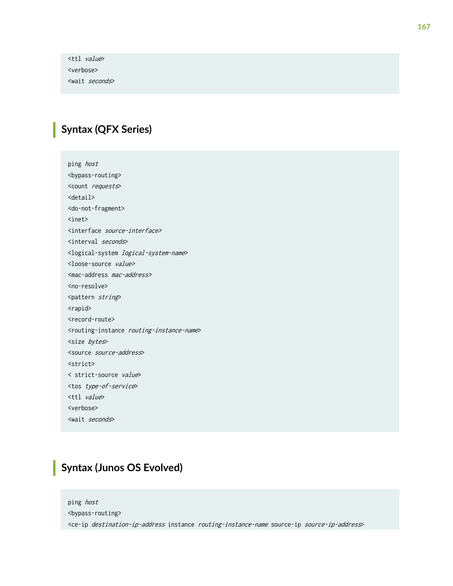<span id="page-173-0"></span><ttl value> <verbose> <wait seconds>

## **Syntax (QFX Series)**

ping host <bypass-routing> <count requests> <detail> <do-not-fragment> <inet> <interface source-interface> <interval seconds> <logical-system logical-system-name> <loose-source value> <mac-address mac-address> <no-resolve> <pattern string> <rapid> <record-route> <routing-instance routing-instance-name> <size bytes> <source source-address> <strict> < strict-source value> <tos type-of-service> <ttl value> <verbose> <wait seconds>

## **Syntax (Junos OS Evolved)**

ping host <bypass-routing> <ce-ip destination-ip-address instance routing-instance-name source-ip source-ip-address>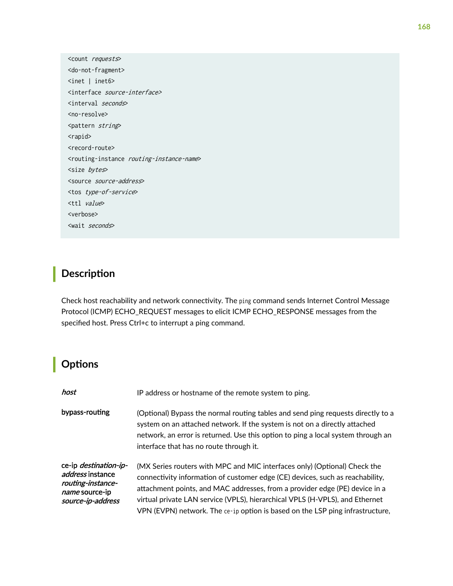<span id="page-174-0"></span><count requests> <do-not-fragment> <inet | inet6> <interface source-interface> <interval seconds> <no-resolve> <pattern string> <rapid> <record-route> <routing-instance routing-instance-name> <size bytes> <source source-address> <tos type-of-service> <ttl value> <verbose> <wait seconds>

## **Description**

Check host reachability and network connectivity. The ping command sends Internet Control Message Protocol (ICMP) ECHO\_REQUEST messages to elicit ICMP ECHO\_RESPONSE messages from the specified host. Press Ctrl+c to interrupt a ping command.

## **Options**

| host                                                                                                                | IP address or hostname of the remote system to ping.                                                                                                                                                                                                                                                                                                                                                       |
|---------------------------------------------------------------------------------------------------------------------|------------------------------------------------------------------------------------------------------------------------------------------------------------------------------------------------------------------------------------------------------------------------------------------------------------------------------------------------------------------------------------------------------------|
| bypass-routing                                                                                                      | (Optional) Bypass the normal routing tables and send ping requests directly to a<br>system on an attached network. If the system is not on a directly attached<br>network, an error is returned. Use this option to ping a local system through an<br>interface that has no route through it.                                                                                                              |
| ce-ip <i>destination-ip-</i><br><i>address</i> instance<br>routing-instance-<br>name source-ip<br>source-ip-address | (MX Series routers with MPC and MIC interfaces only) (Optional) Check the<br>connectivity information of customer edge (CE) devices, such as reachability,<br>attachment points, and MAC addresses, from a provider edge (PE) device in a<br>virtual private LAN service (VPLS), hierarchical VPLS (H-VPLS), and Ethernet<br>VPN (EVPN) network. The ce-ip option is based on the LSP ping infrastructure, |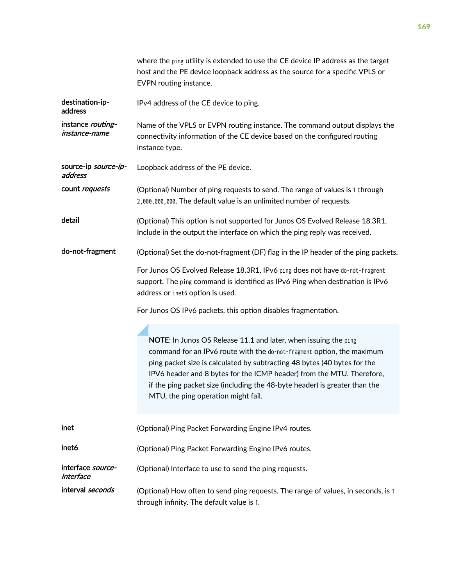where the ping utility is extended to use the CE device IP address as the target host and the PE device loopback address as the source for a specific VPLS or Name of the VPLS or EVPN routing instance. The command output displays the connectivity information of the CE device based on the configured routing

address count requests (Optional) Number of ping requests to send. The range of values is 1 through 2,000,000,000. The default value is an unlimited number of requests.

EVPN routing instance.

instance type.

IPv4 address of the CE device to ping.

Loopback address of the PE device.

destination-ipaddress

instance routinginstance-name

source-ip source-ip-

- detail **the Contain-Contain-** (Optional) This option is not supported for Junos OS Evolved Release 18.3R1. Include in the output the interface on which the ping reply was received.
- do-not-fragment (Optional) Set the do-not-fragment (DF) flag in the IP header of the ping packets.

For Junos OS Evolved Release 18.3R1, IPv6 ping does not have do-not-fragment support. The ping command is identified as IPv6 Ping when destination is IPv6 address or inet6 option is used.

For Junos OS IPv6 packets, this option disables fragmentation.

**NOTE**: In Junos OS Release 11.1 and later, when issuing the ping command for an IPv6 route with the do-not-fragment option, the maximum ping packet size is calculated by subtracting 48 bytes (40 bytes for the IPV6 header and 8 bytes for the ICMP header) from the MTU. Therefore, if the ping packet size (including the 48-byte header) is greater than the MTU, the ping operation might fail.

inet (Optional) Ping Packet Forwarding Engine IPv4 routes.

inet6 (Optional) Ping Packet Forwarding Engine IPv6 routes.

interface sourceinterface (Optional) Interface to use to send the ping requests.

interval seconds (Optional) How often to send ping requests. The range of values, in seconds, is 1 through infinity. The default value is 1.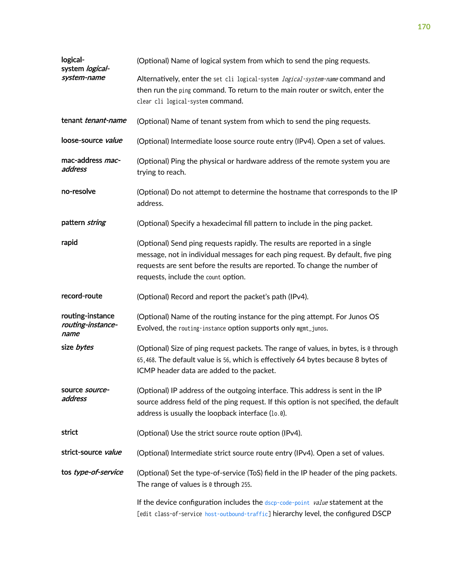| logical-<br>system logical-                   | (Optional) Name of logical system from which to send the ping requests.                                                                                                                                                                                                              |  |  |  |  |
|-----------------------------------------------|--------------------------------------------------------------------------------------------------------------------------------------------------------------------------------------------------------------------------------------------------------------------------------------|--|--|--|--|
| system-name                                   | Alternatively, enter the set cli logical-system logical-system-name command and<br>then run the ping command. To return to the main router or switch, enter the<br>clear cli logical-system command.                                                                                 |  |  |  |  |
| tenant <i>tenant-name</i>                     | (Optional) Name of tenant system from which to send the ping requests.                                                                                                                                                                                                               |  |  |  |  |
| loose-source value                            | (Optional) Intermediate loose source route entry (IPv4). Open a set of values.                                                                                                                                                                                                       |  |  |  |  |
| mac-address mac-<br>address                   | (Optional) Ping the physical or hardware address of the remote system you are<br>trying to reach.                                                                                                                                                                                    |  |  |  |  |
| no-resolve                                    | (Optional) Do not attempt to determine the hostname that corresponds to the IP<br>address.                                                                                                                                                                                           |  |  |  |  |
| pattern string                                | (Optional) Specify a hexadecimal fill pattern to include in the ping packet.                                                                                                                                                                                                         |  |  |  |  |
| rapid                                         | (Optional) Send ping requests rapidly. The results are reported in a single<br>message, not in individual messages for each ping request. By default, five ping<br>requests are sent before the results are reported. To change the number of<br>requests, include the count option. |  |  |  |  |
| record-route                                  | (Optional) Record and report the packet's path (IPv4).                                                                                                                                                                                                                               |  |  |  |  |
| routing-instance<br>routing-instance-<br>name | (Optional) Name of the routing instance for the ping attempt. For Junos OS<br>Evolved, the routing-instance option supports only mgmt_junos.                                                                                                                                         |  |  |  |  |
| size bytes                                    | (Optional) Size of ping request packets. The range of values, in bytes, is 0 through<br>65,468. The default value is 56, which is effectively 64 bytes because 8 bytes of<br>ICMP header data are added to the packet.                                                               |  |  |  |  |
| source <i>source-</i><br>address              | (Optional) IP address of the outgoing interface. This address is sent in the IP<br>source address field of the ping request. If this option is not specified, the default<br>address is usually the loopback interface (lo.0).                                                       |  |  |  |  |
| strict                                        | (Optional) Use the strict source route option (IPv4).                                                                                                                                                                                                                                |  |  |  |  |
| strict-source value                           | (Optional) Intermediate strict source route entry (IPv4). Open a set of values.                                                                                                                                                                                                      |  |  |  |  |
| tos type-of-service                           | (Optional) Set the type-of-service (ToS) field in the IP header of the ping packets.<br>The range of values is $\theta$ through 255.                                                                                                                                                 |  |  |  |  |
|                                               | If the device configuration includes the dscp-code-point value statement at the<br>[edit class-of-service host-outbound-traffic] hierarchy level, the configured DSCP                                                                                                                |  |  |  |  |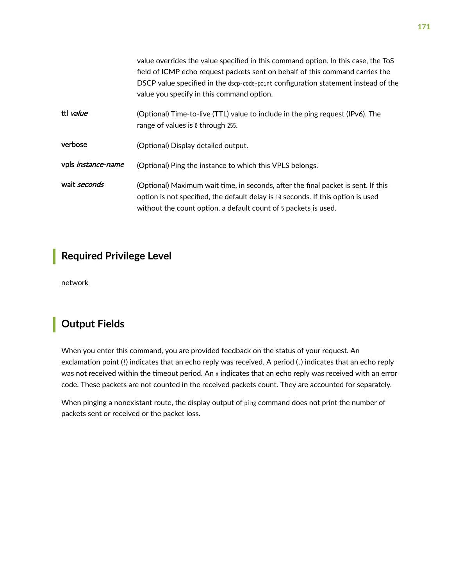<span id="page-177-0"></span>

|                           | value overrides the value specified in this command option. In this case, the ToS<br>field of ICMP echo request packets sent on behalf of this command carries the<br>DSCP value specified in the dscp-code-point configuration statement instead of the<br>value you specify in this command option. |
|---------------------------|-------------------------------------------------------------------------------------------------------------------------------------------------------------------------------------------------------------------------------------------------------------------------------------------------------|
| ttl value                 | (Optional) Time-to-live (TTL) value to include in the ping request (IPv6). The<br>range of values is $\theta$ through 255.                                                                                                                                                                            |
| verbose                   | (Optional) Display detailed output.                                                                                                                                                                                                                                                                   |
| vpls <i>instance-name</i> | (Optional) Ping the instance to which this VPLS belongs.                                                                                                                                                                                                                                              |
| wait seconds              | (Optional) Maximum wait time, in seconds, after the final packet is sent. If this<br>option is not specified, the default delay is 10 seconds. If this option is used<br>without the count option, a default count of 5 packets is used.                                                              |

## **Required Privilege Level**

network

## **Output Fields**

When you enter this command, you are provided feedback on the status of your request. An exclamation point (!) indicates that an echo reply was received. A period (.) indicates that an echo reply was not received within the timeout period. An x indicates that an echo reply was received with an error code. These packets are not counted in the received packets count. They are accounted for separately.

When pinging a nonexistant route, the display output of ping command does not print the number of packets sent or received or the packet loss.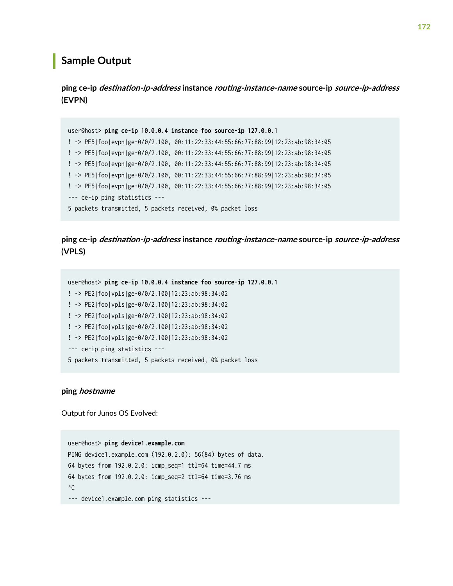### <span id="page-178-0"></span>**Sample Output**

 $\frac{1}{2}$  ping ce-ip *destination-ip-address* instance *routing-instance-name* source-ip *source-ip-address* **(EVPN)**

```
user@host> ping ce-ip 10.0.0.4 instance foo source-ip 127.0.0.1
! -> PE5|foo|evpn|ge-0/0/2.100, 00:11:22:33:44:55:66:77:88:99|12:23:ab:98:34:05
! -> PE5|foo|evpn|ge-0/0/2.100, 00:11:22:33:44:55:66:77:88:99|12:23:ab:98:34:05
! -> PE5|foo|evpn|ge-0/0/2.100, 00:11:22:33:44:55:66:77:88:99|12:23:ab:98:34:05
! -> PE5|foo|evpn|ge-0/0/2.100, 00:11:22:33:44:55:66:77:88:99|12:23:ab:98:34:05
! -> PE5|foo|evpn|ge-0/0/2.100, 00:11:22:33:44:55:66:77:88:99|12:23:ab:98:34:05
--- ce-ip ping statistics ---
5 packets transmitted, 5 packets received, 0% packet loss
```
### $p$ ing ce-ip *destination-ip-address* instance *routing-instance-name* source-ip *source-ip-address* **(VPLS)**

```
user@host> ping ce-ip 10.0.0.4 instance foo source-ip 127.0.0.1
! -> PE2|foo|vpls|ge-0/0/2.100|12:23:ab:98:34:02
! -> PE2|foo|vpls|ge-0/0/2.100|12:23:ab:98:34:02
! -> PE2|foo|vpls|ge-0/0/2.100|12:23:ab:98:34:02
! -> PE2|foo|vpls|ge-0/0/2.100|12:23:ab:98:34:02
! -> PE2|foo|vpls|ge-0/0/2.100|12:23:ab:98:34:02
--- ce-ip ping statistics ---
5 packets transmitted, 5 packets received, 0% packet loss
```
#### **ping hostname**

Output for Junos OS Evolved:

user@host> **ping device1.example.com** PING device1.example.com (192.0.2.0): 56(84) bytes of data. 64 bytes from 192.0.2.0: icmp\_seq=1 ttl=64 time=44.7 ms 64 bytes from 192.0.2.0: icmp\_seq=2 ttl=64 time=3.76 ms  $^{\wedge}C$ --- device1.example.com ping statistics ---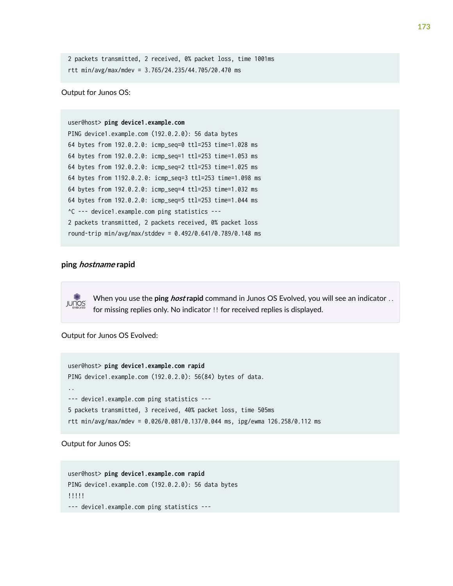```
2 packets transmitted, 2 received, 0% packet loss, time 1001ms
rtt min/avg/max/mdev = 3.765/24.235/44.705/20.470 ms
```
Output for Junos OS:

```
user@host> ping device1.example.com
PING device1.example.com (192.0.2.0): 56 data bytes
64 bytes from 192.0.2.0: icmp_seq=0 ttl=253 time=1.028 ms
64 bytes from 192.0.2.0: icmp_seq=1 ttl=253 time=1.053 ms
64 bytes from 192.0.2.0: icmp_seq=2 ttl=253 time=1.025 ms
64 bytes from 1192.0.2.0: icmp_seq=3 ttl=253 time=1.098 ms
64 bytes from 192.0.2.0: icmp_seq=4 ttl=253 time=1.032 ms
64 bytes from 192.0.2.0: icmp_seq=5 ttl=253 time=1.044 ms
^C --- device1.example.com ping statistics ---
2 packets transmitted, 2 packets received, 0% packet loss
round-trip min/avg/max/stddev = 0.492/0.641/0.789/0.148 ms
```
#### **ping hostname rapid**



When you use the **ping host rapid** command in Junos OS Evolved, you will see an indicator .. for missing replies only. No indicator !! for received replies is displayed.

Output for Junos OS Evolved:

```
user@host> ping device1.example.com rapid
PING device1.example.com (192.0.2.0): 56(84) bytes of data.
..
--- device1.example.com ping statistics ---
5 packets transmitted, 3 received, 40% packet loss, time 505ms
rtt min/avg/max/mdev = 0.026/0.081/0.137/0.044 ms, ipg/ewma 126.258/0.112 ms
```
Output for Junos OS:

```
user@host> ping device1.example.com rapid
PING device1.example.com (192.0.2.0): 56 data bytes
!!!!!
--- device1.example.com ping statistics ---
```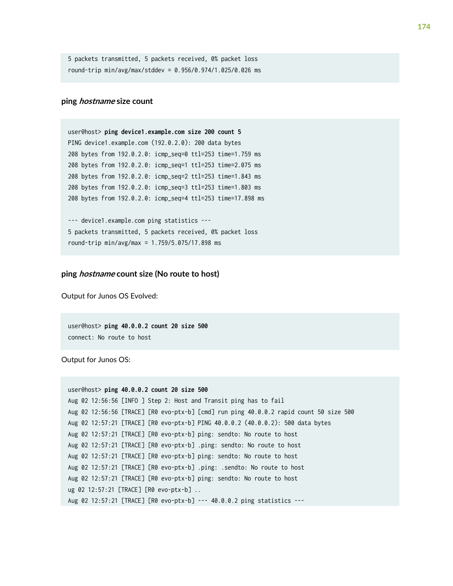5 packets transmitted, 5 packets received, 0% packet loss round-trip min/avg/max/stddev = 0.956/0.974/1.025/0.026 ms

#### **ping hostname size count**

user@host> **ping device1.example.com size 200 count 5** PING device1.example.com (192.0.2.0): 200 data bytes 208 bytes from 192.0.2.0: icmp\_seq=0 ttl=253 time=1.759 ms 208 bytes from 192.0.2.0: icmp\_seq=1 ttl=253 time=2.075 ms 208 bytes from 192.0.2.0: icmp\_seq=2 ttl=253 time=1.843 ms 208 bytes from 192.0.2.0: icmp\_seq=3 ttl=253 time=1.803 ms 208 bytes from 192.0.2.0: icmp\_seq=4 ttl=253 time=17.898 ms

--- device1.example.com ping statistics --- 5 packets transmitted, 5 packets received, 0% packet loss round-trip min/avg/max = 1.759/5.075/17.898 ms

#### **ping hostname count size (No route to host)**

Output for Junos OS Evolved:

user@host> **ping 40.0.0.2 count 20 size 500** connect: No route to host

Output for Junos OS:

```
user@host> ping 40.0.0.2 count 20 size 500
Aug 02 12:56:56 [INFO ] Step 2: Host and Transit ping has to fail
Aug 02 12:56:56 [TRACE] [R0 evo-ptx-b] [cmd] run ping 40.0.0.2 rapid count 50 size 500
Aug 02 12:57:21 [TRACE] [R0 evo-ptx-b] PING 40.0.0.2 (40.0.0.2): 500 data bytes
Aug 02 12:57:21 [TRACE] [R0 evo-ptx-b] ping: sendto: No route to host
Aug 02 12:57:21 [TRACE] [R0 evo-ptx-b] .ping: sendto: No route to host
Aug 02 12:57:21 [TRACE] [R0 evo-ptx-b] ping: sendto: No route to host
Aug 02 12:57:21 [TRACE] [R0 evo-ptx-b] .ping: .sendto: No route to host
Aug 02 12:57:21 [TRACE] [R0 evo-ptx-b] ping: sendto: No route to host
ug 02 12:57:21 [TRACE] [R0 evo-ptx-b] ..
Aug 02 12:57:21 [TRACE] [R0 evo-ptx-b] --- 40.0.0.2 ping statistics ---
```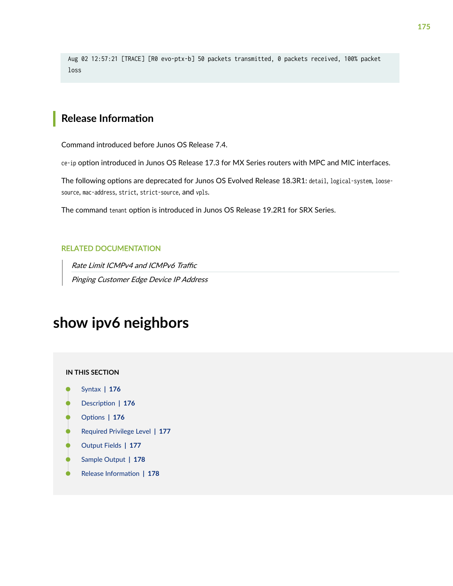Aug 02 12:57:21 [TRACE] [R0 evo-ptx-b] 50 packets transmitted, 0 packets received, 100% packet loss

### **Release Information**

Command introduced before Junos OS Release 7.4.

ce-ip option introduced in Junos OS Release 17.3 for MX Series routers with MPC and MIC interfaces.

The following options are deprecated for Junos OS Evolved Release 18.3R1: detail, logical-system, loosesource, mac-address, strict, strict-source, and vpls.

The command tenant option is introduced in Junos OS Release 19.2R1 for SRX Series.

### RELATED DOCUMENTATION

Rate Limit ICMPv4 and ICMPv6 Traffic Pinging Customer Edge Device IP Address

# **show ipv6 neighbors**

#### **IN THIS SECTION**

- Syntax **[| 176](#page-182-0)**
- Description | 176
- [rঞons](#page-182-0) **| 176**
- [Required Privilege Level](#page-183-0) **| 177**
- [Output Fields](#page-183-0) **| 177**
- [Sample Output](#page-184-0) **| 178**
- Release Information | 178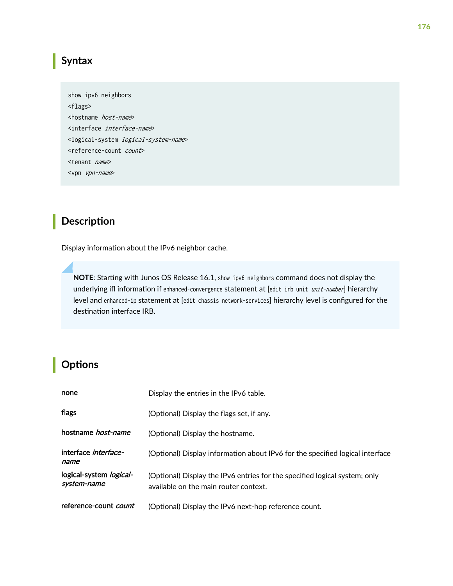# <span id="page-182-0"></span>**Syntax**

show ipv6 neighbors <flags> <hostname host-name> <interface interface-name> <logical-system logical-system-name> <reference-count count> <tenant name> <vpn vpn-name>

## **Description**

Display information about the IPv6 neighbor cache.

NOTE: Starting with Junos OS Release 16.1, show ipv6 neighbors command does not display the underlying ifl information if enhanced-convergence statement at [edit irb unit unit-number] hierarchy level and enhanced-ip statement at [edit chassis network-services] hierarchy level is configured for the destination interface IRB.

## **Options**

| none                                          | Display the entries in the IPv6 table.                                                                              |
|-----------------------------------------------|---------------------------------------------------------------------------------------------------------------------|
| flags                                         | (Optional) Display the flags set, if any.                                                                           |
| hostname <i>host-name</i>                     | (Optional) Display the hostname.                                                                                    |
| interface interface-<br>name                  | (Optional) Display information about IPv6 for the specified logical interface                                       |
| logical-system <i>logical-</i><br>system-name | (Optional) Display the IPv6 entries for the specified logical system; only<br>available on the main router context. |
| reference-count <i>count</i>                  | (Optional) Display the IPv6 next-hop reference count.                                                               |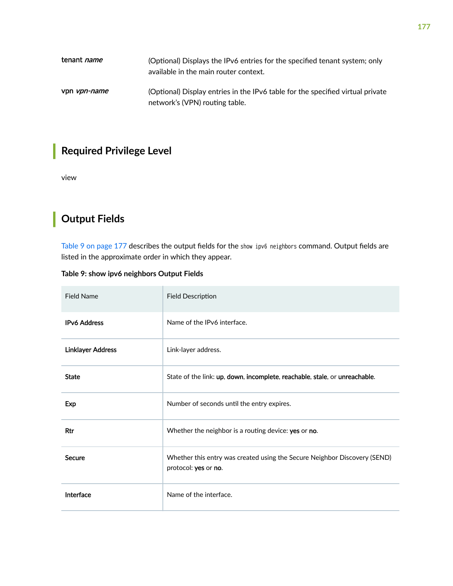<span id="page-183-0"></span>

| tenant <i>name</i>  | (Optional) Displays the IPv6 entries for the specified tenant system; only<br>available in the main router context. |
|---------------------|---------------------------------------------------------------------------------------------------------------------|
| vpn <i>vpn-name</i> | (Optional) Display entries in the IPv6 table for the specified virtual private<br>network's (VPN) routing table.    |

# **Required Privilege Level**

view

# **Output Fields**

Table 9 on page 177 describes the output fields for the show ipv6 neighbors command. Output fields are listed in the approximate order in which they appear.

| Table 9: show ipv6 neighbors Output Fields |  |  |
|--------------------------------------------|--|--|
|                                            |  |  |

| <b>Field Name</b>        | <b>Field Description</b>                                                                          |
|--------------------------|---------------------------------------------------------------------------------------------------|
| <b>IPv6 Address</b>      | Name of the IPv6 interface.                                                                       |
| <b>Linklayer Address</b> | Link-layer address.                                                                               |
| <b>State</b>             | State of the link: up, down, incomplete, reachable, stale, or unreachable.                        |
| Exp                      | Number of seconds until the entry expires.                                                        |
| Rtr                      | Whether the neighbor is a routing device: yes or no.                                              |
| <b>Secure</b>            | Whether this entry was created using the Secure Neighbor Discovery (SEND)<br>protocol: yes or no. |
| Interface                | Name of the interface.                                                                            |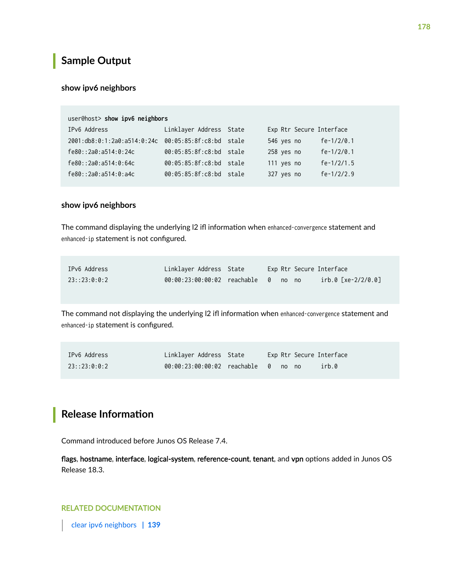# <span id="page-184-0"></span>**Sample Output**

#### **show ipv6 neighbors**

| user@host> show ipv6 neighbors                      |                         |  |                          |               |  |
|-----------------------------------------------------|-------------------------|--|--------------------------|---------------|--|
| IPv6 Address                                        | Linklayer Address State |  | Exp Rtr Secure Interface |               |  |
| 2001:db8:0:1:2a0:a514:0:24c 00:05:85:8f:c8:bd stale |                         |  | 546 yes no               | fe- $1/2/0.1$ |  |
| fe80::2a0:a514:0:24c                                | 00:05:85:8f:c8:bd stale |  | 258 yes no               | fe- $1/2/0.1$ |  |
| fe80::2a0:a514:0:64c                                | 00:05:85:8f:c8:bd stale |  | 111 yes no               | $fe-1/2/1.5$  |  |
| fe80::2a0:a514:0:a4c                                | 00:05:85:8f:c8:bd stale |  | 327 yes no               | $fe-1/2/2.9$  |  |

### **show ipv6 neighbors**

The command displaying the underlying I2 ifl information when enhanced-convergence statement and enhanced-ip statement is not configured.

| IPv6 Address | Linklayer Address State             |  |  | Exp Rtr Secure Interface |
|--------------|-------------------------------------|--|--|--------------------------|
| 23:23:0:0:2  | 00:00:23:00:00:02 reachable 0 no no |  |  | irb.0 [xe-2/2/0.0]       |

The command not displaying the underlying I2 ifl information when enhanced-convergence statement and enhanced-ip statement is configured.

| IPv6 Address | Linklayer Address State             |  |  | Exp Rtr Secure Interface |
|--------------|-------------------------------------|--|--|--------------------------|
| 23:23:0:0:2  | 00:00:23:00:00:02 reachable 0 no no |  |  | irb.0                    |

## **Release Information**

Command introduced before Junos OS Release 7.4.

flags, hostname, interface, logical-system, reference-count, tenant, and vpn options added in Junos OS Release 18.3.

### RELATED DOCUMENTATION

[clear ipv6 neighbors](#page-145-0) **| 139**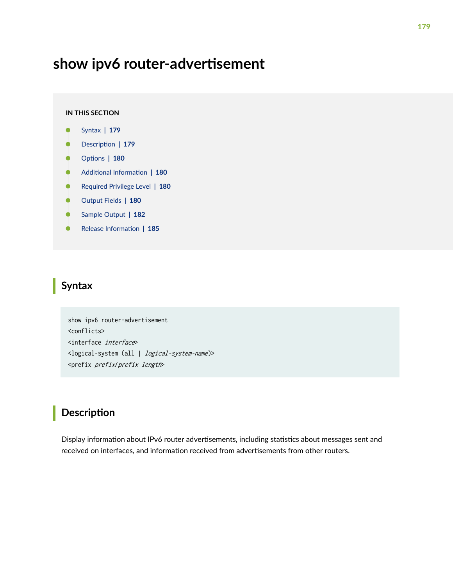# show ipv6 router-advertisement

#### **IN THIS SECTION**

- Syntax **| 179**
- Description | 179 Ò
- [rঞons](#page-186-0) **| 180**
- Ó  $A$ dditional Information | 180
- [Required Privilege Level](#page-186-0) **| 180** Ċ
- [Output Fields](#page-186-0) **| 180**
- $\bullet$ [Sample Output](#page-188-0) **| 182**
- Release Information | 185

### **Syntax**

show ipv6 router-advertisement <conflicts> <interface interface> <logical-system (all | logical-system-name)> <prefix prefix/prefix length>

## **Description**

Display information about IPv6 router advertisements, including statistics about messages sent and received on interfaces, and information received from advertisements from other routers.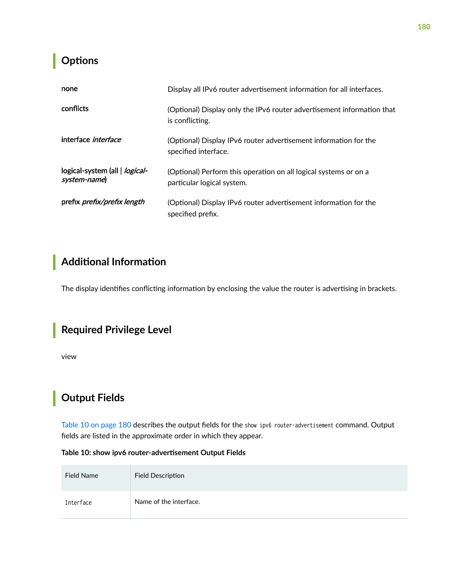## <span id="page-186-0"></span>**Properises**

| none                                           | Display all IPv6 router advertisement information for all interfaces.                          |
|------------------------------------------------|------------------------------------------------------------------------------------------------|
| conflicts                                      | (Optional) Display only the IPv6 router advertisement information that<br>is conflicting.      |
| interface <i>interface</i>                     | (Optional) Display IPv6 router advertisement information for the<br>specified interface.       |
| logical-system (all   logical-<br>system-name) | (Optional) Perform this operation on all logical systems or on a<br>particular logical system. |
| prefix <i>prefix/prefix length</i>             | (Optional) Display IPv6 router advertisement information for the<br>specified prefix.          |

# **Additional Information**

The display identifies conflicting information by enclosing the value the router is advertising in brackets.

## **Required Privilege Level**

view

# **Output Fields**

Table 10 on page 180 describes the output fields for the show ipv6 router-advertisement command. Output fields are listed in the approximate order in which they appear.

### Table 10: show ipv6 router-advertisement Output Fields

| <b>Field Name</b> | <b>Field Description</b> |
|-------------------|--------------------------|
| Interface         | Name of the interface.   |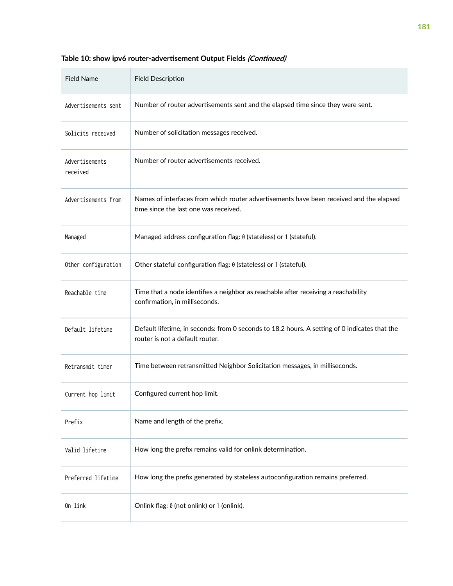| <b>Field Name</b>          | <b>Field Description</b>                                                                                                         |
|----------------------------|----------------------------------------------------------------------------------------------------------------------------------|
| Advertisements sent        | Number of router advertisements sent and the elapsed time since they were sent.                                                  |
| Solicits received          | Number of solicitation messages received.                                                                                        |
| Advertisements<br>received | Number of router advertisements received.                                                                                        |
| Advertisements from        | Names of interfaces from which router advertisements have been received and the elapsed<br>time since the last one was received. |
| Managed                    | Managed address configuration flag: 0 (stateless) or 1 (stateful).                                                               |
| Other configuration        | Other stateful configuration flag: 0 (stateless) or 1 (stateful).                                                                |
| Reachable time             | Time that a node identifies a neighbor as reachable after receiving a reachability<br>confirmation, in milliseconds.             |
| Default lifetime           | Default lifetime, in seconds: from 0 seconds to 18.2 hours. A setting of 0 indicates that the<br>router is not a default router. |
| Retransmit timer           | Time between retransmitted Neighbor Solicitation messages, in milliseconds.                                                      |
| Current hop limit          | Configured current hop limit.                                                                                                    |
| Prefix                     | Name and length of the prefix.                                                                                                   |
| Valid lifetime             | How long the prefix remains valid for onlink determination.                                                                      |
| Preferred lifetime         | How long the prefix generated by stateless autoconfiguration remains preferred.                                                  |
| On link                    | Onlink flag: 0 (not onlink) or 1 (onlink).                                                                                       |

### Table 10: show ipv6 router-advertisement Output Fields *(Continued)*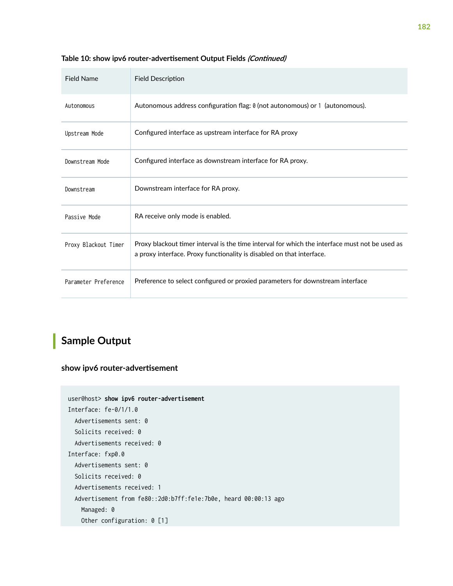| <b>Field Name</b>    | <b>Field Description</b>                                                                                                                                                |
|----------------------|-------------------------------------------------------------------------------------------------------------------------------------------------------------------------|
| Autonomous           | Autonomous address configuration flag: 0 (not autonomous) or 1 (autonomous).                                                                                            |
| Upstream Mode        | Configured interface as upstream interface for RA proxy                                                                                                                 |
| Downstream Mode      | Configured interface as downstream interface for RA proxy.                                                                                                              |
| Downstream           | Downstream interface for RA proxy.                                                                                                                                      |
| Passive Mode         | RA receive only mode is enabled.                                                                                                                                        |
| Proxy Blackout Timer | Proxy blackout timer interval is the time interval for which the interface must not be used as<br>a proxy interface. Proxy functionality is disabled on that interface. |
| Parameter Preference | Preference to select configured or proxied parameters for downstream interface                                                                                          |

#### <span id="page-188-0"></span>Table 10: show ipv6 router-advertisement Output Fields *(Continued)*

# **Sample Output**

### show ipv6 router-advertisement

```
user@host> show ipv6 router-advertisement 
Interface: fe-0/1/1.0
  Advertisements sent: 0
  Solicits received: 0
  Advertisements received: 0
Interface: fxp0.0
  Advertisements sent: 0
   Solicits received: 0
   Advertisements received: 1
  Advertisement from fe80::2d0:b7ff:fe1e:7b0e, heard 00:00:13 ago
    Managed: 0
     Other configuration: 0 [1]
```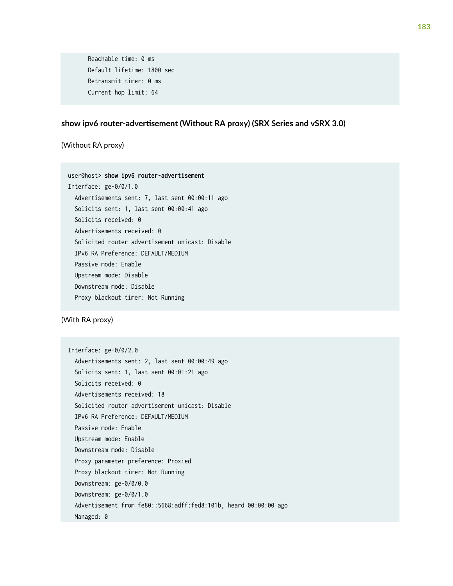Reachable time: 0 ms Default lifetime: 1800 sec Retransmit timer: 0 ms Current hop limit: 64

### show ipv6 router-advertisement (Without RA proxy) (SRX Series and vSRX 3.0)

(Without RA proxy)

user@host> **show ipv6 router-advertisement**  Interface: ge-0/0/1.0 Advertisements sent: 7, last sent 00:00:11 ago Solicits sent: 1, last sent 00:00:41 ago Solicits received: 0 Advertisements received: 0 Solicited router advertisement unicast: Disable IPv6 RA Preference: DEFAULT/MEDIUM Passive mode: Enable Upstream mode: Disable Downstream mode: Disable Proxy blackout timer: Not Running

(With RA proxy)

Interface: ge-0/0/2.0 Advertisements sent: 2, last sent 00:00:49 ago Solicits sent: 1, last sent 00:01:21 ago Solicits received: 0 Advertisements received: 18 Solicited router advertisement unicast: Disable IPv6 RA Preference: DEFAULT/MEDIUM Passive mode: Enable Upstream mode: Enable Downstream mode: Disable Proxy parameter preference: Proxied Proxy blackout timer: Not Running Downstream: ge-0/0/0.0 Downstream: ge-0/0/1.0 Advertisement from fe80::5668:adff:fed8:101b, heard 00:00:00 ago Managed: 0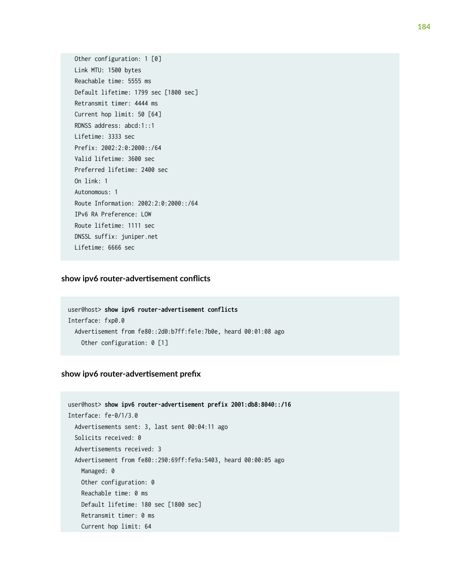Other configuration: 1 [0] Link MTU: 1500 bytes Reachable time: 5555 ms Default lifetime: 1799 sec [1800 sec] Retransmit timer: 4444 ms Current hop limit: 50 [64] RDNSS address: abcd:1::1 Lifetime: 3333 sec Prefix: 2002:2:0:2000::/64 Valid lifetime: 3600 sec Preferred lifetime: 2400 sec On link: 1 Autonomous: 1 Route Information: 2002:2:0:2000::/64 IPv6 RA Preference: LOW Route lifetime: 1111 sec DNSSL suffix: juniper.net Lifetime: 6666 sec

### $s$ how ipv6 router-advertisement conflicts

```
user@host> show ipv6 router-advertisement conflicts 
Interface: fxp0.0
  Advertisement from fe80::2d0:b7ff:fe1e:7b0e, heard 00:01:08 ago
    Other configuration: 0 [1]
```
### show ipv6 router-advertisement prefix

```
user@host> show ipv6 router-advertisement prefix 2001:db8:8040::/16 
Interface: fe-0/1/3.0
  Advertisements sent: 3, last sent 00:04:11 ago
  Solicits received: 0
  Advertisements received: 3
  Advertisement from fe80::290:69ff:fe9a:5403, heard 00:00:05 ago
   Managed: 0
    Other configuration: 0
    Reachable time: 0 ms
    Default lifetime: 180 sec [1800 sec]
     Retransmit timer: 0 ms
     Current hop limit: 64
```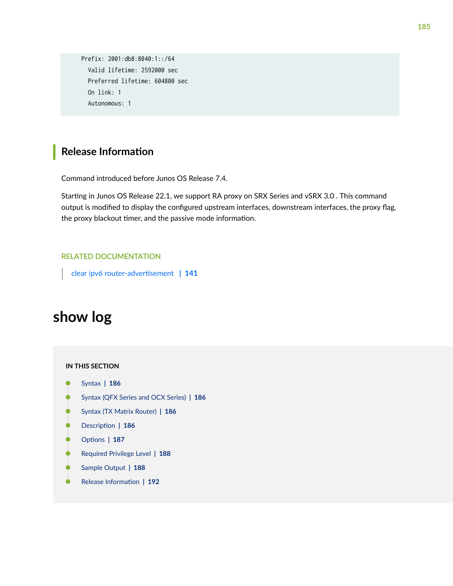```
 Prefix: 2001:db8:8040:1::/64 
   Valid lifetime: 2592000 sec 
   Preferred lifetime: 604800 sec 
   On link: 1 
   Autonomous: 1
```
## **Release Information**

Command introduced before Junos OS Release 7.4.

Starting in Junos OS Release 22.1, we support RA proxy on SRX Series and vSRX 3.0 . This command output is modified to display the configured upstream interfaces, downstream interfaces, the proxy flag, the proxy blackout timer, and the passive mode information.

### RELATED DOCUMENTATION

clear ipv6 router-advertisement | 141

# **show log**

### **IN THIS SECTION**

- Syntax **[| 186](#page-192-0)**  $\bullet$
- [Syntax \(QFX Series and OCX Series\)](#page-192-0) **| 186** ė
- ė [Syntax \(TX Matrix Router\)](#page-192-0) **| 186**
- Description | 186
- [rঞons](#page-193-0) **| 187**
- [Required Privilege Level](#page-194-0) **| 188** Ò
- [Sample Output](#page-194-0) **| 188** Ò
- Release Information | 192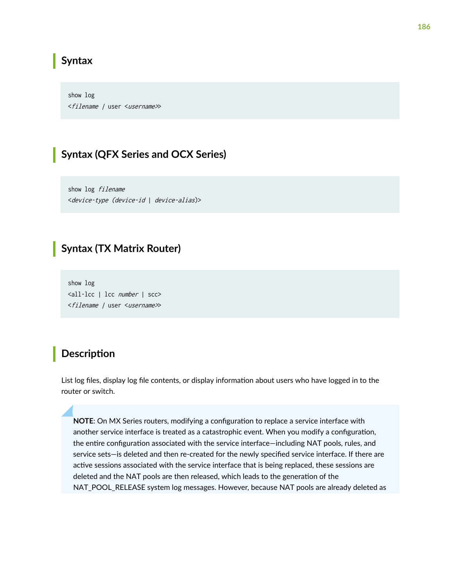### <span id="page-192-0"></span>**Syntax**

show log <filename / user <username>>

### **Syntax (QFX Series and OCX Series)**

show log filename <device-type (device-id | device-alias)>

### **Syntax (TX Matrix Router)**

show log <all-lcc | lcc number | scc> <filename / user <username>>

### **Description**

List log files, display log file contents, or display information about users who have logged in to the router or switch.

**NOTE:** On MX Series routers, modifying a configuration to replace a service interface with another service interface is treated as a catastrophic event. When you modify a configuration, the entire configuration associated with the service interface—including NAT pools, rules, and service sets-is deleted and then re-created for the newly specified service interface. If there are active sessions associated with the service interface that is being replaced, these sessions are deleted and the NAT pools are then released, which leads to the generation of the NAT\_POOL\_RELEASE system log messages. However, because NAT pools are already deleted as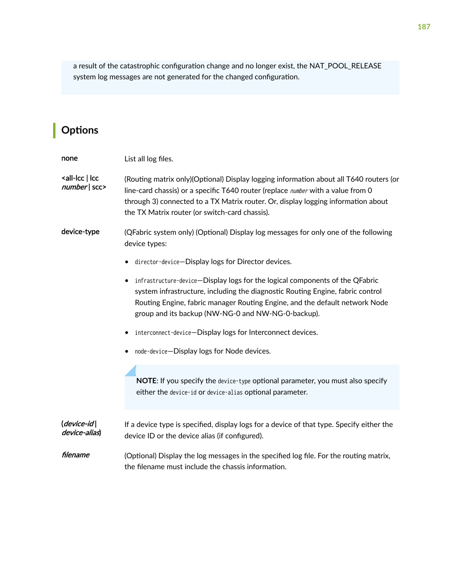<span id="page-193-0"></span>a result of the catastrophic configuration change and no longer exist, the NAT\_POOL\_RELEASE system log messages are not generated for the changed configuration.

# $\vert$  Options

| none                                                           | List all log files.                                                                                                                                                                                                                                                                                                      |
|----------------------------------------------------------------|--------------------------------------------------------------------------------------------------------------------------------------------------------------------------------------------------------------------------------------------------------------------------------------------------------------------------|
| <all-lcc lcc<br=""  =""><math>number </math> scc&gt;</all-lcc> | (Routing matrix only)(Optional) Display logging information about all T640 routers (or<br>line-card chassis) or a specific T640 router (replace <i>number</i> with a value from 0<br>through 3) connected to a TX Matrix router. Or, display logging information about<br>the TX Matrix router (or switch-card chassis). |
| device-type                                                    | (QFabric system only) (Optional) Display log messages for only one of the following<br>device types:                                                                                                                                                                                                                     |
|                                                                | director-device-Display logs for Director devices.<br>٠                                                                                                                                                                                                                                                                  |
|                                                                | infrastructure-device-Display logs for the logical components of the QFabric<br>٠<br>system infrastructure, including the diagnostic Routing Engine, fabric control<br>Routing Engine, fabric manager Routing Engine, and the default network Node<br>group and its backup (NW-NG-0 and NW-NG-0-backup).                 |
|                                                                | interconnect-device-Display logs for Interconnect devices.                                                                                                                                                                                                                                                               |
|                                                                | node-device-Display logs for Node devices.                                                                                                                                                                                                                                                                               |
|                                                                | NOTE: If you specify the device-type optional parameter, you must also specify<br>either the device-id or device-alias optional parameter.                                                                                                                                                                               |
| $(device-id)$<br>device-alias)                                 | If a device type is specified, display logs for a device of that type. Specify either the<br>device ID or the device alias (if configured).                                                                                                                                                                              |
| filename                                                       | (Optional) Display the log messages in the specified log file. For the routing matrix,<br>the filename must include the chassis information.                                                                                                                                                                             |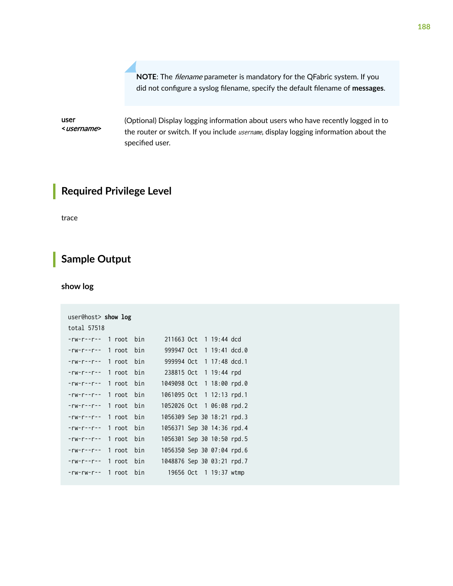**NOTE:** The *filename* parameter is mandatory for the QFabric system. If you did not configure a syslog filename, specify the default filename of messages.

<span id="page-194-0"></span>user <username> (Optional) Display logging information about users who have recently logged in to the router or switch. If you include *username*, display logging information about the specified user.

# **Required Privilege Level**

trace

## **Sample Output**

### **show log**

| user@host> show $log$   |            |                            |  |                        |  |
|-------------------------|------------|----------------------------|--|------------------------|--|
| total 57518             |            |                            |  |                        |  |
| -rw-r--r-- 1 root bin   |            | 211663 Oct 1 19:44 dcd     |  |                        |  |
| $-rw-r--r--$            | 1 root bin | 999947 Oct 1 19:41 dcd.0   |  |                        |  |
| $-rw-r--r--$ 1 root bin |            | 999994 Oct 1 17:48 dcd.1   |  |                        |  |
| $-rw-r--r--$            | 1 root bin | 238815 Oct 1 19:44 rpd     |  |                        |  |
| $-rw-r--r--$            | 1 root bin | 1049098 Oct 1 18:00 rpd.0  |  |                        |  |
| $-rw-r--r--$            | 1 root bin | 1061095 Oct 1 12:13 rpd.1  |  |                        |  |
| $-rw-r--r--$            | 1 root bin | 1052026 Oct 1 06:08 rpd.2  |  |                        |  |
| $-rw-r--r--$ 1 root bin |            | 1056309 Sep 30 18:21 rpd.3 |  |                        |  |
| $-rw-r--r--$            | 1 root bin | 1056371 Sep 30 14:36 rpd.4 |  |                        |  |
| -rw-r--r-- 1 root bin   |            | 1056301 Sep 30 10:50 rpd.5 |  |                        |  |
| $-rw-r--r--$            | 1 root bin | 1056350 Sep 30 07:04 rpd.6 |  |                        |  |
| $-rw-r--r--$ 1 root bin |            | 1048876 Sep 30 03:21 rpd.7 |  |                        |  |
| $-rw-rw-r--$            | 1 root bin |                            |  | 19656 Oct 1 19:37 wtmp |  |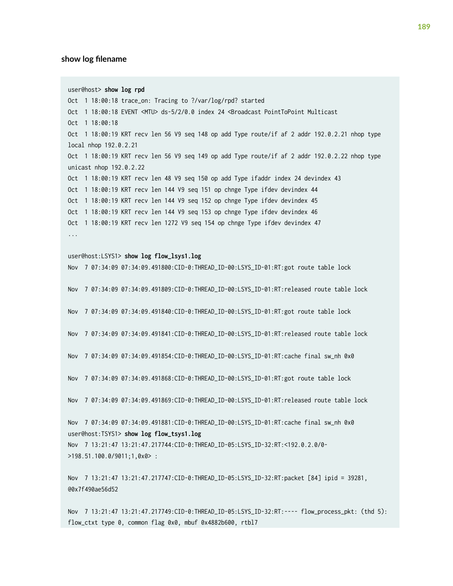#### show log filename

user@host> **show log rpd** Oct 1 18:00:18 trace\_on: Tracing to ?/var/log/rpd? started Oct 1 18:00:18 EVENT <MTU> ds-5/2/0.0 index 24 <Broadcast PointToPoint Multicast Oct 1 18:00:18 Oct 1 18:00:19 KRT recv len 56 V9 seq 148 op add Type route/if af 2 addr 192.0.2.21 nhop type local nhop 192.0.2.21 Oct 1 18:00:19 KRT recv len 56 V9 seq 149 op add Type route/if af 2 addr 192.0.2.22 nhop type unicast nhop 192.0.2.22 Oct 1 18:00:19 KRT recv len 48 V9 seq 150 op add Type ifaddr index 24 devindex 43 Oct 1 18:00:19 KRT recv len 144 V9 seq 151 op chnge Type ifdev devindex 44 Oct 1 18:00:19 KRT recv len 144 V9 seq 152 op chnge Type ifdev devindex 45 Oct 1 18:00:19 KRT recv len 144 V9 seq 153 op chnge Type ifdev devindex 46 Oct 1 18:00:19 KRT recv len 1272 V9 seq 154 op chnge Type ifdev devindex 47 ...

#### user@host:LSYS1> **show log flow\_lsys1.log**

Nov 7 07:34:09 07:34:09.491800:CID-0:THREAD\_ID-00:LSYS\_ID-01:RT:got route table lock

Nov 7 07:34:09 07:34:09.491809:CID-0:THREAD\_ID-00:LSYS\_ID-01:RT:released route table lock

Nov 7 07:34:09 07:34:09.491840:CID-0:THREAD\_ID-00:LSYS\_ID-01:RT:got route table lock

Nov 7 07:34:09 07:34:09.491841:CID-0:THREAD\_ID-00:LSYS\_ID-01:RT:released route table lock

Nov 7 07:34:09 07:34:09.491854:CID-0:THREAD\_ID-00:LSYS\_ID-01:RT:cache final sw\_nh 0x0

Nov 7 07:34:09 07:34:09.491868:CID-0:THREAD\_ID-00:LSYS\_ID-01:RT:got route table lock

Nov 7 07:34:09 07:34:09.491869:CID-0:THREAD\_ID-00:LSYS\_ID-01:RT:released route table lock

Nov 7 07:34:09 07:34:09.491881:CID-0:THREAD\_ID-00:LSYS\_ID-01:RT:cache final sw\_nh 0x0 user@host:TSYS1> **show log flow\_tsys1.log**

Nov 7 13:21:47 13:21:47.217744:CID-0:THREAD\_ID-05:LSYS\_ID-32:RT:<192.0.2.0/0- >198.51.100.0/9011;1,0x0> :

Nov 7 13:21:47 13:21:47.217747:CID-0:THREAD\_ID-05:LSYS\_ID-32:RT:packet [84] ipid = 39281, @0x7f490ae56d52

Nov 7 13:21:47 13:21:47.217749:CID-0:THREAD\_ID-05:LSYS\_ID-32:RT:---- flow\_process\_pkt: (thd 5): flow\_ctxt type 0, common flag 0x0, mbuf 0x4882b600, rtbl7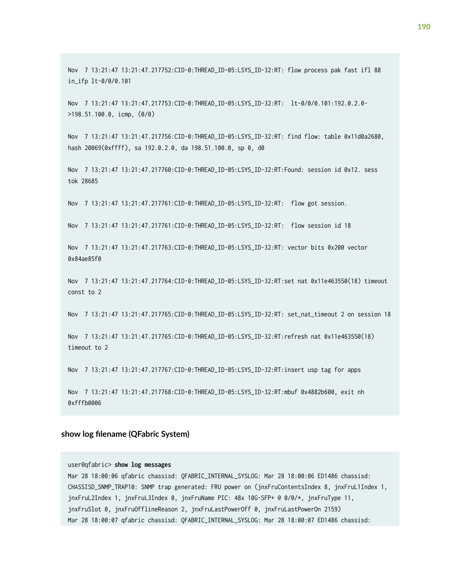Nov 7 13:21:47 13:21:47.217752:CID-0:THREAD\_ID-05:LSYS\_ID-32:RT: flow process pak fast ifl 88 in\_ifp lt-0/0/0.101

Nov 7 13:21:47 13:21:47.217753:CID-0:THREAD\_ID-05:LSYS\_ID-32:RT: lt-0/0/0.101:192.0.2.0- >198.51.100.0, icmp, (0/0)

Nov 7 13:21:47 13:21:47.217756:CID-0:THREAD\_ID-05:LSYS\_ID-32:RT: find flow: table 0x11d0a2680, hash 20069(0xffff), sa 192.0.2.0, da 198.51.100.0, sp 0, d0

Nov 7 13:21:47 13:21:47.217760:CID-0:THREAD\_ID-05:LSYS\_ID-32:RT:Found: session id 0x12. sess tok 28685

Nov 7 13:21:47 13:21:47.217761:CID-0:THREAD\_ID-05:LSYS\_ID-32:RT: flow got session.

Nov 7 13:21:47 13:21:47.217761:CID-0:THREAD\_ID-05:LSYS\_ID-32:RT: flow session id 18

Nov 7 13:21:47 13:21:47.217763:CID-0:THREAD\_ID-05:LSYS\_ID-32:RT: vector bits 0x200 vector 0x84ae85f0

Nov 7 13:21:47 13:21:47.217764:CID-0:THREAD\_ID-05:LSYS\_ID-32:RT:set nat 0x11e463550(18) timeout const to 2

Nov 7 13:21:47 13:21:47.217765:CID-0:THREAD\_ID-05:LSYS\_ID-32:RT: set\_nat\_timeout 2 on session 18

Nov 7 13:21:47 13:21:47.217765:CID-0:THREAD\_ID-05:LSYS\_ID-32:RT:refresh nat 0x11e463550(18) timeout to 2

Nov 7 13:21:47 13:21:47.217767:CID-0:THREAD\_ID-05:LSYS\_ID-32:RT:insert usp tag for apps

Nov 7 13:21:47 13:21:47.217768:CID-0:THREAD\_ID-05:LSYS\_ID-32:RT:mbuf 0x4882b600, exit nh 0xfffb0006

#### show log filename (QFabric System)

#### user@qfabric> **show log messages**

Mar 28 18:00:06 qfabric chassisd: QFABRIC\_INTERNAL\_SYSLOG: Mar 28 18:00:06 ED1486 chassisd: CHASSISD\_SNMP\_TRAP10: SNMP trap generated: FRU power on (jnxFruContentsIndex 8, jnxFruL1Index 1, jnxFruL2Index 1, jnxFruL3Index 0, jnxFruName PIC: 48x 10G-SFP+ @ 0/0/\*, jnxFruType 11, jnxFruSlot 0, jnxFruOfflineReason 2, jnxFruLastPowerOff 0, jnxFruLastPowerOn 2159) Mar 28 18:00:07 qfabric chassisd: QFABRIC\_INTERNAL\_SYSLOG: Mar 28 18:00:07 ED1486 chassisd: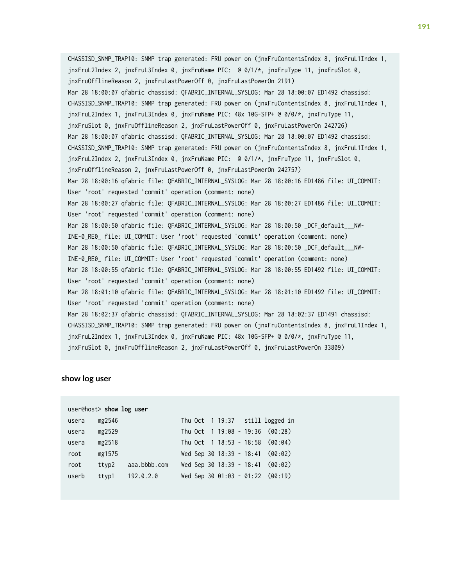CHASSISD\_SNMP\_TRAP10: SNMP trap generated: FRU power on (jnxFruContentsIndex 8, jnxFruL1Index 1, jnxFruL2Index 2, jnxFruL3Index 0, jnxFruName PIC: @ 0/1/\*, jnxFruType 11, jnxFruSlot 0, jnxFruOfflineReason 2, jnxFruLastPowerOff 0, jnxFruLastPowerOn 2191) Mar 28 18:00:07 qfabric chassisd: QFABRIC\_INTERNAL\_SYSLOG: Mar 28 18:00:07 ED1492 chassisd: CHASSISD\_SNMP\_TRAP10: SNMP trap generated: FRU power on (jnxFruContentsIndex 8, jnxFruL1Index 1, jnxFruL2Index 1, jnxFruL3Index 0, jnxFruName PIC: 48x 10G-SFP+ @ 0/0/\*, jnxFruType 11, jnxFruSlot 0, jnxFruOfflineReason 2, jnxFruLastPowerOff 0, jnxFruLastPowerOn 242726) Mar 28 18:00:07 qfabric chassisd: QFABRIC\_INTERNAL\_SYSLOG: Mar 28 18:00:07 ED1492 chassisd: CHASSISD\_SNMP\_TRAP10: SNMP trap generated: FRU power on (jnxFruContentsIndex 8, jnxFruL1Index 1, jnxFruL2Index 2, jnxFruL3Index 0, jnxFruName PIC: @ 0/1/\*, jnxFruType 11, jnxFruSlot 0, jnxFruOfflineReason 2, jnxFruLastPowerOff 0, jnxFruLastPowerOn 242757) Mar 28 18:00:16 qfabric file: QFABRIC\_INTERNAL\_SYSLOG: Mar 28 18:00:16 ED1486 file: UI\_COMMIT: User 'root' requested 'commit' operation (comment: none) Mar 28 18:00:27 qfabric file: QFABRIC\_INTERNAL\_SYSLOG: Mar 28 18:00:27 ED1486 file: UI\_COMMIT: User 'root' requested 'commit' operation (comment: none) Mar 28 18:00:50 qfabric file: QFABRIC\_INTERNAL\_SYSLOG: Mar 28 18:00:50 \_DCF\_default\_\_\_NW-INE-0\_RE0\_ file: UI\_COMMIT: User 'root' requested 'commit' operation (comment: none) Mar 28 18:00:50 qfabric file: QFABRIC\_INTERNAL\_SYSLOG: Mar 28 18:00:50 \_DCF\_default\_\_\_NW-INE-0\_RE0\_ file: UI\_COMMIT: User 'root' requested 'commit' operation (comment: none) Mar 28 18:00:55 qfabric file: QFABRIC\_INTERNAL\_SYSLOG: Mar 28 18:00:55 ED1492 file: UI\_COMMIT: User 'root' requested 'commit' operation (comment: none) Mar 28 18:01:10 qfabric file: QFABRIC\_INTERNAL\_SYSLOG: Mar 28 18:01:10 ED1492 file: UI\_COMMIT: User 'root' requested 'commit' operation (comment: none) Mar 28 18:02:37 qfabric chassisd: QFABRIC\_INTERNAL\_SYSLOG: Mar 28 18:02:37 ED1491 chassisd: CHASSISD\_SNMP\_TRAP10: SNMP trap generated: FRU power on (jnxFruContentsIndex 8, jnxFruL1Index 1, jnxFruL2Index 1, jnxFruL3Index 0, jnxFruName PIC: 48x 10G-SFP+ @ 0/0/\*, jnxFruType 11, jnxFruSlot 0, jnxFruOfflineReason 2, jnxFruLastPowerOff 0, jnxFruLastPowerOn 33809)

#### **show log user**

|       | user@host> show log user |              |  |  |  |                                     |
|-------|--------------------------|--------------|--|--|--|-------------------------------------|
| usera | mg2546                   |              |  |  |  | Thu Oct 1 19:37 still logged in     |
| usera | mg2529                   |              |  |  |  | Thu Oct $1\ 19:08 - 19:36$ (00:28)  |
| usera | mg2518                   |              |  |  |  | Thu Oct $1 \t18:53 - 18:58$ (00:04) |
| root  | mg1575                   |              |  |  |  | Wed Sep 30 18:39 - 18:41 (00:02)    |
| root  | ttyp2                    | aaa.bbbb.com |  |  |  | Wed Sep 30 18:39 - 18:41 (00:02)    |
| userb | ttyp1                    | 192.0.2.0    |  |  |  | Wed Sep 30 01:03 - 01:22 (00:19)    |
|       |                          |              |  |  |  |                                     |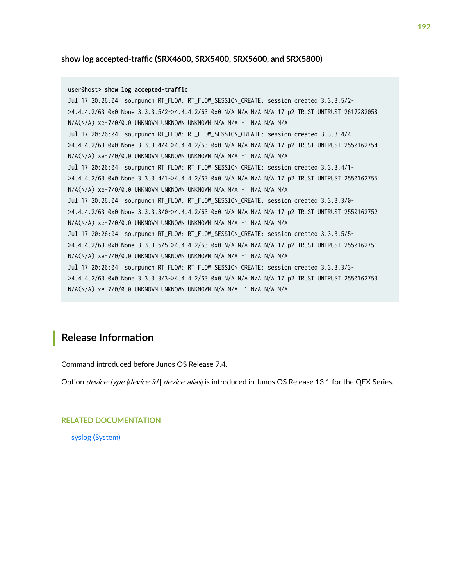### <span id="page-198-0"></span> $s$ how log accepted-traffic (SRX4600, SRX5400, SRX5600, and SRX5800)

```
user@host> show log accepted-traffic 
Jul 17 20:26:04 sourpunch RT_FLOW: RT_FLOW_SESSION_CREATE: session created 3.3.3.5/2-
>4.4.4.2/63 0x0 None 3.3.3.5/2->4.4.4.2/63 0x0 N/A N/A N/A N/A 17 p2 TRUST UNTRUST 2617282058 
N/A(N/A) xe-7/0/0.0 UNKNOWN UNKNOWN UNKNOWN N/A N/A -1 N/A N/A N/A
Jul 17 20:26:04 sourpunch RT_FLOW: RT_FLOW_SESSION_CREATE: session created 3.3.3.4/4-
>4.4.4.2/63 0x0 None 3.3.3.4/4->4.4.4.2/63 0x0 N/A N/A N/A N/A 17 p2 TRUST UNTRUST 2550162754 
N/A(N/A) xe-7/0/0.0 UNKNOWN UNKNOWN UNKNOWN N/A N/A -1 N/A N/A N/A
Jul 17 20:26:04 sourpunch RT_FLOW: RT_FLOW_SESSION_CREATE: session created 3.3.3.4/1-
>4.4.4.2/63 0x0 None 3.3.3.4/1->4.4.4.2/63 0x0 N/A N/A N/A N/A 17 p2 TRUST UNTRUST 2550162755 
N/A(N/A) xe-7/0/0.0 UNKNOWN UNKNOWN UNKNOWN N/A N/A -1 N/A N/A N/A
Jul 17 20:26:04 sourpunch RT_FLOW: RT_FLOW_SESSION_CREATE: session created 3.3.3.3/0-
>4.4.4.2/63 0x0 None 3.3.3.3/0->4.4.4.2/63 0x0 N/A N/A N/A N/A 17 p2 TRUST UNTRUST 2550162752 
N/A(N/A) xe-7/0/0.0 UNKNOWN UNKNOWN UNKNOWN N/A N/A -1 N/A N/A N/A
Jul 17 20:26:04 sourpunch RT_FLOW: RT_FLOW_SESSION_CREATE: session created 3.3.3.5/5-
>4.4.4.2/63 0x0 None 3.3.3.5/5->4.4.4.2/63 0x0 N/A N/A N/A N/A 17 p2 TRUST UNTRUST 2550162751 
N/A(N/A) xe-7/0/0.0 UNKNOWN UNKNOWN UNKNOWN N/A N/A -1 N/A N/A N/A
Jul 17 20:26:04 sourpunch RT_FLOW: RT_FLOW_SESSION_CREATE: session created 3.3.3.3/3-
>4.4.4.2/63 0x0 None 3.3.3.3/3->4.4.4.2/63 0x0 N/A N/A N/A N/A 17 p2 TRUST UNTRUST 2550162753 
N/A(N/A) xe-7/0/0.0 UNKNOWN UNKNOWN UNKNOWN N/A N/A -1 N/A N/A N/A
```
### **Release Information**

Command introduced before Junos OS Release 7.4.

Option *device-type (device-id) device-alias*) is introduced in Junos OS Release 13.1 for the QFX Series.

RELATED DOCUMENTATION

[syslog \(System\)](https://www.juniper.net/documentation/en_US/junos/topics/reference/configuration-statement/syslog-edit-system.html)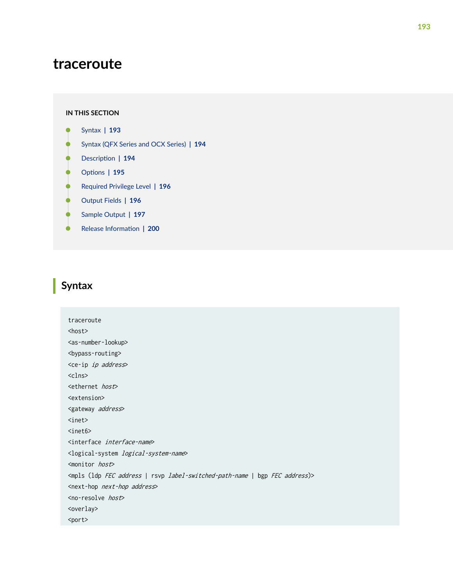# **traceroute**

#### **IN THIS SECTION**

- Syntax **| 193** ●
- [Syntax \(QFX Series and OCX Series\)](#page-200-0) **| 194**  $\bullet$
- Ó Description | 194
- **Options** | 195
- [Required Privilege Level](#page-202-0) **| 196** ė
- [Output Fields](#page-202-0) **| 196** Ŏ
- $\bullet$ [Sample Output](#page-203-0) **| 197**
- Release Information | 200 Ò

### **Syntax**

traceroute <host> <as-number-lookup> <bypass-routing> <ce-ip ip address> <clns> <ethernet host> <extension> <gateway address> <inet> <inet6> <interface interface-name> <logical-system logical-system-name> <monitor host> <mpls (ldp FEC address | rsvp label-switched-path-name | bgp FEC address)> <next-hop next-hop address> <no-resolve host> <overlay> <port>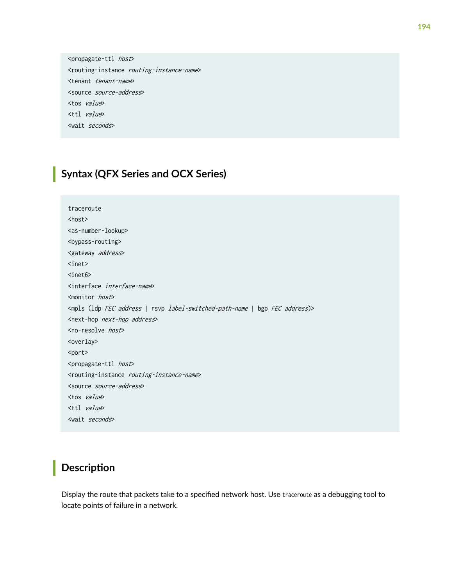<span id="page-200-0"></span><propagate-ttl host> <routing-instance routing-instance-name> <tenant tenant-name> <source source-address> <tos value> <ttl value> <wait seconds>

## **Syntax (QFX Series and OCX Series)**

```
traceroute 
<host>
<as-number-lookup> 
<bypass-routing> 
<gateway address>
<inet> 
<inet6> 
<interface interface-name>
<monitor host> 
<mpls (ldp FEC address | rsvp label-switched-path-name | bgp FEC address)>
<next-hop next-hop address>
<no-resolve host> 
<overlay>
<port>
<propagate-ttl host>
<routing-instance routing-instance-name> 
<source source-address> 
<tos value> 
<ttl value>
<wait seconds>
```
### **Description**

Display the route that packets take to a specified network host. Use traceroute as a debugging tool to locate points of failure in a network.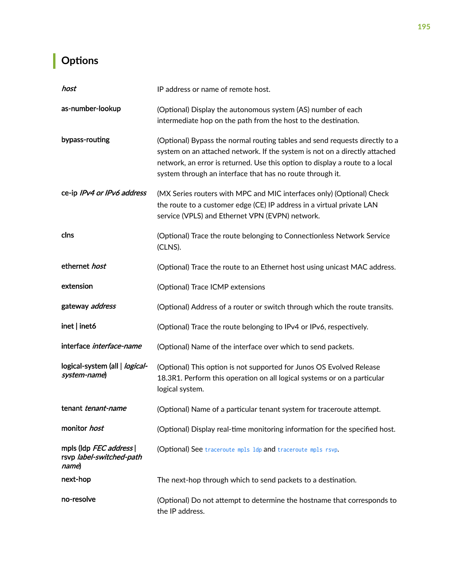# <span id="page-201-0"></span> $\vert$  Options

| host                                                        | IP address or name of remote host.                                                                                                                                                                                                                                                                     |  |  |  |  |  |  |
|-------------------------------------------------------------|--------------------------------------------------------------------------------------------------------------------------------------------------------------------------------------------------------------------------------------------------------------------------------------------------------|--|--|--|--|--|--|
| as-number-lookup                                            | (Optional) Display the autonomous system (AS) number of each<br>intermediate hop on the path from the host to the destination.                                                                                                                                                                         |  |  |  |  |  |  |
| bypass-routing                                              | (Optional) Bypass the normal routing tables and send requests directly to a<br>system on an attached network. If the system is not on a directly attached<br>network, an error is returned. Use this option to display a route to a local<br>system through an interface that has no route through it. |  |  |  |  |  |  |
| ce-ip IPv4 or IPv6 address                                  | (MX Series routers with MPC and MIC interfaces only) (Optional) Check<br>the route to a customer edge (CE) IP address in a virtual private LAN<br>service (VPLS) and Ethernet VPN (EVPN) network.                                                                                                      |  |  |  |  |  |  |
| clns                                                        | (Optional) Trace the route belonging to Connectionless Network Service<br>(CLNS).                                                                                                                                                                                                                      |  |  |  |  |  |  |
| ethernet host                                               | (Optional) Trace the route to an Ethernet host using unicast MAC address.                                                                                                                                                                                                                              |  |  |  |  |  |  |
| extension                                                   | (Optional) Trace ICMP extensions                                                                                                                                                                                                                                                                       |  |  |  |  |  |  |
| gateway address                                             | (Optional) Address of a router or switch through which the route transits.                                                                                                                                                                                                                             |  |  |  |  |  |  |
| $inet  $ inet6                                              | (Optional) Trace the route belonging to IPv4 or IPv6, respectively.                                                                                                                                                                                                                                    |  |  |  |  |  |  |
| interface interface-name                                    | (Optional) Name of the interface over which to send packets.                                                                                                                                                                                                                                           |  |  |  |  |  |  |
| logical-system (all   logical-<br>system-name)              | (Optional) This option is not supported for Junos OS Evolved Release<br>18.3R1. Perform this operation on all logical systems or on a particular<br>logical system.                                                                                                                                    |  |  |  |  |  |  |
| tenant <i>tenant-name</i>                                   | (Optional) Name of a particular tenant system for traceroute attempt.                                                                                                                                                                                                                                  |  |  |  |  |  |  |
| monitor host                                                | (Optional) Display real-time monitoring information for the specified host.                                                                                                                                                                                                                            |  |  |  |  |  |  |
| mpls (ldp FEC address)<br>rsvp label-switched-path<br>name) | (Optional) See traceroute mpls ldp and traceroute mpls rsvp.                                                                                                                                                                                                                                           |  |  |  |  |  |  |
| next-hop                                                    | The next-hop through which to send packets to a destination.                                                                                                                                                                                                                                           |  |  |  |  |  |  |
| no-resolve                                                  | (Optional) Do not attempt to determine the hostname that corresponds to<br>the IP address.                                                                                                                                                                                                             |  |  |  |  |  |  |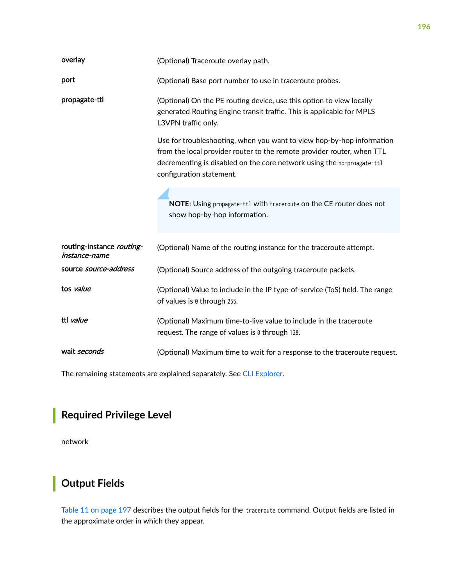<span id="page-202-0"></span>

| overlay                                    | (Optional) Traceroute overlay path.                                                                                                                                                                                                                   |  |  |  |  |  |  |
|--------------------------------------------|-------------------------------------------------------------------------------------------------------------------------------------------------------------------------------------------------------------------------------------------------------|--|--|--|--|--|--|
| port                                       | (Optional) Base port number to use in traceroute probes.                                                                                                                                                                                              |  |  |  |  |  |  |
| propagate-ttl                              | (Optional) On the PE routing device, use this option to view locally<br>generated Routing Engine transit traffic. This is applicable for MPLS<br>L3VPN traffic only.                                                                                  |  |  |  |  |  |  |
|                                            | Use for troubleshooting, when you want to view hop-by-hop information<br>from the local provider router to the remote provider router, when TTL<br>decrementing is disabled on the core network using the no-proagate-ttl<br>configuration statement. |  |  |  |  |  |  |
|                                            | NOTE: Using propagate-ttl with traceroute on the CE router does not<br>show hop-by-hop information.                                                                                                                                                   |  |  |  |  |  |  |
| routing-instance routing-<br>instance-name | (Optional) Name of the routing instance for the traceroute attempt.                                                                                                                                                                                   |  |  |  |  |  |  |
| source source-address                      | (Optional) Source address of the outgoing traceroute packets.                                                                                                                                                                                         |  |  |  |  |  |  |
| tos value                                  | (Optional) Value to include in the IP type-of-service (ToS) field. The range<br>of values is 0 through 255.                                                                                                                                           |  |  |  |  |  |  |
| ttl value                                  | (Optional) Maximum time-to-live value to include in the traceroute<br>request. The range of values is 0 through 128.                                                                                                                                  |  |  |  |  |  |  |
| wait seconds                               | (Optional) Maximum time to wait for a response to the traceroute request.                                                                                                                                                                             |  |  |  |  |  |  |

The remaining statements are explained separately. See [CLI Explorer.](https://www.juniper.net/documentation/content-applications/cli-explorer/junos/)

# **Required Privilege Level**

network

# **Output Fields**

[Table 11 on page 197](#page-203-0) describes the output fields for the traceroute command. Output fields are listed in the approximate order in which they appear.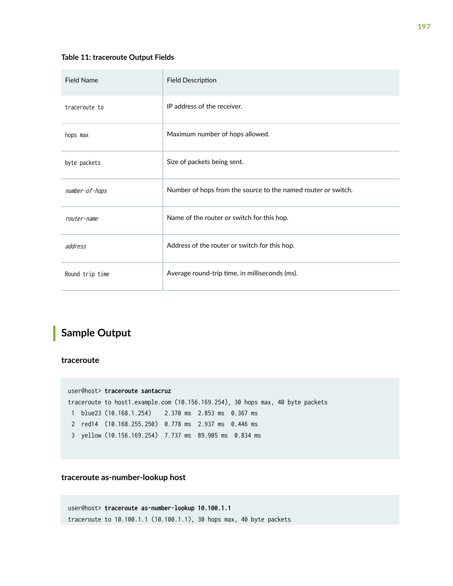### <span id="page-203-0"></span>**Table 11: traceroute Output Fields**

| <b>Field Name</b> | <b>Field Description</b>                                      |
|-------------------|---------------------------------------------------------------|
| traceroute to     | IP address of the receiver.                                   |
| hops max          | Maximum number of hops allowed.                               |
| byte packets      | Size of packets being sent.                                   |
| number-of-hops    | Number of hops from the source to the named router or switch. |
| router-name       | Name of the router or switch for this hop.                    |
| address           | Address of the router or switch for this hop.                 |
| Round trip time   | Average round-trip time, in milliseconds (ms).                |

# **Sample Output**

**traceroute**

|  | user@host> traceroute santacruz                                                |  |  |
|--|--------------------------------------------------------------------------------|--|--|
|  | traceroute to host1.example.com (10.156.169.254), 30 hops max, 40 byte packets |  |  |
|  | 1 blue23 (10.168.1.254) 2.370 ms 2.853 ms 0.367 ms                             |  |  |
|  | 2 red14 (10.168.255.250) 0.778 ms 2.937 ms 0.446 ms                            |  |  |
|  | 3 yellow (10.156.169.254) 7.737 ms 89.905 ms 0.834 ms                          |  |  |

**traceroute as-number-lookup host**

```
user@host> traceroute as-number-lookup 10.100.1.1
traceroute to 10.100.1.1 (10.100.1.1), 30 hops max, 40 byte packets
```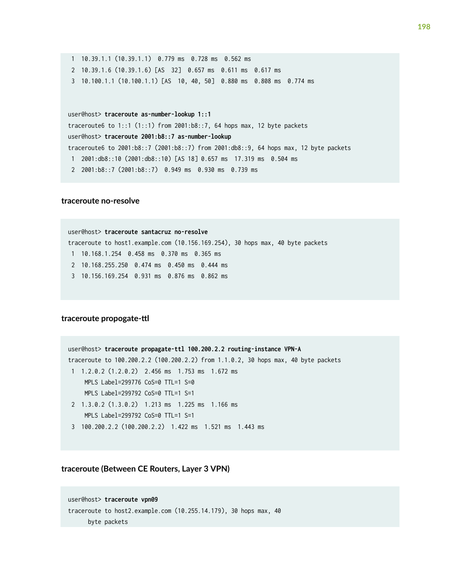```
 1 10.39.1.1 (10.39.1.1) 0.779 ms 0.728 ms 0.562 ms
 2 10.39.1.6 (10.39.1.6) [AS 32] 0.657 ms 0.611 ms 0.617 ms
 3 10.100.1.1 (10.100.1.1) [AS 10, 40, 50] 0.880 ms 0.808 ms 0.774 ms
```
user@host> **traceroute as-number-lookup 1::1**

traceroute6 to  $1::1$  (1::1) from 2001:b8::7, 64 hops max, 12 byte packets

user@host> **traceroute 2001:b8::7 as-number-lookup** 

traceroute6 to 2001:b8::7 (2001:b8::7) from 2001:db8::9, 64 hops max, 12 byte packets

1 2001:db8::10 (2001:db8::10) [AS 18] 0.657 ms 17.319 ms 0.504 ms

2 2001:b8::7 (2001:b8::7) 0.949 ms 0.930 ms 0.739 ms

#### **traceroute no-resolve**

user@host> **traceroute santacruz no-resolve** traceroute to host1.example.com (10.156.169.254), 30 hops max, 40 byte packets 1 10.168.1.254 0.458 ms 0.370 ms 0.365 ms 2 10.168.255.250 0.474 ms 0.450 ms 0.444 ms 3 10.156.169.254 0.931 ms 0.876 ms 0.862 ms

#### traceroute propogate-ttl

user@host> **traceroute propagate-ttl 100.200.2.2 routing-instance VPN-A** traceroute to 100.200.2.2 (100.200.2.2) from 1.1.0.2, 30 hops max, 40 byte packets 1 1.2.0.2 (1.2.0.2) 2.456 ms 1.753 ms 1.672 ms MPLS Label=299776 CoS=0 TTL=1 S=0 MPLS Label=299792 CoS=0 TTL=1 S=1 2 1.3.0.2 (1.3.0.2) 1.213 ms 1.225 ms 1.166 ms MPLS Label=299792 CoS=0 TTL=1 S=1 3 100.200.2.2 (100.200.2.2) 1.422 ms 1.521 ms 1.443 ms

#### **traceroute (Between CE Routers, Layer 3 VPN)**

```
user@host> traceroute vpn09 
traceroute to host2.example.com (10.255.14.179), 30 hops max, 40 
       byte packets
```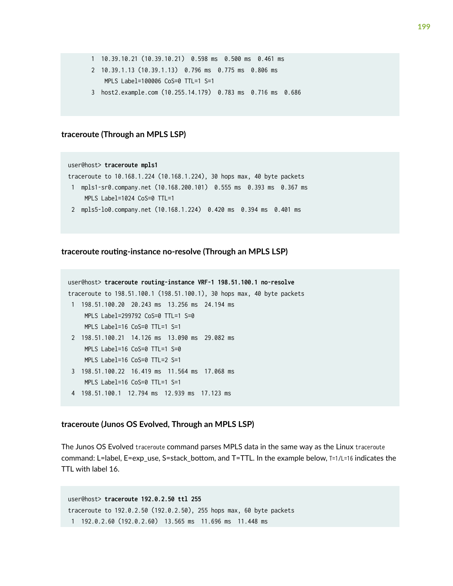```
 1 10.39.10.21 (10.39.10.21) 0.598 ms 0.500 ms 0.461 ms
```
- 2 10.39.1.13 (10.39.1.13) 0.796 ms 0.775 ms 0.806 ms MPLS Label=100006 CoS=0 TTL=1 S=1
- 3 host2.example.com (10.255.14.179) 0.783 ms 0.716 ms 0.686

### **traceroute (Through an MPLS LSP)**

### user@host> **traceroute mpls1**  traceroute to 10.168.1.224 (10.168.1.224), 30 hops max, 40 byte packets 1 mpls1-sr0.company.net (10.168.200.101) 0.555 ms 0.393 ms 0.367 ms MPLS Label=1024 CoS=0 TTL=1 2 mpls5-lo0.company.net (10.168.1.224) 0.420 ms 0.394 ms 0.401 ms

### traceroute routing-instance no-resolve (Through an MPLS LSP)

```
user@host> traceroute routing-instance VRF-1 198.51.100.1 no-resolve
traceroute to 198.51.100.1 (198.51.100.1), 30 hops max, 40 byte packets
 1 198.51.100.20 20.243 ms 13.256 ms 24.194 ms
     MPLS Label=299792 CoS=0 TTL=1 S=0
     MPLS Label=16 CoS=0 TTL=1 S=1
 2 198.51.100.21 14.126 ms 13.090 ms 29.082 ms
     MPLS Label=16 CoS=0 TTL=1 S=0
     MPLS Label=16 CoS=0 TTL=2 S=1
 3 198.51.100.22 16.419 ms 11.564 ms 17.068 ms
     MPLS Label=16 CoS=0 TTL=1 S=1
 4 198.51.100.1 12.794 ms 12.939 ms 17.123 ms
```
### **traceroute (Junos OS Evolved, Through an MPLS LSP)**

The Junos OS Evolved traceroute command parses MPLS data in the same way as the Linux traceroute command: L=label, E=exp\_use, S=stack\_bottom, and T=TTL. In the example below, T=1/L=16 indicates the TTL with label 16.

```
user@host> traceroute 192.0.2.50 ttl 255
traceroute to 192.0.2.50 (192.0.2.50), 255 hops max, 60 byte packets
 1 192.0.2.60 (192.0.2.60) 13.565 ms 11.696 ms 11.448 ms
```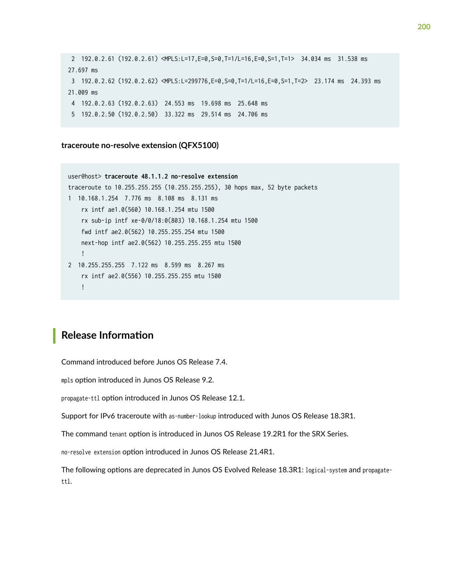```
 2 192.0.2.61 (192.0.2.61) <MPLS:L=17,E=0,S=0,T=1/L=16,E=0,S=1,T=1> 34.034 ms 31.538 ms 
27.697 ms
 3 192.0.2.62 (192.0.2.62) <MPLS:L=299776,E=0,S=0,T=1/L=16,E=0,S=1,T=2> 23.174 ms 24.393 ms 
21.009 ms
 4 192.0.2.63 (192.0.2.63) 24.553 ms 19.698 ms 25.648 ms
 5 192.0.2.50 (192.0.2.50) 33.322 ms 29.514 ms 24.706 ms
```
**traceroute no-resolve extension (QFX5100)**

```
user@host> traceroute 48.1.1.2 no-resolve extension
traceroute to 10.255.255.255 (10.255.255.255), 30 hops max, 52 byte packets
1 10.168.1.254 7.776 ms 8.108 ms 8.131 ms
    rx intf ae1.0(560) 10.168.1.254 mtu 1500
     rx sub-ip intf xe-0/0/18:0(803) 10.168.1.254 mtu 1500
    fwd intf ae2.0(562) 10.255.255.254 mtu 1500
    next-hop intf ae2.0(562) 10.255.255.255 mtu 1500
     !
2 10.255.255.255 7.122 ms 8.599 ms 8.267 ms
     rx intf ae2.0(556) 10.255.255.255 mtu 1500
     !
```
### **Release Information**

Command introduced before Junos OS Release 7.4.

mpls option introduced in Junos OS Release 9.2.

propagate-ttl option introduced in Junos OS Release 12.1.

Support for IPv6 traceroute with as-number-lookup introduced with Junos OS Release 18.3R1.

The command tenant option is introduced in Junos OS Release 19.2R1 for the SRX Series.

no-resolve extension option introduced in Junos OS Release 21.4R1.

The following options are deprecated in Junos OS Evolved Release 18.3R1: logical-system and propagatettl.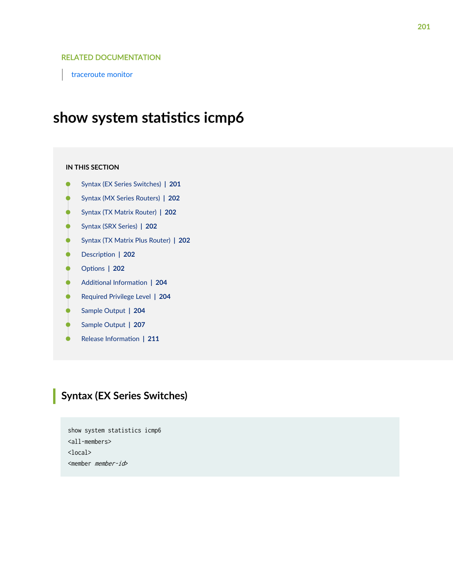### RELATED DOCUMENTATION

[traceroute monitor](https://www.juniper.net/documentation/en_US/junos/topics/reference/command-summary/traceroute-monitor.html)

# show system statistics icmp6

#### **IN THIS SECTION**

- Syntax (EX Series Switches) **| 201**
- [Syntax \(MX Series Routers\)](#page-208-0) **| 202**
- [Syntax \(TX Matrix Router\)](#page-208-0) **| 202**
- [Syntax \(SRX Series\)](#page-208-0) **| 202**
- [Syntax \(TX Matrix Plus Router\)](#page-208-0) **| 202**
- $\bullet$ **Description** | 202
- **Options** | 202 ●
- 704 Additional Information | 204
- [Required Privilege Level](#page-210-0) **| 204**
- [Sample Output](#page-210-0) **| 204**
- Ŏ [Sample Output](#page-213-0) **| 207**
- Release Information | 211 ۸

## **Syntax (EX Series Switches)**

show system statistics icmp6 <all-members> <local> <member member-id>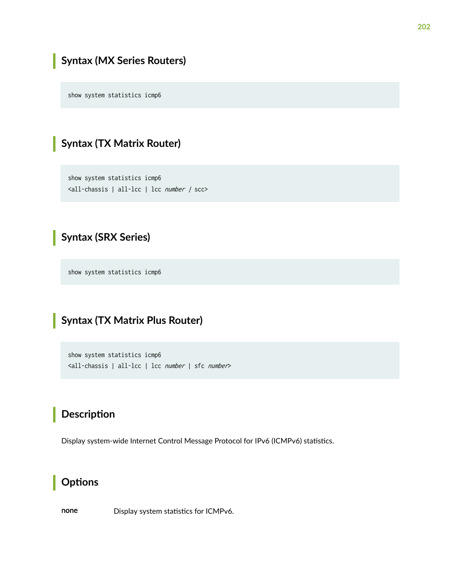# <span id="page-208-0"></span>**Syntax (MX Series Routers)**

show system statistics icmp6

## **Syntax (TX Matrix Router)**

show system statistics icmp6 <all-chassis | all-lcc | lcc number | scc>

## **Syntax (SRX Series)**

show system statistics icmp6

# **Syntax (TX Matrix Plus Router)**

show system statistics icmp6 <all-chassis | all-lcc | lcc number | sfc number>

## **Description**

Display system-wide Internet Control Message Protocol for IPv6 (ICMPv6) statistics.

## **Options**

none Display system statistics for ICMPv6.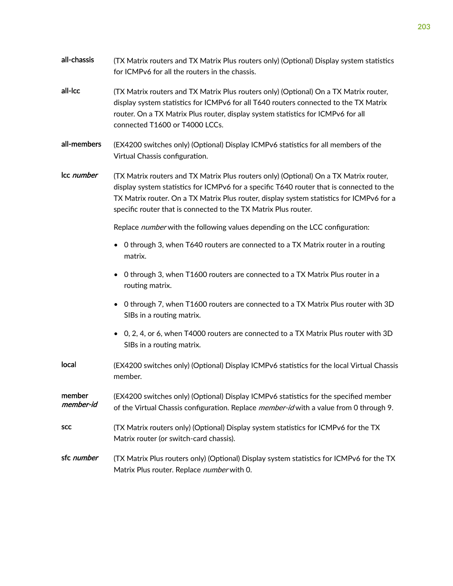| all-chassis         | (TX Matrix routers and TX Matrix Plus routers only) (Optional) Display system statistics<br>for ICMPv6 for all the routers in the chassis.                                                                                                                                                                                                       |  |  |  |  |  |
|---------------------|--------------------------------------------------------------------------------------------------------------------------------------------------------------------------------------------------------------------------------------------------------------------------------------------------------------------------------------------------|--|--|--|--|--|
| all-Icc             | (TX Matrix routers and TX Matrix Plus routers only) (Optional) On a TX Matrix router,<br>display system statistics for ICMPv6 for all T640 routers connected to the TX Matrix<br>router. On a TX Matrix Plus router, display system statistics for ICMPv6 for all<br>connected T1600 or T4000 LCCs.                                              |  |  |  |  |  |
| all-members         | (EX4200 switches only) (Optional) Display ICMPv6 statistics for all members of the<br>Virtual Chassis configuration.                                                                                                                                                                                                                             |  |  |  |  |  |
| Icc number          | (TX Matrix routers and TX Matrix Plus routers only) (Optional) On a TX Matrix router,<br>display system statistics for ICMPv6 for a specific T640 router that is connected to the<br>TX Matrix router. On a TX Matrix Plus router, display system statistics for ICMPv6 for a<br>specific router that is connected to the TX Matrix Plus router. |  |  |  |  |  |
|                     | Replace number with the following values depending on the LCC configuration:                                                                                                                                                                                                                                                                     |  |  |  |  |  |
|                     | 0 through 3, when T640 routers are connected to a TX Matrix router in a routing<br>matrix.                                                                                                                                                                                                                                                       |  |  |  |  |  |
|                     | 0 through 3, when T1600 routers are connected to a TX Matrix Plus router in a<br>routing matrix.                                                                                                                                                                                                                                                 |  |  |  |  |  |
|                     | 0 through 7, when T1600 routers are connected to a TX Matrix Plus router with 3D<br>SIBs in a routing matrix.                                                                                                                                                                                                                                    |  |  |  |  |  |
|                     | 0, 2, 4, or 6, when T4000 routers are connected to a TX Matrix Plus router with 3D<br>SIBs in a routing matrix.                                                                                                                                                                                                                                  |  |  |  |  |  |
| local               | (EX4200 switches only) (Optional) Display ICMPv6 statistics for the local Virtual Chassis<br>member.                                                                                                                                                                                                                                             |  |  |  |  |  |
| member<br>member-id | (EX4200 switches only) (Optional) Display ICMPv6 statistics for the specified member<br>of the Virtual Chassis configuration. Replace <i>member-id</i> with a value from 0 through 9.                                                                                                                                                            |  |  |  |  |  |
| <b>SCC</b>          | (TX Matrix routers only) (Optional) Display system statistics for ICMPv6 for the TX<br>Matrix router (or switch-card chassis).                                                                                                                                                                                                                   |  |  |  |  |  |
| sfc number          | (TX Matrix Plus routers only) (Optional) Display system statistics for ICMPv6 for the TX<br>Matrix Plus router. Replace number with 0.                                                                                                                                                                                                           |  |  |  |  |  |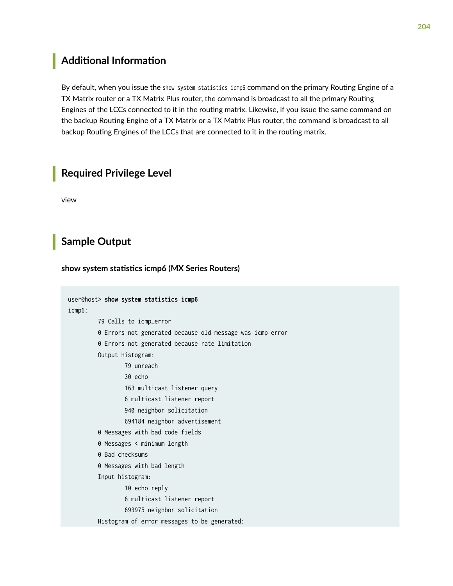## <span id="page-210-0"></span>**Additional Information**

By default, when you issue the show system statistics icmp6 command on the primary Routing Engine of a TX Matrix router or a TX Matrix Plus router, the command is broadcast to all the primary Routing Engines of the LCCs connected to it in the routing matrix. Likewise, if you issue the same command on the backup Routing Engine of a TX Matrix or a TX Matrix Plus router, the command is broadcast to all backup Routing Engines of the LCCs that are connected to it in the routing matrix.

### **Required Privilege Level**

view

## **Sample Output**

show system statistics icmp6 (MX Series Routers)

```
user@host> show system statistics icmp6
icmp6:
          79 Calls to icmp_error
          0 Errors not generated because old message was icmp error
          0 Errors not generated because rate limitation
          Output histogram:
                  79 unreach
                  30 echo
                  163 multicast listener query
                  6 multicast listener report
                  940 neighbor solicitation
                  694184 neighbor advertisement
          0 Messages with bad code fields
          0 Messages < minimum length
          0 Bad checksums
          0 Messages with bad length
          Input histogram:
                  10 echo reply
                  6 multicast listener report
                  693975 neighbor solicitation
          Histogram of error messages to be generated:
```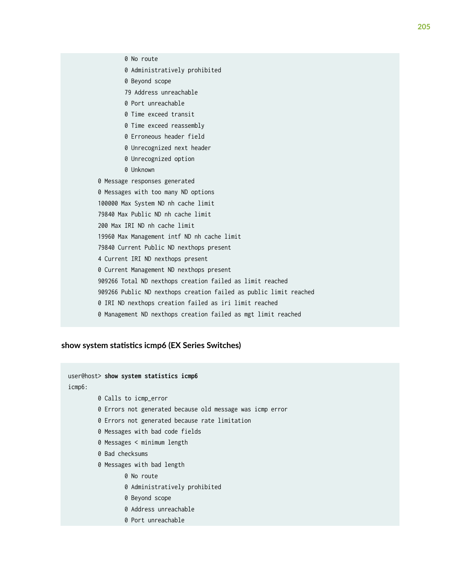0 Beyond scope 79 Address unreachable 0 Port unreachable 0 Time exceed transit 0 Time exceed reassembly 0 Erroneous header field 0 Unrecognized next header 0 Unrecognized option 0 Unknown 0 Message responses generated 0 Messages with too many ND options 100000 Max System ND nh cache limit 79840 Max Public ND nh cache limit 200 Max IRI ND nh cache limit 19960 Max Management intf ND nh cache limit 79840 Current Public ND nexthops present 4 Current IRI ND nexthops present 0 Current Management ND nexthops present 909266 Total ND nexthops creation failed as limit reached 909266 Public ND nexthops creation failed as public limit reached 0 IRI ND nexthops creation failed as iri limit reached 0 Management ND nexthops creation failed as mgt limit reached

### show system statistics icmp6 (EX Series Switches)

0 No route

0 Administratively prohibited

user@host> **show system statistics icmp6** icmp6: 0 Calls to icmp\_error 0 Errors not generated because old message was icmp error 0 Errors not generated because rate limitation 0 Messages with bad code fields 0 Messages < minimum length 0 Bad checksums 0 Messages with bad length 0 No route 0 Administratively prohibited 0 Beyond scope 0 Address unreachable 0 Port unreachable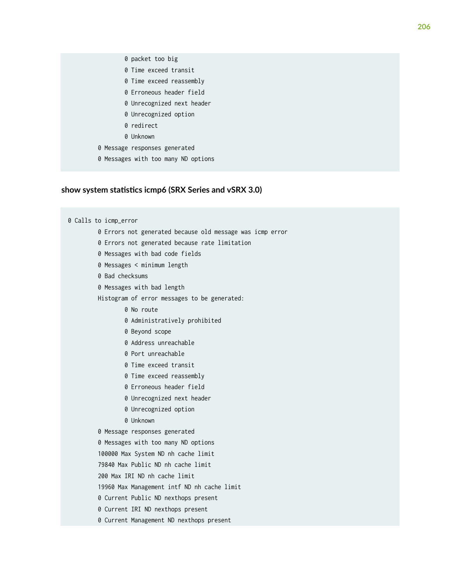- 0 packet too big
- 0 Time exceed transit
- 0 Time exceed reassembly
- 0 Erroneous header field
- 0 Unrecognized next header
- 0 Unrecognized option
- 0 redirect
- 0 Unknown
- 0 Message responses generated
- 0 Messages with too many ND options

#### show system statistics icmp6 (SRX Series and vSRX 3.0)

0 Calls to icmp\_error 0 Errors not generated because old message was icmp error 0 Errors not generated because rate limitation 0 Messages with bad code fields 0 Messages < minimum length 0 Bad checksums 0 Messages with bad length Histogram of error messages to be generated: 0 No route 0 Administratively prohibited 0 Beyond scope 0 Address unreachable 0 Port unreachable 0 Time exceed transit 0 Time exceed reassembly 0 Erroneous header field 0 Unrecognized next header 0 Unrecognized option 0 Unknown 0 Message responses generated 0 Messages with too many ND options 100000 Max System ND nh cache limit 79840 Max Public ND nh cache limit 200 Max IRI ND nh cache limit 19960 Max Management intf ND nh cache limit 0 Current Public ND nexthops present 0 Current IRI ND nexthops present 0 Current Management ND nexthops present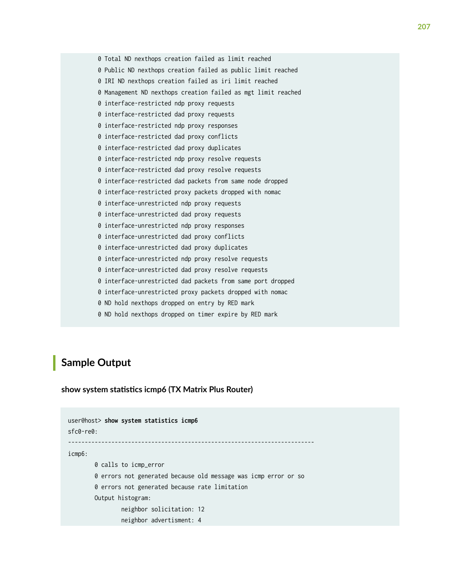<span id="page-213-0"></span> 0 Total ND nexthops creation failed as limit reached 0 Public ND nexthops creation failed as public limit reached 0 IRI ND nexthops creation failed as iri limit reached 0 Management ND nexthops creation failed as mgt limit reached 0 interface-restricted ndp proxy requests 0 interface-restricted dad proxy requests 0 interface-restricted ndp proxy responses 0 interface-restricted dad proxy conflicts 0 interface-restricted dad proxy duplicates 0 interface-restricted ndp proxy resolve requests 0 interface-restricted dad proxy resolve requests 0 interface-restricted dad packets from same node dropped 0 interface-restricted proxy packets dropped with nomac 0 interface-unrestricted ndp proxy requests 0 interface-unrestricted dad proxy requests 0 interface-unrestricted ndp proxy responses 0 interface-unrestricted dad proxy conflicts 0 interface-unrestricted dad proxy duplicates 0 interface-unrestricted ndp proxy resolve requests 0 interface-unrestricted dad proxy resolve requests 0 interface-unrestricted dad packets from same port dropped 0 interface-unrestricted proxy packets dropped with nomac 0 ND hold nexthops dropped on entry by RED mark 0 ND hold nexthops dropped on timer expire by RED mark

### **Sample Output**

show system statistics icmp6 (TX Matrix Plus Router)

```
user@host> show system statistics icmp6 
sfc0-re0:
--------------------------------------------------------------------------
icmp6:
         0 calls to icmp_error
         0 errors not generated because old message was icmp error or so
         0 errors not generated because rate limitation
         Output histogram:
                 neighbor solicitation: 12
                 neighbor advertisment: 4
```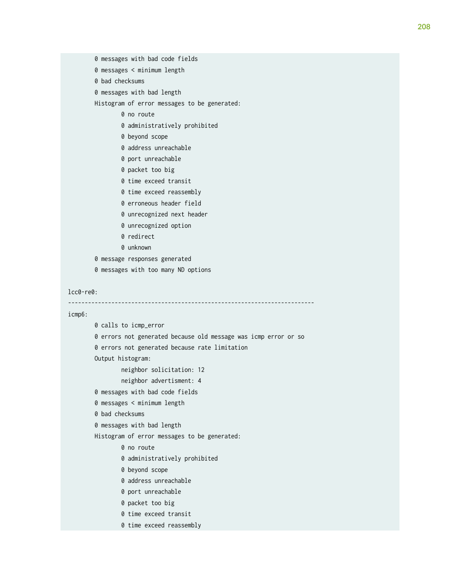- 0 messages with bad code fields
- 0 messages < minimum length
- 0 bad checksums
- 0 messages with bad length
- Histogram of error messages to be generated:
	- 0 no route
	- 0 administratively prohibited
	- 0 beyond scope
	- 0 address unreachable
	- 0 port unreachable
	- 0 packet too big
	- 0 time exceed transit
	- 0 time exceed reassembly
	- 0 erroneous header field
	- 0 unrecognized next header
	- 0 unrecognized option
	- 0 redirect
	- 0 unknown
- 0 message responses generated
- 0 messages with too many ND options

#### lcc0-re0:

```
--------------------------------------------------------------------------
```
#### icmp6:

```
 0 calls to icmp_error
 0 errors not generated because old message was icmp error or so
 0 errors not generated because rate limitation
 Output histogram:
         neighbor solicitation: 12
         neighbor advertisment: 4
 0 messages with bad code fields
 0 messages < minimum length
 0 bad checksums
 0 messages with bad length
 Histogram of error messages to be generated:
         0 no route
         0 administratively prohibited
         0 beyond scope
         0 address unreachable
         0 port unreachable
         0 packet too big
         0 time exceed transit
         0 time exceed reassembly
```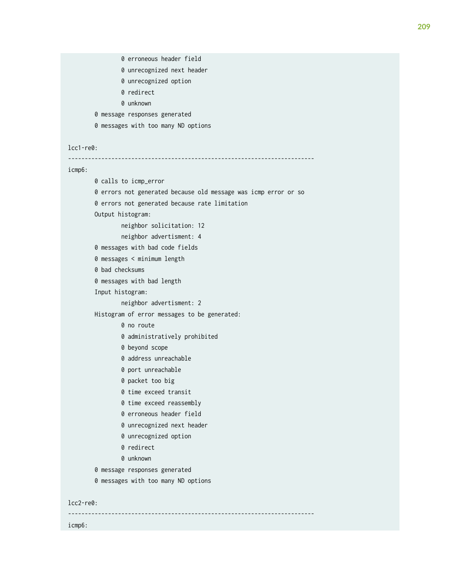```
 0 erroneous header field
                 0 unrecognized next header
                 0 unrecognized option
                 0 redirect
                 0 unknown
         0 message responses generated
         0 messages with too many ND options
lcc1-re0:
--------------------------------------------------------------------------
icmp6:
         0 calls to icmp_error
         0 errors not generated because old message was icmp error or so
         0 errors not generated because rate limitation
         Output histogram:
                 neighbor solicitation: 12
                 neighbor advertisment: 4
         0 messages with bad code fields
         0 messages < minimum length
         0 bad checksums
         0 messages with bad length
         Input histogram:
                 neighbor advertisment: 2
         Histogram of error messages to be generated:
                 0 no route
                 0 administratively prohibited
                 0 beyond scope
                 0 address unreachable
                 0 port unreachable
                 0 packet too big
                 0 time exceed transit
                 0 time exceed reassembly
                 0 erroneous header field
                 0 unrecognized next header
                 0 unrecognized option
                 0 redirect
                 0 unknown
         0 message responses generated
         0 messages with too many ND options
lcc2-re0:
--------------------------------------------------------------------------
icmp6:
```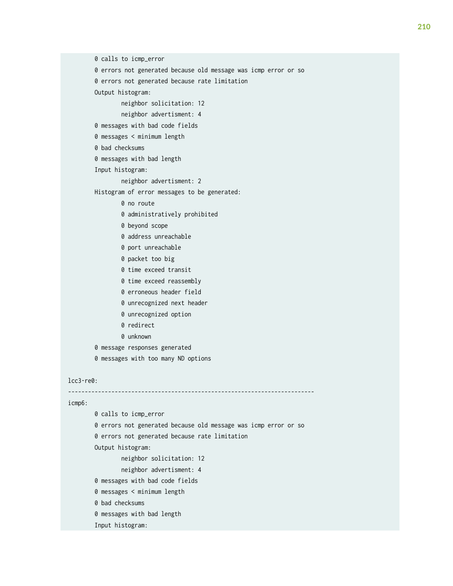0 errors not generated because old message was icmp error or so 0 errors not generated because rate limitation neighbor solicitation: 12 neighbor advertisment: 4 0 messages with bad code fields 0 messages < minimum length 0 messages with bad length

neighbor advertisment: 2

Histogram of error messages to be generated:

0 no route

0 calls to icmp\_error

Output histogram:

0 bad checksums

Input histogram:

- 0 administratively prohibited
- 0 beyond scope
- 0 address unreachable
- 0 port unreachable
- 0 packet too big
- 0 time exceed transit
- 0 time exceed reassembly
- 0 erroneous header field
- 0 unrecognized next header
- 0 unrecognized option
- 0 redirect
- 0 unknown
- 0 message responses generated
- 0 messages with too many ND options

#### lcc3-re0:

--------------------------------------------------------------------------

### icmp6:

```
 0 calls to icmp_error
 0 errors not generated because old message was icmp error or so
 0 errors not generated because rate limitation
 Output histogram:
         neighbor solicitation: 12
         neighbor advertisment: 4
 0 messages with bad code fields
 0 messages < minimum length
 0 bad checksums
 0 messages with bad length
 Input histogram:
```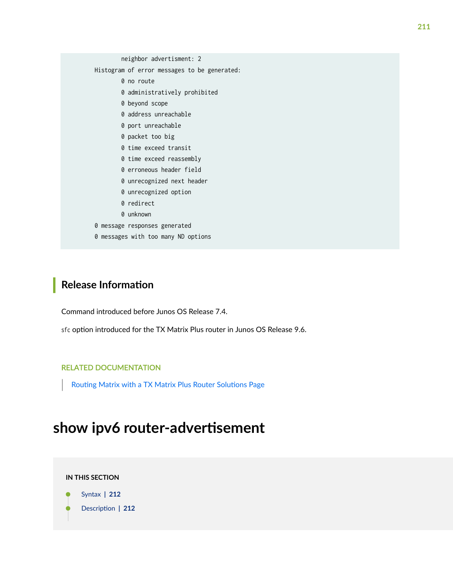neighbor advertisment: 2 Histogram of error messages to be generated: 0 no route 0 administratively prohibited 0 beyond scope 0 address unreachable 0 port unreachable 0 packet too big 0 time exceed transit 0 time exceed reassembly 0 erroneous header field 0 unrecognized next header 0 unrecognized option 0 redirect 0 unknown 0 message responses generated

0 messages with too many ND options

## **Release Information**

Command introduced before Junos OS Release 7.4.

sfc option introduced for the TX Matrix Plus router in Junos OS Release 9.6.

### RELATED DOCUMENTATION

Routing Matrix with a TX Matrix Plus Router Solutions Page

# show ipv6 router-advertisement

#### **IN THIS SECTION**

Syntax **[| 212](#page-218-0)**

Description | 212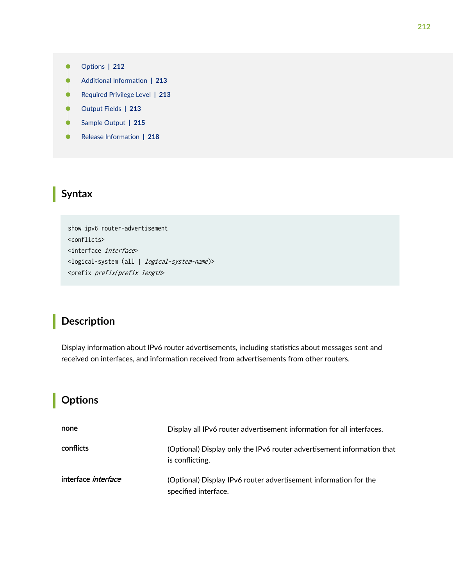- <span id="page-218-0"></span>**Options | 212**  $\bullet$
- $\bullet$ **Additional Information | 213**
- $\bullet$ [Required Privilege Level](#page-219-0) **| 213**
- [Output Fields](#page-219-0) **| 213**
- $\overline{\bullet}$ [Sample Output](#page-221-0) **| 215**
- $\overline{\phantom{a}}$ Release Information | 218

## **Syntax**

show ipv6 router-advertisement <conflicts> <interface interface> <logical-system (all | logical-system-name)> <prefix prefix/prefix length>

## **Description**

Display information about IPv6 router advertisements, including statistics about messages sent and received on interfaces, and information received from advertisements from other routers.

## **Options**

| none                       | Display all IPv6 router advertisement information for all interfaces.                     |
|----------------------------|-------------------------------------------------------------------------------------------|
| conflicts                  | (Optional) Display only the IPv6 router advertisement information that<br>is conflicting. |
| interface <i>interface</i> | (Optional) Display IPv6 router advertisement information for the<br>specified interface.  |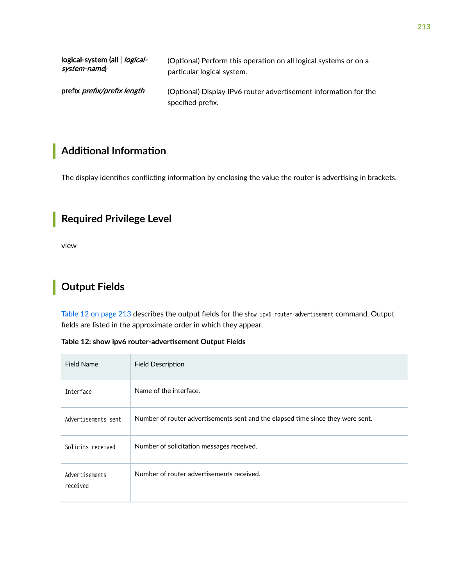<span id="page-219-0"></span>

| logical-system (all   <i>logical-</i> | (Optional) Perform this operation on all logical systems or on a                      |
|---------------------------------------|---------------------------------------------------------------------------------------|
| system-name)                          | particular logical system.                                                            |
| prefix <i>prefix/prefix length</i>    | (Optional) Display IPv6 router advertisement information for the<br>specified prefix. |

# **Additional Information**

The display identifies conflicting information by enclosing the value the router is advertising in brackets.

# **Required Privilege Level**

view

# **Output Fields**

Table 12 on page 213 describes the output fields for the show ipv6 router-advertisement command. Output fields are listed in the approximate order in which they appear.

|  | Table 12: show ipv6 router-advertisement Output Fields |  |
|--|--------------------------------------------------------|--|
|--|--------------------------------------------------------|--|

| <b>Field Name</b>          | <b>Field Description</b>                                                        |
|----------------------------|---------------------------------------------------------------------------------|
| Interface                  | Name of the interface.                                                          |
| Advertisements sent        | Number of router advertisements sent and the elapsed time since they were sent. |
| Solicits received          | Number of solicitation messages received.                                       |
| Advertisements<br>received | Number of router advertisements received.                                       |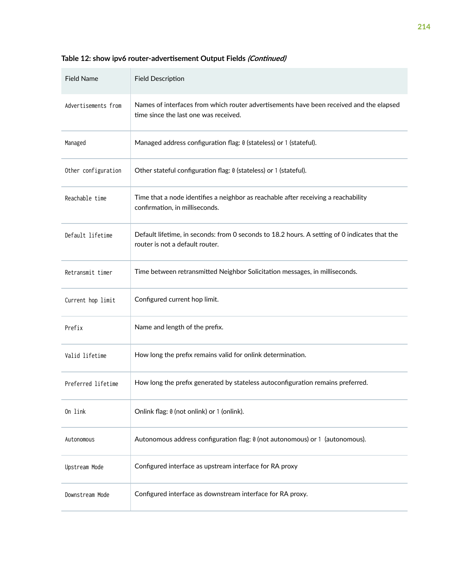| <b>Field Name</b>   | <b>Field Description</b>                                                                                                         |
|---------------------|----------------------------------------------------------------------------------------------------------------------------------|
| Advertisements from | Names of interfaces from which router advertisements have been received and the elapsed<br>time since the last one was received. |
| Managed             | Managed address configuration flag: 0 (stateless) or 1 (stateful).                                                               |
| Other configuration | Other stateful configuration flag: 0 (stateless) or 1 (stateful).                                                                |
| Reachable time      | Time that a node identifies a neighbor as reachable after receiving a reachability<br>confirmation, in milliseconds.             |
| Default lifetime    | Default lifetime, in seconds: from 0 seconds to 18.2 hours. A setting of 0 indicates that the<br>router is not a default router. |
| Retransmit timer    | Time between retransmitted Neighbor Solicitation messages, in milliseconds.                                                      |
| Current hop limit   | Configured current hop limit.                                                                                                    |
| Prefix              | Name and length of the prefix.                                                                                                   |
| Valid lifetime      | How long the prefix remains valid for onlink determination.                                                                      |
| Preferred lifetime  | How long the prefix generated by stateless autoconfiguration remains preferred.                                                  |
| On link             | Onlink flag: 0 (not onlink) or 1 (onlink).                                                                                       |
| Autonomous          | Autonomous address configuration flag: 0 (not autonomous) or 1 (autonomous).                                                     |
| Upstream Mode       | Configured interface as upstream interface for RA proxy                                                                          |
| Downstream Mode     | Configured interface as downstream interface for RA proxy.                                                                       |

## Table 12: show ipv6 router-advertisement Output Fields *(Continued)*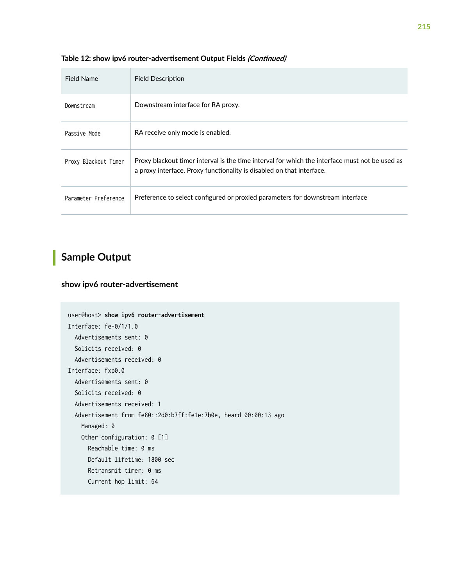| Field Name           | <b>Field Description</b>                                                                                                                                                |
|----------------------|-------------------------------------------------------------------------------------------------------------------------------------------------------------------------|
| Downstream           | Downstream interface for RA proxy.                                                                                                                                      |
| Passive Mode         | RA receive only mode is enabled.                                                                                                                                        |
| Proxy Blackout Timer | Proxy blackout timer interval is the time interval for which the interface must not be used as<br>a proxy interface. Proxy functionality is disabled on that interface. |
| Parameter Preference | Preference to select configured or proxied parameters for downstream interface                                                                                          |

#### <span id="page-221-0"></span>Table 12: show ipv6 router-advertisement Output Fields *(Continued)*

# **Sample Output**

### show ipv6 router-advertisement

```
user@host> show ipv6 router-advertisement 
Interface: fe-0/1/1.0
  Advertisements sent: 0
  Solicits received: 0
   Advertisements received: 0
Interface: fxp0.0
  Advertisements sent: 0
   Solicits received: 0
   Advertisements received: 1
   Advertisement from fe80::2d0:b7ff:fe1e:7b0e, heard 00:00:13 ago
    Managed: 0
    Other configuration: 0 [1]
       Reachable time: 0 ms
       Default lifetime: 1800 sec
       Retransmit timer: 0 ms
       Current hop limit: 64
```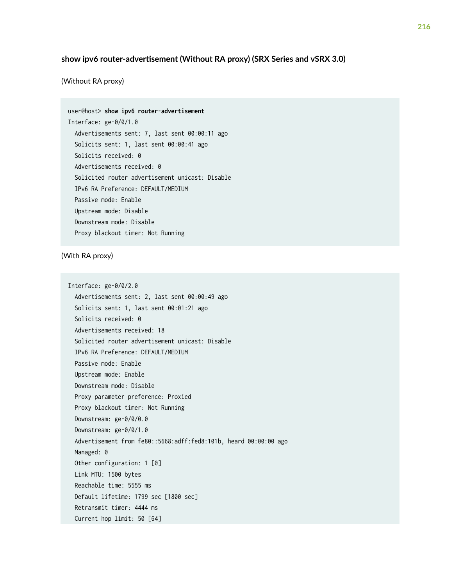### show ipv6 router-advertisement (Without RA proxy) (SRX Series and vSRX 3.0)

(Without RA proxy)

| user@host> <b>show ipv6 router-advertisement</b> |
|--------------------------------------------------|
| Interface: ge-0/0/1.0                            |
| Advertisements sent: 7, last sent 00:00:11 ago   |
| Solicits sent: 1, last sent 00:00:41 ago         |
| Solicits received: 0                             |
| Advertisements received: 0                       |
| Solicited router advertisement unicast: Disable  |
| IPv6 RA Preference: DEFAULT/MEDIUM               |
| Passive mode: Enable                             |
| Upstream mode: Disable                           |
| Downstream mode: Disable                         |
| Proxy blackout timer: Not Running                |

### (With RA proxy)

Interface: ge-0/0/2.0 Advertisements sent: 2, last sent 00:00:49 ago Solicits sent: 1, last sent 00:01:21 ago Solicits received: 0 Advertisements received: 18 Solicited router advertisement unicast: Disable IPv6 RA Preference: DEFAULT/MEDIUM Passive mode: Enable Upstream mode: Enable Downstream mode: Disable Proxy parameter preference: Proxied Proxy blackout timer: Not Running Downstream: ge-0/0/0.0 Downstream: ge-0/0/1.0 Advertisement from fe80::5668:adff:fed8:101b, heard 00:00:00 ago Managed: 0 Other configuration: 1 [0] Link MTU: 1500 bytes Reachable time: 5555 ms Default lifetime: 1799 sec [1800 sec] Retransmit timer: 4444 ms Current hop limit: 50 [64]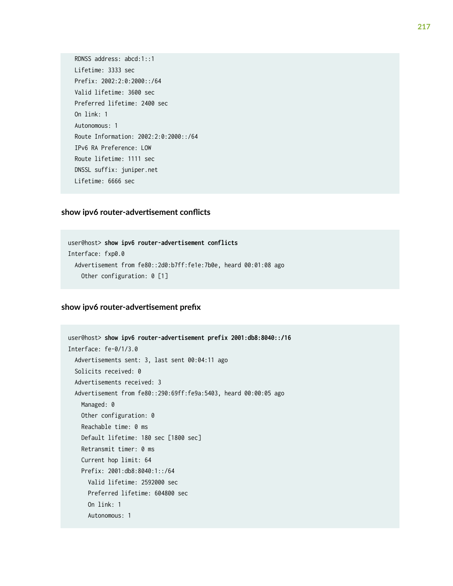RDNSS address: abcd:1::1 Lifetime: 3333 sec Prefix: 2002:2:0:2000::/64 Valid lifetime: 3600 sec Preferred lifetime: 2400 sec On link: 1 Autonomous: 1 Route Information: 2002:2:0:2000::/64 IPv6 RA Preference: LOW Route lifetime: 1111 sec DNSSL suffix: juniper.net Lifetime: 6666 sec

### $s$ how ipv6 router-advertisement conflicts

```
user@host> show ipv6 router-advertisement conflicts 
Interface: fxp0.0
   Advertisement from fe80::2d0:b7ff:fe1e:7b0e, heard 00:01:08 ago
    Other configuration: 0 [1]
```
### show ipv6 router-advertisement prefix

```
user@host> show ipv6 router-advertisement prefix 2001:db8:8040::/16 
Interface: fe-0/1/3.0
  Advertisements sent: 3, last sent 00:04:11 ago
  Solicits received: 0
  Advertisements received: 3
  Advertisement from fe80::290:69ff:fe9a:5403, heard 00:00:05 ago
    Managed: 0
    Other configuration: 0
     Reachable time: 0 ms
     Default lifetime: 180 sec [1800 sec]
     Retransmit timer: 0 ms
     Current hop limit: 64
     Prefix: 2001:db8:8040:1::/64 
       Valid lifetime: 2592000 sec 
       Preferred lifetime: 604800 sec 
       On link: 1 
       Autonomous: 1
```